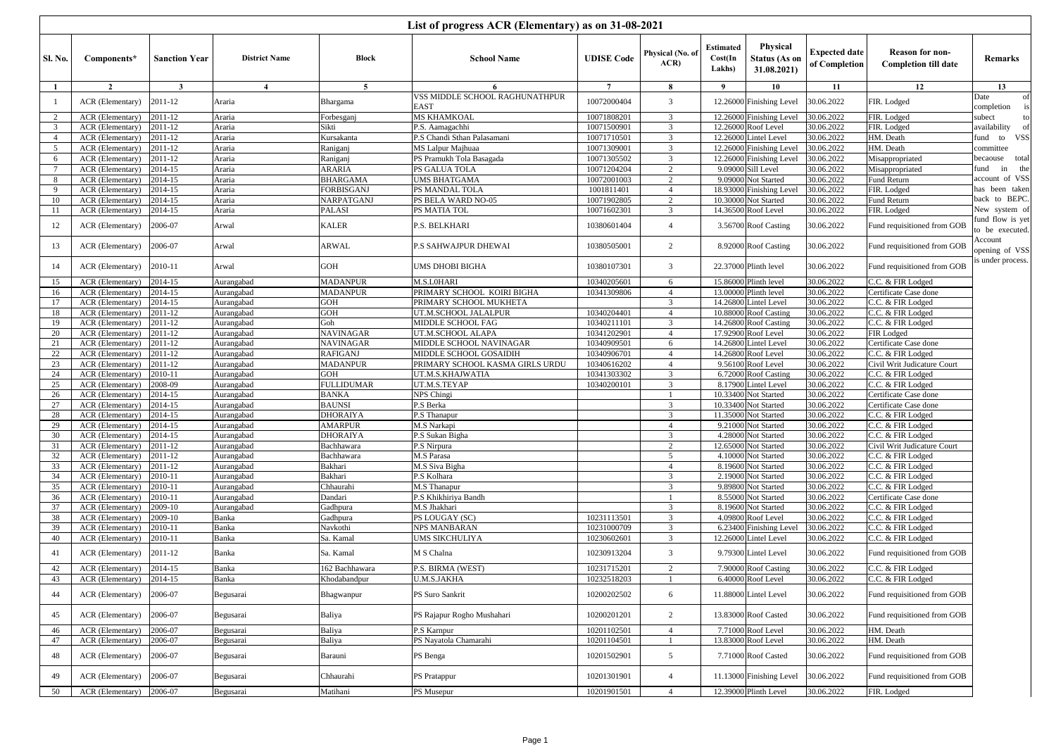|                 | List of progress ACR (Elementary) as on 31-08-2021 |                         |                          |                             |                                                     |                            |                                  |                                |                                           |                                       |                                                       |                                  |
|-----------------|----------------------------------------------------|-------------------------|--------------------------|-----------------------------|-----------------------------------------------------|----------------------------|----------------------------------|--------------------------------|-------------------------------------------|---------------------------------------|-------------------------------------------------------|----------------------------------|
| <b>Sl. No.</b>  | Components*                                        | <b>Sanction Year</b>    | <b>District Name</b>     | <b>Block</b>                | <b>School Name</b>                                  | <b>UDISE Code</b>          | Physical (No. of<br>ACR          | Estimated<br>Cost(In<br>Lakhs) | Physical<br>Status (As on<br>31.08.2021)  | <b>Expected date</b><br>of Completion | <b>Reason for non-</b><br><b>Completion till date</b> | Remarks                          |
| -1              | $\overline{2}$                                     | $\overline{\mathbf{3}}$ | $\overline{4}$           | 5                           | 6                                                   | $\overline{7}$             | 8                                | 9                              | 10                                        | 11                                    | 12                                                    | 13                               |
| -1              | ACR (Elementary)                                   | 2011-12                 | Araria                   | Bhargama                    | VSS MIDDLE SCHOOL RAGHUNATHPUR<br>EAST              | 10072000404                | 3                                |                                | 12.26000 Finishing Level                  | 30.06.2022                            | FIR. Lodged                                           | Date<br>of<br>completion         |
| 2               | ACR (Elementary)                                   | 2011-12                 | Araria                   | Forbesganj                  | MS KHAMKOAL                                         | 10071808201                | 3                                |                                | 12.26000 Finishing Level                  | 30.06.2022                            | FIR. Lodged                                           | subect<br>to                     |
| 3               | ACR (Elementary)                                   | 2011-12                 | Araria                   | Sikti                       | P.S. Aamagachhi                                     | 10071500901                | 3                                |                                | 12.26000 Roof Level                       | 30.06.2022                            | FIR. Lodged                                           | availability                     |
| $\overline{4}$  | ACR (Elementary)                                   | 2011-12                 | Araria                   | Kursakanta                  | P.S Chandi Sthan Palasamani                         | 10071710501                | 3                                | 12.26000                       | intel Level                               | 30.06.2022                            | HM. Death                                             | <b>VSS</b><br>fund to            |
| 5               | ACR (Elementary)                                   | 2011-12                 | Araria                   | Raniganj                    | MS Lalpur Majhuaa                                   | 10071309001                | 3                                | 12.26000                       | Finishing Level                           | 30.06.2022                            | HM. Death                                             | committee                        |
| 6               | ACR (Elementary)                                   | 2011-12                 | Araria                   | Raniganj                    | PS Pramukh Tola Basagada                            | 10071305502                | 3                                | 12.26000                       | <b>Finishing Level</b>                    | 30.06.2022                            | Misappropriated                                       | total<br>becaouse                |
| $7\phantom{.0}$ | ACR (Elementary)                                   | 2014-15                 | Araria                   | ARARIA                      | PS GALUA TOLA                                       | 10071204204                | 2                                | 9.09000                        | ill Level                                 | 30.06.2022                            | Misappropriated                                       | the<br>fund<br>in                |
| 8               | ACR (Elementary)                                   | 2014-15                 | Araria                   | BHARGAMA                    | UMS BHATGAMA                                        | 10072001003                | $\overline{c}$                   | 9.09000                        | <b>Not Started</b>                        | 30.06.2022                            | Fund Return                                           | account of VSS<br>has been taken |
| 9               | ACR (Elementary)                                   | 2014-15<br>2014-15      | Araria                   | FORBISGANJ<br>NARPATGANJ    | PS MANDAL TOLA                                      | 1001811401                 | $\overline{4}$<br>2              | 18.93000<br>10.30000           | inishing Level <sup>7</sup>               | 30.06.2022<br>30.06.2022              | FIR. Lodged                                           | back to BEPC.                    |
| 10<br>11        | ACR (Elementary)<br>ACR (Elementary)               | $2014 - 15$             | Araria<br>Araria         | PALASI                      | PS BELA WARD NO-05<br>PS MATIA TOL                  | 10071902805<br>10071602301 | 3                                |                                | <b>Not Started</b><br>14.36500 Roof Level | 30.06.2022                            | Fund Return<br>FIR. Lodged                            | New system of                    |
|                 |                                                    |                         |                          |                             |                                                     |                            |                                  |                                |                                           |                                       |                                                       | fund flow is yet                 |
| 12              | ACR (Elementary)                                   | 2006-07                 | Arwal                    | KALER                       | P.S. BELKHARI                                       | 10380601404                | $\overline{4}$                   |                                | 3.56700 Roof Casting                      | 30.06.2022                            | Fund requisitioned from GOB                           | to be executed.                  |
| 13              | ACR (Elementary)                                   | 2006-07                 | Arwal                    | ARWAL                       | P.S SAHWAJPUR DHEWAI                                | 10380505001                | 2                                |                                | 8.92000 Roof Casting                      | 30.06.2022                            | Fund requisitioned from GOB                           | Account<br>opening of VSS        |
| 14              | ACR (Elementary)                                   | 2010-11                 | Arwal                    | GOH                         | UMS DHOBI BIGHA                                     | 10380107301                | 3                                |                                | 22.37000 Plinth level                     | 30.06.2022                            | Fund requisitioned from GOB                           | s under process.                 |
| 15              | ACR (Elementary)                                   | 2014-15                 | Aurangabad               | <b>MADANPUR</b>             | M.S.L0HARI                                          | 10340205601                | 6                                |                                | 15.86000 Plinth level                     | 30.06.2022                            | C.C. & FIR Lodged                                     |                                  |
| 16              | ACR (Elementary)                                   | 2014-15                 | Aurangabad               | MADANPUR                    | PRIMARY SCHOOL KOIRI BIGHA                          | 10341309806                | $\overline{4}$                   |                                | 13.00000 Plinth level                     | 30.06.2022                            | Certificate Case done                                 |                                  |
| 17              | ACR (Elementary)                                   | 2014-15                 | Aurangabad               | GOH                         | PRIMARY SCHOOL MUKHETA                              |                            | 3                                | 14.26800                       | intel Level                               | 30.06.2022                            | C.C. & FIR Lodged                                     |                                  |
| 18              | ACR (Elementary)                                   | 2011-12                 | Aurangabad               | GOH                         | UT.M.SCHOOL JALALPUR                                | 10340204401                | $\overline{4}$                   |                                | 10.88000 Roof Casting                     | 30.06.2022                            | C.C. & FIR Lodged                                     |                                  |
| 19              | ACR (Elementary)                                   | 2011-12                 | Aurangabad               | Goh                         | MIDDLE SCHOOL FAG                                   | 10340211101                | 3                                |                                | 14.26800 Roof Casting                     | 30.06.2022                            | C.C. & FIR Lodged                                     |                                  |
| 20              | ACR (Elementary)                                   | 2011-12                 | Aurangabad               | <b>NAVINAGAR</b>            | UT.M.SCHOOL ALAPA                                   | 10341202901                | $\overline{4}$                   | 17.92900                       | Roof Level                                | 30.06.2022                            | FIR Lodged                                            |                                  |
| 21              | ACR (Elementary)                                   | 2011-12                 | Aurangabad               | <b>NAVINAGAR</b>            | MIDDLE SCHOOL NAVINAGAR                             | 10340909501                | 6                                | 14.26800                       | intel Level                               | 30.06.2022                            | Certificate Case done                                 |                                  |
| 22<br>23        | ACR (Elementary)                                   | 2011-12<br>2011-12      | Aurangabad               | RAFIGANJ<br><b>MADANPUR</b> | MIDDLE SCHOOL GOSAIDIH                              | 10340906701<br>10340616202 | $\overline{4}$<br>$\overline{4}$ |                                | 14.26800 Roof Level<br>9.56100 Roof Level | 30.06.2022<br>30.06.2022              | C.C. & FIR Lodged                                     |                                  |
| 24              | ACR (Elementary)<br>ACR (Elementary)               | 2010-11                 | Aurangabad<br>Aurangabad | GOH                         | PRIMARY SCHOOL KASMA GIRLS URDU<br>UT.M.S.KHAJWATIA | 10341303302                | 3                                |                                | 6.72000 Roof Casting                      | 30.06.2022                            | Civil Writ Judicature Court<br>C.C. & FIR Lodged      |                                  |
| 25              | ACR (Elementary)                                   | 2008-09                 | Aurangabad               | <b>FULLIDUMAR</b>           | UT.M.S.TEYAP                                        | 10340200101                | 3                                | 8.17900                        | intel Level                               | 30.06.2022                            | C.C. & FIR Lodged                                     |                                  |
| 26              | ACR (Elementary)                                   | 2014-15                 | Aurangabad               | BANKA                       | NPS Chingi                                          |                            |                                  | 10.33400                       | Not Started                               | 30.06.2022                            | Certificate Case done                                 |                                  |
| 27              | ACR (Elementary)                                   | 2014-15                 | Aurangabad               | <b>BAUNSI</b>               | P.S Berka                                           |                            | 3                                | 10.33400                       | <b>Not Started</b>                        | 30.06.2022                            | Certificate Case done                                 |                                  |
| 28              | ACR (Elementary)                                   | 2014-15                 | Aurangabad               | <b>DHORAIYA</b>             | P.S Thanapur                                        |                            | 3                                | 11.35000                       | Not Started                               | 30.06.2022                            | C.C. & FIR Lodged                                     |                                  |
| 29              | ACR (Elementary)                                   | 2014-15                 | Aurangabad               | <b>AMARPUR</b>              | M.S Narkapi                                         |                            | $\overline{4}$                   | 9.21000                        | <b>Not Started</b>                        | 30.06.2022                            | C.C. & FIR Lodged                                     |                                  |
| 30              | ACR (Elementary)                                   | 2014-15                 | Aurangabad               | DHORAIYA                    | P.S Sukan Bigha                                     |                            | 3                                | 4.280001                       | Not Started                               | 30.06.2022                            | C.C. & FIR Lodged                                     |                                  |
| 31              | ACR (Elementary)                                   | 2011-12                 | Aurangabad               | Bachhawara                  | P.S Nirpura                                         |                            | $\overline{c}$                   | 12.65000                       | <b>Vot Started</b>                        | 30.06.2022                            | Civil Writ Judicature Court                           |                                  |
| 32              | ACR (Elementary)                                   | 2011-12                 | Aurangabad               | Bachhawara                  | M.S Parasa                                          |                            | 5                                | 4.10000                        | <b>Not Started</b>                        | 30.06.2022                            | C.C. & FIR Lodged                                     |                                  |
| 33              | ACR (Elementary)                                   | 2011-12                 | Aurangabad               | Bakhari                     | M.S Siva Bigha                                      |                            | $\overline{4}$                   | 8.19600                        | <b>Not Started</b>                        | 30.06.2022                            | C.C. & FIR Lodged                                     |                                  |
| 34<br>35        | ACR (Elementary)                                   | 2010-11                 | Aurangabad               | Bakhari<br>Chhaurahi        | P.S Kolhara                                         |                            | $\mathcal{L}$<br>3               | 9.89800                        | 2.19000 Not Started                       | 30.06.2022<br>30.06.2022              | C.C. & FIR Lodged                                     |                                  |
| 36              | ACR (Elementary)<br>ACR (Elementary)               | 2010-11<br>$2010 - 11$  | Aurangabad<br>Aurangabad | Dandari                     | M.S Thanapur<br>P.S Khikhiriya Bandh                |                            | $\overline{1}$                   | 8.550001                       | <b>Not Started</b><br>Not Started         | 30.06.2022                            | C.C. & FIR Lodged<br>Certificate Case done            |                                  |
| 37              | ACR (Elementary)                                   | 2009-10                 | Aurangabad               | Gadhpura                    | M.S Jhakhari                                        |                            | 3                                |                                | 8.19600 Not Started                       | 30.06.2022                            | C.C. & FIR Lodged                                     |                                  |
| 38              | ACR (Elementary)                                   | 2009-10                 | Banka                    | Gadhpura                    | PS LOUGAY (SC)                                      | 10231113501                | 3                                | 4.09800                        | Roof Level                                | 30.06.2022                            | $\overline{C.C.}$ & FIR Lodged                        |                                  |
| 39              | ACR (Elementary)                                   | 2010-11                 | Banka                    | Navkothi                    | NPS MANBARAN                                        | 10231000709                | 3                                |                                | 6.23400 Finishing Level                   | 30.06.2022                            | C.C. & FIR Lodged                                     |                                  |
| 40              | ACR (Elementary)                                   | $2010 - 11$             | Banka                    | Sa. Kamal                   | UMS SIKCHULIYA                                      | 10230602601                | 3                                |                                | 12.26000 Lintel Level                     | 30.06.2022                            | C.C. & FIR Lodged                                     |                                  |
| 41              | ACR (Elementary)                                   | 2011-12                 | Banka                    | Sa. Kamal                   | M S Chalna                                          | 10230913204                | 3                                |                                | 9.79300 Lintel Level                      | 30.06.2022                            | Fund requisitioned from GOB                           |                                  |
| 42              | ACR (Elementary)                                   | 2014-15                 | Banka                    | 162 Bachhawara              | P.S. BIRMA (WEST)                                   | 10231715201                | 2                                |                                | 7.90000 Roof Casting                      | 30.06.2022                            | C.C. & FIR Lodged                                     |                                  |
| 43              | ACR (Elementary)                                   | 2014-15                 | Banka                    | Khodabandpur                | J.M.S.JAKHA                                         | 10232518203                |                                  |                                | 6.40000 Roof Level                        | 30.06.2022                            | C.C. & FIR Lodged                                     |                                  |
| 44              | ACR (Elementary)                                   | 2006-07                 | Begusarai                | Bhagwanpur                  | PS Suro Sankrit                                     | 10200202502                | 6                                |                                | 11.88000 Lintel Level                     | 30.06.2022                            | Fund requisitioned from GOB                           |                                  |
| 45              | ACR (Elementary)                                   | 2006-07                 | Begusarai                | Baliya                      | PS Rajapur Rogho Mushahari                          | 10200201201                | $\overline{2}$                   |                                | 13.83000 Roof Casted                      | 30.06.2022                            | Fund requisitioned from GOB                           |                                  |
| 46              | ACR (Elementary)                                   | 2006-07                 | Begusarai                | Baliya                      | P.S Karnpur                                         | 10201102501                | $\overline{4}$                   |                                | 7.71000 Roof Level                        | 30.06.2022                            | HM. Death                                             |                                  |
| 47              | ACR (Elementary)                                   | 2006-07                 | Begusarai                | Baliya                      | PS Nayatola Chamarahi                               | 10201104501                | -1                               |                                | 13.83000 Roof Level                       | 30.06.2022                            | HM. Death                                             |                                  |
| 48              | ACR (Elementary)                                   | 2006-07                 | Begusarai                | Barauni                     | PS Benga                                            | 10201502901                | 5                                |                                | 7.71000 Roof Casted                       | 30.06.2022                            | Fund requisitioned from GOB                           |                                  |
| 49              | ACR (Elementary)                                   | 2006-07                 | Begusarai                | Chhaurahi                   | PS Pratappur                                        | 10201301901                | $\overline{4}$                   |                                | 11.13000 Finishing Level                  | 30.06.2022                            | Fund requisitioned from GOB                           |                                  |
| 50              | ACR (Elementary)                                   | 2006-07                 | Begusarai                | Matihani                    | PS Musepur                                          | 10201901501                | $\overline{4}$                   |                                | 12.39000 Plinth Level                     | 30.06.2022                            | FIR. Lodged                                           |                                  |
|                 |                                                    |                         |                          |                             |                                                     |                            |                                  |                                |                                           |                                       |                                                       |                                  |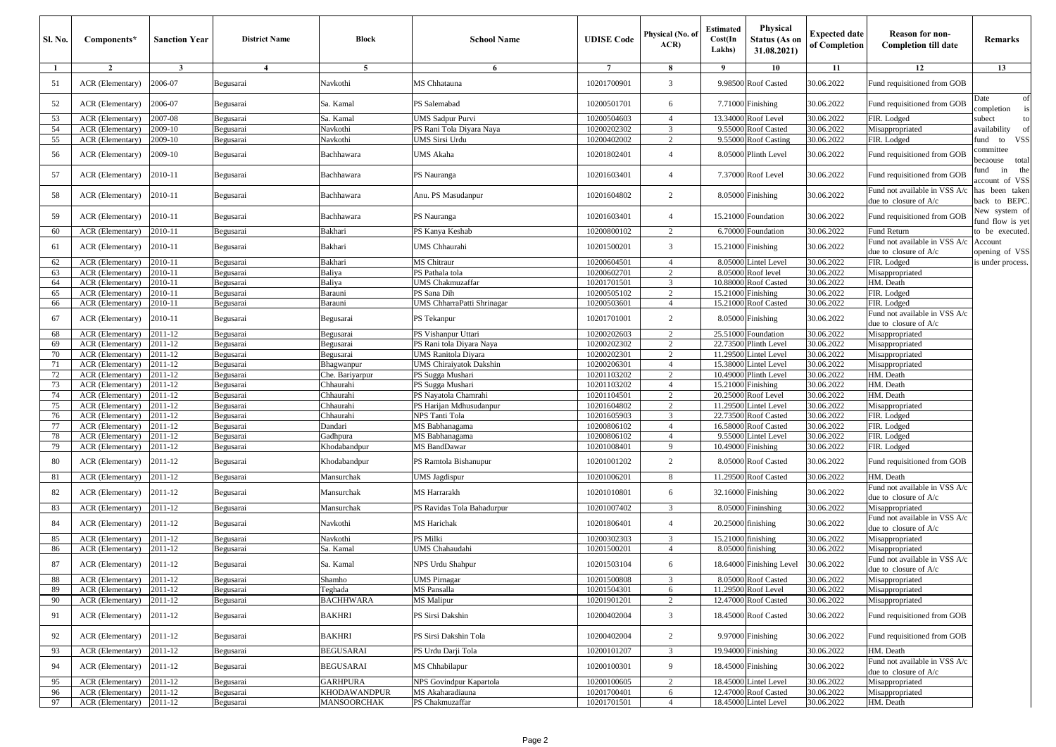| <b>Sl. No.</b> | Components*                          | <b>Sanction Year</b> | <b>District Name</b>   | <b>Block</b>           | <b>School Name</b>                              | <b>UDISE</b> Code          | Physical (No. of<br>ACR          | <b>Estimated</b><br>Cost(In<br>Lakhs) | <b>Physical</b><br><b>Status (As on</b><br>31.08.2021) | <b>Expected date</b><br>of Completion | <b>Reason for non-</b><br><b>Completion till date</b>    | Remarks                           |
|----------------|--------------------------------------|----------------------|------------------------|------------------------|-------------------------------------------------|----------------------------|----------------------------------|---------------------------------------|--------------------------------------------------------|---------------------------------------|----------------------------------------------------------|-----------------------------------|
| -1             | $\overline{2}$                       | $\mathbf{3}$         | 4                      | 5                      | 6                                               | $7\phantom{.0}$            | 8                                | -9                                    | 10                                                     | 11                                    | 12                                                       | 13                                |
| 51             | ACR (Elementary)                     | 2006-07              | Begusarai              | Navkothi               | MS Chhatauna                                    | 10201700901                | 3                                |                                       | 9.98500 Roof Casted                                    | 30.06.2022                            | Fund requisitioned from GOB                              |                                   |
| 52             | ACR (Elementary)                     | 2006-07              | Begusarai              | Sa. Kamal              | PS Salemabad                                    | 10200501701                | 6                                |                                       | 7.71000 Finishing                                      | 30.06.2022                            | Fund requisitioned from GOB                              | Date<br>of<br>completion<br>is    |
| 53             | ACR (Elementary)                     | 2007-08              | Begusarai              | Sa. Kamal              | <b>UMS Sadpur Purvi</b>                         | 10200504603                | $\overline{4}$                   |                                       | 13.34000 Roof Level                                    | 30.06.2022                            | FIR. Lodged                                              | subect<br>to                      |
| 54             | ACR (Elementary)                     | 2009-10              | Begusarai              | Navkothi               | PS Rani Tola Diyara Naya                        | 10200202302                | 3                                |                                       | 9.55000 Roof Casted                                    | 30.06.2022                            | Misappropriated                                          | availability<br>of                |
| 55             | ACR (Elementary)                     | 2009-10              | Begusarai              | Navkothi               | <b>UMS Sirsi Urdu</b>                           | 10200402002                | $\overline{c}$                   |                                       | 9.55000 Roof Casting                                   | 30.06.2022                            | FIR. Lodged                                              | VSS<br>fund to                    |
| 56             | ACR (Elementary)                     | 2009-10              | Begusarai              | Bachhawara             | UMS Akaha                                       | 10201802401                | $\overline{4}$                   |                                       | 8.05000 Plinth Level                                   | 30.06.2022                            | Fund requisitioned from GOB                              | ommittee<br>becaouse total        |
| 57             | ACR (Elementary)                     | 2010-11              | Begusarai              | Bachhawara             | PS Nauranga                                     | 10201603401                | $\overline{4}$                   |                                       | 7.37000 Roof Level                                     | 30.06.2022                            | Fund requisitioned from GOB                              | in the<br>und<br>account of VSS   |
| 58             | ACR (Elementary)                     | 2010-11              | Begusarai              | Bachhawara             | Anu. PS Masudanpur                              | 10201604802                | $\overline{2}$                   |                                       | 8.05000 Finishing                                      | 30.06.2022                            | Fund not available in VSS A/c<br>due to closure of A/c   | has been taken<br>back to BEPC.   |
| 59             | ACR (Elementary)                     | 2010-11              | Begusarai              | Bachhawara             | PS Nauranga                                     | 10201603401                | $\overline{4}$                   |                                       | 15.21000 Foundation                                    | 30.06.2022                            | Fund requisitioned from GOB                              | New system of<br>fund flow is yet |
| 60             | ACR (Elementary)                     | 2010-11              | Begusarai              | Bakhari                | PS Kanya Keshab                                 | 10200800102                | 2                                |                                       | 6.70000 Foundation                                     | 30.06.2022                            | Fund Return                                              | to be executed.                   |
| 61             | ACR (Elementary)                     | 2010-11              | Begusarai              | Bakhari                | <b>UMS</b> Chhaurahi                            | 10201500201                | 3                                |                                       | 15.21000 Finishing                                     | 30.06.2022                            | und not available in VSS A/c<br>due to closure of A/c    | Account<br>opening of VSS         |
| 62             | ACR (Elementary)                     | 2010-11              | Begusarai              | Bakhari                | MS Chitraur                                     | 10200604501                | $\overline{4}$                   |                                       | 8.05000 Lintel Level                                   | 30.06.2022                            | FIR. Lodged                                              | is under process.                 |
| 63             | ACR (Elementary)                     | 2010-11              | Begusarai              | Baliya                 | PS Pathala tola                                 | 10200602701                | $\overline{c}$                   |                                       | 8.05000 Roof level                                     | 30.06.2022                            | Misappropriated                                          |                                   |
| 64             | ACR (Elementary)                     | 2010-11              | Begusarai              | Baliya                 | <b>UMS</b> Chakmuzaffar                         | 10201701501                | 3                                |                                       | 10.88000 Roof Casted                                   | 30.06.2022                            | HM. Death                                                |                                   |
| 65             | ACR (Elementary)                     | 2010-11              | Begusarai              | Barauni                | PS Sana Dih                                     | 10200505102                | $\overline{2}$                   | 15.21000 Finishing                    |                                                        | 30.06.2022                            | FIR. Lodged                                              |                                   |
| 66             | ACR (Elementary)                     | 2010-11              | Begusarai              | Barauni                | UMS ChharraPatti Shrinagar                      | 10200503601                | $\overline{4}$                   |                                       | 15.21000 Roof Casted                                   | 30.06.2022                            | FIR. Lodged                                              |                                   |
| 67             | ACR (Elementary)                     | 2010-11              | Begusarai              | Begusarai              | PS Tekanpur                                     | 10201701001                | $\overline{2}$                   |                                       | 8.05000 Finishing                                      | 30.06.2022                            | und not available in VSS A/c<br>due to closure of A/c    |                                   |
| 68             | ACR (Elementary)                     | 2011-12              | Begusarai              | Begusarai              | PS Vishanpur Uttari                             | 10200202603                | $\overline{2}$                   |                                       | 25.51000 Foundation                                    | 30.06.2022                            | Misappropriated                                          |                                   |
| 69             | ACR (Elementary)                     | 2011-12              | Begusarai              | Begusarai              | PS Rani tola Diyara Naya                        | 10200202302                | 2                                |                                       | 22.73500 Plinth Level                                  | 30.06.2022                            | Misappropriated                                          |                                   |
| 70             | ACR (Elementary)                     | 2011-12              | Begusarai              | Begusarai              | <b>UMS</b> Ranitola Diyara                      | 10200202301                | $\overline{2}$                   |                                       | 11.29500 Lintel Level                                  | 30.06.2022                            | Misappropriated                                          |                                   |
| 71             | ACR (Elementary)                     | 2011-12              | Begusarai              | Bhagwanpur             | <b>UMS</b> Chiraiyatok Dakshin                  | 10200206301                | $\overline{4}$                   |                                       | 15.38000 Lintel Level                                  | 30.06.2022                            | Misappropriated                                          |                                   |
| 72             | ACR (Elementary)                     | 2011-12              | Begusarai              | Che. Bariyarpur        | PS Sugga Mushari                                | 10201103202                | 2                                |                                       | 10.49000 Plinth Level                                  | 30.06.2022                            | HM. Death                                                |                                   |
| 73             | ACR (Elementary)                     | 2011-12              | Begusarai              | Chhaurahi              | PS Sugga Mushari                                | 10201103202                | $\overline{4}$                   | 15.21000 Finishing                    |                                                        | 30.06.2022                            | HM. Death<br>HM. Death                                   |                                   |
| 74<br>75       | ACR (Elementary)<br>ACR (Elementary) | 2011-12<br>2011-12   | Begusarai<br>Begusarai | Chhaurahi<br>Chhaurahi | PS Nayatola Chamrahi<br>PS Harijan Mdhusudanpur | 10201104501<br>10201604802 | $\overline{2}$<br>$\overline{2}$ | 11.29500                              | 20.25000 Roof Level<br><b>Lintel Level</b>             | 30.06.2022<br>30.06.2022              | Misappropriated                                          |                                   |
| 76             | ACR (Elementary)                     | 2011-12              | Begusarai              | Chhaurahi              | NPS Tanti Tola                                  | 10201605903                | 3                                |                                       | 22.73500 Roof Casted                                   | 30.06.2022                            | FIR. Lodged                                              |                                   |
| 77             | ACR (Elementary)                     | 2011-12              | Begusarai              | Dandari                | MS Babhanagama                                  | 10200806102                | $\overline{4}$                   |                                       | 16.58000 Roof Casted                                   | 30.06.2022                            | FIR. Lodged                                              |                                   |
| 78             | ACR (Elementary)                     | 2011-12              | Begusarai              | Gadhpura               | $\overline{\text{MS}}$ Babhanagama              | 10200806102                | $\overline{4}$                   |                                       | 9.55000 Lintel Level                                   | 30.06.2022                            | FIR. Lodged                                              |                                   |
| 79             | ACR (Elementary)                     | 2011-12              | Begusarai              | Khodabandpur           | MS BandDawar                                    | 10201008401                | 9                                |                                       | 10.49000 Finishing                                     | 30.06.2022                            | FIR. Lodged                                              |                                   |
| 80             | ACR (Elementary)                     | 2011-12              | Begusarai              | Khodabandpur           | PS Ramtola Bishanupur                           | 10201001202                | $\overline{2}$                   |                                       | 8.05000 Roof Casted                                    | 30.06.2022                            | Fund requisitioned from GOB                              |                                   |
| 81             | ACR (Elementary)                     | 2011-12              | Begusarai              | Mansurchak             | <b>UMS</b> Jagdispur                            | 10201006201                | 8                                |                                       | 11.29500 Roof Casted                                   | 30.06.2022                            | HM. Death                                                |                                   |
| 82             | ACR (Elementary)                     | 2011-12              | Begusarai              | Mansurchak             | MS Harrarakh                                    | 10201010801                | 6                                | 32.16000 Finishing                    |                                                        | 30.06.2022                            | Fund not available in VSS A/c<br>due to closure of A/c   |                                   |
| 83             | ACR (Elementary)                     | 2011-12              | Begusarai              | Mansurchak             | PS Ravidas Tola Bahadurpur                      | 10201007402                | 3                                |                                       | 8.05000 Fininshing                                     | 30.06.2022                            | Misappropriated                                          |                                   |
| 84             | ACR (Elementary)                     | 2011-12              | Begusarai              | Navkothi               | <b>MS</b> Harichak                              | 10201806401                | $\overline{4}$                   | 20.25000 finishing                    |                                                        | 30.06.2022                            | Fund not available in VSS A/c<br>due to closure of $A/c$ |                                   |
| 85             | ACR (Elementary)                     | 2011-12              | Begusarai              | Navkothi               | PS Milki                                        | 10200302303                | 3                                | 15.21000 finishing                    |                                                        | 30.06.2022                            | Misappropriated                                          |                                   |
| 86             | ACR (Elementary)                     | 2011-12              | Begusarai              | Sa. Kamal              | UMS Chahaudahi                                  | 10201500201                | $\overline{4}$                   |                                       | 8.05000 finishing                                      | 30.06.2022                            | Misappropriated                                          |                                   |
| 87             | ACR (Elementary)                     | 2011-12              | Begusarai              | Sa. Kamal              | NPS Urdu Shahpur                                | 10201503104                | 6                                |                                       | 18.64000 Finishing Level                               | 30.06.2022                            | Fund not available in VSS A/c<br>due to closure of A/c   |                                   |
| 88             | ACR (Elementary) 2011-12             |                      | Begusarai              | Snamno                 | <b>UMS</b> Pirnagar                             | 10201500808                |                                  |                                       | 8.05000 Roof Casted                                    | 30.06.2022                            | Misappropriated                                          |                                   |
| 89             | <b>ACR</b> (Elementary)              | 2011-12              | Begusarai              | Teghada                | <b>MS</b> Pansalla                              | 10201504301                | 6                                |                                       | 11.29500 Roof Level                                    | 30.06.2022                            | Misappropriated                                          |                                   |
| 90             | ACR (Elementary)                     | 2011-12              | Begusarai              | <b>BACHHWARA</b>       | <b>MS</b> Malipur                               | 10201901201                | $\overline{c}$                   |                                       | 12.47000 Roof Casted                                   | 30.06.2022                            | Misappropriated                                          |                                   |
| 91             | ACR (Elementary)                     | 2011-12              | Begusarai              | <b>BAKHRI</b>          | PS Sirsi Dakshin                                | 10200402004                | 3                                |                                       | 18.45000 Roof Casted                                   | 30.06.2022                            | Fund requisitioned from GOB                              |                                   |
| 92             | ACR (Elementary)                     | 2011-12              | Begusarai              | <b>BAKHRI</b>          | PS Sirsi Dakshin Tola                           | 10200402004                | $\overline{c}$                   |                                       | 9.97000 Finishing                                      | 30.06.2022                            | Fund requisitioned from GOB                              |                                   |
| 93             | ACR (Elementary)                     | 2011-12              | Begusarai              | <b>BEGUSARAI</b>       | PS Urdu Darji Tola                              | 10200101207                | 3                                |                                       | 19.94000 Finishing                                     | 30.06.2022                            | HM. Death                                                |                                   |
| 94             | ACR (Elementary)                     | 2011-12              | Begusarai              | <b>BEGUSARAI</b>       | MS Chhabilapur                                  | 10200100301                | 9                                | 18.45000 Finishing                    |                                                        | 30.06.2022                            | Fund not available in VSS A/c<br>due to closure of A/c   |                                   |
| 95             | ACR (Elementary)                     | 2011-12              | Begusarai              | <b>GARHPURA</b>        | NPS Govindpur Kapartola                         | 10200100605                | $\overline{c}$                   |                                       | 18.45000 Lintel Level                                  | 30.06.2022                            | Misappropriated                                          |                                   |
| 96             | ACR (Elementary)                     | 2011-12              | Begusarai              | <b>KHODAWANDPUR</b>    | MS Akaharadiauna                                | 10201700401                | 6                                |                                       | 12.47000 Roof Casted                                   | 30.06.2022                            | Misappropriated                                          |                                   |
| 97             | ACR (Elementary)                     | 2011-12              | Begusarai              | <b>MANSOORCHAK</b>     | PS Chakmuzaffar                                 | 10201701501                | $\overline{4}$                   |                                       | 18.45000 Lintel Level                                  | 30.06.2022                            | HM. Death                                                |                                   |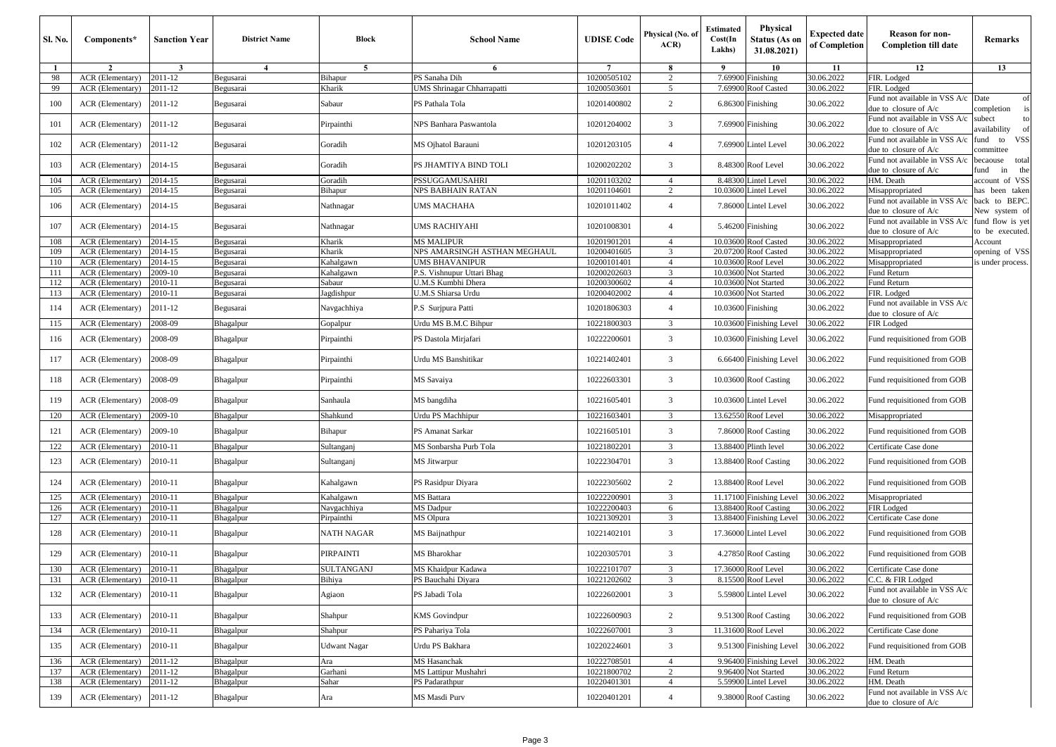| Sl. No.      | Components*               | <b>Sanction Year</b> | <b>District Name</b> | <b>Block</b>        | <b>School Name</b>           | <b>UDISE Code</b> | Physical (No. of<br>ACR | <b>Estimated</b><br>Cost(In<br>Lakhs) | Physical<br><b>Status (As on</b><br>31.08.2021) | <b>Expected date</b><br>of Completion | <b>Reason for non-</b><br><b>Completion till date</b>         | Remarks                                |
|--------------|---------------------------|----------------------|----------------------|---------------------|------------------------------|-------------------|-------------------------|---------------------------------------|-------------------------------------------------|---------------------------------------|---------------------------------------------------------------|----------------------------------------|
| $\mathbf{1}$ | $\overline{2}$            | $\mathbf{3}$         | $\overline{4}$       | 5                   | 6                            |                   | 8                       | 9                                     | 10                                              | 11                                    | 12                                                            | 13                                     |
| 98           | <b>ACR</b> (Elementary)   | 2011-12              | Begusarai            | Bihapur             | PS Sanaha Dih                | 10200505102       | $\overline{c}$          | 7.69900                               | Finishing                                       | 30.06.2022                            | FIR. Lodged                                                   |                                        |
| 99           | ACR (Elementary)          | 2011-12              | Begusarai            | Kharik              | UMS Shrinagar Chharrapatti   | 10200503601       | 5                       | 7.69900                               | Roof Casted                                     | 30.06.2022                            | FIR. Lodged                                                   |                                        |
| 100          | ACR (Elementary)          | 2011-12              | Begusarai            | Sabaur              | PS Pathala Tola              | 10201400802       | 2                       | 6.86300                               | Finishing                                       | 30.06.2022                            | Fund not available in VSS A/c Date<br>due to closure of $A/c$ | of<br>completion                       |
| 101          | ACR (Elementary)          | 2011-12              | Begusarai            | Pirpainthi          | NPS Banhara Paswantola       | 10201204002       | 3                       |                                       | 7.69900 Finishing                               | 30.06.2022                            | Fund not available in VSS A/c<br>due to closure of A/c        | subect<br>availability                 |
| 102          | ACR (Elementary)          | 2011-12              | Begusarai            | Goradih             | MS Ojhatol Barauni           | 10201203105       | $\overline{4}$          |                                       | 7.69900 Lintel Level                            | 30.06.2022                            | Fund not available in VSS A/c<br>due to closure of A/c        | <b>VSS</b><br>fund to<br>ommittee      |
| 103          | ACR (Elementary)          | 2014-15              | Begusarai            | Goradih             | PS JHAMTIYA BIND TOLI        | 10200202202       | 3                       | 8.48300                               | Roof Level                                      | 30.06.2022                            | Fund not available in VSS A/c<br>due to closure of A/c        | total<br>pecaouse<br>fund<br>in<br>the |
| 104          | ACR (Elementary)          | 2014-15              | Begusarai            | Goradih             | PSSUGGAMUSAHRI               | 10201103202       | $\overline{4}$          |                                       | 8.48300 Lintel Level                            | 30.06.2022                            | HM. Death                                                     | account of VSS                         |
| 105          | ACR (Elementary)          | 2014-15              | Begusarai            | Bihapur             | NPS BABHAIN RATAN            | 10201104601       | $\overline{2}$          | 10.03600                              | <b>Lintel Level</b>                             | 30.06.2022                            | Misappropriated                                               | has been taken                         |
| 106          | ACR (Elementary)          | 2014-15              | Begusarai            | Nathnagar           | UMS MACHAHA                  | 10201011402       | $\overline{4}$          |                                       | 7.86000 Lintel Level                            | 30.06.2022                            | Fund not available in VSS A/c<br>due to closure of A/c        | to BEPC.<br>back<br>New system of      |
| 107          | ACR (Elementary)          | 2014-15              | Begusarai            | Nathnagar           | UMS RACHIYAHI                | 10201008301       | $\overline{4}$          |                                       | 5.46200 Finishing                               | 30.06.2022                            | Fund not available in VSS A/c<br>due to closure of A/c        | fund flow is yet<br>to be executed.    |
| 108          | ACR (Elementary)          | 2014-15              | Begusarai            | Kharik              | <b>MS MALIPUR</b>            | 10201901201       | $\overline{4}$          |                                       | 10.03600 Roof Casted                            | 30.06.2022                            | Misappropriated                                               | Account                                |
| 109          | ACR (Elementary)          | 2014-15              | Begusarai            | Kharik              | NPS AMARSINGH ASTHAN MEGHAUL | 10200401605       | 3                       |                                       | 20.07200 Roof Casted                            | 30.06.2022                            | Misappropriated                                               | opening of VSS                         |
| 110          | <b>ACR</b> (Elementary)   | 2014-15              | Begusarai            | Kahalgawn           | <b>UMS BHAVANIPUR</b>        | 10200101401       | $\overline{4}$          | 10.03600                              | Roof Level                                      | 30.06.2022                            | Misappropriated                                               | s under process.                       |
| 111          | ACR (Elementary)          | 2009-10              | Begusarai            | Kahalgawn           | P.S. Vishnupur Uttari Bhag   | 10200202603       | 3                       |                                       | 10.03600 Not Started                            | 30.06.2022                            | Fund Return                                                   |                                        |
| 112          | <b>ACR</b> (Elementary)   | 2010-11              | Begusarai            | Sabaur              | U.M.S Kumbhi Dhera           | 10200300602       | $\overline{4}$          |                                       | 10.03600 Not Started                            | 30.06.2022                            | Fund Return                                                   |                                        |
| 113          | ACR (Elementary)          | 2010-11              | Begusarai            | Jagdishpur          | U.M.S Shiarsa Urdu           | 10200402002       | $\overline{4}$          | 10.03600                              | Not Started                                     | 30.06.2022                            | FIR. Lodged                                                   |                                        |
| 114          | ACR (Elementary)          | 2011-12              | Begusarai            | Navgachhiya         | P.S Surjpura Patti           | 10201806303       | $\overline{4}$          | 10.03600                              | Finishing                                       | 30.06.2022                            | Fund not available in VSS A/c<br>due to closure of A/c        |                                        |
| 115          | ACR (Elementary)          | 2008-09              | Bhagalpur            | Gopalpur            | Urdu MS B.M.C Bihpur         | 10221800303       | 3                       |                                       | 10.03600 Finishing Level                        | 30.06.2022                            | FIR Lodged                                                    |                                        |
| 116          | ACR (Elementary)          | 2008-09              | Bhagalpur            | Pirpainthi          | PS Dastola Mirjafari         | 10222200601       | 3                       |                                       | 10.03600 Finishing Level                        | 30.06.2022                            | Fund requisitioned from GOB                                   |                                        |
| 117          | ACR (Elementary)          | 2008-09              | Bhagalpur            | Pirpainthi          | Urdu MS Banshitikar          | 10221402401       | 3                       |                                       | 6.66400 Finishing Level                         | 30.06.2022                            | Fund requisitioned from GOB                                   |                                        |
| 118          | ACR (Elementary)          | 2008-09              | Bhagalpur            | Pirpainthi          | MS Savaiya                   | 10222603301       | 3                       |                                       | 10.03600 Roof Casting                           | 30.06.2022                            | Fund requisitioned from GOB                                   |                                        |
| 119          | ACR (Elementary)          | 2008-09              | Bhagalpur            | Sanhaula            | MS bangdiha                  | 10221605401       | 3                       |                                       | 10.03600 Lintel Level                           | 30.06.2022                            | Fund requisitioned from GOB                                   |                                        |
| 120          | ACR (Elementary)          | 2009-10              | Bhagalpur            | Shahkund            | Urdu PS Machhipur            | 10221603401       | 3                       |                                       | 13.62550 Roof Level                             | 30.06.2022                            | Misappropriated                                               |                                        |
| 121          | ACR (Elementary)          | 2009-10              | Bhagalpur            | Bihapur             | PS Amanat Sarkar             | 10221605101       | 3                       |                                       | 7.86000 Roof Casting                            | 30.06.2022                            | Fund requisitioned from GOB                                   |                                        |
| 122          | ACR (Elementary)          | 2010-11              | Bhagalpur            | Sultanganj          | MS Sonbarsha Purb Tola       | 10221802201       | 3                       |                                       | 13.88400 Plinth level                           | 30.06.2022                            | Certificate Case done                                         |                                        |
| 123          | ACR (Elementary)          | 2010-11              | Bhagalpur            | Sultanganj          | <b>MS</b> Jitwarpur          | 10222304701       | 3                       |                                       | 13.88400 Roof Casting                           | 30.06.2022                            | Fund requisitioned from GOB                                   |                                        |
| 124          | ACR (Elementary)          | 2010-11              | Bhagalpur            | Kahalgawn           | PS Rasidpur Diyara           | 10222305602       | $\overline{c}$          |                                       | 13.88400 Roof Level                             | 30.06.2022                            | Fund requisitioned from GOB                                   |                                        |
| 125          | ACR (Elementary)          | 2010-11              | Bhagalpur            | Kahalgawn           | MS Battara                   | 10222200901       | 3                       |                                       | 11.17100 Finishing Level                        | 30.06.2022                            | Misappropriated                                               |                                        |
| 126          | ACR (Elementary)          | 2010-11              | Bhagalpur            | Navgachhiya         | <b>MS</b> Dadpur             | 10222200403       | 6                       |                                       | 13.88400 Roof Casting                           | 30.06.2022                            | <b>FIR</b> Lodged                                             |                                        |
| 127          | ACR (Elementary)          | 2010-11              | Bhagalpur            | Pirpainthi          | <b>MS</b> Olpura             | 10221309201       | 3                       | 13.88400                              | <b>Finishing Level</b>                          | 30.06.2022                            | Certificate Case done                                         |                                        |
| 128          | <b>ACR</b> (Elementary)   | 2010-11              | Bhagalpur            | NATH NAGAR          | MS Baijnathpur               | 10221402101       | 3                       | 17.36000                              | <b>Lintel Level</b>                             | 30.06.2022                            | Fund requisitioned from GOB                                   |                                        |
| 129          | <b>ACR</b> (Elementary)   | 2010-11              | Bhagalpur            | PIRPAINTI           | MS Bharokhar                 | 10220305701       | 3                       |                                       | 4.27850 Roof Casting                            | 30.06.2022                            | Fund requisitioned from GOB                                   |                                        |
| 130          | ACR (Elementary)          | 2010-11              | Bhagalpur            | <b>SULTANGANJ</b>   | MS Khaidpur Kadawa           | 10222101707       | 3                       |                                       | 17.36000 Roof Level                             | 30.06.2022                            | Certificate Case done                                         |                                        |
| 151          | ACR (Elementary) 12010-11 |                      | Bhagalpur            | Bihiya              | PS Bauchahi Diyara           | 10221202602       |                         |                                       | 8.15500 Roof Level                              | 30.06.2022                            | C.C. & FIR Lodged                                             |                                        |
| 132          | ACR (Elementary)          | 2010-11              | Bhagalpur            | Agiaon              | PS Jabadi Tola               | 10222602001       | 3                       |                                       | 5.59800 Lintel Level                            | 30.06.2022                            | Fund not available in VSS A/c<br>due to closure of A/c        |                                        |
| 133          | ACR (Elementary)          | 2010-11              | Bhagalpur            | Shahpur             | <b>KMS</b> Govindpur         | 10222600903       | $\overline{2}$          |                                       | 9.51300 Roof Casting                            | 30.06.2022                            | Fund requisitioned from GOB                                   |                                        |
| 134          | ACR (Elementary)          | 2010-11              | Bhagalpur            | Shahpur             | PS Pahariya Tola             | 10222607001       | 3                       |                                       | 11.31600 Roof Level                             | 30.06.2022                            | Certificate Case done                                         |                                        |
| 135          | ACR (Elementary)          | 2010-11              | Bhagalpur            | <b>Udwant Nagar</b> | Urdu PS Bakhara              | 10220224601       | 3                       |                                       | 9.51300 Finishing Level                         | 30.06.2022                            | Fund requisitioned from GOB                                   |                                        |
| 136          | ACR (Elementary)          | 2011-12              | Bhagalpur            | Ara                 | <b>MS</b> Hasanchak          | 10222708501       | $\overline{4}$          |                                       | 9.96400 Finishing Level                         | 30.06.2022                            | HM. Death                                                     |                                        |
| 137          | ACR (Elementary)          | 2011-12              | Bhagalpur            | Garhani             | MS Lattipur Mushahri         | 10221800702       | 2                       |                                       | 9.96400 Not Started                             | 30.06.2022                            | Fund Return                                                   |                                        |
| 138          | ACR (Elementary)          | 2011-12              | Bhagalpur            | Sahar               | PS Padarathpur               | 10220401301       | $\overline{4}$          |                                       | 5.59900 Lintel Level                            | 30.06.2022                            | HM. Death                                                     |                                        |
| 139          | ACR (Elementary)          | 2011-12              | Bhagalpur            | Ara                 | MS Masdi Purv                | 10220401201       | $\overline{4}$          |                                       | 9.38000 Roof Casting                            | 30.06.2022                            | Fund not available in VSS A/c<br>due to closure of A/c        |                                        |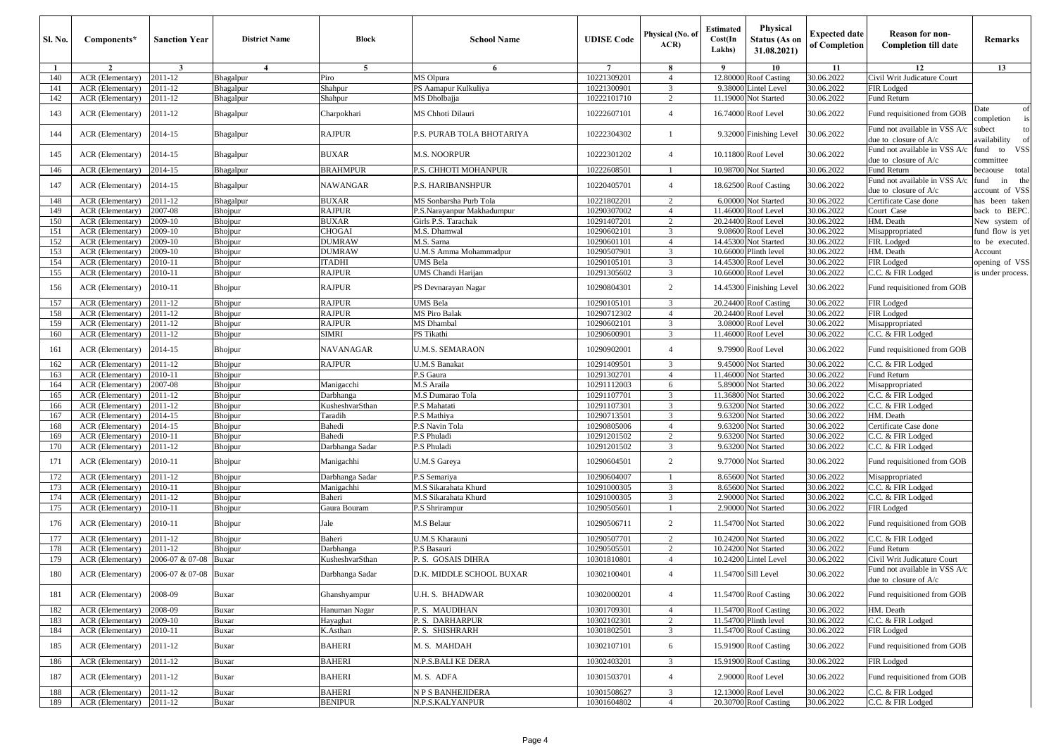| Sl. No.    | Components*                          | <b>Sanction Year</b> | <b>District Name</b> | Block                           | <b>School Name</b>                   | <b>UDISE Code</b>          | Physical (No. of<br>ACR | <b>Estimated</b><br>Cost(In<br>Lakhs) | Physical<br><b>Status (As on</b><br>31.08.2021) | <b>Expected date</b><br>of Completion | <b>Reason for non-</b><br><b>Completion till date</b>        | Remarks                             |
|------------|--------------------------------------|----------------------|----------------------|---------------------------------|--------------------------------------|----------------------------|-------------------------|---------------------------------------|-------------------------------------------------|---------------------------------------|--------------------------------------------------------------|-------------------------------------|
| -1         | $\overline{2}$                       | 3                    | $\overline{4}$       | 5                               | 6                                    | $\overline{7}$             | -8                      | 9                                     | 10                                              | 11                                    | 12                                                           | 13                                  |
| 140        | ACR (Elementary)                     | 2011-12              | Bhagalpur            | Piro                            | MS Olpura                            | 10221309201                | $\overline{4}$          | 12.8000                               | <b>Roof Casting</b>                             | 30.06.2022                            | Civil Writ Judicature Court                                  |                                     |
| 141        | ACR (Elementary)                     | 2011-12              | Bhagalpur            | Shahpur                         | PS Aamapur Kulkuliya                 | 10221300901                | $\overline{\mathbf{3}}$ | 9.3800                                | intel Level                                     | 30.06.2022                            | FIR Lodged                                                   |                                     |
| 142        | ACR (Elementary)                     | 2011-12              | Bhagalpur            | Shahpur                         | MS Dholbajja                         | 10222101710                | $\overline{c}$          | 11.19000                              | Not Started                                     | 30.06.2022                            | Fund Return                                                  |                                     |
| 143        | ACR (Elementary)                     | 2011-12              | Bhagalpur            | Charpokhari                     | MS Chhoti Dilauri                    | 10222607101                | $\overline{4}$          |                                       | 16.74000 Roof Level                             | 30.06.2022                            | Fund requisitioned from GOB                                  | Date<br>of<br>completion<br>is      |
| 144        | ACR (Elementary)                     | 2014-15              | Bhagalpur            | <b>RAJPUR</b>                   | P.S. PURAB TOLA BHOTARIYA            | 10222304302                | $\mathbf{1}$            |                                       | 9.32000 Finishing Level                         | 30.06.2022                            | Fund not available in VSS A/c<br>due to closure of A/c       | subect<br>to<br>availability<br>of  |
| 145        | ACR (Elementary)                     | 2014-15              | Bhagalpur            | <b>BUXAR</b>                    | <b>M.S. NOORPUR</b>                  | 10222301202                | $\overline{4}$          |                                       | 10.11800 Roof Level                             | 30.06.2022                            | Fund not available in VSS A/c<br>due to closure of $A/c$     | VSS<br>fund<br>to<br>committee      |
| 146        | ACR (Elementary)                     | 2014-15              | Bhagalpur            | BRAHMPUR                        | P.S. CHHOTI MOHANPUR                 | 10222608501                | -1                      |                                       | 10.98700 Not Started                            | 30.06.2022                            | Fund Return                                                  | becaouse<br>total                   |
| 147        | ACR (Elementary)                     | 2014-15              | Bhagalpur            | <b>NAWANGAR</b>                 | P.S. HARIBANSHPUR                    | 10220405701                | $\overline{4}$          |                                       | 18.62500 Roof Casting                           | 30.06.2022                            | Fund not available in VSS A/c<br>due to closure of $A/c$     | fund<br>in<br>the<br>account of VSS |
| 148        | ACR (Elementary)                     | 2011-12              | Bhagalpur            | <b>BUXAR</b>                    | MS Sonbarsha Purb Tola               | 10221802201                | 2                       | 6.00000                               | Not Started                                     | 30.06.2022                            | Certificate Case done                                        | has been taken                      |
| 149        | ACR (Elementary)                     | 2007-08              | Bhojpur              | <b>RAJPUR</b>                   | P.S.Narayanpur Makhadumpur           | 10290307002                | $\overline{4}$          | 11.46000                              | Roof Level                                      | 30.06.2022                            | Court Case                                                   | back to BEPC.                       |
| 150        | ACR (Elementary)                     | 2009-10              | Bhojpur              | <b>BUXAR</b>                    | Girls P.S. Tarachak                  | 10291407201                | $\overline{c}$          | 20.24400                              | Roof Level                                      | 30.06.2022                            | HM. Death                                                    | New system of                       |
| 151        | ACR (Elementary)                     | 2009-10              | <b>Bhojpur</b>       | <b>CHOGAI</b>                   | M.S. Dhamwal                         | 10290602101                | 3                       | 9.0860                                | Roof Level                                      | 30.06.2022                            | Misappropriated                                              | fund flow is yet                    |
| 152        | ACR (Elementary)                     | 2009-10              | Bhojpur              | <b>DUMRAW</b>                   | M.S. Sarna                           | 10290601101                | $\overline{4}$          | 14.45300                              | Not Started                                     | 30.06.2022                            | FIR. Lodged                                                  | to be executed.                     |
| 153        | ACR (Elementary)                     | 2009-10              | Bhojpur              | <b>DUMRAW</b>                   | U.M.S Amma Mohammadpur               | 10290507901                | 3                       | 10.66000                              | Plinth level                                    | 30.06.2022                            | HM. Death                                                    | Account                             |
| 154        | ACR (Elementary)                     | 2010-11              | Bhojpur              | <b>ITADHI</b>                   | <b>JMS</b> Bela                      | 10290105101                | 3                       | 14.4530                               | Roof Level                                      | 30.06.2022                            | FIR Lodged                                                   | opening of VSS                      |
| 155        | ACR (Elementary)                     | 2010-11              | <b>Bhojpur</b>       | <b>RAJPUR</b>                   | UMS Chandi Harijan                   | 10291305602                | 3                       | 10.6600                               | Roof Level                                      | 30.06.2022                            | C.C. & FIR Lodged                                            | is under process.                   |
| 156        | ACR (Elementary)                     | 2010-11              | Bhojpur              | <b>RAJPUR</b>                   | PS Devnarayan Nagar                  | 10290804301                | $\overline{2}$          |                                       | 14.45300 Finishing Level                        | 30.06.2022                            | Fund requisitioned from GOB                                  |                                     |
| 157        | ACR (Elementary)                     | 2011-12              | Bhojpur              | <b>RAJPUR</b>                   | UMS Bela                             | 10290105101                | 3                       |                                       | 20.24400 Roof Casting                           | 30.06.2022                            | FIR Lodged                                                   |                                     |
| 158        | ACR (Elementary)                     | 2011-12              | Bhojpur              | <b>RAJPUR</b>                   | <b>MS Piro Balak</b>                 | 10290712302                | $\overline{4}$          | 20.24400                              | Roof Level                                      | 30.06.2022                            | FIR Lodged                                                   |                                     |
| 159        | ACR (Elementary)                     | 2011-12              | Bhojpur              | RAJPUR                          | MS Dhambal                           | 10290602101                | 3                       | 3.08000                               | Roof Level                                      | 30.06.2022                            | Misappropriated                                              |                                     |
| 160        | ACR (Elementary)                     | 2011-12              | Bhojpur              | <b>SIMRI</b>                    | PS Tikathi                           | 10290600901                | $\overline{3}$          | 11.46000                              | Roof Level                                      | 30.06.2022                            | C.C. & FIR Lodged                                            |                                     |
| 161        | ACR (Elementary)                     | 2014-15              | Bhojpur              | NAVANAGAR                       | <b>J.M.S. SEMARAON</b>               | 10290902001                | $\overline{4}$          |                                       | 9.79900 Roof Level                              | 30.06.2022                            | Fund requisitioned from GOB                                  |                                     |
| 162        | ACR (Elementary)                     | 2011-12              | Bhojpur              | <b>RAJPUR</b>                   | <b>U.M.S Banakat</b>                 | 10291409501                | 3                       | 9.45000                               | Not Started                                     | 30.06.2022                            | C.C. & FIR Lodged                                            |                                     |
| 163        | ACR (Elementary)                     | 2010-11              | Bhojpur              |                                 | P.S Gaura                            | 10291302701                | $\overline{4}$          | 11.4600                               | Not Started                                     | 30.06.2022                            | Fund Return                                                  |                                     |
| 164        | ACR (Elementary)                     | 2007-08              | <b>Bhojpur</b>       | Manigacchi                      | M.S Araila                           | 10291112003                | 6                       | 5.89000                               | Not Started                                     | 30.06.2022                            | Misappropriated                                              |                                     |
| 165        | ACR (Elementary)                     | 2011-12              | Bhojpur              | Darbhanga                       | M.S Dumarao Tola                     | 10291107701                | 3                       | 11.36800                              | Not Started                                     | 30.06.2022                            | C.C. & FIR Lodged                                            |                                     |
| 166        | ACR (Elementary)                     | 2011-12              | <b>Bhojpur</b>       | KusheshvarSthan                 | P.S Mahatati                         | 10291107301                | 3                       | 9.63200                               | Not Started                                     | 30.06.2022                            | C.C. & FIR Lodged                                            |                                     |
| 167        | ACR (Elementary)                     | 2014-15              | Bhojpur              | Taradih                         | P.S Mathiya                          | 10290713501                | 3                       | 9.63200                               | Not Started                                     | 30.06.2022                            | HM. Death                                                    |                                     |
| 168        | ACR (Elementary)                     | 2014-15              | Bhojpur              | Bahedi                          | P.S Navin Tola                       | 10290805006                | $\overline{4}$          | 9.6320                                | Not Started                                     | 30.06.2022                            | Certificate Case done                                        |                                     |
| 169        | ACR (Elementary)                     | 2010-11              | Bhojpur              | Bahedi                          | P.S Phuladi                          | 10291201502                | $\overline{2}$          | 9.63200                               | Not Started                                     | 30.06.2022                            | C.C. & FIR Lodged                                            |                                     |
| 170<br>171 | ACR (Elementary)<br>ACR (Elementary) | 2011-12<br>2010-11   | Bhojpur<br>Bhojpur   | Darbhanga Sadar<br>Manigachhi   | P.S Phuladi<br><b>J.M.S Gareya</b>   | 10291201502<br>10290604501 | 3<br>$\overline{2}$     | 9.63200                               | <b>Not Started</b><br>9.77000 Not Started       | 30.06.2022<br>30.06.2022              | C.C. & FIR Lodged<br>Fund requisitioned from GOB             |                                     |
| 172        | ACR (Elementary)                     | 2011-12              |                      | Darbhanga Sadar                 | P.S Semariya                         | 10290604007                |                         | 8.65600                               | Not Started                                     | 30.06.2022                            |                                                              |                                     |
| 173        | ACR (Elementary)                     | 2010-11              | Bhojpur<br>Bhojpur   | Manigachhi                      | M.S Sikarahata Khurd                 | 10291000305                | 3                       | 8.6560                                | Not Started                                     | 30.06.2022                            | Misappropriated<br>C.C. & FIR Lodged                         |                                     |
| 174        | ACR (Elementary)                     | 2011-12              | <b>Bhojpur</b>       | Baheri                          | M.S Sikarahata Khurd                 | 10291000305                | 3                       | 2.90000                               | Not Started                                     | 30.06.2022                            | C.C. & FIR Lodged                                            |                                     |
| 175        | ACR (Elementary)                     | 2010-11              | Bhojpur              | Gaura Bouram                    | P.S Shrirampur                       | 10290505601                |                         | 2.90000                               | Not Started                                     | 30.06.2022                            | FIR Lodged                                                   |                                     |
| 176        | ACR (Elementary)                     | 2010-11              | Bhojpur              | Jale                            | M.S Belaur                           | 10290506711                | 2                       |                                       | 11.54700 Not Started                            | 30.06.2022                            | Fund requisitioned from GOB                                  |                                     |
| 177        | ACR (Elementary)                     | 2011-12              | Bhojpur              | Baheri                          | U.M.S Kharauni                       | 10290507701                | $\overline{c}$          | 10.24200                              | Not Started                                     | 30.06.2022                            | C.C. & FIR Lodged                                            |                                     |
| 178        | ACR (Elementary)                     | 2011-12              | Bhojpur              | Darbhanga                       | .S Basauri                           | 10290505501                | $\overline{2}$          | 10.24200                              | Not Started                                     | 30.06.2022                            | Fund Return                                                  |                                     |
| 179        | ACR (Elementary)                     | 2006-07 & 07-08      | Buxar                | KusheshvarSthan                 | P. S. GOSAIS DIHRA                   | 10301810801                | $\overline{4}$          |                                       | 10.24200 Lintel Level                           | 30.06.2022                            | Civil Writ Judicature Court                                  |                                     |
| 180        | ACR (Elementary)                     | 2006-07 & 07-08      | Buxar                | Darbhanga Sadar                 | D.K. MIDDLE SCHOOL BUXAR             | 10302100401                | $\overline{4}$          | 11.54700 Sill Level                   |                                                 | 30.06.2022                            | Fund not available in VSS A/c<br>due to closure of $A$ / $C$ |                                     |
| 181        | ACR (Elementary)                     | 2008-09              | Buxar                | Ghanshyampur                    | U.H. S. BHADWAR                      | 10302000201                | $\overline{4}$          |                                       | 11.54700 Roof Casting                           | 30.06.2022                            | Fund requisitioned from GOB                                  |                                     |
| 182        | ACR (Elementary)                     | 2008-09              | Buxar                | Hanuman Nagar                   | P. S. MAUDIHAN                       | 10301709301                | $\overline{4}$          |                                       | 11.54700 Roof Casting                           | 30.06.2022                            | HM. Death                                                    |                                     |
| 183        | ACR (Elementary)                     | 2009-10              | Buxar                | Hayaghat                        | P. S. DARHARPUR                      | 10302102301                | $\overline{2}$          |                                       | 11.54700 Plinth level                           | 30.06.2022                            | C.C. & FIR Lodged                                            |                                     |
| 184        | ACR (Elementary)                     | 2010-11              | Buxar                | K.Asthan                        | P. S. SHISHRARH                      | 10301802501                | 3                       |                                       | 11.54700 Roof Casting                           | 30.06.2022                            | FIR Lodged                                                   |                                     |
| 185        | ACR (Elementary)                     | 2011-12              | Buxar                | <b>BAHERI</b>                   | M. S. MAHDAH                         | 10302107101                | 6                       |                                       | 15.91900 Roof Casting                           | 30.06.2022                            | Fund requisitioned from GOB                                  |                                     |
| 186        | ACR (Elementary)                     | 2011-12              | Buxar                | <b>BAHERI</b>                   | N.P.S.BALI KE DERA                   | 10302403201                | 3                       |                                       | 15.91900 Roof Casting                           | 30.06.2022                            | FIR Lodged                                                   |                                     |
| 187        | ACR (Elementary)                     | 2011-12              | Buxar                | BAHERI                          | M.S. ADFA                            | 10301503701                | $\overline{4}$          |                                       | 2.90000 Roof Level                              | 30.06.2022                            | Fund requisitioned from GOB                                  |                                     |
| 188<br>189 | ACR (Elementary)<br>ACR (Elementary) | 2011-12<br>2011-12   | Buxar<br>Buxar       | <b>BAHERI</b><br><b>BENIPUR</b> | N P S BANHEJIDERA<br>N.P.S.KALYANPUR | 10301508627<br>10301604802 | 3<br>$\overline{4}$     |                                       | 12.13000 Roof Level<br>20.30700 Roof Casting    | 30.06.2022<br>30.06.2022              | C.C. & FIR Lodged<br>C.C. & FIR Lodged                       |                                     |
|            |                                      |                      |                      |                                 |                                      |                            |                         |                                       |                                                 |                                       |                                                              |                                     |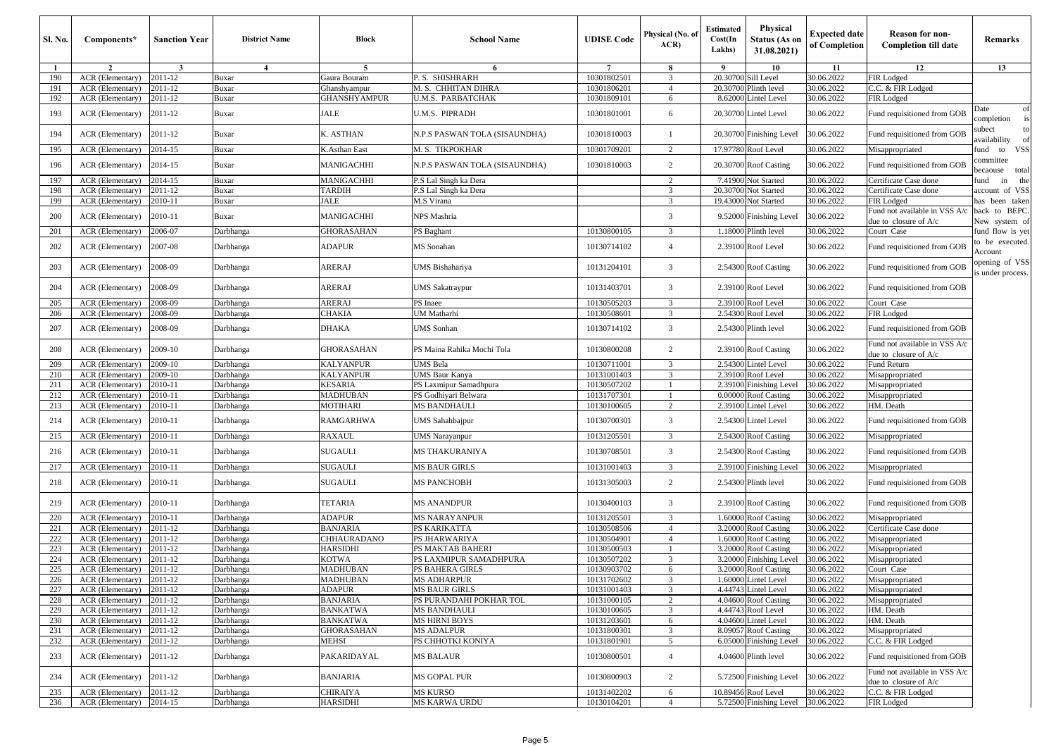| Sl. No.      | Components*                          | <b>Sanction Year</b>    | <b>District Name</b>   | Block                       | <b>School Name</b>            | <b>UDISE Code</b>          | Physical (No. of<br>ACR | <b>Estimated</b><br>Cost(In<br>Lakhs) | Physical<br>Status (As on<br>31.08.2021) | <b>Expected date</b><br>of Completion | <b>Reason for non-</b><br><b>Completion till date</b>        | Remarks                            |
|--------------|--------------------------------------|-------------------------|------------------------|-----------------------------|-------------------------------|----------------------------|-------------------------|---------------------------------------|------------------------------------------|---------------------------------------|--------------------------------------------------------------|------------------------------------|
| $\mathbf{1}$ | $\overline{2}$                       | $\overline{\mathbf{3}}$ | $\overline{4}$         | 5                           | 6                             | $\overline{7}$             | 8                       | - 9                                   | 10                                       | 11                                    | 12                                                           | 13                                 |
| 190          | ACR (Elementary)                     | 2011-12                 | Buxar                  | Gaura Bouram                | P. S. SHISHRARH               | 10301802501                | 3                       | 20.3070                               | Sill Level                               | 30.06.2022                            | FIR Lodged                                                   |                                    |
| 191          | ACR (Elementary)                     | 2011-12                 | <b>Buxar</b>           | Ghanshyampur                | M. S. CHHITAN DIHRA           | 10301806201                | $\overline{4}$          | 20.3070                               | linth level                              | 30.06.2022                            | C.C. & FIR Lodged                                            |                                    |
| 192          | ACR (Elementary)                     | 2011-12                 | Buxar                  | GHANSHYAMPUR                | U.M.S. PARBATCHAK             | 10301809101                | 6                       | 8.6200                                | intel Level                              | 0.06.2022                             | FIR Lodged                                                   |                                    |
| 193          | ACR (Elementary)                     | 2011-12                 | Buxar                  | <b>ALE</b>                  | U.M.S. PIPRADH                | 10301801001                | 6                       | 20.30700                              | Lintel Level                             | 30.06.2022                            | Fund requisitioned from GOB                                  | Date<br>of<br>ompletion<br>is      |
| 194          | ACR (Elementary)                     | 2011-12                 | Buxar                  | K. ASTHAN                   | N.P.S PASWAN TOLA (SISAUNDHA) | 10301810003                | $\mathbf{1}$            | 20.30700                              | Finishing Level                          | 30.06.2022                            | Fund requisitioned from GOB                                  | subect<br>to<br>tvailability<br>of |
| 195          | ACR (Elementary)                     | 2014-15                 | <b>Buxar</b>           | K.Asthan East               | M. S. TIKPOKHAR               | 10301709201                | $\overline{c}$          | 17.97780                              | Roof Level                               | 30.06.2022                            | Misappropriated                                              | fund to VSS                        |
| 196          | ACR (Elementary)                     | 2014-15                 | Buxar                  | MANIGACHHI                  | N.P.S PASWAN TOLA (SISAUNDHA) | 10301810003                | 2                       | 20.30700                              | <b>Roof Casting</b>                      | 30.06.2022                            | Fund requisitioned from GOB                                  | committee<br>total<br>pecaouse     |
| 197          | ACR (Elementary)                     | 2014-15                 | Buxar                  | MANIGACHHI                  | P.S Lal Singh ka Dera         |                            | $\overline{2}$          | 7.41900                               | Not Started                              | 30.06.2022                            | Certificate Case done                                        | und in<br>the                      |
| 198          | ACR (Elementary)                     | 2011-12                 | <b>Buxar</b>           | TARDIH                      | P.S Lal Singh ka Dera         |                            | 3                       | 20.3070                               | <b>lot Started</b>                       | 30.06.2022                            | Certificate Case done                                        | account of VSS                     |
| 199          | ACR (Elementary)                     | 2010-11                 | Buxar                  | <b>IALE</b>                 | M.S Virana                    |                            | 3                       | 19.43000                              | Not Started                              | 30.06.2022                            | FIR Lodged                                                   | has been taken                     |
| 200          | ACR (Elementary)                     | 2010-11                 | Buxar                  | MANIGACHHI                  | NPS Mashria                   |                            | 3                       | 9.5200                                | Finishing Level                          | 30.06.2022                            | Fund not available in VSS A/c<br>due to closure of A/c       | back to BEPC.<br>New system of     |
| 201          | ACR (Elementary)                     | 2006-07                 | Darbhanga              | GHORASAHAN                  | PS Baghant                    | 10130800105                | 3                       | 1.18000                               | Plinth level                             | 30.06.2022                            | Court Case                                                   | fund flow is yet                   |
| 202          | ACR (Elementary)                     | 2007-08                 | Darbhanga              | ADAPUR                      | MS Sonahan                    | 10130714102                | $\overline{4}$          | 2.3910                                | Roof Level                               | 30.06.2022                            | Fund requisitioned from GOB                                  | to be executed.<br>Account         |
| 203          | ACR (Elementary)                     | 2008-09                 | Darbhanga              | ARERAJ                      | UMS Bishahariya               | 10131204101                | 3                       |                                       | 2.54300 Roof Casting                     | 30.06.2022                            | Fund requisitioned from GOB                                  | opening of VSS<br>s under process. |
| 204          | ACR (Elementary)                     | 2008-09                 | Darbhanga              | ARERAJ                      | <b>JMS</b> Sakatraypur        | 10131403701                | 3                       | 2.3910                                | Roof Level                               | 30.06.2022                            | Fund requisitioned from GOB                                  |                                    |
| 205          | ACR (Elementary)                     | 2008-09                 | Darbhanga              | ARERAJ                      | PS Inaee                      | 10130505203                | 3                       | 2.3910                                | Roof Level                               | 30.06.2022                            | Court Case                                                   |                                    |
| 206          | ACR (Elementary)                     | 2008-09                 | Darbhanga              | CHAKIA                      | JM Matharhi                   | 10130508601                | 3                       | 2.54300                               | <b>Roof Level</b>                        | 30.06.2022                            | FIR Lodged                                                   |                                    |
| 207          | ACR (Elementary)                     | 2008-09                 | Darbhanga              | DHAKA                       | UMS Sonhan                    | 10130714102                | 3                       | 2.5430                                | Plinth level                             | 30.06.2022                            | Fund requisitioned from GOB                                  |                                    |
| 208          | ACR (Elementary)                     | 2009-10                 | Darbhanga              | <b>GHORASAHAN</b>           | PS Maina Rahika Mochi Tola    | 10130800208                | $\overline{c}$          | 2.3910                                | <b>Roof Casting</b>                      | 30.06.2022                            | Fund not available in VSS A/c<br>due to closure of A/c       |                                    |
| 209          | ACR (Elementary)                     | 2009-10                 | Darbhanga              | KALYANPUR                   | UMS Bela                      | 10130711001                | 3                       | 2.54300                               | intel Level                              | 30.06.2022                            | Fund Return                                                  |                                    |
| 210          | <b>ACR</b> (Elementary)              | 2009-10                 | Darbhanga              | <b>KALYANPUR</b>            | UMS Baur Kanya                | 10131001403                | $\overline{3}$          | 2.3910                                | <b>Roof</b> Level                        | 30.06.2022                            | Misappropriated                                              |                                    |
| 211          | ACR (Elementary)                     | 2010-11                 | Darbhanga              | KESARIA                     | PS Laxmipur Samadhpura        | 10130507202                | -1                      | 2.3910                                | inishing Level                           | 30.06.2022                            | Misappropriated                                              |                                    |
| 212          | ACR (Elementary)                     | 2010-11                 | Darbhanga              | MADHUBAN                    | PS Godhiyari Belwara          | 10131707301                |                         | 0.0000                                | <b>Roof Casting</b>                      | 30.06.2022                            | Misappropriated                                              |                                    |
| 213          | ACR (Elementary)                     | 2010-11                 | Darbhanga              | MOTIHARI                    | MS BANDHAULI                  | 10130100605                | $\overline{2}$          | 2.3910                                | intel Level                              | 30.06.2022                            | HM. Death                                                    |                                    |
| 214          | ACR (Elementary)                     | 2010-11                 | Darbhanga              | RAMGARHWA                   | UMS Sahahbajpur               | 10130700301                | $\overline{3}$          | 2.5430                                | intel Level                              | 30.06.2022                            | Fund requisitioned from GOB                                  |                                    |
| 215          | ACR (Elementary)                     | 2010-11                 | Darbhanga              | RAXAUL                      | UMS Narayanpur                | 10131205501                | 3                       | 2.54300                               | <b>Roof Casting</b>                      | 30.06.2022                            | Misappropriated                                              |                                    |
| 216          | ACR (Elementary)                     | 2010-11                 | Darbhanga              | SUGAULI                     | MS THAKURANIYA                | 10130708501                | 3                       | 2.54300                               | <b>Roof Casting</b>                      | 30.06.2022                            | Fund requisitioned from GOB                                  |                                    |
| 217          | ACR (Elementary)                     | 2010-11                 | Darbhanga              | SUGAULI                     | MS BAUR GIRLS                 | 10131001403                | 3                       | 2.3910                                | Finishing Level                          | 30.06.2022                            | Misappropriated                                              |                                    |
| 218          | ACR (Elementary)                     | 2010-11                 | Darbhanga              | SUGAULI                     | <b>MS PANCHOBH</b>            | 10131305003                | 2                       | 2.54300                               | Plinth level                             | 30.06.2022                            | Fund requisitioned from GOB                                  |                                    |
| 219          | ACR (Elementary)                     | 2010-11                 | Darbhanga              | TETARIA                     | <b>MS ANANDPUR</b>            | 10130400103                | 3                       | 2.3910                                | <b>Roof Casting</b>                      | 30.06.2022                            | Fund requisitioned from GOB                                  |                                    |
| 220          | ACR (Elementary)                     | 2010-11                 | Darbhanga              | <b>ADAPUR</b>               | <b>MS NARAYANPUR</b>          | 10131205501                | 3                       | 1.6000                                | <b>Roof Casting</b>                      | 30.06.2022                            | Misappropriated                                              |                                    |
| 221          | ACR (Elementary)                     | 2011-12                 | Darbhanga              | BANJARIA                    | PS KARIKATTA                  | 10130508506                | $\overline{4}$          | 3.20000                               | <b>Roof Casting</b>                      | 30.06.2022                            | Certificate Case done                                        |                                    |
| 222          | ACR (Elementary)                     | 2011-12                 | Darbhanga              | CHHAURADANO                 | PS JHARWARIYA                 | 10130504901                | $\overline{4}$          | 1.6000                                | <b>Roof Casting</b>                      | 30.06.2022                            | Misappropriated                                              |                                    |
| 223          | ACR (Elementary)                     | 2011-12                 | Darbhanga              | HARSIDHI                    | PS MAKTAB BAHERI              | 10130500503                |                         | 3.2000                                | oof Casting                              | 30.06.2022                            | Misappropriated                                              |                                    |
| 224          | ACR (Elementary)                     | 2011-12                 | Darbhanga              | KOTWA                       | PS LAXMIPUR SAMADHPURA        | 10130507202                | $\overline{3}$          | 3.2000                                | inishing Level                           | 30.06.2022                            | Misappropriated                                              |                                    |
| 225          | ACR (Elementary)                     | 2011-12                 | Darbhanga              | MADHUBAN                    | PS BAHERA GIRLS               | 10130903702                | 6                       | 3.20000                               | <b>Roof Casting</b>                      | 30.06.2022                            | Court Case                                                   |                                    |
| 226          | ACR (Elementary) 2011-12             |                         | Darbhanga              | MADHUBAN                    | MS ADHARPUR                   | 10131702602                |                         |                                       | 1.60000 Lintel Level                     | 30.06.2022                            | Misappropriated                                              |                                    |
| 227          | ACR (Elementary)                     | 2011-12                 | Darbhanga              | ADAPUR                      | <b>MS BAUR GIRLS</b>          | 10131001403                | 3                       |                                       | 4.44743 Lintel Level                     | 30.06.2022                            | Misappropriated                                              |                                    |
| 228          | ACR (Elementary)                     | 2011-12                 | Darbhanga              | BANJARIA                    | PS PURANDAHI POKHAR TOL       | 10131000105                | 2                       | 4.04600                               | <b>Roof Casting</b>                      | 30.06.2022                            | Misappropriated                                              |                                    |
| 229<br>230   | ACR (Elementary)                     | 2011-12<br>2011-12      | Darbhanga<br>Darbhanga | BANKATWA<br><b>BANKATWA</b> | MS BANDHAULI<br>MS HIRNI BOYS | 10130100605<br>10131203601 | 3                       | 4.44743<br>4.04600                    | Roof Level                               | 30.06.2022<br>30.06.2022              | HM. Death<br>HM. Death                                       |                                    |
| 231          | ACR (Elementary)<br>ACR (Elementary) | 2011-12                 | Darbhanga              | <b>GHORASAHAN</b>           | MS ADALPUR                    | 10131800301                | 6<br>3                  | 8.0905                                | Lintel Level<br><b>Roof Casting</b>      | 30.06.2022                            | Misappropriated                                              |                                    |
| 232          | ACR (Elementary)                     | 2011-12                 | Darbhanga              | MEHSI                       | PS CHHOTKI KONIYA             | 10131801901                | 5                       | 6.05000                               | <b>Finishing Level</b>                   | 30.06.2022                            | C.C. & FIR Lodged                                            |                                    |
|              |                                      |                         |                        |                             |                               |                            |                         |                                       |                                          |                                       |                                                              |                                    |
| 233          | ACR (Elementary)                     | 2011-12                 | Darbhanga              | PAKARIDAYAL                 | <b>MS BALAUR</b>              | 10130800501                | $\overline{4}$          | 4.04600                               | Plinth level                             | 30.06.2022                            | Fund requisitioned from GOB<br>Fund not available in VSS A/c |                                    |
| 234          | ACR (Elementary)                     | 2011-12                 | Darbhanga              | BANJARIA                    | MS GOPAL PUR                  | 10130800903                | $\overline{c}$          | 5.72500                               | Finishing Level                          | 30.06.2022                            | due to closure of A/c                                        |                                    |
| 235          | ACR (Elementary)                     | 2011-12                 | Darbhanga              | CHIRAIYA                    | <b>MS KURSO</b>               | 10131402202                | 6                       |                                       | 10.89456 Roof Level                      | 30.06.2022                            | C.C. & FIR Lodged                                            |                                    |
| 236          | <b>ACR</b> (Elementary)              | 2014-15                 | Darbhanga              | <b>HARSIDHI</b>             | MS KARWA URDU                 | 10130104201                | $\overline{4}$          |                                       | 5.72500 Finishing Level                  | 30.06.2022                            | FIR Lodged                                                   |                                    |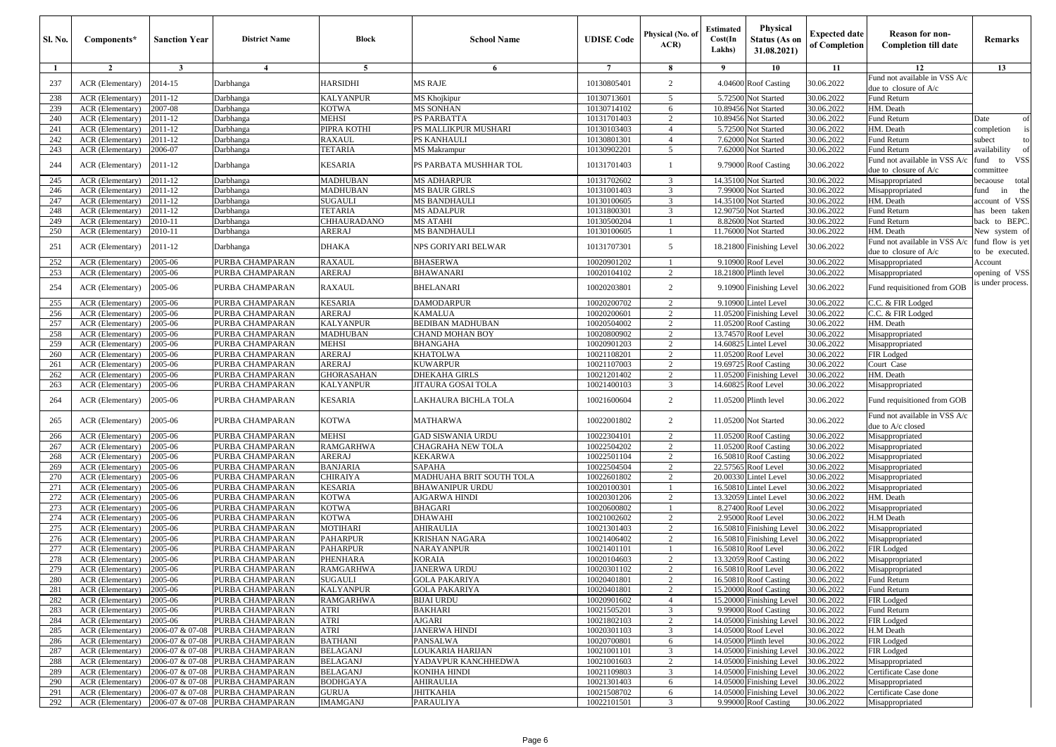| <b>Sl. No.</b> | Components*                          | <b>Sanction Year</b> | <b>District Name</b>                               | Block                              | <b>School Name</b>                  | <b>UDISE Code</b>          | Physical (No. of<br>ACR                   | Estimated<br>Cost(In<br>Lakhs) | <b>Physical</b><br><b>Status (As on</b><br>31.08.2021) | <b>Expected date</b><br>of Completion | <b>Reason for non-</b><br><b>Completion till date</b>    | Remarks                            |
|----------------|--------------------------------------|----------------------|----------------------------------------------------|------------------------------------|-------------------------------------|----------------------------|-------------------------------------------|--------------------------------|--------------------------------------------------------|---------------------------------------|----------------------------------------------------------|------------------------------------|
| $\mathbf{1}$   | $\overline{2}$                       | 3                    | $\overline{4}$                                     | 5                                  | 6                                   | $\overline{7}$             | 8                                         | - 9                            | 10                                                     | 11                                    | 12                                                       | 13                                 |
| 237            | ACR (Elementary)                     | 2014-15              | Darbhanga                                          | HARSIDHI                           | <b>MS RAJE</b>                      | 10130805401                | $\overline{2}$                            |                                | 4.04600 Roof Casting                                   | 30.06.2022                            | Fund not available in VSS A/c<br>due to closure of $A/c$ |                                    |
| 238            | ACR (Elementary)                     | 2011-12              | Darbhanga                                          | KALYANPUR                          | MS Khojkipur                        | 10130713601                | 5                                         |                                | 5.72500 Not Started                                    | 30.06.2022                            | Fund Return                                              |                                    |
| 239            | ACR (Elementary)                     | 2007-08              | Darbhanga                                          | KOTWA                              | <b>MS SONHAN</b>                    | 10130714102                | 6                                         | 10.89456                       | Not Started                                            | 30.06.2022                            | HM. Death                                                |                                    |
| 240            | ACR (Elementary)                     | 2011-12              | Darbhanga                                          | <b>MEHSI</b>                       | PS PARBATTA                         | 10131701403                | 2                                         | 10.89456                       | Not Started                                            | 30.06.2022                            | Fund Return                                              | Date<br>$\Omega$                   |
| 241            | ACR (Elementary)                     | 2011-12              | Darbhanga                                          | PIPRA KOTHI                        | PS MALLIKPUR MUSHARI                | 10130103403                | $\overline{4}$                            | 5.72500                        | Not Started                                            | 30.06.2022                            | HM. Death                                                | completion<br>is                   |
| 242            | ACR (Elementary)                     | 2011-12              | Darbhanga                                          | <b>RAXAUL</b>                      | PS KANHAULI                         | 10130801301                | $\overline{4}$                            | 7.62000                        | Not Started                                            | 30.06.2022                            | Fund Return                                              | subect<br>t c                      |
| 243            | ACR (Elementary)                     | 2006-07              | Darbhanga                                          | TETARIA                            | <b>MS Makrampur</b>                 | 10130902201                | 5                                         | 7.62000                        | Not Started                                            | 30.06.2022                            | Fund Return                                              | <b>vailability</b>                 |
| 244            | ACR (Elementary)                     | 2011-12              | Darbhanga                                          | KESARIA                            | PS PARBATA MUSHHAR TOL              | 10131701403                |                                           |                                | 9.79000 Roof Casting                                   | 30.06.2022                            | Fund not available in VSS A/c<br>due to closure of $A/c$ | iund to<br><b>VSS</b><br>committee |
| 245            | ACR (Elementary)                     | 2011-12              | Darbhanga                                          | <b>MADHUBAN</b>                    | <b>MS ADHARPUR</b>                  | 10131702602                | 3                                         | 14.35100                       | Not Started                                            | 30.06.2022                            | Misappropriated                                          | total<br>ecaouse                   |
| 246            | ACR (Elementary)                     | 2011-12              | Darbhanga                                          | <b>MADHUBAN</b>                    | <b>MS BAUR GIRLS</b>                | 10131001403                | 3                                         | 7.99000                        | Not Started                                            | 30.06.2022                            | Misappropriated                                          | ùnd<br>the<br>in                   |
| 247            | ACR (Elementary)                     | 2011-12              | Darbhanga                                          | <b>SUGAULI</b>                     | <b>MS BANDHAULI</b>                 | 10130100605                | $\overline{\mathbf{3}}$                   | 14.35100                       | Not Started                                            | 30.06.2022                            | HM. Death                                                | account of VSS                     |
| 248            | ACR (Elementary)                     | 2011-12              | Darbhanga                                          | TETARIA                            | <b>MS ADALPUR</b>                   | 10131800301                | 3                                         | 12.90750                       | Not Started                                            | 30.06.2022                            | Fund Return                                              | nas been taken                     |
| 249            | ACR (Elementary)                     | 2010-11              | Darbhanga                                          | CHHAURADANO                        | MS ATAHI                            | 10130500204                |                                           | 8.82600                        | Not Started                                            | 30.06.2022                            | Fund Return                                              | back to BEPC                       |
| 250            | ACR (Elementary)                     | 2010-11              | Darbhanga                                          | ARERAJ                             | <b>MS BANDHAULI</b>                 | 10130100605                |                                           | 11.76000                       | Not Started                                            | 30.06.2022                            | HM. Death<br>Fund not available in VSS A/c               | New system of<br>fund flow is yet  |
| 251            | ACR (Elementary)                     | 2011-12              | Darbhanga                                          | <b>DHAKA</b>                       | NPS GORIYARI BELWAR                 | 10131707301                | 5                                         |                                | 18.21800 Finishing Level                               | 30.06.2022                            | due to closure of A/c                                    | to be executed.                    |
| 252            | ACR (Elementary)                     | 2005-06              | PURBA CHAMPARAN                                    | <b>RAXAUL</b>                      | <b>BHASERWA</b>                     | 10020901202                |                                           | 9.10900                        | Roof Level                                             | 30.06.2022                            | Misappropriated                                          | Account                            |
| 253            | ACR (Elementary)                     | 2005-06              | PURBA CHAMPARAN                                    | <b>ARERAJ</b>                      | <b>BHAWANARI</b>                    | 10020104102                | 2                                         | 18.21800                       | Plinth level                                           | 30.06.2022                            | Misappropriated                                          | opening of VSS                     |
| 254            | ACR (Elementary)                     | 2005-06              | PURBA CHAMPARAN                                    | RAXAUL                             | <b>BHELANARI</b>                    | 10020203801                | 2                                         |                                | 9.10900 Finishing Level                                | 30.06.2022                            | Fund requisitioned from GOB                              | s under process.                   |
| 255            | ACR (Elementary)                     | 2005-06              | PURBA CHAMPARAN                                    | <b>KESARIA</b>                     | <b>DAMODARPUR</b>                   | 10020200702                | $\overline{2}$                            | 9.10900                        | Lintel Level                                           | 30.06.2022                            | C.C. & FIR Lodged                                        |                                    |
| 256            | ACR (Elementary)                     | 2005-06              | PURBA CHAMPARAN                                    | <b>ARERAJ</b>                      | <b>KAMALUA</b>                      | 10020200601                | 2                                         | 11.05200                       | <b>Finishing Level</b>                                 | 30.06.2022                            | C.C. & FIR Lodged                                        |                                    |
| 257            | ACR (Elementary)                     | 2005-06              | PURBA CHAMPARAN                                    | KALYANPUR                          | <b>BEDIBAN MADHUBAN</b>             | 10020504002                | $\overline{2}$                            |                                | 11.05200 Roof Casting                                  | 30.06.2022                            | HM. Death                                                |                                    |
| 258            | ACR (Elementary)                     | 2005-06              | PURBA CHAMPARAN                                    | <b>MADHUBAN</b>                    | <b>CHAND MOHAN BOY</b>              | 10020800902                | $\overline{c}$                            | 13.74570                       | Roof Level                                             | 30.06.2022                            | Misappropriated                                          |                                    |
| 259            | ACR (Elementary)                     | 2005-06              | PURBA CHAMPARAN                                    | <b>MEHSI</b>                       | <b>BHANGAHA</b>                     | 10020901203                | 2                                         | 14.60825                       | Lintel Level                                           | 30.06.2022                            | Misappropriated                                          |                                    |
| 260            | ACR (Elementary)                     | 2005-06              | PURBA CHAMPARAN                                    | <b>ARERAJ</b>                      | <b>KHATOLWA</b><br><b>KUWARPUR</b>  | 10021108201                | 2                                         | 11.05200                       | Roof Level                                             | 30.06.2022                            | FIR Lodged                                               |                                    |
| 261<br>262     | ACR (Elementary)                     | 2005-06<br>2005-06   | PURBA CHAMPARAN<br>PURBA CHAMPARAN                 | ARERAJ                             | <b>DHEKAHA GIRLS</b>                | 10021107003<br>10021201402 | $\overline{2}$<br>2                       | 11.05200                       | 19.69725 Roof Casting<br><b>Finishing Level</b>        | 30.06.2022<br>30.06.2022              | Court Case<br>HM. Death                                  |                                    |
| 263            | ACR (Elementary)<br>ACR (Elementary) | 2005-06              | PURBA CHAMPARAN                                    | <b>GHORASAHAN</b><br>KALYANPUR     | <b>JITAURA GOSAI TOLA</b>           | 10021400103                | 3                                         | 14.60825                       | Roof Level                                             | 30.06.2022                            | Misappropriated                                          |                                    |
| 264            | ACR (Elementary)                     | 2005-06              | PURBA CHAMPARAN                                    | KESARIA                            | LAKHAURA BICHLA TOLA                | 10021600604                | 2                                         |                                | 11.05200 Plinth level                                  | 30.06.2022                            | Fund requisitioned from GOB                              |                                    |
| 265            | ACR (Elementary)                     | 2005-06              | PURBA CHAMPARAN                                    | <b>KOTWA</b>                       | <b>MATHARWA</b>                     | 10022001802                | 2                                         |                                | 11.05200 Not Started                                   | 30.06.2022                            | Fund not available in VSS A/c                            |                                    |
|                |                                      |                      |                                                    |                                    |                                     |                            |                                           |                                |                                                        |                                       | due to A/c closed                                        |                                    |
| 266            | ACR (Elementary)                     | 2005-06              | PURBA CHAMPARAN                                    | <b>MEHSI</b>                       | <b>GAD SISWANIA URDU</b>            | 10022304101                | $\overline{2}$                            |                                | 11.05200 Roof Casting                                  | 30.06.2022                            | Misappropriated                                          |                                    |
| 267            | ACR (Elementary)                     | 2005-06              | PURBA CHAMPARAN                                    | <b>RAMGARHWA</b>                   | CHAGRAHA NEW TOLA                   | 10022504202                | $\overline{2}$                            | 11.05200                       | <b>Roof Casting</b>                                    | 30.06.2022                            | Misappropriated                                          |                                    |
| 268            | ACR (Elementary)                     | 2005-06              | PURBA CHAMPARAN                                    | ARERAJ                             | <b>KEKARWA</b>                      | 10022501104                | 2                                         | 16.50810                       | <b>Roof Casting</b>                                    | 30.06.2022                            | Misappropriated                                          |                                    |
| 269            | ACR (Elementary)                     | 2005-06              | PURBA CHAMPARAN                                    | <b>BANJARIA</b>                    | <b>SAPAHA</b>                       | 10022504504                | $\overline{2}$                            |                                | 22.57565 Roof Level                                    | 30.06.2022                            | Misappropriated                                          |                                    |
| 270            | ACR (Elementary)                     | 2005-06              | PURBA CHAMPARAN                                    | CHIRAIYA                           | MADHUAHA BRIT SOUTH TOLA            | 10022601802                | $\overline{2}$                            | 20.00330                       | intel Level                                            | 30.06.2022                            | Misappropriated                                          |                                    |
| 271<br>272     | ACR (Elementary)<br>ACR (Elementary) | 2005-06              | PURBA CHAMPARAN                                    | <b>KESARIA</b><br>KOTWA            | <b>BHAWANIPUR URDU</b>              | 10020100301<br>10020301206 | -1                                        | 16.50810<br>13.32059           | Lintel Level                                           | 30.06.2022<br>30.06.2022              | Misappropriated<br>HM. Death                             |                                    |
| 273            | ACR (Elementary)                     | 2005-06              | PURBA CHAMPARAN<br>PURBA CHAMPARAN                 | KOTWA                              | AJGARWA HINDI<br><b>BHAGARI</b>     | 10020600802                | 2                                         | 8.27400                        | Lintel Level                                           | 30.06.2022                            |                                                          |                                    |
| 274            | ACR (Elementary)                     | 2005-06<br>2005-06   | PURBA CHAMPARAN                                    | <b>KOTWA</b>                       | <b>DHAWAHI</b>                      | 10021002602                | $\overline{2}$                            | 2.95000                        | Roof Level<br>Roof Level                               | 30.06.2022                            | Misappropriated<br>H.M Death                             |                                    |
| 275            | ACR (Elementary)                     | 2005-06              | PURBA CHAMPARAN                                    | <b>MOTIHARI</b>                    | <b>AHIRAULIA</b>                    | 10021301403                | 2                                         | 16.50810                       | Finishing Level                                        | 30.06.2022                            | Misappropriated                                          |                                    |
| 276            | ACR (Elementary)                     | 2005-06              | PURBA CHAMPARAN                                    | <b>PAHARPUR</b>                    | KRISHAN NAGARA                      | 10021406402                | $\overline{2}$                            | 16.50810                       | inishing Level                                         | 30.06.2022                            | Misappropriated                                          |                                    |
| 277            | ACR (Elementary)                     | 2005-06              | PURBA CHAMPARAN                                    | PAHARPUR                           | <b>NARAYANPUR</b>                   | 10021401101                |                                           | 16.50810                       | Roof Level                                             | 30.06.2022                            | FIR Lodged                                               |                                    |
| 278            | ACR (Elementary)                     | 2005-06              | PURBA CHAMPARAN                                    | PHENHARA                           | <b>KORAIA</b>                       | 10020104603                | 2                                         | 13.32059                       | <b>Roof Casting</b>                                    | 30.06.2022                            | Misappropriated                                          |                                    |
| 279            | ACR (Elementary)                     | 2005-06              | PURBA CHAMPARAN                                    | <b>RAMGARHWA</b>                   | <b>JANERWA URDU</b>                 | 10020301102                | 2                                         | 16.50810                       | Roof Level                                             | 30.06.2022                            | Misappropriated                                          |                                    |
| 280            | ACR (Elementary)                     | 2005-06              | PURBA CHAMPARAN                                    | SUGAULI                            | GOLA PAKARIYA                       | 10020401801                |                                           |                                | 16.50810 Roof Casting                                  | 130.06.2022                           | Fund Return                                              |                                    |
| 281            | ACR (Elementary)                     | 2005-06              | PURBA CHAMPARAN                                    | <b>KALYANPUR</b>                   | <b>GOLA PAKARIYA</b>                | 10020401801                | $\overline{2}$                            |                                | 15.20000 Roof Casting                                  | 30.06.2022                            | Fund Return                                              |                                    |
| 282            | ACR (Elementary)                     | 2005-06              | PURBA CHAMPARAN                                    | <b>RAMGARHWA</b>                   | <b>BIJAI URDU</b>                   | 10020901602                | $\overline{4}$                            |                                | 15.20000 Finishing Level                               | 30.06.2022                            | FIR Lodged                                               |                                    |
| 283            | ACR (Elementary)                     | 2005-06              | PURBA CHAMPARAN                                    | ATRI                               | <b>BAKHARI</b>                      | 10021505201                | $\overline{\mathbf{3}}$                   |                                | 9.99000 Roof Casting                                   | 30.06.2022                            | Fund Return                                              |                                    |
| 284            | ACR (Elementary)                     | 2005-06              | PURBA CHAMPARAN                                    | ATRI                               | AJGARI                              | 10021802103                | 2                                         |                                | 14.05000 Finishing Level                               | 30.06.2022                            | FIR Lodged                                               |                                    |
| 285            | ACR (Elementary)                     |                      | 2006-07 & 07-08 PURBA CHAMPARAN                    | <b>ATRI</b>                        | <b>JANERWA HINDI</b>                | 10020301103                | $\overline{\mathbf{3}}$                   |                                | 14.05000 Roof Level                                    | 30.06.2022                            | H.M Death                                                |                                    |
| 286            | ACR (Elementary)                     | 2006-07 & 07-08      | PURBA CHAMPARAN                                    | <b>BATHANI</b>                     | PANSALWA                            | 10020700801                | 6                                         |                                | 14.05000 Plinth level                                  | 30.06.2022                            | FIR Lodged                                               |                                    |
| 287            | ACR (Elementary)                     |                      | 2006-07 & 07-08 PURBA CHAMPARAN                    | <b>BELAGANJ</b><br><b>BELAGANJ</b> | LOUKARIA HARIJAN                    | 10021001101                | 3                                         |                                | 14.05000 Finishing Level                               | 30.06.2022                            | FIR Lodged                                               |                                    |
| 288<br>289     | ACR (Elementary)<br>ACR (Elementary) | 2006-07 & 07-08      | PURBA CHAMPARAN<br>2006-07 & 07-08 PURBA CHAMPARAN | <b>BELAGANJ</b>                    | YADAVPUR KANCHHEDWA<br>KONIHA HINDI | 10021001603<br>10021109803 | $\overline{c}$<br>$\overline{\mathbf{3}}$ |                                | 14.05000 Finishing Level<br>14.05000 Finishing Level   | 30.06.2022<br>30.06.2022              | Misappropriated<br>Certificate Case done                 |                                    |
| 290            | <b>ACR</b> (Elementary)              |                      | 2006-07 & 07-08 PURBA CHAMPARAN                    | <b>BODHGAYA</b>                    | <b>AHIRAULIA</b>                    | 10021301403                | 6                                         |                                | 14.05000 Finishing Level                               | 30.06.2022                            | Misappropriated                                          |                                    |
| 291            | ACR (Elementary)                     |                      | 2006-07 & 07-08 PURBA CHAMPARAN                    | <b>GURUA</b>                       | <b>JHITKAHIA</b>                    | 10021508702                | 6                                         |                                | 14.05000 Finishing Level                               | 30.06.2022                            | Certificate Case done                                    |                                    |
| 292            | ACR (Elementary)                     |                      | 2006-07 & 07-08 PURBA CHAMPARAN                    | <b>IMAMGANJ</b>                    | <b>PARAULIYA</b>                    | 10022101501                | 3                                         |                                | 9.99000 Roof Casting                                   | 30.06.2022                            | Misappropriated                                          |                                    |
|                |                                      |                      |                                                    |                                    |                                     |                            |                                           |                                |                                                        |                                       |                                                          |                                    |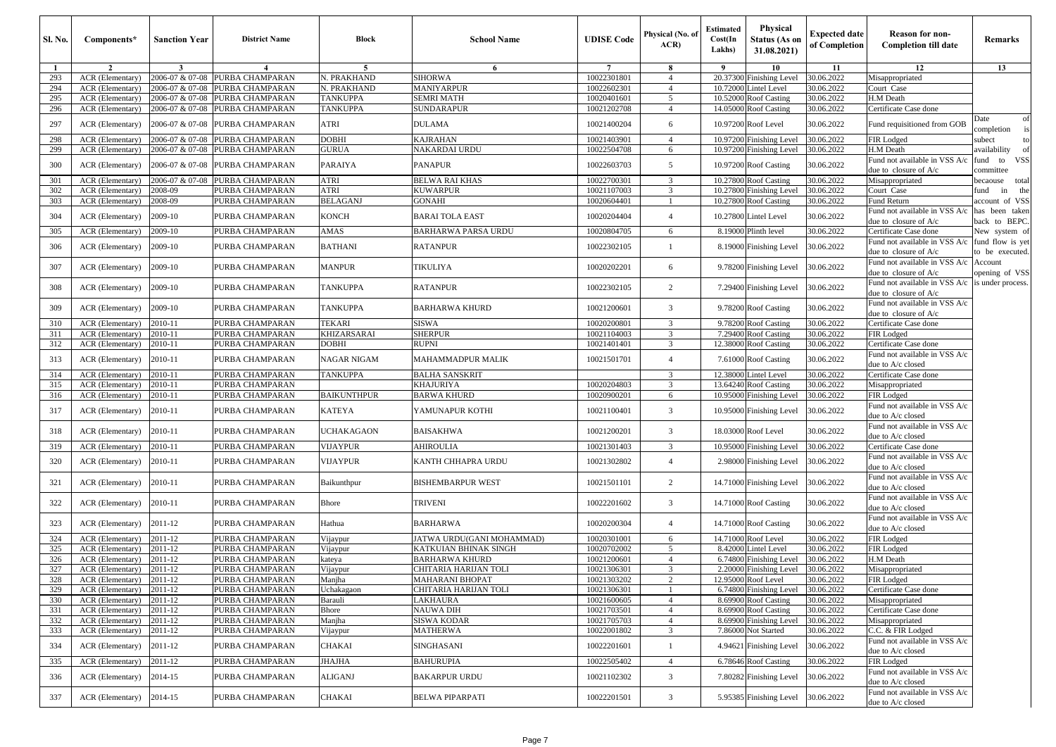| <b>Sl. No.</b> | Components*                          | <b>Sanction Year</b> | <b>District Name</b>               | <b>Block</b>             | <b>School Name</b>                    | <b>UDISE Code</b>          | Physical (No. of<br>ACR) | <b>Estimated</b><br>Cost(In<br>Lakhs) | Physical<br><b>Status (As on</b><br>31.08.2021) | <b>Expected date</b><br>of Completion | <b>Reason for non-</b><br><b>Completion till date</b>    | Remarks                             |
|----------------|--------------------------------------|----------------------|------------------------------------|--------------------------|---------------------------------------|----------------------------|--------------------------|---------------------------------------|-------------------------------------------------|---------------------------------------|----------------------------------------------------------|-------------------------------------|
| -1             | $\overline{2}$                       | $\mathbf{3}$         | $\boldsymbol{4}$                   | 5                        | -6                                    | $7\phantom{.0}$            | 8                        | - 9                                   | 10                                              | 11                                    | 12                                                       | 13                                  |
| 293            | <b>ACR</b> (Elementary)              | 2006-07 & 07-08      | PURBA CHAMPARAN                    | N. PRAKHAND              | <b>SIHORWA</b>                        | 10022301801                | $\overline{4}$           |                                       | 20.37300 Finishing Level                        | 30.06.2022                            | Misappropriated                                          |                                     |
| 294            | <b>ACR</b> (Elementary)              | 2006-07 & 07-08      | PURBA CHAMPARAN                    | N. PRAKHAND              | <b>MANIYARPUR</b>                     | 10022602301                | $\overline{4}$           |                                       | 10.72000 Lintel Level                           | 30.06.2022                            | Court Case                                               |                                     |
| 295            | ACR (Elementary)                     | 2006-07 & 07-08      | PURBA CHAMPARAN                    | TANKUPPA                 | <b>SEMRI MATH</b>                     | 10020401601<br>10021202708 | 5                        |                                       | 10.52000 Roof Casting                           | 30.06.2022                            | H.M Death                                                |                                     |
| 296            | ACR (Elementary)                     |                      | 2006-07 & 07-08 PURBA CHAMPARAN    | <b>TANKUPPA</b>          | <b>SUNDARAPUR</b>                     |                            | $\overline{4}$           |                                       | 14.05000 Roof Casting                           | 30.06.2022                            | Certificate Case done                                    |                                     |
| 297            | ACR (Elementary)                     | 2006-07 & 07-08      | PURBA CHAMPARAN                    | <b>ATRI</b>              | <b>DULAMA</b>                         | 10021400204                | 6                        |                                       | 10.97200 Roof Level                             | 30.06.2022                            | Fund requisitioned from GOB                              | Date<br>of<br>completion            |
| 298            | ACR (Elementary)                     | 2006-07 & 07-08      | PURBA CHAMPARAN                    | <b>DOBHI</b>             | <b>KAJRAHAN</b>                       | 10021403901                | $\overline{4}$           |                                       | 10.97200 Finishing Level                        | 30.06.2022                            | FIR Lodged                                               | subect<br>to                        |
| 299            | ACR (Elementary)                     | 2006-07 & 07-08      | PURBA CHAMPARAN                    | GURUA                    | <b>NAKARDAI URDU</b>                  | 10022504708                | 6                        |                                       | 10.97200 Finishing Level                        | 30.06.2022                            | H.M Death                                                | availability                        |
| 300            | ACR (Elementary)                     | 2006-07 & 07-08      | PURBA CHAMPARAN                    | PARAIYA                  | <b>PANAPUR</b>                        | 10022603703                | 5                        |                                       | 10.97200 Roof Casting                           | 30.06.2022                            | Fund not available in VSS A/c<br>due to closure of A/c   | fund to VSS<br>committee            |
| 301            | ACR (Elementary)                     | 2006-07 & 07-08      | PURBA CHAMPARAN                    | <b>ATRI</b>              | <b>BELWA RAI KHAS</b>                 | 10022700301                | 3                        |                                       | 10.27800 Roof Casting                           | 30.06.2022                            | Misappropriated                                          | becaouse total                      |
| 302            | ACR (Elementary)                     | 2008-09              | PURBA CHAMPARAN                    | <b>ATRI</b>              | <b>KUWARPUR</b>                       | 10021107003                | 3                        |                                       | 10.27800 Finishing Level                        | 30.06.2022                            | Court Case                                               | fund<br>in<br>the                   |
| 303            | ACR (Elementary)                     | 2008-09              | PURBA CHAMPARAN                    | <b>BELAGANJ</b>          | <b>GONAHI</b>                         | 10020604401                | $\overline{1}$           |                                       | 10.27800 Roof Casting                           | 30.06.2022                            | Fund Return                                              | account of VSS                      |
| 304            | ACR (Elementary)                     | 2009-10              | PURBA CHAMPARAN                    | <b>KONCH</b>             | <b>BARAI TOLA EAST</b>                | 10020204404                | $\overline{4}$           |                                       | 10.27800 Lintel Level                           | 30.06.2022                            | Fund not available in VSS A/c<br>due to closure of A/c   | has been taken<br>back to BEPC.     |
| 305            | ACR (Elementary)                     | $2009-10$            | PURBA CHAMPARAN                    | <b>AMAS</b>              | <b>BARHARWA PARSA URDU</b>            | 10020804705                | 6                        |                                       | 8.19000 Plinth level                            | 30.06.2022                            | Certificate Case done                                    | New system of                       |
| 306            | ACR (Elementary)                     | 2009-10              | PURBA CHAMPARAN                    | <b>BATHANI</b>           | <b>RATANPUR</b>                       | 10022302105                |                          |                                       | 8.19000 Finishing Level                         | 30.06.2022                            | Fund not available in VSS A/c<br>due to closure of $A/c$ | fund flow is yet<br>to be executed. |
| 307            | ACR (Elementary)                     | 2009-10              | PURBA CHAMPARAN                    | <b>MANPUR</b>            | <b>TIKULIYA</b>                       | 10020202201                | 6                        |                                       | 9.78200 Finishing Level                         | 30.06.2022                            | Fund not available in VSS A/c<br>due to closure of $A/c$ | Account<br>opening of VSS           |
| 308            | ACR (Elementary)                     | 2009-10              | PURBA CHAMPARAN                    | <b>TANKUPPA</b>          | <b>RATANPUR</b>                       | 10022302105                | 2                        |                                       | 7.29400 Finishing Level                         | 30.06.2022                            | Fund not available in VSS A/c<br>due to closure of A/c   | is under process.                   |
| 309            | ACR (Elementary)                     | 2009-10              | PURBA CHAMPARAN                    | <b>TANKUPPA</b>          | <b>BARHARWA KHURD</b>                 | 10021200601                | 3                        |                                       | 9.78200 Roof Casting                            | 30.06.2022                            | Fund not available in VSS A/c<br>due to closure of A/c   |                                     |
| 310            | ACR (Elementary)                     | 2010-11              | PURBA CHAMPARAN                    | <b>TEKARI</b>            | <b>SISWA</b>                          | 10020200801                | 3                        |                                       | 9.78200 Roof Casting                            | 30.06.2022                            | Certificate Case done                                    |                                     |
| 311            | ACR (Elementary)                     | 2010-11              | PURBA CHAMPARAN                    | <b>KHIZARSARAI</b>       | <b>SHERPUR</b>                        | 10021104003                | 3                        |                                       | 7.29400 Roof Casting                            | 30.06.2022                            | FIR Lodged                                               |                                     |
| 312            | ACR (Elementary)                     | 2010-11              | PURBA CHAMPARAN                    | <b>DOBHI</b>             | <b>RUPNI</b>                          | 10021401401                | 3                        | 12.38000                              | <b>Roof Casting</b>                             | 30.06.2022                            | Certificate Case done                                    |                                     |
| 313            | ACR (Elementary)                     | 2010-11              | PURBA CHAMPARAN                    | <b>NAGAR NIGAM</b>       | <b>MAHAMMADPUR MALIK</b>              | 10021501701                | $\overline{4}$           |                                       | 7.61000 Roof Casting                            | 30.06.2022                            | Fund not available in VSS A/c<br>due to A/c closed       |                                     |
| 314            | ACR (Elementary)                     | 2010-11              | PURBA CHAMPARAN                    | <b>TANKUPPA</b>          | <b>BALHA SANSKRIT</b>                 |                            | 3                        |                                       | 12.38000 Lintel Level                           | 30.06.2022                            | Certificate Case done                                    |                                     |
| 315            | ACR (Elementary)                     | 2010-11              | PURBA CHAMPARAN                    |                          | <b>KHAJURIYA</b>                      | 10020204803                | 3                        | 13.64240                              | Roof Casting                                    | 30.06.2022                            | Misappropriated                                          |                                     |
| 316            | ACR (Elementary)                     | 2010-11              | PURBA CHAMPARAN                    | <b>BAIKUNTHPUR</b>       | <b>BARWA KHURD</b>                    | 10020900201                | 6                        |                                       | 10.95000 Finishing Level                        | 30.06.2022                            | FIR Lodged                                               |                                     |
| 317            | ACR (Elementary)                     | 2010-11              | PURBA CHAMPARAN                    | <b>KATEYA</b>            | YAMUNAPUR KOTHI                       | 10021100401                | 3                        |                                       | 10.95000 Finishing Level                        | 30.06.2022                            | Fund not available in VSS A/c<br>due to A/c closed       |                                     |
| 318            | ACR (Elementary)                     | 2010-11              | PURBA CHAMPARAN                    | <b>UCHAKAGAON</b>        | <b>BAISAKHWA</b>                      | 10021200201                | 3                        |                                       | 18.03000 Roof Level                             | 30.06.2022                            | Fund not available in VSS A/c<br>due to A/c closed       |                                     |
| 319            | ACR (Elementary)                     | 2010-11              | PURBA CHAMPARAN                    | <b>VIJAYPUR</b>          | <b>AHIROULIA</b>                      | 10021301403                | 3                        |                                       | 10.95000 Finishing Level                        | 30.06.2022                            | Certificate Case done                                    |                                     |
| 320            | ACR (Elementary)                     | 2010-11              | PURBA CHAMPARAN                    | VIJAYPUR                 | KANTH CHHAPRA URDU                    | 10021302802                | $\overline{4}$           |                                       | 2.98000 Finishing Level                         | 30.06.2022                            | Fund not available in VSS A/c<br>due to A/c closed       |                                     |
| 321            | ACR (Elementary)                     | 2010-11              | PURBA CHAMPARAN                    | Baikunthpur              | <b>BISHEMBARPUR WEST</b>              | 10021501101                | $\overline{2}$           |                                       | 14.71000 Finishing Level                        | 30.06.2022                            | Fund not available in VSS A/c<br>lue to A/c closed       |                                     |
| 322            | ACR (Elementary)                     | 2010-11              | PURBA CHAMPARAN                    | Bhore                    | <b>TRIVENI</b>                        | 10022201602                | 3                        |                                       | 14.71000 Roof Casting                           | 30.06.2022                            | Fund not available in VSS A/c<br>due to A/c closed       |                                     |
| 323            | ACR (Elementary)                     | 2011-12              | PURBA CHAMPARAN                    | Hathua                   | <b>BARHARWA</b>                       | 10020200304                | $\overline{4}$           |                                       | 14.71000 Roof Casting                           | 30.06.2022                            | Fund not available in VSS A/c<br>due to A/c closed       |                                     |
| 324            | ACR (Elementary)                     | 2011-12              | PURBA CHAMPARAN                    | Vijaypur                 | JATWA URDU(GANI MOHAMMAD)             | 10020301001                | 6                        |                                       | 14.71000 Roof Level                             | 30.06.2022                            | FIR Lodged                                               |                                     |
| 325            | <b>ACR</b> (Elementary)              | 2011-12              | PURBA CHAMPARAN                    | Vijaypur                 | KATKUIAN BHINAK SINGH                 | 10020702002                | 5                        |                                       | 8.42000 Lintel Level                            | 30.06.2022                            | FIR Lodged                                               |                                     |
| 326            | ACR (Elementary)                     | 2011-12              | PURBA CHAMPARAN                    | kateya                   | <b>BARHARWA KHURD</b>                 | 10021200601                | $\overline{4}$           |                                       | 6.74800 Finishing Level                         | 30.06.2022                            | H.M Death                                                |                                     |
| 327            | ACR (Elementary)                     | 2011-12              | PURBA CHAMPARAN                    | Vijaypur                 | CHITARIA HARIJAN TOLI                 | 10021306301                | 3                        |                                       | 2.20000 Finishing Level                         | 30.06.2022                            | Misappropriated                                          |                                     |
| 328            | ACR (Elementary) 2011-12             |                      | PURBA CHAMPARAN                    | Manjha                   | MAHARANI BHOPAT                       | 10021303202                |                          |                                       | 12.95000 Roof Level                             | 30.06.2022                            | FIR Lodged                                               |                                     |
| 329            | ACR (Elementary)                     | 2011-12              | PURBA CHAMPARAN                    | Uchakagaon               | CHITARIA HARIJAN TOLI                 | 10021306301                |                          |                                       | 6.74800 Finishing Level 30.06.2022              |                                       | Certificate Case done                                    |                                     |
| 330            | ACR (Elementary)                     | 2011-12              | PURBA CHAMPARAN                    | Barauli                  | <b>LAKHAURA</b>                       | 10021600605                | $\overline{4}$           |                                       | 8.69900 Roof Casting                            | 30.06.2022                            | Misappropriated                                          |                                     |
| 331            | ACR (Elementary)                     | 2011-12              | PURBA CHAMPARAN                    | <b>Bhore</b>             | <b>NAUWA DIH</b>                      | 10021703501                | $\overline{4}$           |                                       | 8.69900 Roof Casting                            | 30.06.2022                            | Certificate Case done                                    |                                     |
| 332<br>333     | ACR (Elementary)<br>ACR (Elementary) | 2011-12<br>2011-12   | PURBA CHAMPARAN<br>PURBA CHAMPARAN | Manjha<br>Vijaypur       | <b>SISWA KODAR</b><br><b>MATHERWA</b> | 10021705703<br>10022001802 | $\overline{4}$<br>3      |                                       | 8.69900 Finishing Level<br>7.86000 Not Started  | 30.06.2022<br>30.06.2022              | Misappropriated<br>C.C. & FIR Lodged                     |                                     |
| 334            | ACR (Elementary)                     | 2011-12              | PURBA CHAMPARAN                    | CHAKAI                   | <b>SINGHASANI</b>                     | 10022201601                | 1                        |                                       | 4.94621 Finishing Level                         | 30.06.2022                            | Fund not available in VSS A/c                            |                                     |
|                |                                      |                      |                                    |                          | <b>BAHURUPIA</b>                      |                            |                          |                                       |                                                 |                                       | due to A/c closed                                        |                                     |
| 335<br>336     | ACR (Elementary)<br>ACR (Elementary) | 2011-12<br>2014-15   | PURBA CHAMPARAN<br>PURBA CHAMPARAN | <b>JHAJHA</b><br>ALIGANJ | <b>BAKARPUR URDU</b>                  | 10022505402<br>10021102302 | $\overline{4}$<br>3      |                                       | 6.78646 Roof Casting<br>7.80282 Finishing Level | 30.06.2022<br>30.06.2022              | FIR Lodged<br>Fund not available in VSS A/c              |                                     |
| 337            | ACR (Elementary)                     | 2014-15              | PURBA CHAMPARAN                    | CHAKAI                   | <b>BELWA PIPARPATI</b>                | 10022201501                | 3                        |                                       | 5.95385 Finishing Level                         | 30.06.2022                            | due to A/c closed<br>Fund not available in VSS A/c       |                                     |
|                |                                      |                      |                                    |                          |                                       |                            |                          |                                       |                                                 |                                       | due to A/c closed                                        |                                     |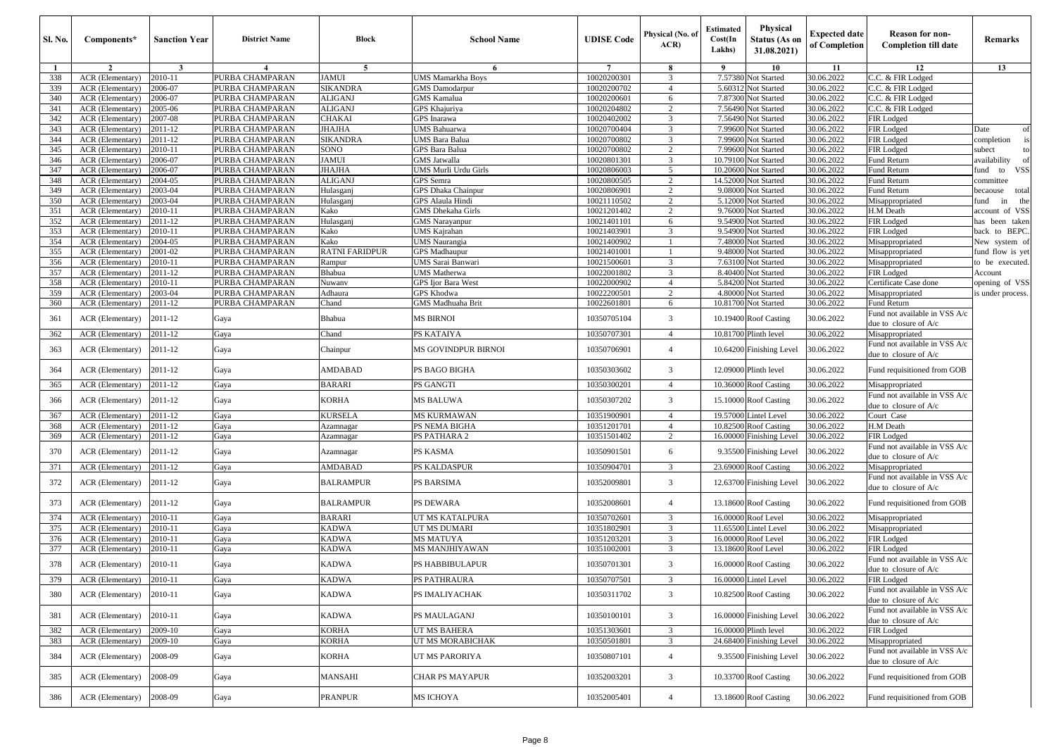| <b>Sl. No.</b> | Components*             | <b>Sanction Year</b> | <b>District Name</b> | Block            | <b>School Name</b>          | <b>UDISE</b> Code | Physical (No. of<br>ACR) | <b>Estimated</b><br>Cost(In<br>Lakhs) | Physical<br>Status (As on<br>31.08.2021) | <b>Expected date</b><br>of Completion | <b>Reason for non-</b><br><b>Completion till date</b>    | Remarks                  |
|----------------|-------------------------|----------------------|----------------------|------------------|-----------------------------|-------------------|--------------------------|---------------------------------------|------------------------------------------|---------------------------------------|----------------------------------------------------------|--------------------------|
| -1             | $\overline{2}$          | $\mathbf{3}$         | $\overline{4}$       | -5               | 6                           | $7\phantom{.0}$   | -8                       | -9                                    | 10                                       | 11                                    | 12                                                       | 13                       |
| 338            | ACR (Elementary)        | 2010-11              | PURBA CHAMPARAN      | <b>AMUI</b>      | <b>UMS Mamarkha Boys</b>    | 10020200301       | 3                        | 7.57380                               | <b>Not Started</b>                       | 30.06.2022                            | C.C. & FIR Lodged                                        |                          |
| 339            | <b>ACR</b> (Elementary) | 2006-07              | PURBA CHAMPARAN      | <b>SIKANDRA</b>  | <b>GMS</b> Damodarpur       | 10020200702       | $\overline{4}$           | 5.6031                                | <b>Vot Started</b>                       | 30.06.2022                            | C.C. & FIR Lodged                                        |                          |
| 340            | ACR (Elementary)        | 2006-07              | PURBA CHAMPARAN      | ALIGANJ          | <b>GMS</b> Kamalua          | 10020200601       | 6                        | 7.87300                               | Not Started                              | 30.06.2022                            | C.C. & FIR Lodged                                        |                          |
| 341            | ACR (Elementary)        | 2005-06              | PURBA CHAMPARAN      | ALIGANJ          | GPS Khajuriya               | 10020204802       | 2                        | 7.56490                               | Not Started                              | 30.06.2022                            | C.C. & FIR Lodged                                        |                          |
| 342            | ACR (Elementary)        | 2007-08              | PURBA CHAMPARAN      | CHAKAI           | GPS Inarawa                 | 10020402002       | 3                        | 7.56490                               | <b>Vot Started</b>                       | 30.06.2022                            | FIR Lodged                                               |                          |
| 343            | <b>ACR</b> (Elementary) | 2011-12              | PURBA CHAMPARAN      | JHAJHA           | <b>UMS</b> Bahuarwa         | 10020700404       | 3                        | 7.99600                               | Not Started                              | 30.06.2022                            | FIR Lodged                                               | Date<br>of               |
| 344            | ACR (Elementary)        | 2011-12              | PURBA CHAMPARAN      | SIKANDRA         | UMS Bara Balua              | 10020700802       | 3                        | 7.99600                               | Not Started                              | 30.06.2022                            | FIR Lodged                                               | completion<br>is         |
| 345            | ACR (Elementary)        | 2010-11              | PURBA CHAMPARAN      | SONO             | GPS Bara Balua              | 10020700802       | 2                        | 7.99600                               | Not Started                              | 30.06.2022                            | FIR Lodged                                               | subect                   |
| 346            | ACR (Elementary)        | 2006-07              | PURBA CHAMPARAN      | JAMUI            | <b>GMS</b> Jatwalla         | 10020801301       | 3                        | 10.79100                              | <b>Vot Started</b>                       | 30.06.2022                            | Fund Return                                              | availability             |
| 347            | ACR (Elementary)        | 2006-07              | PURBA CHAMPARAN      | JHAJHA           | <b>UMS Murli Urdu Girls</b> | 10020806003       | 5                        | 10.20600                              | Not Started                              | 30.06.2022                            | Fund Return                                              | <b>VSS</b><br>fund<br>to |
| 348            | ACR (Elementary)        | 2004-05              | PURBA CHAMPARAN      | ALIGANJ          | GPS Semra                   | 10020800505       | 2                        | 14.52000                              | Not Started                              | 30.06.2022                            | Fund Return                                              | ommittee                 |
| 349            | ACR (Elementary)        | 2003-04              | PURBA CHAMPARAN      | Hulasganj        | <b>GPS</b> Dhaka Chainpur   | 10020806901       | 2                        | 9.08000                               | Not Started                              | 30.06.2022                            | Fund Return                                              | becaouse total           |
| 350            | ACR (Elementary)        | 2003-04              | PURBA CHAMPARAN      | Hulasganj        | <b>GPS</b> Alaula Hindi     | 10021110502       | 2                        | 5.12000                               | <b>Not Started</b>                       | 30.06.2022                            | Misappropriated                                          | the<br>fund<br>in        |
| 351            | ACR (Elementary)        | 2010-11              | PURBA CHAMPARAN      | Kako             | <b>GMS</b> Dhekaha Girls    | 10021201402       | 2                        | 9.76000                               | Not Started                              | 30.06.2022                            | H.M Death                                                | account of VSS           |
| 352            | ACR (Elementary)        | 2011-12              | PURBA CHAMPARAN      | Hulasganj        | <b>GMS</b> Narayanpur       | 10021401101       | 6                        | 9.54900                               | Not Started                              | 30.06.2022                            | FIR Lodged                                               | has been taken           |
| 353            | ACR (Elementary)        | 2010-11              | PURBA CHAMPARAN      | Kako             | UMS Kajrahan                | 10021403901       | 3                        | 9.54900                               | <b>Vot Started</b>                       | 30.06.2022                            | FIR Lodged                                               | back to BEPC.            |
| 354            | ACR (Elementary)        | 2004-05              | PURBA CHAMPARAN      | Kako             | <b>UMS</b> Naurangia        | 10021400902       | -1                       | 7.48000                               | Not Started                              | 30.06.2022                            | Misappropriated                                          | New system of            |
| 355            | ACR (Elementary)        | 2001-02              | PURBA CHAMPARAN      | RATNI FARIDPUR   | <b>GPS</b> Madhaupur        | 10021401001       | -1                       | 9.48000                               | Not Started                              | 30.06.2022                            | Misappropriated                                          | fund flow is yet         |
| 356            | ACR (Elementary)        | 2010-11              | PURBA CHAMPARAN      | Rampur           | UMS Sarai Banwari           | 10021500601       | 3                        | 7.63100                               | Not Started                              | 30.06.2022                            | Misappropriated                                          | to be executed.          |
| 357            | <b>ACR</b> (Elementary) | 2011-12              | PURBA CHAMPARAN      | Bhabua           | <b>UMS</b> Matherwa         | 10022001802       | 3                        | 8.40400                               | Not Started                              | 30.06.2022                            | FIR Lodged                                               | Account                  |
| 358            | ACR (Elementary)        | 2010-11              | PURBA CHAMPARAN      | Nuwanv           | <b>GPS</b> Ijor Bara West   | 10022000902       | $\overline{4}$           | 5.84200                               | Not Started                              | 30.06.2022                            | Certificate Case done                                    | opening of VSS           |
| 359            | ACR (Elementary)        | 2003-04              | PURBA CHAMPARAN      | Adhaura          | <b>GPS Khodwa</b>           | 10022200501       | 2                        | 4.80000                               | Not Started                              | 30.06.2022                            | Misappropriated                                          | is under process.        |
| 360            | ACR (Elementary)        | 2011-12              | PURBA CHAMPARAN      | Chand            | <b>GMS</b> Madhuaha Brit    | 10022601801       | 6                        | 10.81700                              | Not Started                              | 30.06.2022                            | Fund Return                                              |                          |
| 361            | <b>ACR</b> (Elementary) | 2011-12              | Gaya                 | Bhabua           | <b>MS BIRNOI</b>            | 10350705104       | 3                        | 10.19400                              | <b>Roof Casting</b>                      | 30.06.2022                            | Fund not available in VSS A/c<br>due to closure of A/c   |                          |
| 362            | ACR (Elementary)        | 2011-12              | Gaya                 | Chand            | PS KATAIYA                  | 10350707301       | $\overline{4}$           |                                       | 10.81700 Plinth level                    | 30.06.2022                            | Misappropriated                                          |                          |
| 363            | <b>ACR</b> (Elementary) | 2011-12              | Gaya                 | Chainpur         | MS GOVINDPUR BIRNOI         | 10350706901       | $\overline{4}$           |                                       | 10.64200 Finishing Level                 | 30.06.2022                            | Fund not available in VSS A/c<br>due to closure of $A/c$ |                          |
| 364            | <b>ACR</b> (Elementary) | 2011-12              | Gaya                 | AMDABAD          | PS BAGO BIGHA               | 10350303602       | 3                        |                                       | 12.09000 Plinth level                    | 30.06.2022                            | Fund requisitioned from GOB                              |                          |
| 365            | ACR (Elementary)        | 2011-12              | Gaya                 | BARARI           | PS GANGTI                   | 10350300201       | $\overline{4}$           | 10.36000                              | <b>Roof Casting</b>                      | 30.06.2022                            | Misappropriated                                          |                          |
| 366            | <b>ACR</b> (Elementary) | 2011-12              | Gaya                 | KORHA            | MS BALUWA                   | 10350307202       | 3                        | 15.10000                              | <b>Roof Casting</b>                      | 30.06.2022                            | Fund not available in VSS A/c<br>due to closure of A/c   |                          |
| 367            | <b>ACR</b> (Elementary) | 2011-12              | Gaya                 | KURSELA          | <b>MS KURMAWAN</b>          | 10351900901       | $\overline{4}$           |                                       | 19.57000 Lintel Level                    | 30.06.2022                            | Court Case                                               |                          |
| 368            | ACR (Elementary)        | 2011-12              | Gaya                 | Azamnagar        | PS NEMA BIGHA               | 10351201701       | $\overline{4}$           | 10.82500                              | <b>Roof Casting</b>                      | 30.06.2022                            | H.M Death                                                |                          |
| 369            | ACR (Elementary)        | 2011-12              | Gaya                 | Azamnagar        | PS PATHARA 2                | 10351501402       | 2                        |                                       | 16.00000 Finishing Level                 | 30.06.2022                            | FIR Lodged                                               |                          |
| 370            | <b>ACR</b> (Elementary) | 2011-12              | Gaya                 | Azamnagar        | PS KASMA                    | 10350901501       | 6                        |                                       | 9.35500 Finishing Level                  | 30.06.2022                            | Fund not available in VSS A/c<br>due to closure of A/c   |                          |
| 371            | ACR (Elementary)        | 2011-12              | Gaya                 | AMDABAD          | <b>PS KALDASPUR</b>         | 10350904701       | 3                        |                                       | 23.69000 Roof Casting                    | 30.06.2022                            | Misappropriated                                          |                          |
| 372            | <b>ACR</b> (Elementary) | 2011-12              | Gaya                 | BALRAMPUR        | PS BARSIMA                  | 10352009801       | 3                        |                                       | 12.63700 Finishing Level                 | 30.06.2022                            | Fund not available in VSS A/c<br>due to closure of A/c   |                          |
| 373            | <b>ACR</b> (Elementary) | 2011-12              | Gaya                 | <b>BALRAMPUR</b> | PS DEWARA                   | 10352008601       | $\overline{4}$           |                                       | 13.18600 Roof Casting                    | 30.06.2022                            | Fund requisitioned from GOB                              |                          |
| 374            | ACR (Elementary)        | 2010-11              | Gaya                 | BARARI           | UT MS KATALPURA             | 10350702601       | 3                        | 16.00000                              | Roof Level                               | 30.06.2022                            | Misappropriated                                          |                          |
| 375            | <b>ACR</b> (Elementary) | 2010-11              | Gaya                 | KADWA            | UT MS DUMARI                | 10351802901       | 3                        | 11.65500                              | <b>Lintel Level</b>                      | 30.06.2022                            | Misappropriated                                          |                          |
| 376            | ACR (Elementary)        | 2010-11              | Gaya                 | KADWA            | <b>MS MATUYA</b>            | 10351203201       | 3                        | 16.00000                              | Roof Level                               | 30.06.2022                            | FIR Lodged                                               |                          |
| 377            | ACR (Elementary)        | 2010-11              | Gaya                 | KADWA            | MS MANJHIYAWAN              | 10351002001       | 3                        |                                       | 13.18600 Roof Level                      | 30.06.2022                            | FIR Lodged                                               |                          |
| 378            | ACR (Elementary)        | 2010-11              | Gaya                 | KADWA            | <b>PS HABBIBULAPUR</b>      | 10350701301       | $\overline{3}$           |                                       | 16.00000 Roof Casting                    | 30.06.2022                            | Fund not available in VSS A/c<br>due to closure of A/c   |                          |
| 379            | ACR (Elementary)        | 2010-11              | Gaya                 | KADWA            | PS PATHRAURA                | 10350707501       | 3                        |                                       | 16.00000 Lintel Level                    | 30.06.2022                            | FIR Lodged                                               |                          |
| 380            | <b>ACR</b> (Elementary) | 2010-11              | Gaya                 | KADWA            | PS IMALIYACHAK              | 10350311702       | 3                        |                                       | 10.82500 Roof Casting                    | 30.06.2022                            | Fund not available in VSS A/c<br>due to closure of $A/c$ |                          |
| 381            | ACR (Elementary)        | 2010-11              | Gaya                 | KADWA            | PS MAULAGANJ                | 10350100101       | $\mathfrak{Z}$           |                                       | 16.00000 Finishing Level                 | 30.06.2022                            | Fund not available in VSS A/c<br>due to closure of A/c   |                          |
| 382            | ACR (Elementary)        | 2009-10              | Gaya                 | KORHA            | UT MS BAHERA                | 10351303601       | 3                        |                                       | 16,00000 Plinth level                    | 30.06.2022                            | FIR Lodged                                               |                          |
| 383            | ACR (Elementary)        | 2009-10              | Gaya                 | KORHA            | UT MS MORABICHAK            | 10350501801       | 3                        |                                       | 24.68400 Finishing Level                 | 30.06.2022                            | Misappropriated                                          |                          |
|                |                         |                      |                      |                  |                             |                   |                          |                                       |                                          |                                       | Fund not available in VSS A/c                            |                          |
| 384            | ACR (Elementary)        | 2008-09              | Gaya                 | KORHA            | UT MS PARORIYA              | 10350807101       | $\overline{4}$           |                                       | 9.35500 Finishing Level                  | 30.06.2022                            | due to closure of A/c                                    |                          |
| 385            | <b>ACR</b> (Elementary) | 2008-09              | Gaya                 | MANSAHI          | CHAR PS MAYAPUR             | 10352003201       | $\mathbf{3}$             |                                       | 10.33700 Roof Casting                    | 30.06.2022                            | Fund requisitioned from GOB                              |                          |
| 386            | ACR (Elementary)        | 2008-09              | $_{\rm{Gaya}}$       | <b>PRANPUR</b>   | MS ICHOYA                   | 10352005401       | $\overline{4}$           |                                       | 13.18600 Roof Casting                    | 30.06.2022                            | Fund requisitioned from GOB                              |                          |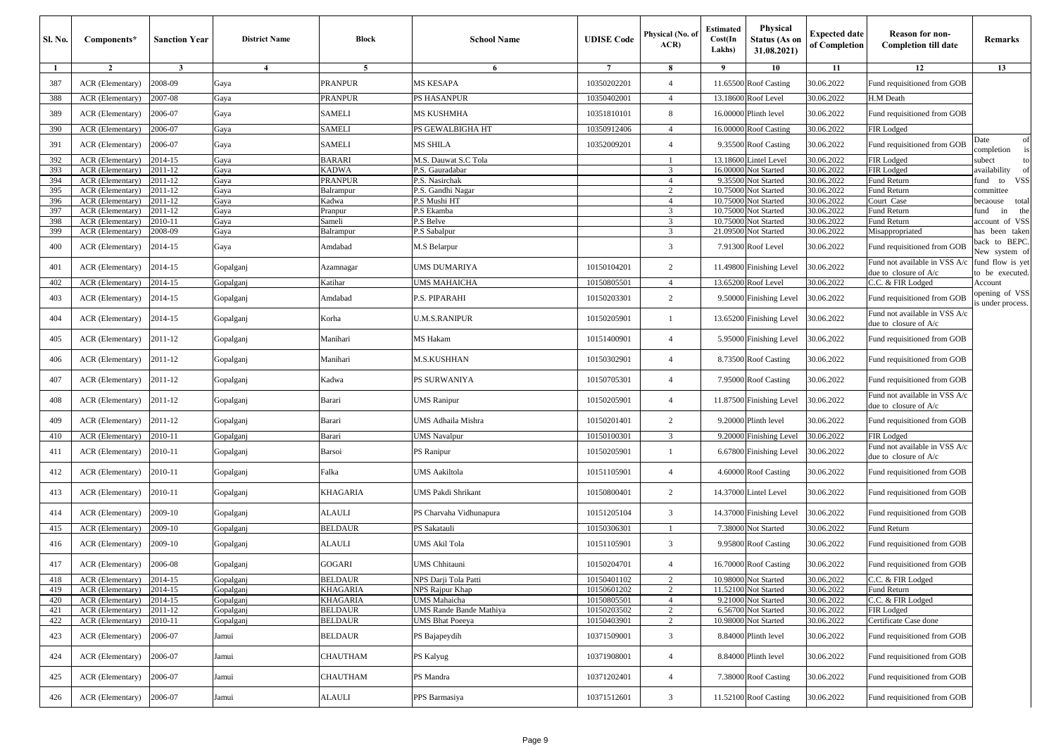| Sl. No.    | Components*                          | <b>Sanction Year</b> | <b>District Name</b> | Block               | <b>School Name</b>               | <b>UDISE</b> Code          | Physical (No. of<br>ACR | <b>Estimated</b><br>Cost(In<br>Lakhs) | <b>Physical</b><br>Status (As on<br>31.08.2021) | <b>Expected date</b><br>of Completion | <b>Reason for non-</b><br><b>Completion till date</b>    | Remarks                            |
|------------|--------------------------------------|----------------------|----------------------|---------------------|----------------------------------|----------------------------|-------------------------|---------------------------------------|-------------------------------------------------|---------------------------------------|----------------------------------------------------------|------------------------------------|
| -1         | $\overline{2}$                       | $\mathbf{3}$         | $\overline{4}$       | 5                   | 6                                | $\overline{7}$             | 8                       | 9                                     | 10                                              | 11                                    | 12                                                       | 13                                 |
| 387        | ACR (Elementary)                     | 2008-09              | Gaya                 | <b>PRANPUR</b>      | <b>MS KESAPA</b>                 | 10350202201                | $\overline{4}$          | 11.65500                              | <b>Roof Casting</b>                             | 30.06.2022                            | Fund requisitioned from GOB                              |                                    |
| 388        | <b>ACR</b> (Elementary)              | 2007-08              | Gaya                 | PRANPUR             | PS HASANPUR                      | 10350402001                | $\overline{4}$          | 13.18600                              | Roof Level                                      | 30.06.2022                            | H.M Death                                                |                                    |
| 389        | ACR (Elementary)                     | 2006-07              | Gaya                 | <b>SAMELI</b>       | MS KUSHMHA                       | 10351810101                | 8                       | 16.00000                              | Plinth level                                    | 30.06.2022                            | Fund requisitioned from GOB                              |                                    |
| 390        | ACR (Elementary)                     | 2006-07              | Gaya                 | SAMELI              | PS GEWALBIGHA HT                 | 10350912406                | $\overline{4}$          | 16.00000                              | <b>Roof Casting</b>                             | 30.06.2022                            | FIR Lodged                                               |                                    |
| 391        | ACR (Elementary)                     | 2006-07              | Gaya                 | SAMELI              | MS SHILA                         | 10352009201                | $\overline{4}$          | 9.35500                               | <b>Roof Casting</b>                             | 30.06.2022                            | Fund requisitioned from GOB                              | Date<br>of<br>completion           |
| 392        | ACR (Elementary)                     | 2014-15              | Gaya                 | BARARI              | M.S. Dauwat S.C Tola             |                            |                         | 13.18600                              | Lintel Level                                    | 30.06.2022                            | FIR Lodged                                               | subect<br>to                       |
| 393        | ACR (Elementary)                     | 2011-12              | Gaya                 | KADWA               | P.S. Gauradabar                  |                            | 3                       | 16.00000                              | <b>Vot Started</b>                              | 30.06.2022                            | FIR Lodged                                               | vailability<br>of                  |
| 394        | ACR (Elementary)                     | 2011-12              | Gaya                 | PRANPUR             | P.S. Nasirchak                   |                            | $\overline{4}$          | 9.35500                               | <b>Vot Started</b>                              | 30.06.2022                            | Fund Return                                              | <b>VSS</b><br>und to               |
| 395        | ACR (Elementary)                     | 2011-12              | Gaya                 | Balrampur           | P.S. Gandhi Nagar                |                            | $\overline{2}$          | 10.7500                               | <b>lot Started</b>                              | 30.06.2022                            | Fund Return                                              | committee                          |
| 396        | ACR (Elementary)                     | 2011-12              | Gaya                 | Kadwa               | P.S Mushi HT                     |                            | $\overline{4}$          | 10.75000                              | <b>Vot Started</b>                              | 30.06.2022                            | Court Case                                               | total<br>pecaouse                  |
| 397        | <b>ACR</b> (Elementary)              | 2011-12              | Gaya                 | Pranpur             | P.S Ekamba                       |                            | 3<br>$\overline{3}$     | 10.75000                              | <b>Vot Started</b>                              | 30.06.2022                            | Fund Return                                              | in<br>the<br>und                   |
| 398<br>399 | ACR (Elementary)<br>ACR (Elementary) | 2010-11<br>2008-09   | Gaya<br>Gaya         | Sameli<br>Balrampur | P.S Belve<br>P.S Sabalpur        |                            | 3                       | 10.75000<br>21.09500                  | <b>lot Started</b><br><b>Vot Started</b>        | 30.06.2022<br>30.06.2022              | Fund Return<br>Misappropriated                           | account of VSS<br>has been taken   |
|            |                                      |                      |                      |                     |                                  |                            |                         |                                       |                                                 |                                       |                                                          | back to BEPC.                      |
| 400        | ACR (Elementary)                     | 2014-15              | Gaya                 | Amdabad             | M.S Belarpur                     |                            | 3                       | 7.9130                                | Roof Level                                      | 30.06.2022                            | Fund requisitioned from GOB                              | New system of                      |
| 401        | ACR (Elementary)                     | 2014-15              | Gopalganj            | Azamnagar           | UMS DUMARIYA                     | 10150104201                | $\overline{c}$          | 11.49800                              | Finishing Level                                 | 30.06.2022                            | Fund not available in VSS A/c<br>due to closure of A/c   | und flow is yet<br>to be executed. |
| 402        | ACR (Elementary)                     | 2014-15              | Gopalganj            | Katihar             | UMS MAHAICHA                     | 10150805501                | $\overline{4}$          | 13.6520                               | Roof Level                                      | 30.06.2022                            | C.C. & FIR Lodged                                        | Account                            |
| 403        | ACR (Elementary)                     | 2014-15              | Gopalganj            | Amdabad             | P.S. PIPARAHI                    | 10150203301                | $\overline{c}$          | 9.5000                                | Finishing Level                                 | 30.06.2022                            | Fund requisitioned from GOB                              | pening of VSS<br>s under process.  |
| 404        | ACR (Elementary)                     | 2014-15              | Gopalganj            | Korha               | U.M.S.RANIPUR                    | 10150205901                | $\mathbf{1}$            | 13.6520                               | Finishing Level                                 | 30.06.2022                            | Fund not available in VSS A/c<br>due to closure of A/c   |                                    |
| 405        | ACR (Elementary)                     | 2011-12              | Gopalganj            | Manihari            | MS Hakam                         | 10151400901                | $\overline{4}$          | 5.95000                               | Finishing Level                                 | 30.06.2022                            | Fund requisitioned from GOB                              |                                    |
| 406        | ACR (Elementary)                     | 2011-12              | Gopalganj            | Manihari            | M.S.KUSHHAN                      | 10150302901                | $\overline{4}$          | 8.7350                                | <b>Roof Casting</b>                             | 30.06.2022                            | Fund requisitioned from GOB                              |                                    |
| 407        | ACR (Elementary)                     | 2011-12              | Gopalganj            | Kadwa               | PS SURWANIYA                     | 10150705301                | $\overline{4}$          | 7.95000                               | <b>Roof Casting</b>                             | 30.06.2022                            | Fund requisitioned from GOB                              |                                    |
| 408        | ACR (Elementary)                     | 2011-12              | Gopalganj            | Barari              | UMS Ranipur                      | 10150205901                | $\overline{4}$          | 11.87500                              | Finishing Level                                 | 30.06.2022                            | Fund not available in VSS A/c<br>due to closure of $A/c$ |                                    |
| 409        | ACR (Elementary)                     | 2011-12              | Gopalganj            | Barari              | UMS Adhaila Mishra               | 10150201401                | $\overline{c}$          | 9.2000                                | Plinth level                                    | 30.06.2022                            | Fund requisitioned from GOB                              |                                    |
| 410        | ACR (Elementary)                     | 2010-11              | Gopalganj            | Barari              | <b>JMS</b> Navalpur              | 10150100301                | 3                       | 9.20000                               | Finishing Level                                 | 30.06.2022                            | FIR Lodged                                               |                                    |
| 411        | ACR (Elementary)                     | 2010-11              | Gopalganj            | Barsoi              | PS Ranipur                       | 10150205901                |                         | 6.6780                                | inishing Level <sup>7</sup>                     | 30.06.2022                            | Fund not available in VSS A/c<br>due to closure of A/c   |                                    |
| 412        | ACR (Elementary)                     | 2010-11              | Gopalganj            | Falka               | UMS Aakiltola                    | 10151105901                | $\overline{4}$          | 4.6000                                | Roof Casting                                    | 30.06.2022                            | Fund requisitioned from GOB                              |                                    |
| 413        | ACR (Elementary)                     | 2010-11              | Gopalganj            | KHAGARIA            | UMS Pakdi Shrikant               | 10150800401                | $\overline{c}$          | 14.37000                              | Lintel Level                                    | 30.06.2022                            | Fund requisitioned from GOB                              |                                    |
| 414        | ACR (Elementary)                     | 2009-10              | Gopalganj            | ALAULI              | PS Charvaha Vidhunapura          | 10151205104                | 3                       | 14.3700                               | Finishing Level                                 | 0.06.2022                             | Fund requisitioned from GOB                              |                                    |
| 415        | ACR (Elementary)                     | 2009-10              | Gopalganj            | BELDAUR             | PS Sakatauli                     | 10150306301                |                         | 7.38000                               | Not Started                                     | 30.06.2022                            | Fund Return                                              |                                    |
| 416        | ACR (Elementary)                     | 2009-10              | Gopalganj            | ALAULI              | UMS Akil Tola                    | 10151105901                | 3                       | 9.9580                                | <b>Roof Casting</b>                             | 30.06.2022                            | Fund requisitioned from GOB                              |                                    |
| 417        | ACR (Elementary)                     | 2006-08              | Gopalganj            | GOGARI              | UMS Chhitauni                    | 10150204701                | $\overline{4}$          |                                       | 16.70000 Roof Casting                           | 30.06.2022                            | Fund requisitioned from GOB                              |                                    |
| 418        | ACR (Elementary) 2014-15             |                      | Gopalganj            | BELDAUR             | NPS Darji Tola Patti             | 10150401102                |                         |                                       | 10.98000 Not Started                            | 30.06.2022                            | C.C. & FIR Lodged                                        |                                    |
| 419        | ACR (Elementary)                     | 2014-15              | Gopalganj            | KHAGARIA            | NPS Rajpur Khap                  | 10150601202                | $\overline{c}$          |                                       | 11.52100 Not Started                            | 30.06.2022                            | Fund Return                                              |                                    |
| 420        | ACR (Elementary)                     | 2014-15              | Gopalganj            | KHAGARIA            | UMS Mahaicha                     | 10150805501                | $\overline{4}$          | 9.21000                               | Not Started                                     | 30.06.2022                            | C.C. & FIR Lodged                                        |                                    |
| 421        | ACR (Elementary)                     | 2011-12              | Gopalganj            | BELDAUR             | UMS Rande Bande Mathiya          | 10150203502                | $\overline{c}$          |                                       | 6.56700 Not Started                             | 30.06.2022                            | FIR Lodged                                               |                                    |
| 422<br>423 | ACR (Elementary)<br>ACR (Elementary) | 2010-11<br>2006-07   | Gopalganj<br>Jamui   | BELDAUR<br>BELDAUR  | JMS Bhat Poeeya<br>PS Bajapeydih | 10150403901<br>10371509001 | $\overline{c}$<br>3     |                                       | 10.98000 Not Started<br>8.84000 Plinth level    | 30.06.2022<br>30.06.2022              | Certificate Case done<br>Fund requisitioned from GOB     |                                    |
|            |                                      | 2006-07              |                      |                     |                                  |                            | $\overline{4}$          |                                       | 8.84000 Plinth level                            |                                       |                                                          |                                    |
| 424        | ACR (Elementary)                     |                      | Jamui                | CHAUTHAM            | PS Kalyug                        | 10371908001                |                         |                                       |                                                 | 30.06.2022                            | Fund requisitioned from GOB                              |                                    |
| 425        | ACR (Elementary)                     | 2006-07              | Jamui                | CHAUTHAM            | PS Mandra                        | 10371202401                | $\overline{4}$          | 7.38000                               | <b>Roof Casting</b>                             | 30.06.2022                            | Fund requisitioned from GOB                              |                                    |
| 426        | ACR (Elementary)                     | 2006-07              | Jamui                | ALAULI              | PPS Barmasiya                    | 10371512601                | 3                       |                                       | 11.52100 Roof Casting                           | 30.06.2022                            | Fund requisitioned from GOB                              |                                    |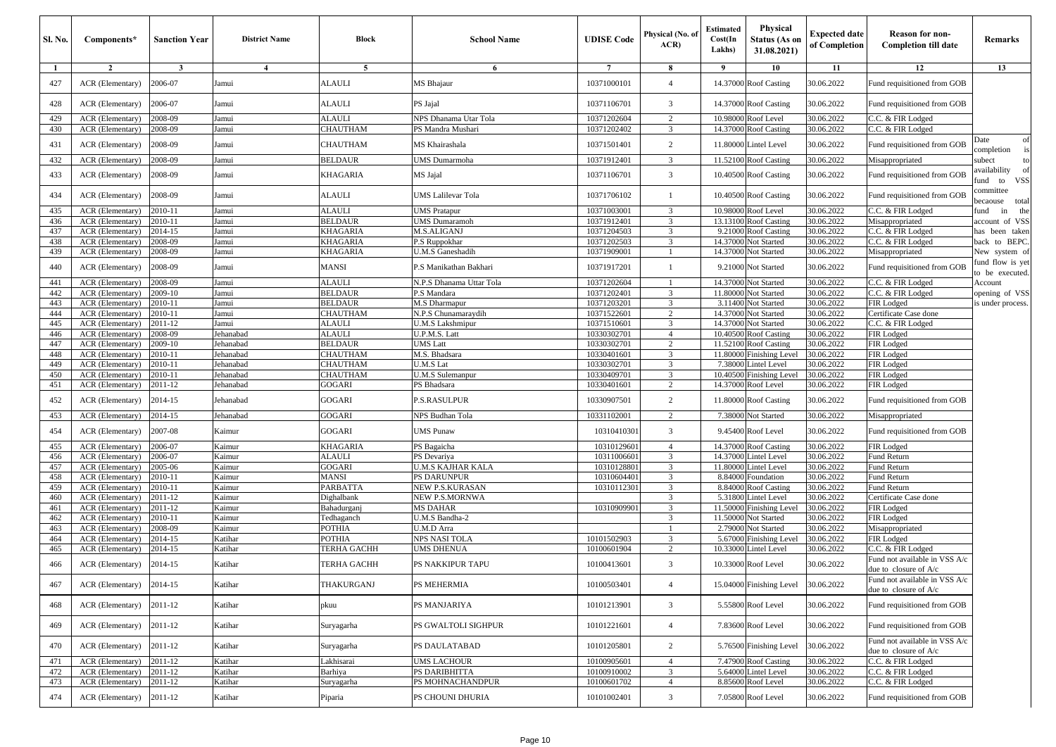| <b>Sl. No.</b> | Components*                          | <b>Sanction Year</b> | <b>District Name</b>   | <b>Block</b>           | <b>School Name</b>                | <b>UDISE</b> Code          | Physical (No. of<br>ACR | <b>Estimated</b><br>Cost(In<br>Lakhs) | <b>Physical</b><br>Status (As on<br>31.08.2021) | <b>Expected date</b><br>of Completion | <b>Reason for non-</b><br><b>Completion till date</b>    | Remarks                                    |
|----------------|--------------------------------------|----------------------|------------------------|------------------------|-----------------------------------|----------------------------|-------------------------|---------------------------------------|-------------------------------------------------|---------------------------------------|----------------------------------------------------------|--------------------------------------------|
| -1             | $\overline{2}$                       | 3                    | $\overline{4}$         | 5                      | 6                                 | $\overline{7}$             | 8                       | 9                                     | 10                                              | 11                                    | 12                                                       | 13                                         |
| 427            | ACR (Elementary)                     | 2006-07              | Jamui                  | ALAULI                 | MS Bhajaur                        | 10371000101                | $\overline{4}$          |                                       | 14.37000 Roof Casting                           | 30.06.2022                            | Fund requisitioned from GOB                              |                                            |
| 428            | ACR (Elementary)                     | 2006-07              | Jamui                  | <b>ALAULI</b>          | PS Jajal                          | 10371106701                | 3                       |                                       | 14.37000 Roof Casting                           | 30.06.2022                            | Fund requisitioned from GOB                              |                                            |
| 429            | ACR (Elementary)                     | 2008-09              | Jamui                  | <b>ALAULI</b>          | NPS Dhanama Utar Tola             | 10371202604                | 2                       | 10.9800                               | Roof Level                                      | 30.06.2022                            | C.C. & FIR Lodged                                        |                                            |
| 430            | ACR (Elementary)                     | 2008-09              | Jamui                  | CHAUTHAM               | PS Mandra Mushari                 | 10371202402                | 3                       | 14.37000                              | <b>Roof Casting</b>                             | 30.06.2022                            | C.C. & FIR Lodged                                        |                                            |
| 431            | <b>ACR</b> (Elementary)              | 2008-09              | Jamui                  | CHAUTHAM               | MS Khairashala                    | 10371501401                | 2                       | 11.80000                              | <b>Lintel Level</b>                             | 30.06.2022                            | Fund requisitioned from GOB                              | Date<br>of<br>completion<br>is             |
| 432            | ACR (Elementary)                     | 2008-09              | Jamui                  | BELDAUR                | <b>JMS</b> Dumarmoha              | 10371912401                | 3                       | 11.52100                              | <b>Roof Casting</b>                             | 30.06.2022                            | Misappropriated                                          | subect<br>to                               |
| 433            | ACR (Elementary)                     | 2008-09              | Jamui                  | KHAGARIA               | MS Jajal                          | 10371106701                | 3                       |                                       | 10.40500 Roof Casting                           | 30.06.2022                            | Fund requisitioned from GOB                              | availability<br>of<br><b>VSS</b><br>und to |
| 434            | ACR (Elementary)                     | 2008-09              | Jamui                  | ALAULI                 | <b>JMS Lalilevar Tola</b>         | 10371706102                | $\overline{1}$          |                                       | 10.40500 Roof Casting                           | 30.06.2022                            | Fund requisitioned from GOB                              | committee<br>becaouse total                |
| 435            | ACR (Elementary)                     | 2010-11              | Jamui                  | ALAULI                 | <b>UMS Pratapur</b>               | 10371003001                | 3                       |                                       | 10.98000 Roof Level                             | 30.06.2022                            | C.C. & FIR Lodged                                        | ùnd<br>in<br>the                           |
| 436            | ACR (Elementary)                     | 2010-11              | Jamui                  | <b>BELDAUR</b>         | JMS Dumaramoh                     | 10371912401                | 3                       | 13.1310                               | <b>Roof Casting</b>                             | 30.06.2022                            | Misappropriated                                          | account of VSS                             |
| 437<br>438     | ACR (Elementary)<br>ACR (Elementary) | 2014-15<br>2008-09   | Jamui<br>Jamui         | KHAGARIA<br>KHAGARIA   | M.S.ALIGANJ<br>P.S Ruppokhar      | 10371204503<br>10371202503 | 3<br>3                  | 9.21000<br>14.37000                   | <b>Roof Casting</b><br>Not Started              | 30.06.2022<br>30.06.2022              | C.C. & FIR Lodged<br>C.C. & FIR Lodged                   | has been taken<br>back to BEPC.            |
| 439            | ACR (Elementary)                     | 2008-09              | Jamui                  | KHAGARIA               | <b>J.M.S Ganeshadih</b>           | 10371909001                |                         | 14.37000                              | Not Started                                     | 30.06.2022                            | Misappropriated                                          | New system of                              |
| 440            | ACR (Elementary)                     | 2008-09              | Jamui                  | <b>MANSI</b>           | P.S Manikathan Bakhari            | 10371917201                | -1                      |                                       | 9.21000 Not Started                             | 30.06.2022                            | Fund requisitioned from GOB                              | und flow is yet<br>to be executed.         |
| 441            | ACR (Elementary)                     | 2008-09              | Jamui                  | <b>ALAULI</b>          | N.P.S Dhanama Uttar Tola          | 10371202604                |                         | 14.37000                              | Not Started                                     | 30.06.2022                            | C.C. & FIR Lodged                                        | Account                                    |
| 442            | ACR (Elementary)                     | 2009-10              | Jamui                  | <b>BELDAUR</b>         | P.S Mandara                       | 10371202401                | 3                       | 11.8000                               | <b>Vot Started</b>                              | 30.06.2022                            | C.C. & FIR Lodged                                        | opening of VSS                             |
| 443            | ACR (Elementary)                     | 2010-11              | Jamui                  | <b>BELDAUR</b>         | M.S Dharmapur                     | 10371203201                | $\overline{3}$          | 3.1140                                | <b>Vot Started</b>                              | 30.06.2022                            | FIR Lodged                                               | is under process.                          |
| 444            | ACR (Elementary)                     | 2010-11              | Jamui                  | CHAUTHAM               | N.P.S Chunamaraydih               | 10371522601                | 2                       | 14.37000                              | <b>Not Started</b>                              | 30.06.2022                            | Certificate Case done                                    |                                            |
| 445            | ACR (Elementary)                     | 2011-12              | Jamui                  | ALAULI                 | U.M.S Lakshmipur                  | 10371510601                | 3                       | 14.37000                              | <b>Not Started</b>                              | 30.06.2022                            | C.C. & FIR Lodged                                        |                                            |
| 446            | ACR (Elementary)                     | 2008-09              | Jehanabad              | <b>ALAULI</b>          | J.P.M.S. Latt                     | 10330302701                | $\overline{4}$          | 10.4050                               | <b>Roof Casting</b>                             | 30.06.2022                            | FIR Lodged                                               |                                            |
| 447            | ACR (Elementary)                     | 2009-10              | Jehanabad              | <b>BELDAUR</b>         | UMS Latt                          | 10330302701                | 2                       | 11.5210                               | <b>Roof Casting</b>                             | 30.06.2022                            | FIR Lodged                                               |                                            |
| 448            | ACR (Elementary)                     | 2010-11              | Jehanabad              | CHAUTHAM               | M.S. Bhadsara                     | 10330401601                | 3                       | 11.8000                               | inishing Level                                  | 30.06.2022                            | FIR Lodged                                               |                                            |
| 449            | ACR (Elementary)                     | 2010-11              | Jehanabad              | CHAUTHAM               | U.M.S Lat                         | 10330302701                | 3                       | 7.38000                               | intel Level                                     | 30.06.2022                            | FIR Lodged                                               |                                            |
| 450            | <b>ACR</b> (Elementary)              | 2010-11              | Jehanabad              | CHAUTHAM               | U.M.S Sulemanpur                  | 10330409701                | 3<br>2                  | 10.4050<br>14.37000                   | inishing Level <sup>3</sup>                     | 30.06.2022                            | FIR Lodged                                               |                                            |
| 451<br>452     | ACR (Elementary)<br>ACR (Elementary) | 2011-12<br>2014-15   | Jehanabad<br>Jehanabad | GOGARI<br>GOGARI       | PS Bhadsara<br>P.S.RASULPUR       | 10330401601<br>10330907501 | $\overline{c}$          |                                       | Roof Level<br>11.80000 Roof Casting             | 30.06.2022<br>30.06.2022              | FIR Lodged<br>Fund requisitioned from GOB                |                                            |
| 453            | ACR (Elementary)                     | 2014-15              | Jehanabad              | GOGARI                 | NPS Budhan Tola                   | 10331102001                | 2                       | 7.38000                               | Not Started                                     | 30.06.2022                            | Misappropriated                                          |                                            |
| 454            | ACR (Elementary)                     | 2007-08              | Kaimur                 | GOGARI                 | <b>JMS</b> Punaw                  | 10310410301                | 3                       |                                       | 9.45400 Roof Level                              | 30.06.2022                            | Fund requisitioned from GOB                              |                                            |
| 455            | ACR (Elementary)                     | 2006-07              | Kaimur                 | KHAGARIA               | PS Bagaicha                       | 10310129601                | $\overline{4}$          | 14.37000                              | <b>Roof Casting</b>                             | 30.06.2022                            | FIR Lodged                                               |                                            |
| 456            | ACR (Elementary)                     | 2006-07              | Kaimur                 | <b>ALAULI</b>          | PS Devariya                       | 10311006601                | 3                       | 14.37000                              | intel Level                                     | 30.06.2022                            | Fund Return                                              |                                            |
| 457            | ACR (Elementary)                     | 2005-06              | Kaimur                 | GOGARI                 | U.M.S KAJHAR KALA                 | 10310128801                | 3                       | 11.80000                              | intel Level                                     | 30.06.2022                            | Fund Return                                              |                                            |
| 458            | ACR (Elementary)                     | 2010-11              | Kaimur                 | <b>MANSI</b>           | PS DARUNPUR                       | 10310604401                | 3                       | 8.84000                               | oundation                                       | 30.06.2022                            | Fund Return                                              |                                            |
| 459<br>460     | ACR (Elementary)<br>ACR (Elementary) | 2010-11<br>2011-12   | Kaimur<br>Kaimur       | PARBATTA<br>Dighalbank | NEW P.S.KURASAN<br>NEW P.S.MORNWA | 10310112301                | 3<br>3                  | 8.8400<br>5.31800                     | <b>Roof Casting</b><br>intel Level              | 30.06.2022<br>30.06.2022              | Fund Return<br>Certificate Case done                     |                                            |
| 461            | ACR (Elementary)                     | 2011-12              | Kaimur                 | Bahadurganj            | MS DAHAR                          | 10310909901                | 3                       | 11.5000                               | inishing Level                                  | 30.06.2022                            | FIR Lodged                                               |                                            |
| 462            | ACR (Elementary)                     | 2010-11              | Kaimur                 | Tedhaganch             | $\overline{U.M}$ .S Bandha-2      |                            | $\overline{3}$          | 11.5000                               | <b>Jot Started</b>                              | 30.06.2022                            | FIR Lodged                                               |                                            |
| 463            | ACR (Elementary)                     | 2008-09              | Kaimur                 | POTHIA                 | U.M.D Arra                        |                            | $\overline{1}$          | 2.79000                               | <b>Not Started</b>                              | 30.06.2022                            | Misappropriated                                          |                                            |
| 464            | ACR (Elementary)                     | 2014-15              | Katihar                | POTHIA                 | NPS NASI TOLA                     | 10101502903                | 3                       | 5.6700                                | inishing Level                                  | 30.06.2022                            | FIR Lodged                                               |                                            |
| 465            | ACR (Elementary)                     | 2014-15              | Katihar                | TERHA GACHH            | <b>JMS DHENUA</b>                 | 10100601904                | $\overline{2}$          | 10.3300                               | intel Level                                     | 30.06.2022                            | C.C. & FIR Lodged                                        |                                            |
| 466            | ACR (Elementary)                     | 2014-15              | Katihar                | TERHA GACHH            | PS NAKKIPUR TAPU                  | 10100413601                | 3                       |                                       | 10.33000 Roof Level                             | 30.06.2022                            | Fund not available in VSS A/c<br>due to closure of A/c   |                                            |
| 467            | ACR (Elementary)                     | 2014-15              | Katihar                | THAKURGANJ             | PS MEHERMIA                       | 10100503401                | $\overline{4}$          |                                       | 15.04000 Finishing Level                        | 30.06.2022                            | Fund not available in VSS A/c<br>due to closure of $A/c$ |                                            |
| 468            | ACR (Elementary)                     | 2011-12              | Katihar                | pkuu                   | PS MANJARIYA                      | 10101213901                | 3                       |                                       | 5.55800 Roof Level                              | 30.06.2022                            | Fund requisitioned from GOB                              |                                            |
| 469            | ACR (Elementary)                     | 2011-12              | Katihar                | Suryagarha             | PS GWALTOLI SIGHPUR               | 10101221601                | $\overline{4}$          |                                       | 7.83600 Roof Level                              | 30.06.2022                            | Fund requisitioned from GOB                              |                                            |
| 470            | ACR (Elementary)                     | 2011-12              | Katihar                | Suryagarha             | PS DAULATABAD                     | 10101205801                | $\overline{c}$          | 5.76500                               | <b>Finishing Level</b>                          | 30.06.2022                            | Fund not available in VSS A/c<br>due to closure of A/c   |                                            |
| 471            | ACR (Elementary)                     | 2011-12              | Katihar                | Lakhisarai             | UMS LACHOUR                       | 10100905601                | $\overline{4}$          | 7.47900                               | <b>Roof Casting</b>                             | 30.06.2022                            | C.C. & FIR Lodged                                        |                                            |
| 472            | ACR (Elementary)                     | 2011-12              | Katihar                | Barhiya                | PS DARIBHITTA                     | 10100910002                | 3                       | 5.64000                               | <b>Lintel Level</b>                             | 30.06.2022                            | C.C. & FIR Lodged                                        |                                            |
| 473            | ACR (Elementary)                     | $\overline{20}11-12$ | Katihar                | Suryagarha             | PS MOHNACHANDPUR                  | 10100601702                | $\overline{4}$          | 8.85600                               | Roof Level                                      | 30.06.2022                            | C.C. & FIR Lodged                                        |                                            |
| 474            | ACR (Elementary)                     | 2011-12              | Katihar                | Piparia                | PS CHOUNI DHURIA                  | 10101002401                | 3                       |                                       | 7.05800 Roof Level                              | 30.06.2022                            | Fund requisitioned from GOB                              |                                            |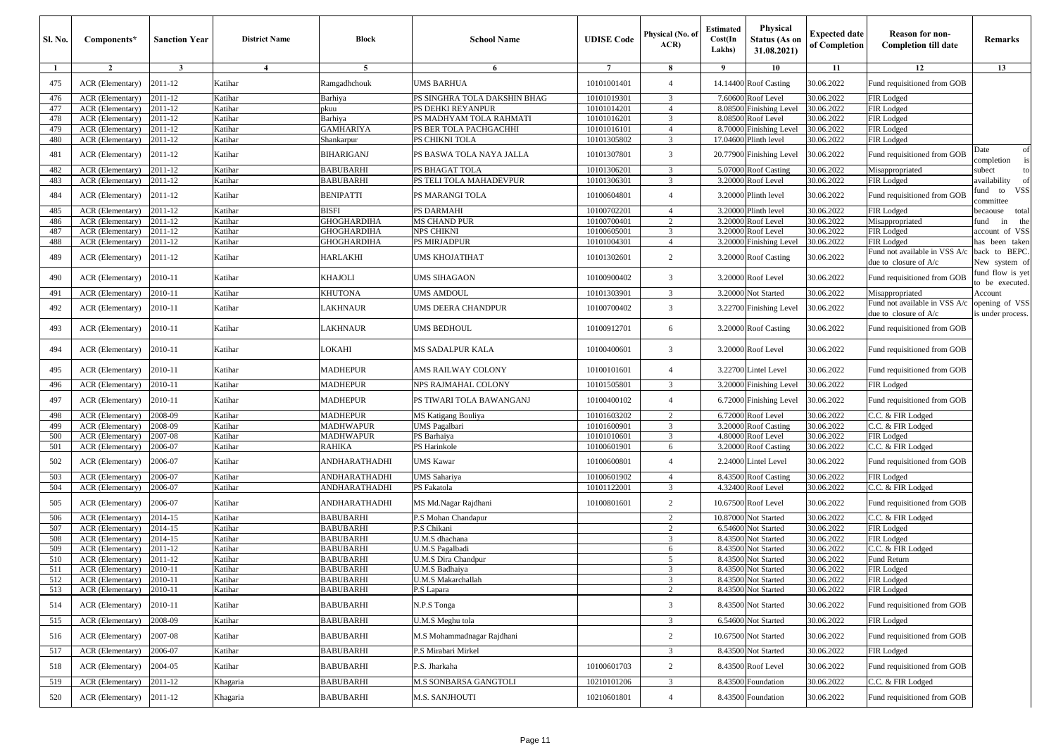| <b>Sl. No.</b> | Components*              | <b>Sanction Year</b> | <b>District Name</b> | Block                | <b>School Name</b>           | <b>UDISE</b> Code | Physical (No. of<br>ACR | <b>Estimated</b><br>Cost(In<br>Lakhs) | Physical<br><b>Status (As on</b><br>31.08.2021) | <b>Expected date</b><br>of Completion | <b>Reason for non-</b><br><b>Completion till date</b>  | Remarks                             |
|----------------|--------------------------|----------------------|----------------------|----------------------|------------------------------|-------------------|-------------------------|---------------------------------------|-------------------------------------------------|---------------------------------------|--------------------------------------------------------|-------------------------------------|
| -1             | $\overline{2}$           | $\mathbf{3}$         | $\overline{4}$       | 5                    | 6                            | $\overline{7}$    | 8                       | - 9                                   | 10                                              | 11                                    | 12                                                     | 13                                  |
| 475            | ACR (Elementary)         | 2011-12              | Katihar              | Ramgadhchouk         | UMS BARHUA                   | 10101001401       | $\overline{4}$          |                                       | 14.14400 Roof Casting                           | 30.06.2022                            | Fund requisitioned from GOB                            |                                     |
| 476            | ACR (Elementary)         | 2011-12              | Katihar              | Barhiya              | PS SINGHRA TOLA DAKSHIN BHAG | 10101019301       | 3                       |                                       | 7.60600 Roof Level                              | 30.06.2022                            | FIR Lodged                                             |                                     |
| 477            | ACR (Elementary)         | 2011-12              | Katihar              | pkuu                 | PS DEHKI REYANPUR            | 10101014201       | $\overline{4}$          |                                       | 8.08500 Finishing Level                         | 30.06.2022                            | FIR Lodged                                             |                                     |
| 478            | ACR (Elementary)         | 2011-12              | Katihar              | Barhiya              | PS MADHYAM TOLA RAHMATI      | 10101016201       | 3                       |                                       | 8.08500 Roof Level                              | 30.06.2022                            | FIR Lodged                                             |                                     |
| 479            | ACR (Elementary)         | 2011-12              | Katihar              | GAMHARIYA            | PS BER TOLA PACHGACHHI       | 10101016101       | $\overline{4}$          |                                       | 8.70000 Finishing Level                         | 30.06.2022                            | FIR Lodged                                             |                                     |
| 480            | ACR (Elementary)         | 2011-12              | Katihar              | Shankarpur           | PS CHIKNI TOLA               | 10101305802       | 3                       |                                       | 17.04600 Plinth level                           | 30.06.2022                            | FIR Lodged                                             |                                     |
| 481            | ACR (Elementary)         | 2011-12              | Katihar              | <b>BIHARIGANJ</b>    | PS BASWA TOLA NAYA JALLA     | 10101307801       | 3                       |                                       | 20.77900 Finishing Level                        | 30.06.2022                            | Fund requisitioned from GOB                            | of<br>Date<br>completion<br>is      |
| 482            | ACR (Elementary)         | 2011-12              | Katihar              | <b>BABUBARHI</b>     | PS BHAGAT TOLA               | 10101306201       | 3                       |                                       | 5.07000 Roof Casting                            | 30.06.2022                            | Misappropriated                                        | subect<br>to                        |
| 483            | ACR (Elementary)         | 2011-12              | Katihar              | BABUBARHI            | PS TELI TOLA MAHADEVPUR      | 10101306301       | 3                       |                                       | 3.20000 Roof Level                              | 30.06.2022                            | FIR Lodged                                             | availability<br>of                  |
| 484            | ACR (Elementary)         | 2011-12              | Katihar              | BENIPATTI            | PS MARANGI TOLA              | 10100604801       | $\overline{4}$          |                                       | 3.20000 Plinth level                            | 30.06.2022                            | Fund requisitioned from GOB                            | to VSS<br>ùnd<br>committee          |
| 485            | ACR (Elementary)         | 2011-12              | Katihar              | BISFI                | PS DARMAHI                   | 10100702201       | $\overline{4}$          |                                       | 3.20000 Plinth level                            | 30.06.2022                            | FIR Lodged                                             | becaouse total                      |
| 486            | ACR (Elementary)         | 2011-12              | Katihar              | GHOGHARDIHA          | <b>MS CHAND PUR</b>          | 10100700401       | $\overline{2}$          |                                       | 3.20000 Roof Level                              | 30.06.2022                            | Misappropriated                                        | the<br>fund<br>in                   |
| 487            | ACR (Elementary)         | 2011-12              | Katihar              | GHOGHARDIHA          | NPS CHIKNI                   | 10100605001       | 3                       |                                       | 3.20000 Roof Level                              | 30.06.2022                            | FIR Lodged                                             | account of VSS                      |
| 488            | ACR (Elementary)         | 2011-12              | Katihar              | GHOGHARDIHA          | PS MIRJADPUR                 | 10101004301       | $\overline{4}$          |                                       | 3.20000 Finishing Level                         | 30.06.2022                            | FIR Lodged                                             | has been taken                      |
| 489            | ACR (Elementary)         | 2011-12              | Katihar              | HARLAKHI             | UMS KHOJATIHAT               | 10101302601       | $\overline{c}$          |                                       | 3.20000 Roof Casting                            | 30.06.2022                            | Fund not available in VSS A/c<br>due to closure of A/c | back to BEPC.<br>New system of      |
| 490            | ACR (Elementary)         | 2010-11              | Katihar              | KHAJOLI              | <b>UMS SIHAGAON</b>          | 10100900402       | 3                       |                                       | 3.20000 Roof Level                              | 30.06.2022                            | Fund requisitioned from GOB                            | fund flow is yet<br>to be executed. |
| 491            | ACR (Elementary)         | 2010-11              | Katihar              | KHUTONA              | UMS AMDOUL                   | 10101303901       | 3                       |                                       | 3.20000 Not Started                             | 30.06.2022                            | Misappropriated                                        | Account                             |
| 492            | ACR (Elementary)         | 2010-11              | Katihar              | LAKHNAUR             | UMS DEERA CHANDPUR           | 10100700402       | 3                       |                                       | 3.22700 Finishing Level                         | 30.06.2022                            | Fund not available in VSS A/c<br>due to closure of A/c | opening of VSS<br>s under process.  |
| 493            | ACR (Elementary)         | 2010-11              | Katihar              | LAKHNAUR             | UMS BEDHOUL                  | 10100912701       | 6                       |                                       | 3.20000 Roof Casting                            | 30.06.2022                            | Fund requisitioned from GOB                            |                                     |
| 494            | ACR (Elementary)         | 2010-11              | Katihar              | LOKAHI               | MS SADALPUR KALA             | 10100400601       | 3                       |                                       | 3.20000 Roof Level                              | 30.06.2022                            | Fund requisitioned from GOB                            |                                     |
| 495            | ACR (Elementary)         | 2010-11              | Katihar              | MADHEPUR             | AMS RAILWAY COLONY           | 10100101601       | $\overline{4}$          |                                       | 3.22700 Lintel Level                            | 30.06.2022                            | Fund requisitioned from GOB                            |                                     |
| 496            | ACR (Elementary)         | 2010-11              | Katihar              | <b>MADHEPUR</b>      | NPS RAJMAHAL COLONY          | 10101505801       | 3                       |                                       | 3.20000 Finishing Level                         | 30.06.2022                            | FIR Lodged                                             |                                     |
| 497            | ACR (Elementary)         | 2010-11              | Katihar              | MADHEPUR             | PS TIWARI TOLA BAWANGANJ     | 10100400102       | $\overline{4}$          |                                       | 6.72000 Finishing Level                         | 30.06.2022                            | Fund requisitioned from GOB                            |                                     |
| 498            | ACR (Elementary)         | 2008-09              | Katihar              | MADHEPUR             | MS Katigang Bouliya          | 10101603202       | 2                       |                                       | 6.72000 Roof Level                              | 30.06.2022                            | C.C. & FIR Lodged                                      |                                     |
| 499            | ACR (Elementary)         | 2008-09              | Katihar              | <b>MADHWAPUR</b>     | UMS Pagalbari                | 10101600901       | 3                       |                                       | 3.20000 Roof Casting                            | 30.06.2022                            | C.C. & FIR Lodged                                      |                                     |
| 500            | ACR (Elementary)         | 2007-08              | Katihar              | MADHWAPUR            | PS Barhaiya                  | 10101010601       | 3                       |                                       | 4.80000 Roof Level                              | 30.06.2022                            | FIR Lodged                                             |                                     |
| 501            | ACR (Elementary)         | 2006-07              | Katihar              | RAHIKA               | PS Harinkole                 | 10100601901       | 6                       |                                       | 3.20000 Roof Casting                            | 30.06.2022                            | C.C. & FIR Lodged                                      |                                     |
| 502            | ACR (Elementary)         | 2006-07              | Katihar              | ANDHARATHADHI        | <b>UMS Kawar</b>             | 10100600801       | $\overline{4}$          |                                       | 2.24000 Lintel Level                            | 30.06.2022                            | Fund requisitioned from GOB                            |                                     |
| 503            | ACR (Elementary)         | 2006-07              | Katihar              | ANDHARATHADHI        | UMS Sahariya                 | 10100601902       | $\overline{4}$          |                                       | 8.43500 Roof Casting                            | 30.06.2022                            | FIR Lodged                                             |                                     |
| 504            | ACR (Elementary)         | 2006-07              | Katihar              | <b>ANDHARATHADHI</b> | PS Fakatola                  | 10101122001       | 3                       |                                       | 4.32400 Roof Level                              | 30.06.2022                            | C.C. & FIR Lodged                                      |                                     |
| 505            | ACR (Elementary)         | 2006-07              | Katihar              | ANDHARATHADHI        | MS Md.Nagar Rajdhani         | 10100801601       | $\overline{c}$          |                                       | 10.67500 Roof Level                             | 30.06.2022                            | Fund requisitioned from GOB                            |                                     |
| 506            | ACR (Elementary)         | 2014-15              | Katihar              | BABUBARHI            | P.S Mohan Chandapur          |                   | 2                       |                                       | 10.87000 Not Started                            | 30.06.2022                            | C.C. & FIR Lodged                                      |                                     |
| 507            | ACR (Elementary)         | 2014-15              | Katihar              | BABUBARHI            | P.S Chikani                  |                   | 2                       |                                       | 6.54600 Not Started                             | 30.06.2022                            | FIR Lodged                                             |                                     |
| 508            | ACR (Elementary)         | 2014-15              | Katihar              | <b>BABUBARHI</b>     | U.M.S dhachana               |                   | 3                       |                                       | 8.43500 Not Started                             | 30.06.2022                            | FIR Lodged                                             |                                     |
| 509            | ACR (Elementary)         | 2011-12              | Katihar              | BABUBARHI            | J.M.S Pagalbadi              |                   | 6                       | 8.43500                               | Not Started                                     | 30.06.2022                            | C.C. & FIR Lodged                                      |                                     |
| 510            | ACR (Elementary)         | 2011-12              | Katihar              | BABUBARHI            | U.M.S Dira Chandpur          |                   | 5                       |                                       | 8.43500 Not Started                             | 30.06.2022                            | Fund Return                                            |                                     |
| 511            | ACR (Elementary)         | 2010-11              | Katihar              | BABUBARHI            | U.M.S Badhaiya               |                   | 3                       |                                       | 8.43500 Not Started                             | 30.06.2022                            | FIR Lodged                                             |                                     |
| 512            | ACR (Elementary) 2010-11 |                      | Katıhar              | BABUBARHI            | U.M.S Makarchallah           |                   | $\mathfrak{I}$          |                                       | 8.43500 Not Started                             | 30.06.2022                            | FIR Lodged                                             |                                     |
| 513            | ACR (Elementary)         | 2010-11              | Katihar              | BABUBARHI            | P.S Lapara                   |                   | $\overline{c}$          |                                       | 8.43500 Not Started                             | 30.06.2022                            | FIR Lodged                                             |                                     |
| 514            | ACR (Elementary)         | 2010-11              | Katihar              | <b>BABUBARHI</b>     | N.P.S Tonga                  |                   | 3                       |                                       | 8.43500 Not Started                             | 30.06.2022                            | Fund requisitioned from GOB                            |                                     |
| 515            | ACR (Elementary)         | 2008-09              | Katihar              | <b>BABUBARHI</b>     | U.M.S Meghu tola             |                   | $\overline{3}$          |                                       | 6.54600 Not Started                             | 30.06.2022                            | FIR Lodged                                             |                                     |
| 516            | ACR (Elementary)         | 2007-08              | Katihar              | <b>BABUBARHI</b>     | M.S Mohammadnagar Rajdhani   |                   | $\overline{2}$          |                                       | 10.67500 Not Started                            | 30.06.2022                            | Fund requisitioned from GOB                            |                                     |
| 517            | ACR (Elementary)         | 2006-07              | Katihar              | BABUBARHI            | P.S Mirabari Mirkel          |                   | 3                       |                                       | 8.43500 Not Started                             | 30.06.2022                            | FIR Lodged                                             |                                     |
| 518            | ACR (Elementary)         | 2004-05              | Katihar              | <b>BABUBARHI</b>     | P.S. Jharkaha                | 10100601703       | $\overline{c}$          |                                       | 8.43500 Roof Level                              | 30.06.2022                            | Fund requisitioned from GOB                            |                                     |
| 519            | ACR (Elementary)         | 2011-12              | Khagaria             | BABUBARHI            | <b>M.S SONBARSA GANGTOLI</b> | 10210101206       | $\mathbf{3}$            |                                       | 8.43500 Foundation                              | 30.06.2022                            | C.C. & FIR Lodged                                      |                                     |
| 520            | ACR (Elementary)         | 2011-12              | Khagaria             | <b>BABUBARHI</b>     | M.S. SANJHOUTI               | 10210601801       | $\overline{4}$          |                                       | 8.43500 Foundation                              | 30.06.2022                            | Fund requisitioned from GOB                            |                                     |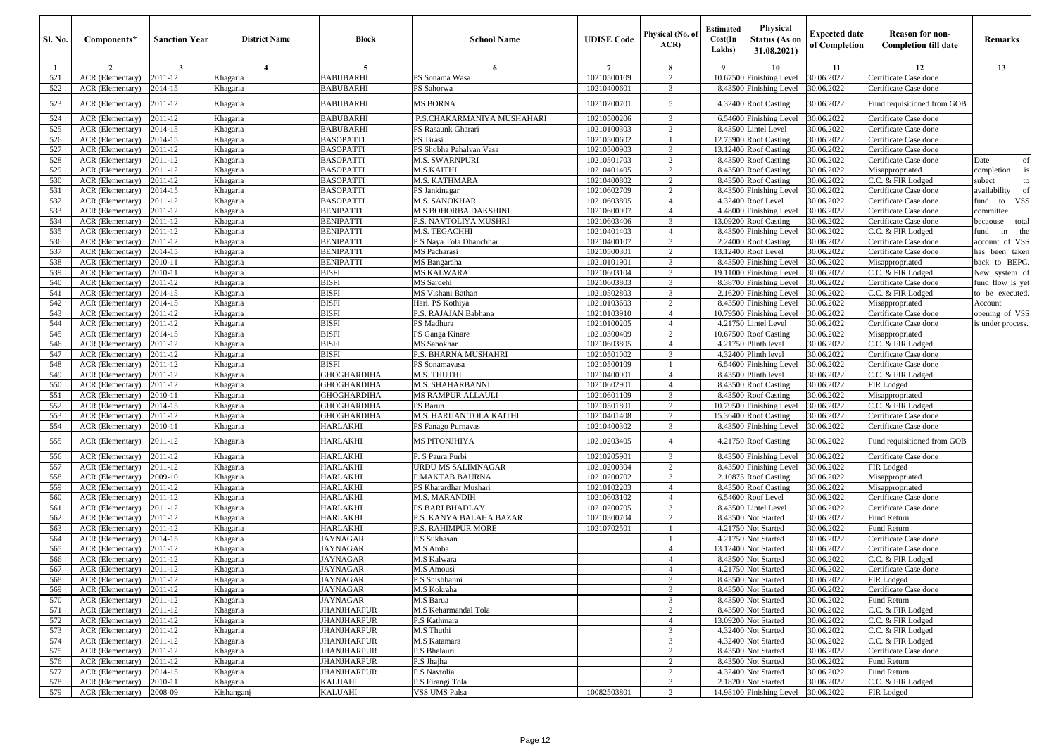| <b>Sl. No.</b> | Components*                               | <b>Sanction Year</b> | <b>District Name</b> | <b>Block</b>                             | <b>School Name</b>                   | <b>UDISE Code</b>          | Physical (No. of<br>ACR          | Estimated<br>Cost(In<br>Lakhs) | Physical<br>Status (As on<br>31.08.2021)        | <b>Expected date</b><br>of Completion | <b>Reason for non-</b><br><b>Completion till date</b> | Remarks                                 |
|----------------|-------------------------------------------|----------------------|----------------------|------------------------------------------|--------------------------------------|----------------------------|----------------------------------|--------------------------------|-------------------------------------------------|---------------------------------------|-------------------------------------------------------|-----------------------------------------|
| $\mathbf{1}$   | $\overline{2}$                            | 3                    | $\overline{4}$       | 5                                        | 6                                    | 7                          | 8                                | - 9                            | 10                                              | 11                                    | 12                                                    | 13                                      |
| 521            | ACR (Elementary)                          | 2011-12              | Khagaria             | <b>BABUBARHI</b>                         | PS Sonama Wasa                       | 10210500109                | $\overline{2}$                   |                                | 10.67500 Finishing Level                        | 30.06.2022                            | Certificate Case done                                 |                                         |
| 522            | ACR (Elementary)                          | 2014-15              | Khagaria             | <b>BABUBARHI</b>                         | PS Sahorwa                           | 10210400601                | 3                                |                                | 8.43500 Finishing Level                         | 30.06.2022                            | Certificate Case done                                 |                                         |
| 523            | <b>ACR</b> (Elementary)                   | 2011-12              | Khagaria             | <b>BABUBARHI</b>                         | <b>MS BORNA</b>                      | 10210200701                | 5                                |                                | 4.32400 Roof Casting                            | 30.06.2022                            | Fund requisitioned from GOB                           |                                         |
| 524            | ACR (Elementary)                          | 2011-12              | Khagaria             | <b>BABUBARHI</b>                         | P.S.CHAKARMANIYA MUSHAHARI           | 10210500206                | 3                                |                                | 6.54600 Finishing Level                         | 30.06.2022                            | Certificate Case done                                 |                                         |
| 525            | ACR (Elementary)                          | 2014-15              | Khagaria             | BABUBARHI                                | PS Rasaunk Gharari                   | 10210100303                | 2                                |                                | 8.43500 Lintel Level                            | 30.06.2022                            | Certificate Case done                                 |                                         |
| 526            | <b>ACR</b> (Elementary)                   | 2014-15              | Khagaria             | <b>BASOPATTI</b>                         | PS Tirasi                            | 10210500602                |                                  |                                | 12.75900 Roof Casting                           | 30.06.2022                            | Certificate Case done                                 |                                         |
| 527            | <b>ACR</b> (Elementary)                   | 2011-12              | Khagaria             | <b>BASOPATTI</b>                         | PS Shobha Pahalvan Vasa              | 10210500903                | 3                                |                                | 13.12400 Roof Casting                           | 30.06.2022                            | Certificate Case done                                 |                                         |
| 528            | ACR (Elementary)                          | 2011-12              | Khagaria             | <b>BASOPATTI</b>                         | <b>M.S. SWARNPURI</b>                | 10210501703                | 2                                |                                | 8.43500 Roof Casting                            | 30.06.2022                            | Certificate Case done                                 | Date                                    |
| 529            | ACR (Elementary)                          | 2011-12              | Khagaria             | <b>BASOPATTI</b>                         | M.S.KAITHI                           | 10210401405                | 2                                |                                | 8.43500 Roof Casting                            | 30.06.2022                            | Misappropriated                                       | completion                              |
| 530<br>531     | ACR (Elementary)<br>ACR (Elementary)      | 2011-12<br>2014-15   | Khagaria             | <b>BASOPATTI</b><br><b>BASOPATTI</b>     | M.S. KATHMARA<br>PS Jankinagar       | 10210400802<br>10210602709 | 2<br>$\overline{2}$              |                                | 8.43500 Roof Casting<br>8.43500 Finishing Level | 30.06.2022<br>30.06.2022              | C.C. & FIR Lodged                                     | subect                                  |
| 532            | ACR (Elementary)                          | 2011-12              | Khagaria<br>Khagaria | <b>BASOPATTI</b>                         | M.S. SANOKHAR                        | 10210603805                | $\overline{4}$                   |                                | 4.32400 Roof Level                              | 30.06.2022                            | Certificate Case done<br>Certificate Case done        | availability<br>und<br><b>VSS</b><br>to |
| 533            | ACR (Elementary)                          | 2011-12              | Khagaria             | <b>BENIPATTI</b>                         | M S BOHORBA DAKSHINI                 | 10210600907                | $\overline{4}$                   |                                | 4.48000 Finishing Level                         | 30.06.2022                            | Certificate Case done                                 | committee                               |
| 534            | ACR (Elementary)                          | 2011-12              | Khagaria             | <b>BENIPATTI</b>                         | P.S. NAVTOLIYA MUSHRI                | 10210603406                | 3                                |                                | 13.09200 Roof Casting                           | 30.06.2022                            | Certificate Case done                                 | pecaouse total                          |
| 535            | <b>ACR</b> (Elementary)                   | 2011-12              | Khagaria             | <b>BENIPATTI</b>                         | M.S. TEGACHHI                        | 10210401403                | $\overline{4}$                   |                                | 8.43500 Finishing Level                         | 30.06.2022                            | C.C. & FIR Lodged                                     | ùnd<br>the<br>in                        |
| 536            | ACR (Elementary)                          | 2011-12              | Khagaria             | <b>BENIPATTI</b>                         | P S Naya Tola Dhanchhar              | 10210400107                | 3                                |                                | 2.24000 Roof Casting                            | 30.06.2022                            | Certificate Case done                                 | account of VSS                          |
| 537            | ACR (Elementary)                          | 2014-15              | Khagaria             | <b>BENIPATTI</b>                         | MS Pacharasi                         | 10210500301                | $\overline{2}$                   |                                | 13.12400 Roof Level                             | 30.06.2022                            | Certificate Case done                                 | has been taken                          |
| 538            | <b>ACR</b> (Elementary)                   | 2010-11              | Khagaria             | <b>BENIPATTI</b>                         | MS Bangaraha                         | 10210101901                | 3                                | 8.43500                        | <b>Finishing Level</b>                          | 30.06.2022                            | Misappropriated                                       | back to BEPC                            |
| 539            | ACR (Elementary)                          | 2010-11              | Khagaria             | BISFI                                    | <b>MS KALWARA</b>                    | 10210603104                | 3                                |                                | 19.11000 Finishing Level                        | 30.06.2022                            | C.C. & FIR Lodged                                     | New system of                           |
| 540            | ACR (Elementary)                          | 2011-12              | Khagaria             | <b>BISFI</b>                             | MS Sardehi                           | 10210603803                | 3                                |                                | 8.38700 Finishing Level                         | 30.06.2022                            | Certificate Case done                                 | fund flow is yet                        |
| 541            | ACR (Elementary)                          | 2014-15              | Khagaria             | <b>BISFI</b>                             | MS Vishani Bathan                    | 10210502803                | 3                                |                                | 2.16200 Finishing Level                         | 30.06.2022                            | C.C. & FIR Lodged                                     | o be executed.                          |
| 542            | <b>ACR</b> (Elementary)                   | 2014-15              | Khagaria             | <b>BISFI</b>                             | Hari. PS Kothiya                     | 10210103603                | 2                                |                                | 8.43500 Finishing Level                         | 30.06.2022                            | Misappropriated                                       | Account                                 |
| 543            | ACR (Elementary)                          | 2011-12              | Khagaria             | <b>BISFI</b>                             | P.S. RAJAJAN Babhana                 | 10210103910                | $\overline{4}$                   |                                | 10.79500 Finishing Level                        | 30.06.2022                            | Certificate Case done                                 | opening of VSS                          |
| 544            | ACR (Elementary)                          | 2011-12              | Khagaria             | BISFI                                    | PS Madhura                           | 10210100205                | $\overline{4}$                   |                                | 4.21750 Lintel Level                            | 30.06.2022                            | Certificate Case done                                 | s under process                         |
| 545            | ACR (Elementary)                          | 2014-15              | Khagaria             | <b>BISFI</b>                             | PS Ganga Kinare                      | 10210300409                | $\overline{c}$                   |                                | 10.67500 Roof Casting                           | 30.06.2022                            | Misappropriated                                       |                                         |
| 546            | ACR (Elementary)                          | 2011-12              | Khagaria             | <b>BISFI</b>                             | MS Sanokhar                          | 10210603805                | $\overline{4}$                   |                                | 4.21750 Plinth level                            | 30.06.2022                            | C.C. & FIR Lodged                                     |                                         |
| 547            | ACR (Elementary)                          | 2011-12              | Khagaria             | <b>BISFI</b>                             | P.S. BHARNA MUSHAHRI                 | 10210501002                | 3                                |                                | 4.32400 Plinth level                            | 30.06.2022                            | Certificate Case done                                 |                                         |
| 548            | ACR (Elementary)                          | 2011-12              | Khagaria             | BISFI                                    | PS Sonamavasa                        | 10210500109                |                                  |                                | 6.54600 Finishing Level                         | 30.06.2022                            | Certificate Case done                                 |                                         |
| 549<br>550     | ACR (Elementary)                          | 2011-12              | Khagaria             | GHOGHARDIHA                              | M.S. THUTHI<br>M.S. SHAHARBANNI      | 10210400901                | $\overline{4}$<br>$\overline{4}$ |                                | 8.43500 Plinth level                            | 30.06.2022<br>30.06.2022              | C.C. & FIR Lodged                                     |                                         |
| 551            | ACR (Elementary)<br>ACR (Elementary)      | 2011-12<br>2010-11   | Khagaria<br>Khagaria | GHOGHARDIHA<br>GHOGHARDIHA               | <b>MS RAMPUR ALLAULI</b>             | 10210602901<br>10210601109 | 3                                |                                | 8.43500 Roof Casting<br>8.43500 Roof Casting    | 30.06.2022                            | FIR Lodged<br>Misappropriated                         |                                         |
| 552            | ACR (Elementary)                          | 2014-15              | Khagaria             | GHOGHARDIHA                              | PS Barun                             | 10210501801                | 2                                |                                | 10.79500 Finishing Level                        | 30.06.2022                            | C.C. & FIR Lodged                                     |                                         |
| 553            | ACR (Elementary)                          | 2011-12              | Khagaria             | GHOGHARDIHA                              | <b>M.S. HARIJAN TOLA KAITHI</b>      | 10210401408                | 2                                |                                | 15.36400 Roof Casting                           | 30.06.2022                            | Certificate Case done                                 |                                         |
| 554            | ACR (Elementary)                          | 2010-11              | Khagaria             | HARLAKHI                                 | PS Fanago Purnavas                   | 10210400302                | 3                                |                                | 8.43500 Finishing Level                         | 30.06.2022                            | Certificate Case done                                 |                                         |
| 555            | <b>ACR</b> (Elementary)                   | 2011-12              | Khagaria             | <b>HARLAKHI</b>                          | <b>MS PITONJHIYA</b>                 | 10210203405                | $\overline{4}$                   |                                | 4.21750 Roof Casting                            | 30.06.2022                            | Fund requisitioned from GOB                           |                                         |
| 556            | ACR (Elementary)                          | 2011-12              | Khagaria             | <b>HARLAKHI</b>                          | P. S Paura Purbi                     | 10210205901                | 3                                |                                | 8.43500 Finishing Level                         | 30.06.2022                            | Certificate Case done                                 |                                         |
| 557            | ACR (Elementary)                          | 2011-12              | Khagaria             | <b>HARLAKHI</b>                          | URDU MS SALIMNAGAR                   | 10210200304                | 2                                |                                | 8.43500 Finishing Level                         | 30.06.2022                            | FIR Lodged                                            |                                         |
| 558            | ACR (Elementary)                          | 2009-10              | Khagaria             | <b>HARLAKHI</b>                          | P.MAKTAB BAURNA                      | 10210200702                | 3                                |                                | 2.10875 Roof Casting                            | 30.06.2022                            | Misappropriated                                       |                                         |
| 559            | ACR (Elementary)                          | 2011-12              | Khagaria             | <b>HARLAKHI</b>                          | PS Kharardhar Mushari                | 10210102203                | $\overline{4}$                   |                                | 8.43500 Roof Casting                            | 30.06.2022                            | Misappropriated                                       |                                         |
| 560            | ACR (Elementary)                          | 2011-12              | Khagaria             | <b>HARLAKHI</b>                          | M.S. MARANDIH                        | 10210603102                | $\overline{4}$                   |                                | 6.54600 Roof Level                              | 30.06.2022                            | Certificate Case done                                 |                                         |
| 561            | ACR (Elementary)                          | 2011-12              | Khagaria             | <b>HARLAKHI</b>                          | PS BARI BHADLAY                      | 10210200705                | 3                                |                                | 8.43500 Lintel Level                            | 30.06.2022                            | Certificate Case done                                 |                                         |
| 562            | ACR (Elementary)                          | 2011-12              | Khagaria             | <b>HARLAKHI</b>                          | P.S. KANYA BALAHA BAZAR              | 10210300704                | $\overline{2}$                   |                                | 8.43500 Not Started                             | 30.06.2022                            | <b>Fund Return</b>                                    |                                         |
| 563            | ACR (Elementary)                          | 2011-12              | Khagaria             | HARLAKHI                                 | P.S. RAHIMPUR MORE                   | 10210702501                | $\overline{1}$                   |                                | 4.21750 Not Started                             | 30.06.2022                            | Fund Return                                           |                                         |
| 564            | ACR (Elementary)                          | 2014-15              | Khagaria             | JAYNAGAR                                 | P.S Sukhasan                         |                            |                                  | 4.21750                        | Not Started                                     | 30.06.2022                            | Certificate Case done                                 |                                         |
| 565            | <b>ACR</b> (Elementary)                   | 2011-12              | Khagaria             | JAYNAGAR                                 | M.S Amba                             |                            | $\overline{4}$                   |                                | 13.12400 Not Started                            | 30.06.2022                            | Certificate Case done                                 |                                         |
| 566            | ACR (Elementary)                          | 2011-12              | Khagaria             | JAYNAGAR                                 | M.S Kalwara                          |                            | $\overline{4}$                   |                                | 8.43500 Not Started                             | 30.06.2022                            | C.C. & FIR Lodged                                     |                                         |
| 567            | ACR (Elementary)                          | 2011-12              | Khagaria             | JAYNAGAR                                 | M.S Amousi                           |                            | $\overline{4}$                   |                                | 4.21750 Not Started                             | 30.06.2022                            | Certificate Case done                                 |                                         |
| 568            | $\overline{ACR}$ (Elementary) $2011 - 12$ |                      | Khagaria             | JAYNAGAR                                 | P.S Shishbanni                       |                            | 5                                |                                | 8.43500 Not Started                             | 30.06.2022                            | FIR Lodged                                            |                                         |
| 569            | ACR (Elementary)                          | 2011-12              | Khagaria             | JAYNAGAR                                 | M.S Kokraha                          |                            | 3                                |                                | 8.43500 Not Started                             | 30.06.2022                            | Certificate Case done                                 |                                         |
| 570            | ACR (Elementary)                          | 2011-12              | Khagaria             | JAYNAGAR                                 | M.S Barua                            |                            | 3                                |                                | 8.43500 Not Started                             | 30.06.2022                            | Fund Return                                           |                                         |
| 571<br>572     | ACR (Elementary)<br>ACR (Elementary)      | 2011-12<br>2011-12   | Khagaria             | <b>JHANJHARPUR</b><br><b>JHANJHARPUR</b> | M.S Keharmandal Tola<br>P.S Kathmara |                            | 2<br>$\overline{4}$              |                                | 8.43500 Not Started                             | 30.06.2022<br>30.06.2022              | C.C. & FIR Lodged<br>C.C. & FIR Lodged                |                                         |
| 573            | <b>ACR</b> (Elementary)                   | 2011-12              | Khagaria<br>Khagaria | <b>JHANJHARPUR</b>                       | M.S Thuthi                           |                            | 3                                |                                | 13.09200 Not Started<br>4.32400 Not Started     | 30.06.2022                            | C.C. & FIR Lodged                                     |                                         |
| 574            | ACR (Elementary)                          | 2011-12              | Khagaria             | JHANJHARPUR                              | M.S Katamara                         |                            | 3                                |                                | 4.32400 Not Started                             | 30.06.2022                            | C.C. & FIR Lodged                                     |                                         |
| 575            | <b>ACR</b> (Elementary)                   | 2011-12              | Khagaria             | <b>JHANJHARPUR</b>                       | P.S Bhelauri                         |                            | $\overline{c}$                   |                                | 8.43500 Not Started                             | 30.06.2022                            | Certificate Case done                                 |                                         |
| 576            | ACR (Elementary)                          | 2011-12              | Khagaria             | JHANJHARPUR                              | P.S Jhajha                           |                            | $\overline{c}$                   |                                | 8.43500 Not Started                             | 30.06.2022                            | Fund Return                                           |                                         |
| 577            | ACR (Elementary)                          | 2014-15              | Khagaria             | JHANJHARPUR                              | P.S Navtolia                         |                            | 2                                |                                | 4.32400 Not Started                             | 30.06.2022                            | Fund Return                                           |                                         |
| 578            | <b>ACR</b> (Elementary)                   | 2010-11              | Khagaria             | KALUAHI                                  | P.S Firangi Tola                     |                            | 3                                |                                | 2.18200 Not Started                             | 30.06.2022                            | C.C. & FIR Lodged                                     |                                         |
| 579            | ACR (Elementary)                          | 2008-09              | Kishanganj           | <b>KALUAHI</b>                           | <b>VSS UMS Palsa</b>                 | 10082503801                | $\overline{c}$                   |                                | 14.98100 Finishing Level                        | 30.06.2022                            | <b>FIR Lodged</b>                                     |                                         |
|                |                                           |                      |                      |                                          |                                      |                            |                                  |                                |                                                 |                                       |                                                       |                                         |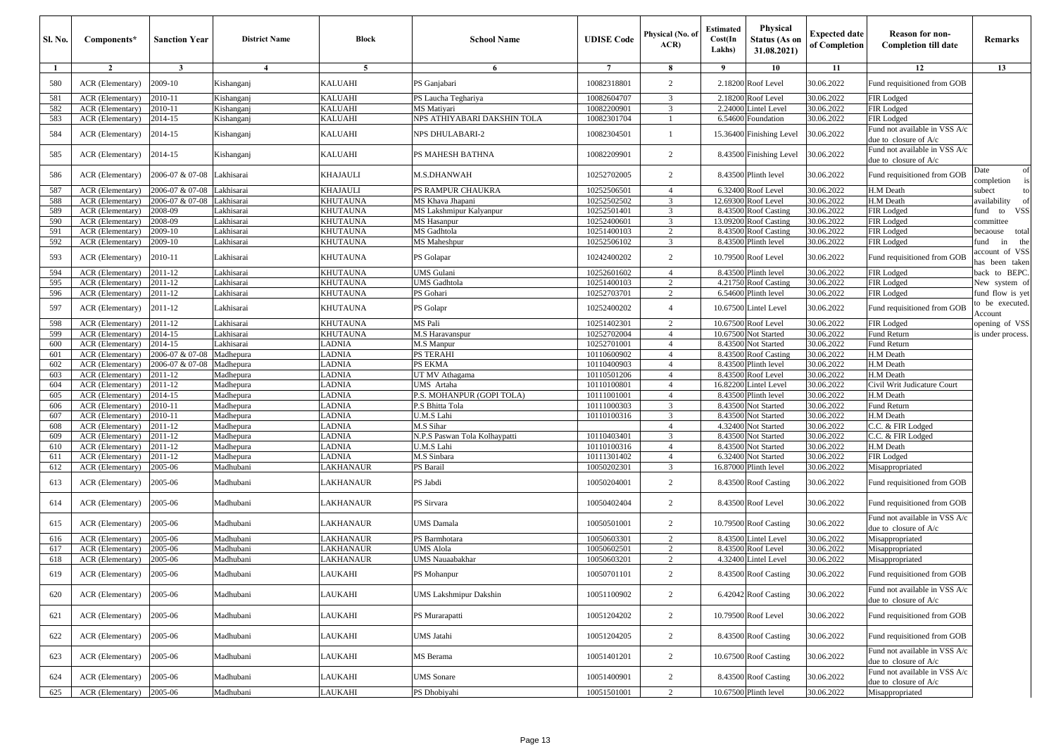| Sl. No.    | Components*                          | <b>Sanction Year</b> | <b>District Name</b>   | <b>Block</b>                       | <b>School Name</b>                | <b>UDISE</b> Code          | Physical (No. of<br>ACR | <b>Estimated</b><br>Cost(In<br>Lakhs) | <b>Physical</b><br><b>Status (As on</b><br>31.08.2021) | <b>Expected date</b><br>of Completion | <b>Reason for non-</b><br><b>Completion till date</b>  | <b>Remarks</b>                     |
|------------|--------------------------------------|----------------------|------------------------|------------------------------------|-----------------------------------|----------------------------|-------------------------|---------------------------------------|--------------------------------------------------------|---------------------------------------|--------------------------------------------------------|------------------------------------|
| -1         | $\overline{2}$                       | $\mathbf{3}$         | $\overline{4}$         | 5                                  | 6                                 | $7\overline{ }$            | 8                       | - 9                                   | 10                                                     | 11                                    | 12                                                     | 13                                 |
| 580        | ACR (Elementary)                     | 2009-10              | Kishanganj             | KALUAHI                            | PS Ganjabari                      | 10082318801                | $\overline{c}$          |                                       | 2.18200 Roof Level                                     | 30.06.2022                            | Fund requisitioned from GOB                            |                                    |
| 581        | ACR (Elementary)                     | 2010-11              | Kishanganj             | <b>KALUAHI</b>                     | PS Laucha Teghariya               | 10082604707                | 3                       |                                       | 2.18200 Roof Level                                     | 30.06.2022                            | FIR Lodged                                             |                                    |
| 582        | ACR (Elementary)                     | 2010-11              | Kishanganj             | <b>KALUAHI</b>                     | MS Matiyari                       | 10082200901                | 3                       |                                       | 2.24000 Lintel Level                                   | 30.06.2022                            | FIR Lodged                                             |                                    |
| 583        | ACR (Elementary)                     | 2014-15              | Kishanganj             | <b>KALUAHI</b>                     | NPS ATHIYABARI DAKSHIN TOLA       | 10082301704                | -1                      | 6.54600                               | Foundation                                             | 30.06.2022                            | FIR Lodged                                             |                                    |
| 584        | ACR (Elementary)                     | 2014-15              | Kishanganj             | <b>KALUAHI</b>                     | <b>NPS DHULABARI-2</b>            | 10082304501                | $\mathbf{1}$            |                                       | 15.36400 Finishing Level                               | 30.06.2022                            | Fund not available in VSS A/c<br>due to closure of A/c |                                    |
| 585        | ACR (Elementary)                     | 2014-15              | Kishanganj             | <b>KALUAHI</b>                     | PS MAHESH BATHNA                  | 10082209901                | 2                       |                                       | 8.43500 Finishing Level                                | 30.06.2022                            | Fund not available in VSS A/c<br>due to closure of A/c |                                    |
| 586        | ACR (Elementary)                     | 2006-07 & 07-08      | Lakhisarai             | KHAJAULI                           | <b>M.S.DHANWAH</b>                | 10252702005                | 2                       |                                       | 8.43500 Plinth level                                   | 30.06.2022                            | Fund requisitioned from GOB                            | Date<br>of<br>completion           |
| 587        | ACR (Elementary)                     | 2006-07 & 07-08      | Lakhisarai             | <b>KHAJAULI</b>                    | PS RAMPUR CHAUKRA                 | 10252506501                | $\overline{4}$          |                                       | 6.32400 Roof Level                                     | 30.06.2022                            | H.M Death                                              | subect                             |
| 588        | ACR (Elementary)                     | 2006-07 & 07-08      | Lakhisarai             | <b>KHUTAUNA</b>                    | MS Khava Jhapani                  | 10252502502                | 3                       |                                       | 12.69300 Roof Level                                    | 30.06.2022                            | H.M Death                                              | availability                       |
| 589<br>590 | ACR (Elementary)                     | 2008-09<br>2008-09   | akhisarai              | <b>KHUTAUNA</b>                    | MS Lakshmipur Kalyanpur           | 10252501401                | 3                       |                                       | 8.43500 Roof Casting                                   | 30.06.2022                            | FIR Lodged                                             | <b>VSS</b><br>fund to              |
| 591        | ACR (Elementary)<br>ACR (Elementary) | 2009-10              | akhisarai<br>akhisarai | <b>KHUTAUNA</b><br><b>KHUTAUNA</b> | <b>MS</b> Hasanpur<br>MS Gadhtola | 10252400601<br>10251400103 | 3<br>2                  |                                       | 13.09200 Roof Casting<br>8.43500 Roof Casting          | 30.06.2022<br>30.06.2022              | FIR Lodged                                             | committee                          |
| 592        |                                      |                      |                        |                                    |                                   |                            | 3                       |                                       |                                                        |                                       | FIR Lodged                                             | becaouse<br>total                  |
| 593        | ACR (Elementary)<br>ACR (Elementary) | 2009-10<br>2010-11   | akhisarai<br>akhisarai | <b>KHUTAUNA</b><br>KHUTAUNA        | MS Maheshpur<br>PS Golapar        | 10252506102<br>10242400202 | 2                       |                                       | 8.43500 Plinth level<br>10.79500 Roof Level            | 30.06.2022<br>30.06.2022              | FIR Lodged<br>Fund requisitioned from GOB              | in<br>the<br>fund<br>ccount of VSS |
| 594        | ACR (Elementary)                     | 2011-12              | akhisarai              | <b>KHUTAUNA</b>                    | <b>JMS</b> Gulani                 | 10252601602                | $\overline{4}$          |                                       | 8.43500 Plinth level                                   | 30.06.2022                            | FIR Lodged                                             | as been taken<br>back to BEPC.     |
| 595        | ACR (Elementary)                     | 2011-12              | akhisarai              | <b>KHUTAUNA</b>                    | <b>UMS</b> Gadhtola               | 10251400103                | $\overline{c}$          |                                       | 4.21750 Roof Casting                                   | 30.06.2022                            | FIR Lodged                                             | New system of                      |
| 596        | ACR (Elementary)                     | 2011-12              | akhisarai              | <b>KHUTAUNA</b>                    | PS Gohari                         | 10252703701                | 2                       |                                       | 6.54600 Plinth level                                   | 30.06.2022                            | FIR Lodged                                             | fund flow is yet                   |
| 597        | ACR (Elementary)                     | 2011-12              | akhisarai              | KHUTAUNA                           | PS Golapr                         | 10252400202                | $\overline{4}$          |                                       | 10.67500 Lintel Level                                  | 30.06.2022                            | Fund requisitioned from GOB                            | to be executed.                    |
| 598        | ACR (Elementary)                     | 2011-12              | akhisarai              | <b>KHUTAUNA</b>                    | MS Pali                           | 10251402301                | 2                       |                                       | 10.67500 Roof Level                                    | 30.06.2022                            | FIR Lodged                                             | Account<br>opening of VSS          |
| 599        | ACR (Elementary)                     | 2014-15              | akhisarai              | <b>KHUTAUNA</b>                    | M.S Haravanspur                   | 10252702004                | $\overline{4}$          |                                       | 10.67500 Not Started                                   | 30.06.2022                            | Fund Return                                            | is under process.                  |
| 600        | ACR (Elementary)                     | 2014-15              | akhisarai              | <b>LADNIA</b>                      | M.S Manpur                        | 10252701001                | $\overline{4}$          |                                       | 8.43500 Not Started                                    | 30.06.2022                            | Fund Return                                            |                                    |
| 601        | ACR (Elementary)                     | 2006-07 & 07-08      | Madhepura              | LADNIA                             | <b>PS TERAHI</b>                  | 10110600902                | $\overline{4}$          |                                       | 8.43500 Roof Casting                                   | 30.06.2022                            | H.M Death                                              |                                    |
| 602        | ACR (Elementary)                     | 2006-07 & 07-08      | Madhepura              | LADNIA                             | PS EKMA                           | 10110400903                | $\overline{4}$          |                                       | 8.43500 Plinth level                                   | 30.06.2022                            | H.M Death                                              |                                    |
| 603        | ACR (Elementary)                     | 2011-12              | Madhepura              | LADNIA                             | UT MV Athagama                    | 10110501206                | $\overline{4}$          |                                       | 8.43500 Roof Level                                     | 30.06.2022                            | H.M Death                                              |                                    |
| 604        | ACR (Elementary)                     | 2011-12              | Madhepura              | LADNIA                             | UMS Artaha                        | 10110100801                | $\overline{4}$          |                                       | 16.82200 Lintel Level                                  | 30.06.2022                            | Civil Writ Judicature Court                            |                                    |
| 605        | ACR (Elementary)                     | 2014-15              | Madhepura              | LADNIA                             | P.S. MOHANPUR (GOPI TOLA)         | 10111001001                | $\overline{4}$          |                                       | 8.43500 Plinth level                                   | 30.06.2022                            | H.M Death                                              |                                    |
| 606        | ACR (Elementary)                     | 2010-11              | Madhepura              | <b>LADNIA</b>                      | P.S Bhitta Tola                   | 10111000303                | 3                       |                                       | 8.43500 Not Started                                    | 30.06.2022                            | Fund Return                                            |                                    |
| 607        | ACR (Elementary)                     | 2010-11              | Madhepura              | LADNIA                             | U.M.S Lahi                        | 10110100316                | 3                       |                                       | 8.43500 Not Started                                    | 30.06.2022                            | H.M Death                                              |                                    |
| 608        | ACR (Elementary)                     | 2011-12              | Madhepura              | LADNIA                             | M.S Sihar                         |                            | $\overline{4}$          |                                       | 4.32400 Not Started                                    | 30.06.2022                            | C.C. & FIR Lodged                                      |                                    |
| 609        | ACR (Elementary)                     | 2011-12              | Madhepura              | LADNIA                             | N.P.S Paswan Tola Kolhaypatti     | 10110403401                | 3                       | 8.43500                               | <b>Vot Started</b>                                     | 30.06.2022                            | C.C. & FIR Lodged                                      |                                    |
| 610        | ACR (Elementary)                     | 2011-12              | Madhepura              | LADNIA                             | U.M.S Lahi                        | 10110100316                | $\overline{4}$          | 8.43500                               | Not Started                                            | 30.06.2022                            | H.M Death                                              |                                    |
| 611        | ACR (Elementary)                     | 2011-12              | Madhepura              | LADNIA                             | M.S Sinbara                       | 10111301402                | $\overline{4}$          |                                       | 6.32400 Not Started                                    | 30.06.2022                            | FIR Lodged                                             |                                    |
| 612        | ACR (Elementary)                     | 2005-06              | Madhubani              | LAKHANAUR                          | PS Barail                         | 10050202301                | 3                       |                                       | 16.87000 Plinth level                                  | 30.06.2022                            | Misappropriated                                        |                                    |
| 613        | ACR (Elementary)                     | 2005-06              | Madhubani              | LAKHANAUR                          | PS Jabdi                          | 10050204001                | $\overline{c}$          |                                       | 8.43500 Roof Casting                                   | 30.06.2022                            | Fund requisitioned from GOB                            |                                    |
| 614        | ACR (Elementary)                     | 2005-06              | Madhubani              | LAKHANAUR                          | PS Sirvara                        | 10050402404                | $\overline{c}$          |                                       | 8.43500 Roof Level                                     | 30.06.2022                            | Fund requisitioned from GOB                            |                                    |
| 615        | ACR (Elementary)                     | 2005-06              | Madhubani              | LAKHANAUR                          | <b>UMS</b> Damala                 | 10050501001                | $\overline{c}$          |                                       | 10.79500 Roof Casting                                  | 30.06.2022                            | Fund not available in VSS A/c<br>due to closure of A/c |                                    |
| 616        | ACR (Elementary)                     | 2005-06              | Madhubani              | <b>LAKHANAUR</b>                   | PS Barmhotara                     | 10050603301                | $\overline{c}$          |                                       | 8.43500 Lintel Level                                   | 30.06.2022                            | Misappropriated                                        |                                    |
| 617        | ACR (Elementary)                     | 2005-06              | Madhubani              | LAKHANAUR                          | <b>UMS</b> Alola                  | 10050602501                | 2                       | 8.43500                               | Roof Level                                             | 30.06.2022                            | Misappropriated                                        |                                    |
| 618        | ACR (Elementary)                     | 2005-06              | Madhubani              | LAKHANAUR                          | UMS Nauaabakhar                   | 10050603201                | 2                       |                                       | 4.32400 Lintel Level                                   | 30.06.2022                            | Misappropriated                                        |                                    |
| 619        | ACR (Elementary)                     | 2005-06              | Madhubani              | LAUKAHI                            | PS Mohanpur                       | 10050701101                | $\mathcal{D}$           |                                       | 8.43500 Roof Casting                                   | 30.06.2022                            | Fund requisitioned from GOB                            |                                    |
| 620        | ACR (Elementary)                     | 2005-06              | Madhubani              | LAUKAHI                            | <b>UMS Lakshmipur Dakshin</b>     | 10051100902                | $\overline{2}$          |                                       | 6.42042 Roof Casting                                   | 30.06.2022                            | Fund not available in VSS A/c<br>due to closure of A/c |                                    |
| 621        | ACR (Elementary)                     | 2005-06              | Madhubani              | LAUKAHI                            | PS Murarapatti                    | 10051204202                | $\overline{c}$          |                                       | 10.79500 Roof Level                                    | 30.06.2022                            | Fund requisitioned from GOB                            |                                    |
| 622        | ACR (Elementary)                     | 2005-06              | Madhubani              | LAUKAHI                            | <b>UMS</b> Jatahi                 | 10051204205                | $\overline{2}$          |                                       | 8.43500 Roof Casting                                   | 30.06.2022                            | Fund requisitioned from GOB                            |                                    |
| 623        | ACR (Elementary)                     | 2005-06              | Madhubani              | LAUKAHI                            | MS Berama                         | 10051401201                | $\overline{c}$          |                                       | 10.67500 Roof Casting                                  | 30.06.2022                            | Fund not available in VSS A/c<br>due to closure of A/c |                                    |
| 624        | <b>ACR</b> (Elementary)              | 2005-06              | Madhubani              | LAUKAHI                            | <b>UMS</b> Sonare                 | 10051400901                | $\overline{c}$          |                                       | 8.43500 Roof Casting                                   | 30.06.2022                            | Fund not available in VSS A/c<br>due to closure of A/c |                                    |
| 625        | ACR (Elementary)                     | 2005-06              | Madhubani              | <b>LAUKAHI</b>                     | PS Dhobiyahi                      | 10051501001                | $\overline{c}$          |                                       | 10.67500 Plinth level                                  | 30.06.2022                            | Misappropriated                                        |                                    |
|            |                                      |                      |                        |                                    |                                   |                            |                         |                                       |                                                        |                                       |                                                        |                                    |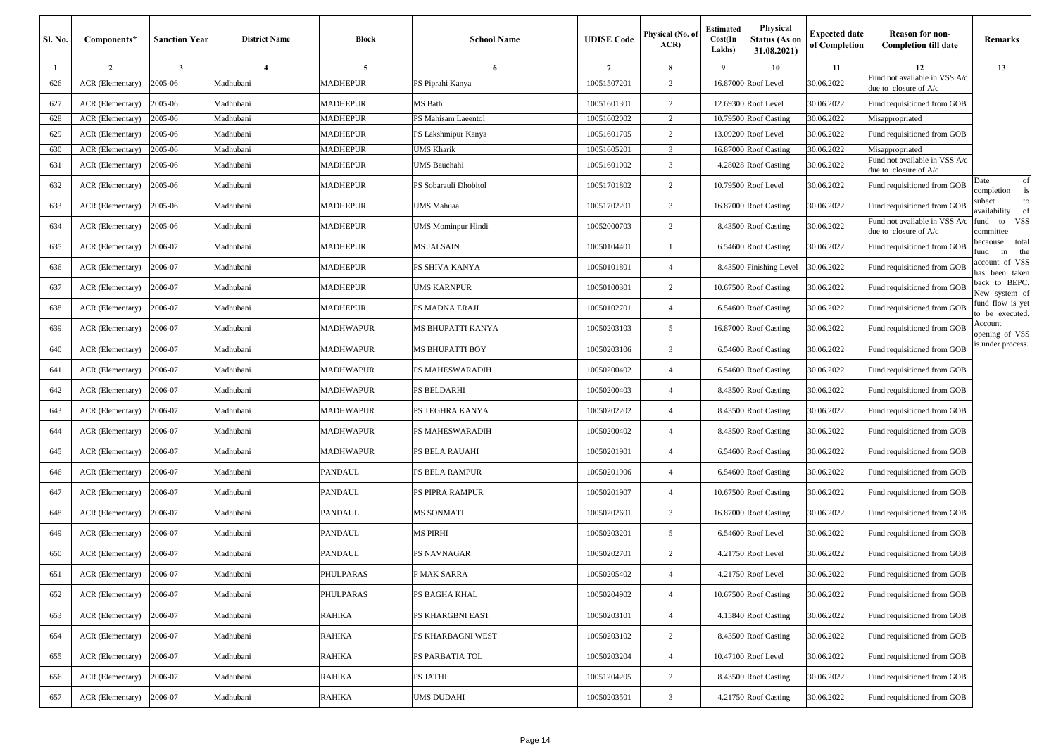| Sl. No. | Components*             | <b>Sanction Year</b> | <b>District Name</b> | Block           | <b>School Name</b>        | <b>UDISE Code</b> | Physical (No. of<br>ACR) | <b>Estimated</b><br>Cost(In<br>Lakhs) | Physical<br><b>Status (As on</b><br>31.08.2021) | <b>Expected date</b><br>of Completion | <b>Reason for non-</b><br><b>Completion till date</b>  | Remarks                                |
|---------|-------------------------|----------------------|----------------------|-----------------|---------------------------|-------------------|--------------------------|---------------------------------------|-------------------------------------------------|---------------------------------------|--------------------------------------------------------|----------------------------------------|
| 1       | $\overline{2}$          | $\mathbf{3}$         | $\overline{4}$       | 5               | 6                         | $\overline{7}$    | 8                        | 9                                     | 10                                              | 11                                    | 12                                                     | 13                                     |
| 626     | <b>ACR</b> (Elementary) | 2005-06              | Madhubani            | <b>MADHEPUR</b> | PS Piprahi Kanya          | 10051507201       | $\overline{c}$           |                                       | 16.87000 Roof Level                             | 30.06.2022                            | Fund not available in VSS A/c<br>due to closure of A/c |                                        |
| 627     | ACR (Elementary)        | 2005-06              | Madhubani            | MADHEPUR        | MS Bath                   | 10051601301       | 2                        |                                       | 12.69300 Roof Level                             | 30.06.2022                            | Fund requisitioned from GOB                            |                                        |
| 628     | ACR (Elementary)        | 2005-06              | Madhubani            | MADHEPUR        | PS Mahisam Laeentol       | 10051602002       | $\overline{c}$           |                                       | 10.79500 Roof Casting                           | 30.06.2022                            | Misappropriated                                        |                                        |
| 629     | ACR (Elementary)        | 2005-06              | Madhubani            | MADHEPUR        | PS Lakshmipur Kanya       | 10051601705       | $\overline{c}$           |                                       | 13.09200 Roof Level                             | 30.06.2022                            | Fund requisitioned from GOB                            |                                        |
| 630     | ACR (Elementary)        | 2005-06              | Madhubani            | MADHEPUR        | JMS Kharik                | 10051605201       | 3                        |                                       | 16.87000 Roof Casting                           | 30.06.2022                            | Misappropriated<br>Fund not available in VSS A/c       |                                        |
| 631     | ACR (Elementary)        | 2005-06              | Madhubani            | MADHEPUR        | <b>JMS</b> Bauchahi       | 10051601002       | $\overline{\mathbf{3}}$  |                                       | 4.28028 Roof Casting                            | 30.06.2022                            | due to closure of A/c                                  |                                        |
| 632     | ACR (Elementary)        | 2005-06              | Madhubani            | MADHEPUR        | PS Sobarauli Dhobitol     | 10051701802       | $\overline{c}$           |                                       | 10.79500 Roof Level                             | 30.06.2022                            | Fund requisitioned from GOB                            | of<br>Date<br>completion<br>is         |
| 633     | ACR (Elementary)        | 2005-06              | Madhubani            | MADHEPUR        | JMS Mahuaa                | 10051702201       | 3                        |                                       | 16.87000 Roof Casting                           | 30.06.2022                            | Fund requisitioned from GOB                            | subect<br>to<br>availability<br>of     |
| 634     | ACR (Elementary)        | 2005-06              | Madhubani            | MADHEPUR        | <b>JMS Mominpur Hindi</b> | 10052000703       | $\overline{c}$           |                                       | 8.43500 Roof Casting                            | 30.06.2022                            | Fund not available in VSS A/c<br>due to closure of A/c | <b>VSS</b><br>fund to<br>committee     |
| 635     | ACR (Elementary)        | 2006-07              | Madhubani            | MADHEPUR        | MS JALSAIN                | 10050104401       |                          |                                       | 6.54600 Roof Casting                            | 30.06.2022                            | Fund requisitioned from GOB                            | total<br>pecaouse<br>the<br>in<br>fund |
| 636     | ACR (Elementary)        | 2006-07              | Madhubani            | <b>MADHEPUR</b> | PS SHIVA KANYA            | 10050101801       | $\overline{4}$           |                                       | 8.43500 Finishing Level                         | 30.06.2022                            | Fund requisitioned from GOB                            | account of VSS<br>has been taken       |
| 637     | ACR (Elementary)        | 2006-07              | Madhubani            | <b>MADHEPUR</b> | <b>UMS KARNPUR</b>        | 10050100301       | $\overline{2}$           |                                       | 10.67500 Roof Casting                           | 30.06.2022                            | Fund requisitioned from GOB                            | back to BEPC.<br>New system of         |
| 638     | <b>ACR</b> (Elementary) | 2006-07              | Madhubani            | MADHEPUR        | PS MADNA ERAJI            | 10050102701       | $\overline{4}$           |                                       | 6.54600 Roof Casting                            | 30.06.2022                            | Fund requisitioned from GOB                            | fund flow is yet<br>to be executed.    |
| 639     | ACR (Elementary)        | 2006-07              | Madhubani            | MADHWAPUR       | MS BHUPATTI KANYA         | 10050203103       | 5                        |                                       | 16.87000 Roof Casting                           | 30.06.2022                            | Fund requisitioned from GOB                            | Account<br>opening of VSS              |
| 640     | ACR (Elementary)        | 2006-07              | Madhubani            | MADHWAPUR       | MS BHUPATTI BOY           | 10050203106       | $\overline{\mathbf{3}}$  |                                       | 6.54600 Roof Casting                            | 30.06.2022                            | Fund requisitioned from GOB                            | s under process.                       |
| 641     | ACR (Elementary)        | 2006-07              | Madhubani            | MADHWAPUR       | PS MAHESWARADIH           | 10050200402       | $\overline{4}$           |                                       | 6.54600 Roof Casting                            | 30.06.2022                            | Fund requisitioned from GOB                            |                                        |
| 642     | ACR (Elementary)        | 2006-07              | Madhubani            | MADHWAPUR       | PS BELDARHI               | 10050200403       | $\overline{4}$           |                                       | 8.43500 Roof Casting                            | 30.06.2022                            | Fund requisitioned from GOB                            |                                        |
| 643     | ACR (Elementary)        | 2006-07              | Madhubani            | MADHWAPUR       | PS TEGHRA KANYA           | 10050202202       | $\overline{4}$           |                                       | 8.43500 Roof Casting                            | 30.06.2022                            | Fund requisitioned from GOB                            |                                        |
| 644     | ACR (Elementary)        | 2006-07              | Madhubani            | MADHWAPUR       | PS MAHESWARADIH           | 10050200402       | $\overline{4}$           |                                       | 8.43500 Roof Casting                            | 30.06.2022                            | Fund requisitioned from GOB                            |                                        |
| 645     | ACR (Elementary)        | 2006-07              | Madhubani            | MADHWAPUR       | PS BELA RAUAHI            | 10050201901       | $\overline{4}$           |                                       | 6.54600 Roof Casting                            | 30.06.2022                            | Fund requisitioned from GOB                            |                                        |
| 646     | ACR (Elementary)        | 2006-07              | Madhubani            | PANDAUL         | PS BELA RAMPUR            | 10050201906       | $\overline{4}$           |                                       | 6.54600 Roof Casting                            | 30.06.2022                            | Fund requisitioned from GOB                            |                                        |
| 647     | ACR (Elementary)        | 2006-07              | Madhubani            | PANDAUL         | PS PIPRA RAMPUR           | 10050201907       | $\overline{4}$           |                                       | 10.67500 Roof Casting                           | 30.06.2022                            | Fund requisitioned from GOB                            |                                        |
| 648     | ACR (Elementary)        | 2006-07              | Madhubani            | PANDAUL         | MS SONMATI                | 10050202601       | 3                        |                                       | 16.87000 Roof Casting                           | 30.06.2022                            | Fund requisitioned from GOB                            |                                        |
| 649     | ACR (Elementary)        | 2006-07              | Madhubani            | PANDAUL         | MS PIRHI                  | 10050203201       | 5                        |                                       | 6.54600 Roof Level                              | 30.06.2022                            | Fund requisitioned from GOB                            |                                        |
| 650     | ACR (Elementary)        | 2006-07              | Madhubani            | PANDAUL         | PS NAVNAGAR               | 10050202701       | 2                        |                                       | 4.21750 Roof Level                              | 30.06.2022                            | Fund requisitioned from GOB                            |                                        |
| 651     | ACR (Elementary)        | 2006-07              | Madhubani            | PHULPARAS       | P MAK SARRA               | 10050205402       | $\overline{4}$           |                                       | 4.21750 Roof Level                              | 30.06.2022                            | Fund requisitioned from GOB                            |                                        |
| 652     | ACR (Elementary)        | 2006-07              | Madhubani            | PHULPARAS       | PS BAGHA KHAL             | 10050204902       | $\overline{4}$           |                                       | 10.67500 Roof Casting                           | 30.06.2022                            | Fund requisitioned from GOB                            |                                        |
| 653     | ACR (Elementary)        | 2006-07              | Madhubani            | <b>RAHIKA</b>   | PS KHARGBNI EAST          | 10050203101       | $\overline{4}$           |                                       | 4.15840 Roof Casting                            | 30.06.2022                            | Fund requisitioned from GOB                            |                                        |
| 654     | ACR (Elementary)        | 2006-07              | Madhubani            | RAHIKA          | PS KHARBAGNI WEST         | 10050203102       | $\overline{c}$           |                                       | 8.43500 Roof Casting                            | 30.06.2022                            | Fund requisitioned from GOB                            |                                        |
| 655     | ACR (Elementary)        | 2006-07              | Madhubani            | RAHIKA          | PS PARBATIA TOL           | 10050203204       | $\overline{4}$           |                                       | 10.47100 Roof Level                             | 30.06.2022                            | Fund requisitioned from GOB                            |                                        |
| 656     | ACR (Elementary)        | 2006-07              | Madhubani            | RAHIKA          | PS JATHI                  | 10051204205       | $\overline{c}$           |                                       | 8.43500 Roof Casting                            | 30.06.2022                            | Fund requisitioned from GOB                            |                                        |
| 657     | ACR (Elementary)        | 2006-07              | Madhubani            | RAHIKA          | UMS DUDAHI                | 10050203501       | $\overline{3}$           |                                       | 4.21750 Roof Casting                            | 30.06.2022                            | Fund requisitioned from GOB                            |                                        |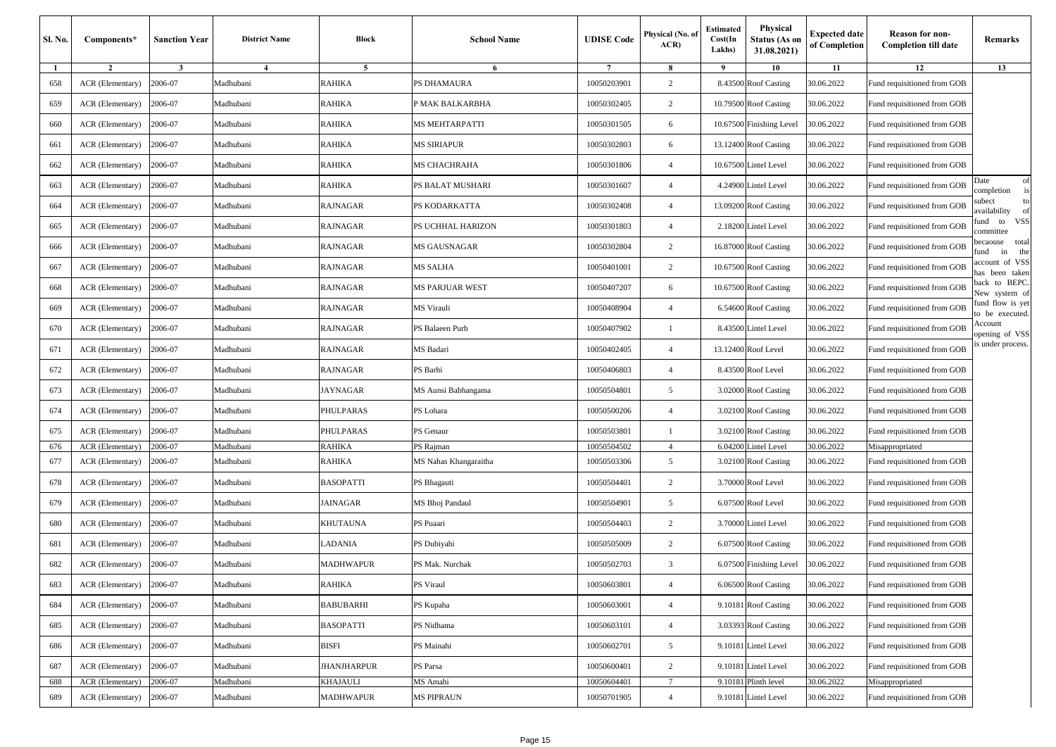| Sl. No. | Components*      | <b>Sanction Year</b> | <b>District Name</b> | <b>Block</b>       | <b>School Name</b>     | <b>UDISE</b> Code | Physical (No. of<br>ACR) | Estimated<br>Cost(In<br>Lakhs) | Physical<br>Status (As on<br>31.08.2021) | <b>Expected date</b><br>of Completion | <b>Reason for non-</b><br><b>Completion till date</b> | Remarks                                |
|---------|------------------|----------------------|----------------------|--------------------|------------------------|-------------------|--------------------------|--------------------------------|------------------------------------------|---------------------------------------|-------------------------------------------------------|----------------------------------------|
| -1      | $\overline{2}$   | $\mathbf{3}$         | 4                    | 5                  | 6                      | $\overline{7}$    | 8                        | - 9                            | 10                                       | 11                                    | 12                                                    | 13                                     |
| 658     | ACR (Elementary) | 2006-07              | Madhubani            | RAHIKA             | PS DHAMAURA            | 10050203901       | 2                        |                                | 8.43500 Roof Casting                     | 30.06.2022                            | Fund requisitioned from GOB                           |                                        |
| 659     | ACR (Elementary) | 2006-07              | Madhubani            | <b>RAHIKA</b>      | P MAK BALKARBHA        | 10050302405       | 2                        |                                | 10.79500 Roof Casting                    | 30.06.2022                            | Fund requisitioned from GOB                           |                                        |
| 660     | ACR (Elementary) | 2006-07              | Madhubani            | <b>RAHIKA</b>      | MS MEHTARPATTI         | 10050301505       | 6                        |                                | 10.67500 Finishing Level                 | 30.06.2022                            | Fund requisitioned from GOB                           |                                        |
| 661     | ACR (Elementary) | 2006-07              | Madhubani            | RAHIKA             | MS SIRIAPUR            | 10050302803       | 6                        |                                | 13.12400 Roof Casting                    | 30.06.2022                            | Fund requisitioned from GOB                           |                                        |
| 662     | ACR (Elementary) | 2006-07              | Madhubani            | <b>RAHIKA</b>      | MS CHACHRAHA           | 10050301806       | $\overline{4}$           |                                | 10.67500 Lintel Level                    | 30.06.2022                            | Fund requisitioned from GOB                           |                                        |
| 663     | ACR (Elementary) | 2006-07              | Madhubani            | <b>RAHIKA</b>      | PS BALAT MUSHARI       | 10050301607       | $\overline{4}$           |                                | 4.24900 Lintel Level                     | 30.06.2022                            | Fund requisitioned from GOB                           | of<br>Date<br>is<br>completion         |
| 664     | ACR (Elementary) | 2006-07              | Madhubani            | <b>RAJNAGAR</b>    | PS KODARKATTA          | 10050302408       | $\overline{4}$           |                                | 13.09200 Roof Casting                    | 30.06.2022                            | Fund requisitioned from GOB                           | subect<br>to<br>availability<br>of     |
| 665     | ACR (Elementary) | 2006-07              | Madhubani            | <b>RAJNAGAR</b>    | PS UCHHAL HARIZON      | 10050301803       | $\overline{4}$           |                                | 2.18200 Lintel Level                     | 30.06.2022                            | Fund requisitioned from GOB                           | <b>VSS</b><br>fund to<br>committee     |
| 666     | ACR (Elementary) | 2006-07              | Madhubani            | <b>RAJNAGAR</b>    | MS GAUSNAGAR           | 10050302804       | 2                        |                                | 16.87000 Roof Casting                    | 30.06.2022                            | Fund requisitioned from GOB                           | total<br>becaouse<br>the<br>fund<br>in |
| 667     | ACR (Elementary) | 2006-07              | Madhubani            | <b>RAJNAGAR</b>    | MS SALHA               | 10050401001       | $\overline{c}$           |                                | 10.67500 Roof Casting                    | 30.06.2022                            | Fund requisitioned from GOB                           | account of VSS<br>has been taken       |
| 668     | ACR (Elementary) | 2006-07              | Madhubani            | RAJNAGAR           | <b>MS PARJUAR WEST</b> | 10050407207       | 6                        |                                | 10.67500 Roof Casting                    | 30.06.2022                            | Fund requisitioned from GOB                           | back to BEPC.<br>New system of         |
| 669     | ACR (Elementary) | 2006-07              | Madhubani            | RAJNAGAR           | MS Virauli             | 10050408904       | $\overline{4}$           |                                | 6.54600 Roof Casting                     | 30.06.2022                            | Fund requisitioned from GOB                           | fund flow is yet<br>to be executed.    |
| 670     | ACR (Elementary) | 2006-07              | Madhubani            | <b>RAJNAGAR</b>    | PS Balaeen Purb        | 10050407902       | -1                       |                                | 8.43500 Lintel Level                     | 30.06.2022                            | Fund requisitioned from GOB                           | Account<br>opening of VSS              |
| 671     | ACR (Elementary) | 2006-07              | Madhubani            | <b>RAJNAGAR</b>    | MS Badari              | 10050402405       | $\overline{4}$           |                                | 13.12400 Roof Level                      | 30.06.2022                            | Fund requisitioned from GOB                           | s under process.                       |
| 672     | ACR (Elementary) | 2006-07              | Madhubani            | RAJNAGAR           | PS Barhi               | 10050406803       | $\overline{4}$           |                                | 8.43500 Roof Level                       | 30.06.2022                            | Fund requisitioned from GOB                           |                                        |
| 673     | ACR (Elementary) | 2006-07              | Madhubani            | JAYNAGAR           | MS Aunsi Babhangama    | 10050504801       | 5                        |                                | 3.02000 Roof Casting                     | 30.06.2022                            | Fund requisitioned from GOB                           |                                        |
| 674     | ACR (Elementary) | 2006-07              | Madhubani            | PHULPARAS          | PS Lohara              | 10050500206       | $\overline{4}$           |                                | 3.02100 Roof Casting                     | 30.06.2022                            | Fund requisitioned from GOB                           |                                        |
| 675     | ACR (Elementary) | 2006-07              | Madhubani            | PHULPARAS          | PS Genaur              | 10050503801       |                          |                                | 3.02100 Roof Casting                     | 30.06.2022                            | Fund requisitioned from GOB                           |                                        |
| 676     | ACR (Elementary) | 2006-07              | Madhubani            | RAHIKA             | PS Rajman              | 10050504502       | $\overline{4}$           |                                | 6.04200 Lintel Level                     | 30.06.2022                            | Misappropriated                                       |                                        |
| 677     | ACR (Elementary) | 2006-07              | Madhubani            | <b>RAHIKA</b>      | MS Nahas Khangaraitha  | 10050503306       | 5                        |                                | 3.02100 Roof Casting                     | 30.06.2022                            | Fund requisitioned from GOB                           |                                        |
| 678     | ACR (Elementary) | 2006-07              | Madhubani            | BASOPATTI          | PS Bhagauti            | 10050504401       | 2                        |                                | 3.70000 Roof Level                       | 30.06.2022                            | Fund requisitioned from GOB                           |                                        |
| 679     | ACR (Elementary) | 2006-07              | Madhubani            | JAINAGAR           | MS Bhoj Pandaul        | 10050504901       | 5                        |                                | 6.07500 Roof Level                       | 30.06.2022                            | Fund requisitioned from GOB                           |                                        |
| 680     | ACR (Elementary) | 2006-07              | Madhubani            | <b>KHUTAUNA</b>    | PS Puaari              | 10050504403       | 2                        |                                | 3.70000 Lintel Level                     | 30.06.2022                            | Fund requisitioned from GOB                           |                                        |
| 681     | ACR (Elementary) | 2006-07              | Madhubani            | LADANIA            | PS Dubiyahi            | 10050505009       | 2                        |                                | 6.07500 Roof Casting                     | 30.06.2022                            | Fund requisitioned from GOB                           |                                        |
| 682     | ACR (Elementary) | 2006-07              | Madhubani            | MADHWAPUR          | PS Mak. Nurchak        | 10050502703       | 3                        |                                | 6.07500 Finishing Level                  | 30.06.2022                            | Fund requisitioned from GOB                           |                                        |
| 683     | ACR (Elementary) | 2006-07              | Madhubani            | <b>RAHIKA</b>      | PS Viraul              | 10050603801       | $\overline{4}$           |                                | 6.06500 Roof Casting                     | 30.06.2022                            | Fund requisitioned from GOB                           |                                        |
| 684     | ACR (Elementary) | 2006-07              | Madhubani            | <b>BABUBARHI</b>   | PS Kupaha              | 10050603001       | $\overline{4}$           |                                | 9.10181 Roof Casting                     | 30.06.2022                            | Fund requisitioned from GOB                           |                                        |
| 685     | ACR (Elementary) | 2006-07              | Madhubani            | <b>BASOPATTI</b>   | PS Nidhama             | 10050603101       | $\overline{4}$           |                                | 3.03393 Roof Casting                     | 30.06.2022                            | Fund requisitioned from GOB                           |                                        |
| 686     | ACR (Elementary) | 2006-07              | Madhubani            | <b>BISFI</b>       | PS Mainahi             | 10050602701       | 5                        |                                | 9.10181 Lintel Level                     | 30.06.2022                            | Fund requisitioned from GOB                           |                                        |
| 687     | ACR (Elementary) | 2006-07              | Madhubani            | <b>JHANJHARPUR</b> | PS Parsa               | 10050600401       | 2                        |                                | 9.10181 Lintel Level                     | 30.06.2022                            | Fund requisitioned from GOB                           |                                        |
| 688     | ACR (Elementary) | 2006-07              | Madhubani            | KHAJAULI           | MS Amahi               | 10050604401       | $\overline{7}$           |                                | 9.10181 Plinth level                     | 30.06.2022                            | Misappropriated                                       |                                        |
| 689     | ACR (Elementary) | 2006-07              | Madhubani            | MADHWAPUR          | <b>MS PIPRAUN</b>      | 10050701905       | $\overline{4}$           |                                | 9.10181 Lintel Level                     | 30.06.2022                            | Fund requisitioned from GOB                           |                                        |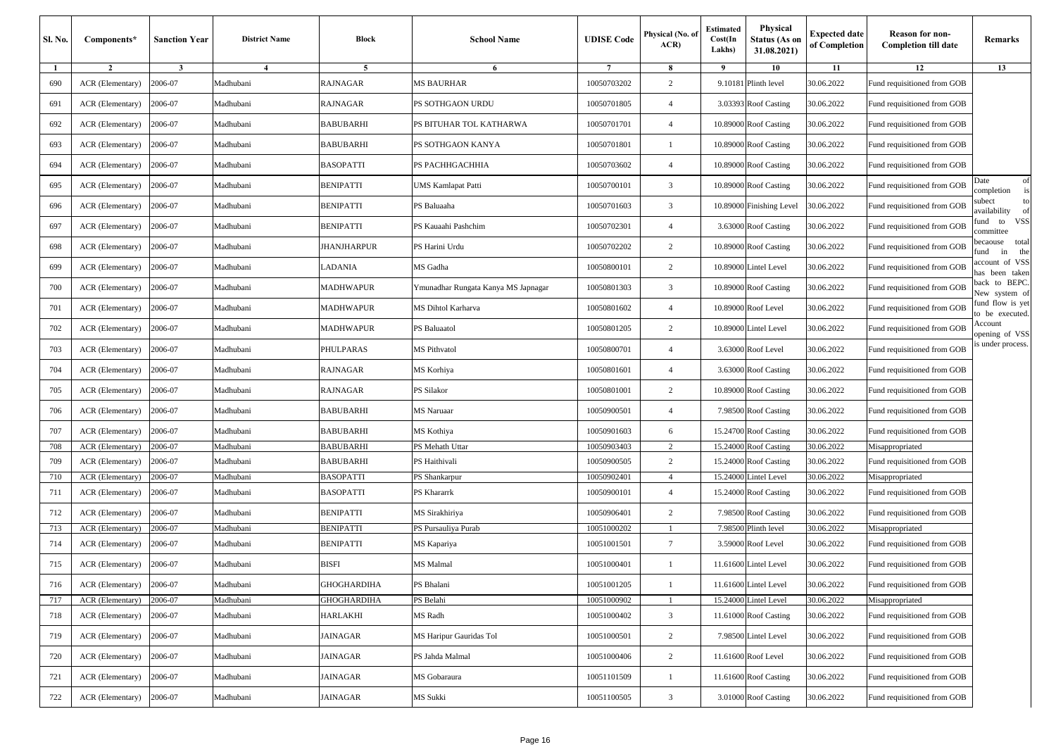| <b>Sl. No.</b> | Components*      | <b>Sanction Year</b> | <b>District Name</b> | <b>Block</b>       | <b>School Name</b>                  | <b>UDISE</b> Code | Physical (No. of<br>ACR) | Estimated<br>Cost(In<br>Lakhs) | Physical<br>Status (As on<br>31.08.2021) | <b>Expected date</b><br>of Completion | <b>Reason for non-</b><br><b>Completion till date</b> | Remarks                                |
|----------------|------------------|----------------------|----------------------|--------------------|-------------------------------------|-------------------|--------------------------|--------------------------------|------------------------------------------|---------------------------------------|-------------------------------------------------------|----------------------------------------|
| $\mathbf{1}$   | $\overline{2}$   | $\mathbf{3}$         | 4                    | 5                  | 6                                   | $\overline{7}$    | 8                        | 9                              | 10                                       | 11                                    | 12                                                    | 13                                     |
| 690            | ACR (Elementary) | 2006-07              | Madhubani            | RAJNAGAR           | MS BAURHAR                          | 10050703202       | 2                        |                                | 9.10181 Plinth level                     | 30.06.2022                            | Fund requisitioned from GOB                           |                                        |
| 691            | ACR (Elementary) | 2006-07              | Madhubani            | RAJNAGAR           | PS SOTHGAON URDU                    | 10050701805       | $\overline{4}$           |                                | 3.03393 Roof Casting                     | 30.06.2022                            | Fund requisitioned from GOB                           |                                        |
| 692            | ACR (Elementary) | 2006-07              | Madhubani            | BABUBARHI          | PS BITUHAR TOL KATHARWA             | 10050701701       | $\overline{4}$           |                                | 10.89000 Roof Casting                    | 30.06.2022                            | Fund requisitioned from GOB                           |                                        |
| 693            | ACR (Elementary) | 2006-07              | Madhubani            | BABUBARHI          | PS SOTHGAON KANYA                   | 10050701801       | -1                       |                                | 10.89000 Roof Casting                    | 30.06.2022                            | Fund requisitioned from GOB                           |                                        |
| 694            | ACR (Elementary) | 2006-07              | Madhubani            | <b>BASOPATTI</b>   | PS PACHHGACHHIA                     | 10050703602       | $\overline{4}$           |                                | 10.89000 Roof Casting                    | 30.06.2022                            | Fund requisitioned from GOB                           |                                        |
| 695            | ACR (Elementary) | 2006-07              | Madhubani            | <b>BENIPATTI</b>   | UMS Kamlapat Patti                  | 10050700101       | $\overline{3}$           |                                | 10.89000 Roof Casting                    | 30.06.2022                            | Fund requisitioned from GOB                           | Date<br>of<br>is<br>completion         |
| 696            | ACR (Elementary) | 2006-07              | Madhubani            | BENIPATTI          | PS Baluaaha                         | 10050701603       | $\overline{3}$           |                                | 10.89000 Finishing Level                 | 30.06.2022                            | Fund requisitioned from GOB                           | subect<br>to<br>availability<br>of     |
| 697            | ACR (Elementary) | 2006-07              | Madhubani            | BENIPATTI          | PS Kauaahi Pashchim                 | 10050702301       | $\overline{4}$           |                                | 3.63000 Roof Casting                     | 30.06.2022                            | Fund requisitioned from GOB                           | VSS<br>fund to<br>committee            |
| 698            | ACR (Elementary) | 2006-07              | Madhubani            | JHANJHARPUR        | PS Harini Urdu                      | 10050702202       | 2                        |                                | 10.89000 Roof Casting                    | 30.06.2022                            | Fund requisitioned from GOB                           | total<br>becaouse<br>the<br>fund<br>in |
| 699            | ACR (Elementary) | 2006-07              | Madhubani            | LADANIA            | MS Gadha                            | 10050800101       | 2                        |                                | 10.89000 Lintel Level                    | 30.06.2022                            | Fund requisitioned from GOB                           | account of VSS<br>has been taken       |
| 700            | ACR (Elementary) | 2006-07              | Madhubani            | MADHWAPUR          | Ymunadhar Rungata Kanya MS Japnagar | 10050801303       | 3                        |                                | 10.89000 Roof Casting                    | 30.06.2022                            | Fund requisitioned from GOB                           | back to BEPC.<br>New system of         |
| 701            | ACR (Elementary) | 2006-07              | Madhubani            | MADHWAPUR          | MS Dihtol Karharva                  | 10050801602       | $\overline{4}$           |                                | 10.89000 Roof Level                      | 30.06.2022                            | Fund requisitioned from GOB                           | fund flow is yet<br>to be executed.    |
| 702            | ACR (Elementary) | 2006-07              | Madhubani            | MADHWAPUR          | PS Baluaatol                        | 10050801205       | 2                        |                                | 10.89000 Lintel Level                    | 30.06.2022                            | Fund requisitioned from GOB                           | Account<br>opening of VSS              |
| 703            | ACR (Elementary) | 2006-07              | Madhubani            | PHULPARAS          | MS Pithvatol                        | 10050800701       | $\overline{4}$           |                                | 3.63000 Roof Level                       | 30.06.2022                            | Fund requisitioned from GOB                           | s under process.                       |
| 704            | ACR (Elementary) | 2006-07              | Madhubani            | RAJNAGAR           | MS Korhiya                          | 10050801601       | $\overline{4}$           |                                | 3.63000 Roof Casting                     | 30.06.2022                            | Fund requisitioned from GOB                           |                                        |
| 705            | ACR (Elementary) | 2006-07              | Madhubani            | <b>RAJNAGAR</b>    | PS Silakor                          | 10050801001       | 2                        |                                | 10.89000 Roof Casting                    | 30.06.2022                            | Fund requisitioned from GOB                           |                                        |
| 706            | ACR (Elementary) | 2006-07              | Madhubani            | <b>BABUBARHI</b>   | MS Naruaar                          | 10050900501       | $\overline{4}$           |                                | 7.98500 Roof Casting                     | 30.06.2022                            | Fund requisitioned from GOB                           |                                        |
| 707            | ACR (Elementary) | 2006-07              | Madhubani            | <b>BABUBARHI</b>   | MS Kothiya                          | 10050901603       | 6                        |                                | 15.24700 Roof Casting                    | 30.06.2022                            | Fund requisitioned from GOB                           |                                        |
| 708            | ACR (Elementary) | 2006-07              | Madhubani            | <b>BABUBARHI</b>   | PS Mehath Uttar                     | 10050903403       |                          |                                | 15.24000 Roof Casting                    | 30.06.2022                            | Misappropriated                                       |                                        |
| 709            | ACR (Elementary) | 2006-07              | Madhubani            | <b>BABUBARHI</b>   | PS Haithivali                       | 10050900505       | 2                        |                                | 15.24000 Roof Casting                    | 30.06.2022                            | Fund requisitioned from GOB                           |                                        |
| 710            | ACR (Elementary) | 2006-07              | Madhubani            | BASOPATTI          | PS Shankarpur                       | 10050902401       | $\overline{4}$           | 15.24000                       | Lintel Level                             | 30.06.2022                            | Misappropriated                                       |                                        |
| 711            | ACR (Elementary) | 2006-07              | Madhubani            | <b>BASOPATTI</b>   | PS Khararrk                         | 10050900101       | $\overline{4}$           |                                | 15.24000 Roof Casting                    | 30.06.2022                            | Fund requisitioned from GOB                           |                                        |
| 712            | ACR (Elementary) | 2006-07              | Madhubani            | BENIPATTI          | MS Sirakhiriya                      | 10050906401       | 2                        |                                | 7.98500 Roof Casting                     | 30.06.2022                            | Fund requisitioned from GOB                           |                                        |
| 713            | ACR (Elementary) | 2006-07              | Madhubani            | BENIPATTI          | PS Pursauliya Purab                 | 10051000202       |                          |                                | 7.98500 Plinth level                     | 30.06.2022                            | Misappropriated                                       |                                        |
| 714            | ACR (Elementary) | 2006-07              | Madhubani            | BENIPATTI          | MS Kapariya                         | 10051001501       | $7\phantom{.0}$          |                                | 3.59000 Roof Level                       | 30.06.2022                            | Fund requisitioned from GOB                           |                                        |
| 715            | ACR (Elementary) | 2006-07              | Madhubani            | BISFI              | MS Malmal                           | 10051000401       | $\overline{1}$           |                                | 11.61600 Lintel Level                    | 30.06.2022                            | Fund requisitioned from GOB                           |                                        |
| 716            | ACR (Elementary) | 2006-07              | Madhubani            | <b>GHOGHARDIHA</b> | PS Bhalani                          | 10051001205       | -1                       |                                | 11.61600 Lintel Level                    | 30.06.2022                            | Fund requisitioned from GOB                           |                                        |
| 717            | ACR (Elementary) | 2006-07              | Madhubani            | <b>GHOGHARDIHA</b> | PS Belahi                           | 10051000902       |                          |                                | 15.24000 Lintel Level                    | 30.06.2022                            | Misappropriated                                       |                                        |
| 718            | ACR (Elementary) | 2006-07              | Madhubani            | <b>HARLAKHI</b>    | MS Radh                             | 10051000402       | $\overline{\mathbf{3}}$  |                                | 11.61000 Roof Casting                    | 30.06.2022                            | Fund requisitioned from GOB                           |                                        |
| 719            | ACR (Elementary) | 2006-07              | Madhubani            | JAINAGAR           | MS Haripur Gauridas Tol             | 10051000501       | $\overline{c}$           |                                | 7.98500 Lintel Level                     | 30.06.2022                            | Fund requisitioned from GOB                           |                                        |
| 720            | ACR (Elementary) | 2006-07              | Madhubani            | JAINAGAR           | PS Jahda Malmal                     | 10051000406       | 2                        |                                | 11.61600 Roof Level                      | 30.06.2022                            | Fund requisitioned from GOB                           |                                        |
| 721            | ACR (Elementary) | 2006-07              | Madhubani            | JAINAGAR           | MS Gobaraura                        | 10051101509       | $\overline{1}$           |                                | 11.61600 Roof Casting                    | 30.06.2022                            | Fund requisitioned from GOB                           |                                        |
| 722            | ACR (Elementary) | 2006-07              | Madhubani            | JAINAGAR           | MS Sukki                            | 10051100505       | $\mathbf{3}$             |                                | 3.01000 Roof Casting                     | 30.06.2022                            | Fund requisitioned from GOB                           |                                        |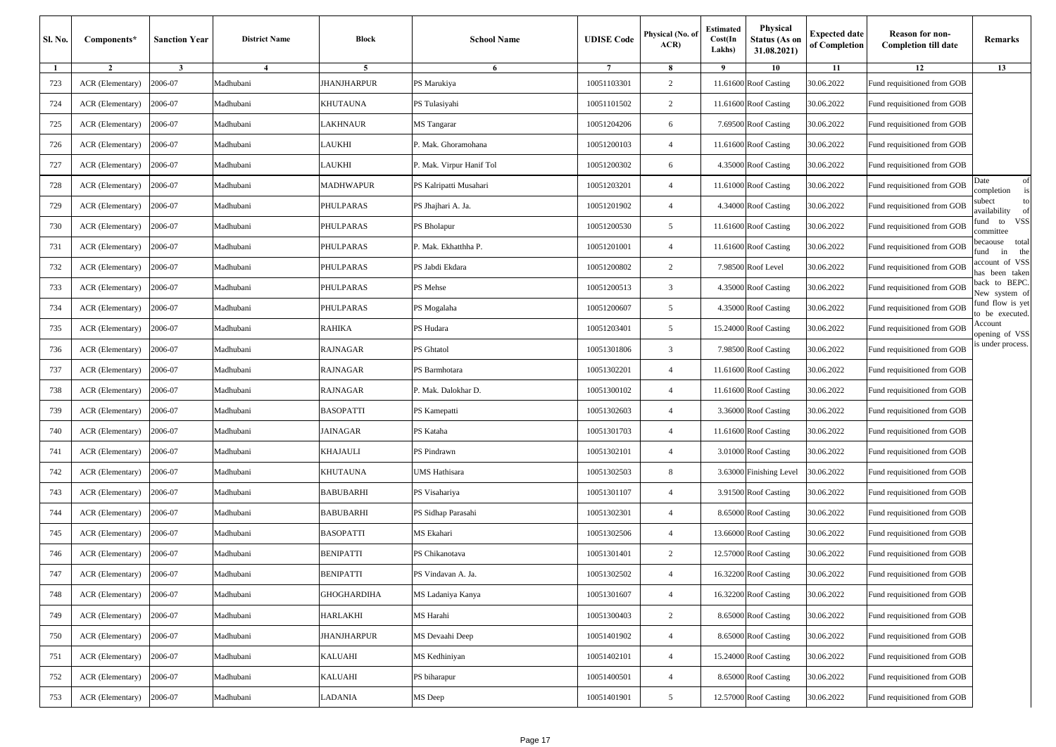| Sl. No. | Components*      | <b>Sanction Year</b> | <b>District Name</b> | <b>Block</b>       | <b>School Name</b>       | <b>UDISE</b> Code | Physical (No. of<br>ACR) | Estimated<br>Cost(In<br>Lakhs) | Physical<br><b>Status (As on</b><br>31.08.2021) | <b>Expected date</b><br>of Completion | <b>Reason for non-</b><br><b>Completion till date</b> | Remarks                                |
|---------|------------------|----------------------|----------------------|--------------------|--------------------------|-------------------|--------------------------|--------------------------------|-------------------------------------------------|---------------------------------------|-------------------------------------------------------|----------------------------------------|
| 1       | $\overline{2}$   | $\mathbf{3}$         | $\overline{4}$       | 5                  | 6                        | $\overline{7}$    | 8                        | 9                              | 10                                              | 11                                    | 12                                                    | 13                                     |
| 723     | ACR (Elementary) | 2006-07              | Madhubani            | <b>JHANJHARPUR</b> | PS Marukiya              | 10051103301       | 2                        |                                | 11.61600 Roof Casting                           | 30.06.2022                            | Fund requisitioned from GOB                           |                                        |
| 724     | ACR (Elementary) | 2006-07              | Madhubani            | KHUTAUNA           | PS Tulasiyahi            | 10051101502       | 2                        |                                | 11.61600 Roof Casting                           | 30.06.2022                            | Fund requisitioned from GOB                           |                                        |
| 725     | ACR (Elementary) | 2006-07              | Madhubani            | LAKHNAUR           | MS Tangarar              | 10051204206       | 6                        |                                | 7.69500 Roof Casting                            | 30.06.2022                            | Fund requisitioned from GOB                           |                                        |
| 726     | ACR (Elementary) | 2006-07              | Madhubani            | LAUKHI             | P. Mak. Ghoramohana      | 10051200103       | $\overline{4}$           |                                | 11.61600 Roof Casting                           | 30.06.2022                            | Fund requisitioned from GOB                           |                                        |
| 727     | ACR (Elementary) | 2006-07              | Madhubani            | LAUKHI             | P. Mak. Virpur Hanif Tol | 10051200302       | 6                        |                                | 4.35000 Roof Casting                            | 30.06.2022                            | Fund requisitioned from GOB                           |                                        |
| 728     | ACR (Elementary) | 2006-07              | Madhubani            | MADHWAPUR          | PS Kalripatti Musahari   | 10051203201       | $\overline{4}$           |                                | 11.61000 Roof Casting                           | 30.06.2022                            | Fund requisitioned from GOB                           | Date<br>of<br>is<br>completion         |
| 729     | ACR (Elementary) | 2006-07              | Madhubani            | PHULPARAS          | PS Jhajhari A. Ja.       | 10051201902       | $\overline{4}$           |                                | 4.34000 Roof Casting                            | 30.06.2022                            | Fund requisitioned from GOB                           | subect<br>to<br>of<br>availability     |
| 730     | ACR (Elementary) | 2006-07              | Madhubani            | PHULPARAS          | PS Bholapur              | 10051200530       | 5                        |                                | 11.61600 Roof Casting                           | 30.06.2022                            | Fund requisitioned from GOB                           | VSS<br>fund<br>to<br>ommittee          |
| 731     | ACR (Elementary) | 2006-07              | Madhubani            | PHULPARAS          | P. Mak. Ekhatthha P.     | 10051201001       | $\overline{4}$           |                                | 11.61600 Roof Casting                           | 30.06.2022                            | Fund requisitioned from GOB                           | total<br>pecaouse<br>the<br>fund<br>in |
| 732     | ACR (Elementary) | 2006-07              | Madhubani            | PHULPARAS          | PS Jabdi Ekdara          | 10051200802       | 2                        |                                | 7.98500 Roof Level                              | 30.06.2022                            | Fund requisitioned from GOB                           | account of VSS<br>has been taken       |
| 733     | ACR (Elementary) | 2006-07              | Madhubani            | PHULPARAS          | PS Mehse                 | 10051200513       | 3                        |                                | 4.35000 Roof Casting                            | 30.06.2022                            | Fund requisitioned from GOB                           | to BEPC.<br>back<br>New system of      |
| 734     | ACR (Elementary) | 2006-07              | Madhubani            | PHULPARAS          | PS Mogalaha              | 10051200607       | 5                        |                                | 4.35000 Roof Casting                            | 30.06.2022                            | Fund requisitioned from GOB                           | fund flow is yet<br>to be executed.    |
| 735     | ACR (Elementary) | 2006-07              | Madhubani            | RAHIKA             | PS Hudara                | 10051203401       | 5                        |                                | 15.24000 Roof Casting                           | 30.06.2022                            | Fund requisitioned from GOB                           | Account<br>opening of VSS              |
| 736     | ACR (Elementary) | 2006-07              | Madhubani            | RAJNAGAR           | PS Ghtatol               | 10051301806       | $\overline{\mathbf{3}}$  |                                | 7.98500 Roof Casting                            | 30.06.2022                            | Fund requisitioned from GOB                           | s under process.                       |
| 737     | ACR (Elementary) | 2006-07              | Madhubani            | RAJNAGAR           | PS Barmhotara            | 10051302201       | $\overline{4}$           |                                | 11.61600 Roof Casting                           | 30.06.2022                            | Fund requisitioned from GOB                           |                                        |
| 738     | ACR (Elementary) | 2006-07              | Madhubani            | RAJNAGAR           | P. Mak. Dalokhar D.      | 10051300102       | $\overline{4}$           |                                | 11.61600 Roof Casting                           | 30.06.2022                            | Fund requisitioned from GOB                           |                                        |
| 739     | ACR (Elementary) | 2006-07              | Madhubani            | <b>BASOPATTI</b>   | PS Kamepatti             | 10051302603       | $\overline{4}$           |                                | 3.36000 Roof Casting                            | 30.06.2022                            | Fund requisitioned from GOB                           |                                        |
| 740     | ACR (Elementary) | 2006-07              | Madhubani            | JAINAGAR           | PS Kataha                | 10051301703       | $\overline{4}$           |                                | 11.61600 Roof Casting                           | 30.06.2022                            | Fund requisitioned from GOB                           |                                        |
| 741     | ACR (Elementary) | 2006-07              | Madhubani            | KHAJAULI           | PS Pindrawn              | 10051302101       | $\overline{4}$           |                                | 3.01000 Roof Casting                            | 30.06.2022                            | Fund requisitioned from GOB                           |                                        |
| 742     | ACR (Elementary) | 2006-07              | Madhubani            | KHUTAUNA           | UMS Hathisara            | 10051302503       | 8                        |                                | 3.63000 Finishing Level                         | 30.06.2022                            | Fund requisitioned from GOB                           |                                        |
| 743     | ACR (Elementary) | 2006-07              | Madhubani            | BABUBARHI          | PS Visahariya            | 10051301107       | $\overline{4}$           |                                | 3.91500 Roof Casting                            | 30.06.2022                            | Fund requisitioned from GOB                           |                                        |
| 744     | ACR (Elementary) | 2006-07              | Madhubani            | BABUBARHI          | PS Sidhap Parasahi       | 10051302301       | $\overline{4}$           |                                | 8.65000 Roof Casting                            | 30.06.2022                            | Fund requisitioned from GOB                           |                                        |
| 745     | ACR (Elementary) | 2006-07              | Madhubani            | BASOPATTI          | MS Ekahari               | 10051302506       | $\overline{4}$           |                                | 13.66000 Roof Casting                           | 30.06.2022                            | Fund requisitioned from GOB                           |                                        |
| 746     | ACR (Elementary) | 2006-07              | Madhubani            | BENIPATTI          | PS Chikanotava           | 10051301401       | 2                        |                                | 12.57000 Roof Casting                           | 30.06.2022                            | Fund requisitioned from GOB                           |                                        |
| 747     | ACR (Elementary) | 2006-07              | Madhubani            | <b>BENIPATTI</b>   | PS Vindavan A. Ja.       | 10051302502       | $\overline{4}$           |                                | 16.32200 Roof Casting                           | 30.06.2022                            | Fund requisitioned from GOB                           |                                        |
| 748     | ACR (Elementary) | 2006-07              | Madhubani            | GHOGHARDIHA        | MS Ladaniya Kanya        | 10051301607       | $\overline{4}$           |                                | 16.32200 Roof Casting                           | 30.06.2022                            | Fund requisitioned from GOB                           |                                        |
| 749     | ACR (Elementary) | 2006-07              | Madhubani            | <b>HARLAKHI</b>    | MS Harahi                | 10051300403       | 2                        |                                | 8.65000 Roof Casting                            | 30.06.2022                            | Fund requisitioned from GOB                           |                                        |
| 750     | ACR (Elementary) | 2006-07              | Madhubani            | JHANJHARPUR        | MS Devaahi Deep          | 10051401902       | $\overline{4}$           |                                | 8.65000 Roof Casting                            | 30.06.2022                            | Fund requisitioned from GOB                           |                                        |
| 751     | ACR (Elementary) | 2006-07              | Madhubani            | KALUAHI            | MS Kedhiniyan            | 10051402101       | $\overline{4}$           |                                | 15.24000 Roof Casting                           | 30.06.2022                            | Fund requisitioned from GOB                           |                                        |
| 752     | ACR (Elementary) | 2006-07              | Madhubani            | KALUAHI            | PS biharapur             | 10051400501       | $\overline{4}$           |                                | 8.65000 Roof Casting                            | 30.06.2022                            | Fund requisitioned from GOB                           |                                        |
| 753     | ACR (Elementary) | 2006-07              | Madhubani            | LADANIA            | MS Deep                  | 10051401901       | 5                        |                                | 12.57000 Roof Casting                           | 30.06.2022                            | Fund requisitioned from GOB                           |                                        |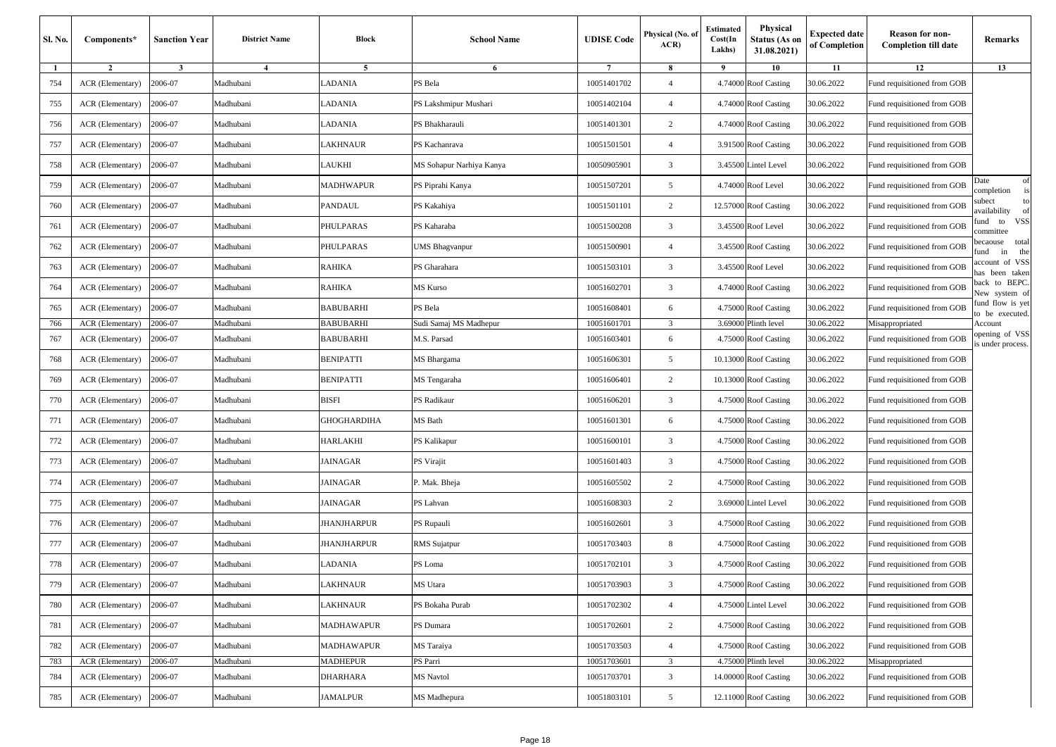| Sl. No. | Components*      | <b>Sanction Year</b> | <b>District Name</b> | Block              | <b>School Name</b>       | <b>UDISE</b> Code | Physical (No. of<br>ACR | <b>Estimated</b><br>Cost(In<br>Lakhs) | Physical<br>Status (As on<br>31.08.2021) | <b>Expected date</b><br>of Completion | <b>Reason for non-</b><br><b>Completion till date</b> | Remarks                                |
|---------|------------------|----------------------|----------------------|--------------------|--------------------------|-------------------|-------------------------|---------------------------------------|------------------------------------------|---------------------------------------|-------------------------------------------------------|----------------------------------------|
|         | $\overline{2}$   | $\mathbf{3}$         | $\overline{4}$       | 5                  | 6                        | $\overline{7}$    | 8                       | 9                                     | 10                                       | 11                                    | 12                                                    | 13                                     |
| 754     | ACR (Elementary) | 2006-07              | Madhubani            | ADANIA             | PS Bela                  | 10051401702       | $\overline{4}$          |                                       | 4.74000 Roof Casting                     | 30.06.2022                            | Fund requisitioned from GOB                           |                                        |
| 755     | ACR (Elementary) | 2006-07              | Madhubani            | LADANIA            | PS Lakshmipur Mushari    | 10051402104       | $\overline{4}$          |                                       | 4.74000 Roof Casting                     | 30.06.2022                            | Fund requisitioned from GOB                           |                                        |
| 756     | ACR (Elementary) | 2006-07              | Madhubani            | ADANIA             | PS Bhakharauli           | 10051401301       | $\overline{c}$          |                                       | 4.74000 Roof Casting                     | 30.06.2022                            | Fund requisitioned from GOB                           |                                        |
| 757     | ACR (Elementary) | 2006-07              | Madhubani            | AKHNAUR            | PS Kachanrava            | 10051501501       | $\overline{4}$          |                                       | 3.91500 Roof Casting                     | 30.06.2022                            | Fund requisitioned from GOB                           |                                        |
| 758     | ACR (Elementary) | 2006-07              | Madhubani            | <b>AUKHI</b>       | MS Sohapur Narhiya Kanya | 10050905901       | 3                       |                                       | 3.45500 Lintel Level                     | 30.06.2022                            | Fund requisitioned from GOB                           |                                        |
| 759     | ACR (Elementary) | 2006-07              | Madhubani            | MADHWAPUR          | PS Piprahi Kanya         | 10051507201       | 5                       |                                       | 4.74000 Roof Level                       | 30.06.2022                            | Fund requisitioned from GOB                           | of<br>Date<br>completion<br>is         |
| 760     | ACR (Elementary) | 2006-07              | Madhubani            | PANDAUL            | PS Kakahiya              | 10051501101       | $\overline{2}$          |                                       | 12.57000 Roof Casting                    | 30.06.2022                            | Fund requisitioned from GOB                           | subect<br>to<br>availability<br>of     |
| 761     | ACR (Elementary) | 2006-07              | Madhubani            | PHULPARAS          | PS Kaharaba              | 10051500208       | 3                       |                                       | 3.45500 Roof Level                       | 30.06.2022                            | Fund requisitioned from GOB                           | VSS<br>fund<br>to<br>ommittee          |
| 762     | ACR (Elementary) | 2006-07              | Madhubani            | PHULPARAS          | <b>JMS Bhagvanpur</b>    | 10051500901       | $\overline{4}$          |                                       | 3.45500 Roof Casting                     | 30.06.2022                            | Fund requisitioned from GOB                           | total<br>becaouse<br>the<br>fund<br>in |
| 763     | ACR (Elementary) | 2006-07              | Madhubani            | RAHIKA             | PS Gharahara             | 10051503101       | 3                       |                                       | 3.45500 Roof Level                       | 30.06.2022                            | Fund requisitioned from GOB                           | account of VSS<br>has been taken       |
| 764     | ACR (Elementary) | 2006-07              | Madhubani            | RAHIKA             | MS Kurso                 | 10051602701       | 3                       |                                       | 4.74000 Roof Casting                     | 30.06.2022                            | Fund requisitioned from GOB                           | back to BEPC.<br>New system of         |
| 765     | ACR (Elementary) | 2006-07              | Madhubani            | BABUBARHI          | PS Bela                  | 10051608401       | 6                       |                                       | 4.75000 Roof Casting                     | 30.06.2022                            | Fund requisitioned from GOB                           | fund flow is yet<br>to be executed.    |
| 766     | ACR (Elementary) | 2006-07              | Madhubani            | BABUBARHI          | Sudi Samaj MS Madhepur   | 10051601701       | 3                       |                                       | 3.69000 Plinth level                     | 30.06.2022                            | Misappropriated                                       | Account                                |
| 767     | ACR (Elementary) | 2006-07              | Madhubani            | BABUBARHI          | M.S. Parsad              | 10051603401       | 6                       |                                       | 4.75000 Roof Casting                     | 30.06.2022                            | Fund requisitioned from GOB                           | opening of VSS<br>is under process.    |
| 768     | ACR (Elementary) | 2006-07              | Madhubani            | BENIPATTI          | MS Bhargama              | 10051606301       | 5                       |                                       | 10.13000 Roof Casting                    | 30.06.2022                            | Fund requisitioned from GOB                           |                                        |
| 769     | ACR (Elementary) | 2006-07              | Madhubani            | BENIPATTI          | MS Tengaraha             | 10051606401       | $\overline{c}$          |                                       | 10.13000 Roof Casting                    | 30.06.2022                            | Fund requisitioned from GOB                           |                                        |
| 770     | ACR (Elementary) | 2006-07              | Madhubani            | BISFI              | PS Radikaur              | 10051606201       | 3                       |                                       | 4.75000 Roof Casting                     | 30.06.2022                            | Fund requisitioned from GOB                           |                                        |
| 771     | ACR (Elementary) | 2006-07              | Madhubani            | GHOGHARDIHA        | MS Bath                  | 10051601301       | 6                       |                                       | 4.75000 Roof Casting                     | 30.06.2022                            | Fund requisitioned from GOB                           |                                        |
| 772     | ACR (Elementary) | 2006-07              | Madhubani            | HARLAKHI           | PS Kalikapur             | 10051600101       | $\overline{\mathbf{3}}$ |                                       | 4.75000 Roof Casting                     | 30.06.2022                            | Fund requisitioned from GOB                           |                                        |
| 773     | ACR (Elementary) | 2006-07              | Madhubani            | JAINAGAR           | PS Virajit               | 10051601403       | 3                       |                                       | 4.75000 Roof Casting                     | 30.06.2022                            | Fund requisitioned from GOB                           |                                        |
| 774     | ACR (Elementary) | 2006-07              | Madhubani            | JAINAGAR           | P. Mak. Bheja            | 10051605502       | $\overline{c}$          |                                       | 4.75000 Roof Casting                     | 30.06.2022                            | Fund requisitioned from GOB                           |                                        |
| 775     | ACR (Elementary) | 2006-07              | Madhubani            | JAINAGAR           | PS Lahvan                | 10051608303       | $\overline{2}$          |                                       | 3.69000 Lintel Level                     | 30.06.2022                            | Fund requisitioned from GOB                           |                                        |
| 776     | ACR (Elementary) | 2006-07              | Madhubani            | JHANJHARPUR        | PS Rupauli               | 10051602601       | 3                       |                                       | 4.75000 Roof Casting                     | 30.06.2022                            | Fund requisitioned from GOB                           |                                        |
| 777     | ACR (Elementary) | 2006-07              | Madhubani            | <b>IHANJHARPUR</b> | RMS Sujatpur             | 10051703403       | 8                       |                                       | 4.75000 Roof Casting                     | 30.06.2022                            | Fund requisitioned from GOB                           |                                        |
| 778     | ACR (Elementary) | 2006-07              | Madhubani            | <b>ADANIA</b>      | PS Loma                  | 10051702101       | 3                       |                                       | 4.75000 Roof Casting                     | 30.06.2022                            | Fund requisitioned from GOB                           |                                        |
| 779     | ACR (Elementary) | 2006-07              | Madhubani            | LAKHNAUR           | MS Utara                 | 10051703903       | $\overline{3}$          |                                       | 4.75000 Roof Casting                     | 30.06.2022                            | Fund requisitioned from GOB                           |                                        |
| 780     | ACR (Elementary) | 2006-07              | Madhubani            | AKHNAUR            | PS Bokaha Purab          | 10051702302       | $\overline{4}$          |                                       | 4.75000 Lintel Level                     | 30.06.2022                            | Fund requisitioned from GOB                           |                                        |
| 781     | ACR (Elementary) | 2006-07              | Madhubani            | MADHAWAPUR         | PS Dumara                | 10051702601       | $\overline{c}$          |                                       | 4.75000 Roof Casting                     | 30.06.2022                            | Fund requisitioned from GOB                           |                                        |
| 782     | ACR (Elementary) | 2006-07              | Madhubani            | <b>MADHAWAPUR</b>  | MS Taraiya               | 10051703503       | $\overline{4}$          |                                       | 4.75000 Roof Casting                     | 30.06.2022                            | Fund requisitioned from GOB                           |                                        |
| 783     | ACR (Elementary) | 2006-07              | Madhubani            | MADHEPUR           | PS Parri                 | 10051703601       | 3                       |                                       | 4.75000 Plinth level                     | 30.06.2022                            | Misappropriated                                       |                                        |
| 784     | ACR (Elementary) | 2006-07              | Madhubani            | DHARHARA           | <b>MS</b> Navtol         | 10051703701       | 3                       |                                       | 14.00000 Roof Casting                    | 30.06.2022                            | Fund requisitioned from GOB                           |                                        |
| 785     | ACR (Elementary) | 2006-07              | Madhubani            | JAMALPUR           | MS Madhepura             | 10051803101       | $\overline{5}$          |                                       | 12.11000 Roof Casting                    | 30.06.2022                            | Fund requisitioned from GOB                           |                                        |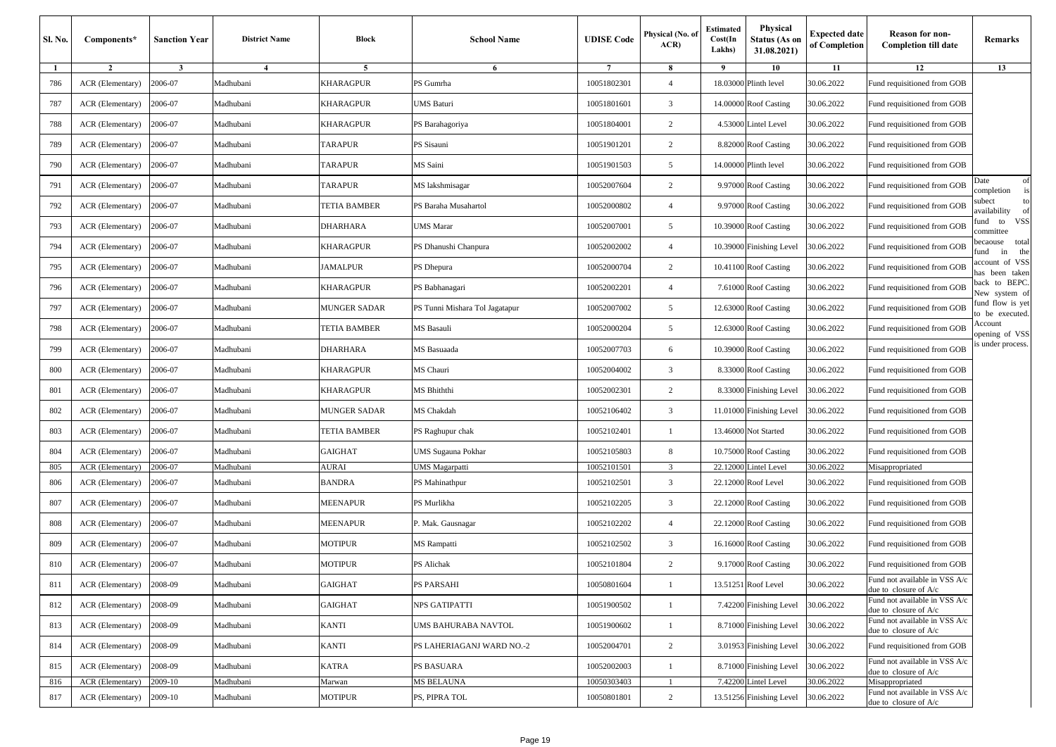| Sl. No. | Components*      | <b>Sanction Year</b> | <b>District Name</b> | <b>Block</b>          | <b>School Name</b>             | <b>UDISE</b> Code | Physical (No. of<br>ACR) | Estimated<br>Cost(In<br>Lakhs) | Physical<br>Status (As on<br>31.08.2021) | <b>Expected date</b><br>of Completion | <b>Reason for non-</b><br><b>Completion till date</b>  | Remarks                                |
|---------|------------------|----------------------|----------------------|-----------------------|--------------------------------|-------------------|--------------------------|--------------------------------|------------------------------------------|---------------------------------------|--------------------------------------------------------|----------------------------------------|
| -1      | $\overline{2}$   | $\mathbf{3}$         | 4                    | 5                     | 6                              | $\overline{7}$    | 8                        | 9                              | 10                                       | 11                                    | 12                                                     | 13                                     |
| 786     | ACR (Elementary) | 2006-07              | Madhubani            | KHARAGPUR             | PS Gumrha                      | 10051802301       | $\overline{4}$           |                                | 18.03000 Plinth level                    | 30.06.2022                            | Fund requisitioned from GOB                            |                                        |
| 787     | ACR (Elementary) | 2006-07              | Madhubani            | KHARAGPUR             | UMS Baturi                     | 10051801601       | 3                        |                                | 14.00000 Roof Casting                    | 30.06.2022                            | Fund requisitioned from GOB                            |                                        |
| 788     | ACR (Elementary) | 2006-07              | Madhubani            | KHARAGPUR             | PS Barahagoriya                | 10051804001       | $\overline{c}$           |                                | 4.53000 Lintel Level                     | 30.06.2022                            | Fund requisitioned from GOB                            |                                        |
| 789     | ACR (Elementary) | 2006-07              | Madhubani            | <b><i>TARAPUR</i></b> | PS Sisauni                     | 10051901201       | $\overline{c}$           |                                | 8.82000 Roof Casting                     | 30.06.2022                            | Fund requisitioned from GOB                            |                                        |
| 790     | ACR (Elementary) | 2006-07              | Madhubani            | TARAPUR               | MS Saini                       | 10051901503       | 5                        |                                | 14.00000 Plinth level                    | 30.06.2022                            | Fund requisitioned from GOB                            |                                        |
| 791     | ACR (Elementary) | 2006-07              | Madhubani            | <b>TARAPUR</b>        | MS lakshmisagar                | 10052007604       | 2                        |                                | 9.97000 Roof Casting                     | 30.06.2022                            | Fund requisitioned from GOB                            | of<br>Date<br>is<br>completion         |
| 792     | ACR (Elementary) | 2006-07              | Madhubani            | TETIA BAMBER          | PS Baraha Musahartol           | 10052000802       | $\overline{4}$           |                                | 9.97000 Roof Casting                     | 30.06.2022                            | Fund requisitioned from GOB                            | subect<br>to<br>availability<br>of     |
| 793     | ACR (Elementary) | 2006-07              | Madhubani            | DHARHARA              | UMS Marar                      | 10052007001       | 5                        |                                | 10.39000 Roof Casting                    | 30.06.2022                            | Fund requisitioned from GOB                            | VSS<br>fund to<br>committee            |
| 794     | ACR (Elementary) | 2006-07              | Madhubani            | KHARAGPUR             | PS Dhanushi Chanpura           | 10052002002       | $\overline{4}$           |                                | 10.39000 Finishing Level                 | 30.06.2022                            | Fund requisitioned from GOB                            | total<br>becaouse<br>the<br>fund<br>in |
| 795     | ACR (Elementary) | 2006-07              | Madhubani            | JAMALPUR              | PS Dhepura                     | 10052000704       | $\overline{c}$           |                                | 10.41100 Roof Casting                    | 30.06.2022                            | Fund requisitioned from GOB                            | account of VSS<br>has been taken       |
| 796     | ACR (Elementary) | 2006-07              | Madhubani            | KHARAGPUR             | PS Babhanagari                 | 10052002201       | $\overline{4}$           |                                | 7.61000 Roof Casting                     | 30.06.2022                            | Fund requisitioned from GOB                            | back to BEPC.<br>New system of         |
| 797     | ACR (Elementary) | 2006-07              | Madhubani            | <b>MUNGER SADAR</b>   | PS Tunni Mishara Tol Jagatapur | 10052007002       | 5                        |                                | 12.63000 Roof Casting                    | 30.06.2022                            | Fund requisitioned from GOB                            | fund flow is yet<br>to be executed.    |
| 798     | ACR (Elementary) | 2006-07              | Madhubani            | TETIA BAMBER          | <b>MS</b> Basauli              | 10052000204       | 5                        |                                | 12.63000 Roof Casting                    | 30.06.2022                            | Fund requisitioned from GOB                            | Account<br>opening of VSS              |
| 799     | ACR (Elementary) | 2006-07              | Madhubani            | DHARHARA              | <b>MS</b> Basuaada             | 10052007703       | 6                        |                                | 10.39000 Roof Casting                    | 30.06.2022                            | Fund requisitioned from GOB                            | s under process.                       |
| 800     | ACR (Elementary) | 2006-07              | Madhubani            | KHARAGPUR             | MS Chauri                      | 10052004002       | 3                        |                                | 8.33000 Roof Casting                     | 30.06.2022                            | Fund requisitioned from GOB                            |                                        |
| 801     | ACR (Elementary) | 2006-07              | Madhubani            | KHARAGPUR             | MS Bhiththi                    | 10052002301       | 2                        |                                | 8.33000 Finishing Level                  | 30.06.2022                            | Fund requisitioned from GOB                            |                                        |
| 802     | ACR (Elementary) | 2006-07              | Madhubani            | <b>MUNGER SADAR</b>   | MS Chakdah                     | 10052106402       | 3                        |                                | 11.01000 Finishing Level                 | 30.06.2022                            | Fund requisitioned from GOB                            |                                        |
| 803     | ACR (Elementary) | 2006-07              | Madhubani            | TETIA BAMBER          | PS Raghupur chak               | 10052102401       |                          |                                | 13.46000 Not Started                     | 30.06.2022                            | Fund requisitioned from GOB                            |                                        |
| 804     | ACR (Elementary) | 2006-07              | Madhubani            | GAIGHAT               | UMS Sugauna Pokhar             | 10052105803       | 8                        |                                | 10.75000 Roof Casting                    | 30.06.2022                            | Fund requisitioned from GOB                            |                                        |
| 805     | ACR (Elementary) | 2006-07              | Madhubani            | AURAI                 | UMS Magarpatti                 | 10052101501       | 3                        |                                | 22.12000 Lintel Level                    | 30.06.2022                            | Misappropriated                                        |                                        |
| 806     | ACR (Elementary) | 2006-07              | Madhubani            | BANDRA                | PS Mahinathpur                 | 10052102501       | 3                        |                                | 22.12000 Roof Level                      | 30.06.2022                            | Fund requisitioned from GOB                            |                                        |
| 807     | ACR (Elementary) | 2006-07              | Madhubani            | <b>MEENAPUR</b>       | PS Murlikha                    | 10052102205       | 3                        |                                | 22.12000 Roof Casting                    | 30.06.2022                            | Fund requisitioned from GOB                            |                                        |
| 808     | ACR (Elementary) | 2006-07              | Madhubani            | <b>MEENAPUR</b>       | P. Mak. Gausnagar              | 10052102202       | $\overline{4}$           |                                | 22.12000 Roof Casting                    | 30.06.2022                            | Fund requisitioned from GOB                            |                                        |
| 809     | ACR (Elementary) | 2006-07              | Madhubani            | MOTIPUR               | MS Rampatti                    | 10052102502       | 3                        |                                | 16.16000 Roof Casting                    | 30.06.2022                            | Fund requisitioned from GOB                            |                                        |
| 810     | ACR (Elementary) | 2006-07              | Madhubani            | MOTIPUR               | PS Alichak                     | 10052101804       | 2                        |                                | 9.17000 Roof Casting                     | 30.06.2022                            | Fund requisitioned from GOB                            |                                        |
| 811     | ACR (Elementary) | 2008-09              | Madhubani            | <b>GAIGHAT</b>        | PS PARSAHI                     | 10050801604       | $\mathbf{1}$             |                                | 13.51251 Roof Level                      | 30.06.2022                            | Fund not available in VSS A/c<br>due to closure of A/c |                                        |
| 812     | ACR (Elementary) | 2008-09              | Madhubani            | GAIGHAT               | NPS GATIPATTI                  | 10051900502       | $\overline{1}$           |                                | 7.42200 Finishing Level                  | 30.06.2022                            | Fund not available in VSS A/c<br>due to closure of A/c |                                        |
| 813     | ACR (Elementary) | 2008-09              | Madhubani            | <b>KANTI</b>          | UMS BAHURABA NAVTOL            | 10051900602       | -1                       |                                | 8.71000 Finishing Level                  | 30.06.2022                            | Fund not available in VSS A/c<br>due to closure of A/c |                                        |
| 814     | ACR (Elementary) | 2008-09              | Madhubani            | <b>KANTI</b>          | PS LAHERIAGANJ WARD NO.-2      | 10052004701       | 2                        |                                | 3.01953 Finishing Level                  | 30.06.2022                            | Fund requisitioned from GOB                            |                                        |
| 815     | ACR (Elementary) | 2008-09              | Madhubani            | KATRA                 | PS BASUARA                     | 10052002003       | $\overline{1}$           |                                | 8.71000 Finishing Level                  | 30.06.2022                            | Fund not available in VSS A/c<br>due to closure of A/c |                                        |
| 816     | ACR (Elementary) | 2009-10              | Madhubani            | Marwan                | <b>MS BELAUNA</b>              | 10050303403       |                          |                                | 7.42200 Lintel Level                     | 30.06.2022                            | Misappropriated                                        |                                        |
| 817     | ACR (Elementary) | 2009-10              | Madhubani            | MOTIPUR               | PS, PIPRA TOL                  | 10050801801       | 2                        |                                | 13.51256 Finishing Level                 | 30.06.2022                            | Fund not available in VSS A/c<br>due to closure of A/c |                                        |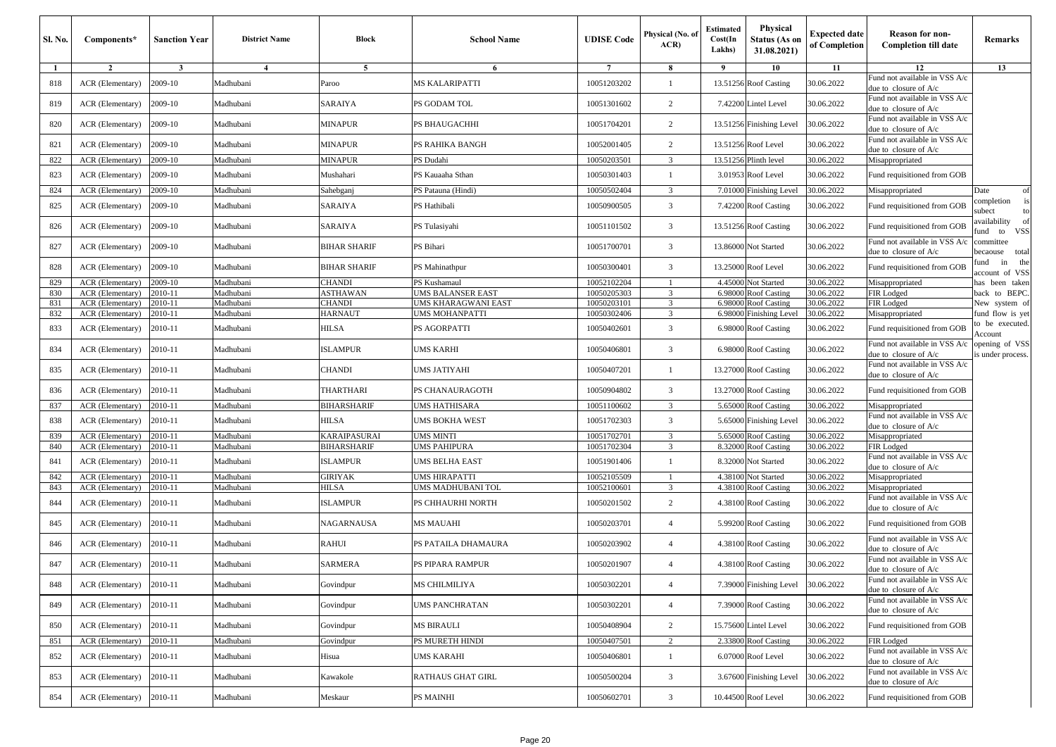| <b>Sl. No.</b> | Components*                          | <b>Sanction Year</b> | <b>District Name</b>   | <b>Block</b>             | <b>School Name</b>                     | <b>UDISE</b> Code          | Physical (No. of<br>ACR | <b>Estimated</b><br>Cost(In<br>Lakhs) | Physical<br><b>Status (As on</b><br>31.08.2021) | <b>Expected date</b><br>of Completion | <b>Reason for non-</b><br><b>Completion till date</b>    | Remarks                                     |
|----------------|--------------------------------------|----------------------|------------------------|--------------------------|----------------------------------------|----------------------------|-------------------------|---------------------------------------|-------------------------------------------------|---------------------------------------|----------------------------------------------------------|---------------------------------------------|
| $\mathbf{1}$   | $\overline{2}$                       | $\mathbf{3}$         | $\overline{4}$         | 5                        | 6                                      | $\overline{7}$             | 8                       | 9                                     | 10                                              | 11                                    | 12                                                       | 13                                          |
| 818            | ACR (Elementary)                     | 2009-10              | Madhubani              | Paroo                    | MS KALARIPATTI                         | 10051203202                |                         |                                       | 13.51256 Roof Casting                           | 30.06.2022                            | Fund not available in VSS A/c<br>due to closure of $A/c$ |                                             |
| 819            | ACR (Elementary)                     | 2009-10              | Madhubani              | SARAIYA                  | PS GODAM TOL                           | 10051301602                | 2                       |                                       | 7.42200 Lintel Level                            | 30.06.2022                            | Fund not available in VSS A/c<br>due to closure of $A/c$ |                                             |
| 820            | ACR (Elementary)                     | 2009-10              | Madhubani              | MINAPUR                  | PS BHAUGACHHI                          | 10051704201                | 2                       |                                       | 13.51256 Finishing Level                        | 30.06.2022                            | Fund not available in VSS A/c<br>due to closure of A/c   |                                             |
| 821            | ACR (Elementary)                     | 2009-10              | Madhubani              | MINAPUR                  | PS RAHIKA BANGH                        | 10052001405                | 2                       |                                       | 13.51256 Roof Level                             | 30.06.2022                            | Fund not available in VSS A/c<br>due to closure of A/c   |                                             |
| 822            | ACR (Elementary)                     | 2009-10              | Madhubani              | <b>MINAPUR</b>           | PS Dudahi                              | 10050203501                | 3                       |                                       | 13.51256 Plinth level                           | 30.06.2022                            | Misappropriated                                          |                                             |
| 823            | ACR (Elementary)                     | 2009-10              | Madhubani              | Mushahari                | PS Kauaaha Sthan                       | 10050301403                | $\overline{1}$          |                                       | 3.01953 Roof Level                              | 30.06.2022                            | Fund requisitioned from GOB                              |                                             |
| 824            | ACR (Elementary)                     | 2009-10              | Madhubani              | Sahebganj                | PS Patauna (Hindi)                     | 10050502404                | 3                       |                                       | 7.01000 Finishing Level                         | 30.06.2022                            | Misappropriated                                          | Date<br>of                                  |
| 825            | ACR (Elementary)                     | 2009-10              | Madhubani              | SARAIYA                  | PS Hathibali                           | 10050900505                | $\overline{3}$          |                                       | 7.42200 Roof Casting                            | 30.06.2022                            | Fund requisitioned from GOB                              | is<br>completion<br>subect<br>to            |
| 826            | ACR (Elementary)                     | 2009-10              | Madhubani              | SARAIYA                  | PS Tulasiyahi                          | 10051101502                | 3                       |                                       | 13.51256 Roof Casting                           | 30.06.2022                            | Fund requisitioned from GOB                              | availability of<br><b>VSS</b><br>fund<br>to |
| 827            | ACR (Elementary)                     | 2009-10              | Madhubani              | BIHAR SHARIF             | PS Bihari                              | 10051700701                | 3                       |                                       | 13.86000 Not Started                            | 30.06.2022                            | Fund not available in VSS A/c<br>due to closure of A/c   | committee<br>total<br>becaouse              |
| 828            | ACR (Elementary)                     | 2009-10              | Madhubani              | <b>BIHAR SHARIF</b>      | PS Mahinathpur                         | 10050300401                | 3                       |                                       | 13.25000 Roof Level                             | 30.06.2022                            | Fund requisitioned from GOB                              | the<br>in<br>fund<br>account of VSS         |
| 829            | ACR (Elementary)                     | 2009-10              | Madhubani              | <b>CHANDI</b>            | PS Kushamaul                           | 10052102204                |                         | 4.45000                               | Not Started                                     | 30.06.2022                            | Misappropriated                                          | has been taken                              |
| 830            | ACR (Elementary)                     | 2010-11              | Madhubani              | <b>ASTHAWAN</b>          | UMS BALANSER EAST                      | 10050205303                | 3                       | 6.98000                               | <b>Roof Casting</b>                             | 30.06.2022                            | FIR Lodged                                               | back to BEPC.                               |
| 831            | ACR (Elementary)                     | 2010-11              | Madhubani              | <b>CHANDI</b>            | UMS KHARAGWANI EAST                    | 10050203101                | 3                       | 6.98000                               | <b>Roof Casting</b>                             | 30.06.2022                            | FIR Lodged                                               | New system of                               |
| 832            | <b>ACR</b> (Elementary)              | 2010-11              | Madhubani              | <b>HARNAUT</b>           | UMS MOHANPATTI                         | 10050302406                | $\overline{3}$          | 6.98000                               | Finishing Level                                 | 30.06.2022                            | Misappropriated                                          | fund flow is yet                            |
| 833            | ACR (Elementary)                     | 2010-11              | Madhubani              | <b>HILSA</b>             | PS AGORPATTI                           | 10050402601                | 3                       |                                       | 6.98000 Roof Casting                            | 30.06.2022                            | Fund requisitioned from GOB                              | to be executed.<br>Account                  |
| 834            | ACR (Elementary)                     | 2010-11              | Madhubani              | <b>ISLAMPUR</b>          | UMS KARHI                              | 10050406801                | 3                       |                                       | 6.98000 Roof Casting                            | 30.06.2022                            | Fund not available in VSS A/c<br>due to closure of A/c   | opening of VSS<br>is under process.         |
| 835            | ACR (Elementary)                     | 2010-11              | Madhubani              | CHANDI                   | UMS JATIYAHI                           | 10050407201                | $\overline{1}$          |                                       | 13.27000 Roof Casting                           | 30.06.2022                            | Fund not available in VSS A/c<br>due to closure of $A/c$ |                                             |
| 836            | ACR (Elementary)                     | 2010-11              | Madhubani              | THARTHARI                | PS CHANAURAGOTH                        | 10050904802                | 3                       |                                       | 13.27000 Roof Casting                           | 30.06.2022                            | Fund requisitioned from GOB                              |                                             |
| 837            | ACR (Elementary)                     | 2010-11              | Madhubani              | <b>BIHARSHARIF</b>       | UMS HATHISARA                          | 10051100602                | 3                       |                                       | 5.65000 Roof Casting                            | 30.06.2022                            | Misappropriated                                          |                                             |
| 838            | ACR (Elementary)                     | 2010-11              | Madhubani              | <b>HILSA</b>             | UMS BOKHA WEST                         | 10051702303                | 3                       |                                       | 5.65000 Finishing Level                         | 30.06.2022                            | Fund not available in VSS A/c<br>due to closure of A/c   |                                             |
| 839            | ACR (Elementary)                     | 2010-11              | Madhubani              | KARAIPASURAI             | UMS MINTI                              | 10051702701                | 3                       | 5.65000                               | <b>Roof Casting</b>                             | 30.06.2022                            | Misappropriated                                          |                                             |
| 840            | ACR (Elementary)                     | 2010-11              | Madhubani              | <b>BIHARSHARIF</b>       | UMS PAHIPURA                           | 10051702304                | 3                       | 8.32000                               | <b>Roof Casting</b>                             | 30.06.2022                            | FIR Lodged                                               |                                             |
| 841            | ACR (Elementary)                     | 2010-11              | Madhubani              | <b>ISLAMPUR</b>          | UMS BELHA EAST                         | 10051901406                |                         |                                       | 8.32000 Not Started                             | 30.06.2022                            | Fund not available in VSS A/c<br>due to closure of A/c   |                                             |
| 842            | ACR (Elementary)                     | 2010-11              | Madhubani              | GIRIYAK                  | UMS HIRAPATTI                          | 10052105509                |                         | 4.38100                               | Not Started                                     | 30.06.2022                            | Misappropriated                                          |                                             |
| 843<br>844     | ACR (Elementary)<br>ACR (Elementary) | 2010-11<br>2010-11   | Madhubani<br>Madhubani | HILSA<br><b>ISLAMPUR</b> | UMS MADHUBANI TOL<br>PS CHHAURHI NORTH | 10052100601<br>10050201502 | 3<br>2                  | 4.38100                               | <b>Roof Casting</b><br>4.38100 Roof Casting     | 30.06.2022<br>30.06.2022              | Misappropriated<br>Fund not available in VSS A/c         |                                             |
| 845            | ACR (Elementary)                     | 2010-11              | Madhubani              | NAGARNAUSA               | MS MAUAHI                              | 10050203701                | $\overline{4}$          |                                       | 5.99200 Roof Casting                            | 30.06.2022                            | due to closure of A/c<br>Fund requisitioned from GOB     |                                             |
| 846            | ACR (Elementary)                     | 2010-11              | Madhubani              | RAHUI                    | PS PATAILA DHAMAURA                    | 10050203902                | $\overline{4}$          |                                       | 4.38100 Roof Casting                            | 30.06.2022                            | Fund not available in VSS A/c<br>due to closure of A/c   |                                             |
| 847            | ACR (Elementary)                     | 2010-11              | Madhubani              | SARMERA                  | PS PIPARA RAMPUR                       | 10050201907                | $\overline{4}$          |                                       | 4.38100 Roof Casting                            | 30.06.2022                            | Fund not available in VSS A/c<br>due to closure of A/c   |                                             |
| 848            | ACR (Elementary)                     | 2010-11              | Madhubani              | Govindpur                | MS CHILMILIYA                          | 10050302201                | $\overline{4}$          |                                       | 7.39000 Finishing Level 30.06.2022              |                                       | Fund not available in VSS A/c                            |                                             |
| 849            | ACR (Elementary)                     | 2010-11              | Madhubani              | Govindpur                | UMS PANCHRATAN                         | 10050302201                | $\overline{4}$          |                                       | 7.39000 Roof Casting                            | 30.06.2022                            | due to closure of A/c<br>Fund not available in VSS A/c   |                                             |
| 850            | ACR (Elementary)                     | 2010-11              | Madhubani              | Govindpur                | MS BIRAULI                             | 10050408904                | $\overline{2}$          |                                       | 15.75600 Lintel Level                           | 30.06.2022                            | due to closure of A/c<br>Fund requisitioned from GOB     |                                             |
|                | ACR (Elementary)                     | 2010-11              | Madhubani              | Govindpur                | PS MURETH HINDI                        | 10050407501                | 2                       |                                       | 2.33800 Roof Casting                            | 30.06.2022                            | FIR Lodged                                               |                                             |
| 851            |                                      |                      |                        |                          |                                        |                            |                         |                                       |                                                 |                                       | Fund not available in VSS A/c                            |                                             |
| 852            | ACR (Elementary)                     | 2010-11              | Madhubani              | Hisua                    | UMS KARAHI                             | 10050406801                | $\overline{1}$          |                                       | 6.07000 Roof Level                              | 30.06.2022                            | due to closure of A/c<br>Fund not available in VSS A/c   |                                             |
| 853            | ACR (Elementary)                     | 2010-11              | Madhubani              | Kawakole                 | RATHAUS GHAT GIRL                      | 10050500204                | $\mathbf{3}$            |                                       | 3.67600 Finishing Level                         | 30.06.2022                            | due to closure of A/c                                    |                                             |
| 854            | ACR (Elementary)                     | 2010-11              | Madhubani              | Meskaur                  | PS MAINHI                              | 10050602701                | $\overline{3}$          |                                       | 10.44500 Roof Level                             | 30.06.2022                            | Fund requisitioned from GOB                              |                                             |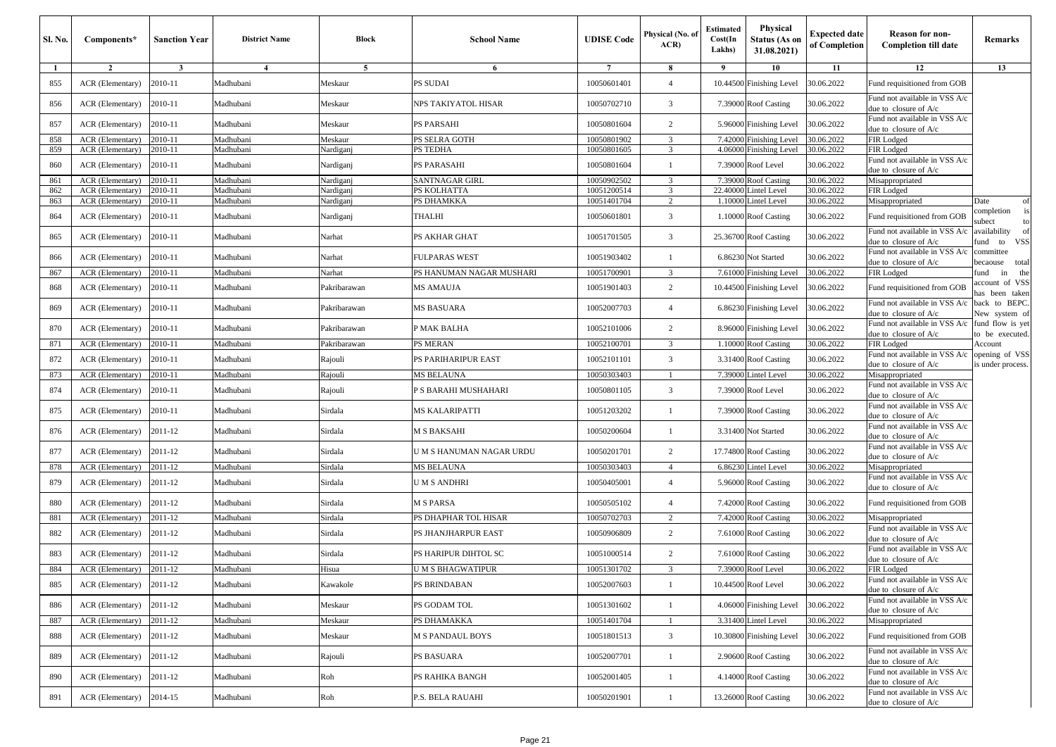| <b>Sl. No.</b> | Components*                                 | <b>Sanction Year</b>    | <b>District Name</b>   | <b>Block</b>           | <b>School Name</b>            | <b>UDISE</b> Code          | Physical (No. of<br>ACR | <b>Estimated</b><br>Cost(In<br>Lakhs) | Physical<br><b>Status (As or</b><br>31.08.2021) | <b>Expected date</b><br>of Completion | <b>Reason for non-</b><br><b>Completion till date</b>        | Remarks                                |
|----------------|---------------------------------------------|-------------------------|------------------------|------------------------|-------------------------------|----------------------------|-------------------------|---------------------------------------|-------------------------------------------------|---------------------------------------|--------------------------------------------------------------|----------------------------------------|
| $\mathbf{1}$   | $\overline{2}$                              | $\overline{\mathbf{3}}$ | $\overline{4}$         | 5                      | 6                             | $7\phantom{.0}$            | 8                       | 9                                     | 10                                              | 11                                    | 12                                                           | 13                                     |
| 855            | ACR (Elementary)                            | 2010-11                 | Madhubani              | Meskaur                | PS SUDAI                      | 10050601401                | $\overline{4}$          |                                       | 10.44500 Finishing Level                        | 30.06.2022                            | Fund requisitioned from GOB                                  |                                        |
| 856            | ACR (Elementary)                            | 2010-11                 | Madhubani              | Meskaur                | NPS TAKIYATOL HISAR           | 10050702710                | 3                       |                                       | 7.39000 Roof Casting                            | 30.06.2022                            | Fund not available in VSS A/c<br>due to closure of A/c       |                                        |
| 857            | ACR (Elementary)                            | 2010-11                 | Madhubani              | Meskaur                | PS PARSAHI                    | 10050801604                | 2                       | 5.96000                               | <b>Finishing Level</b>                          | 30.06.2022                            | Fund not available in VSS A/c<br>due to closure of A/c       |                                        |
| 858            | ACR (Elementary)                            | 2010-11                 | Madhubani              | Meskaur                | PS SELRA GOTH                 | 10050801902                | 3                       | 7.42000                               | Finishing Level                                 | 30.06.2022                            | FIR Lodged                                                   |                                        |
| 859            | ACR (Elementary)                            | 2010-11                 | Madhubani              | Nardiganj              | PS TEDHA                      | 10050801605                | 3                       | 4.0600                                | inishing Level                                  | 30.06.2022                            | FIR Lodged<br>Fund not available in VSS A/c                  |                                        |
| 860            | ACR (Elementary)                            | 2010-11                 | Madhubani              | Nardiganj              | PS PARASAHI                   | 10050801604                | $\mathbf{1}$            | 7.39000                               | Roof Level                                      | 30.06.2022                            | due to closure of $A/c$                                      |                                        |
| 861<br>862     | <b>ACR</b> (Elementary)<br>ACR (Elementary) | 2010-11<br>2010-11      | Madhubani<br>Madhubani | Nardiganj<br>Nardiganj | SANTNAGAR GIRL<br>PS KOLHATTA | 10050902502<br>10051200514 | 3<br>3                  | 7.39000<br>22.4000                    | Roof Casting<br>intel Level                     | 30.06.2022<br>30.06.2022              | Misappropriated<br>FIR Lodged                                |                                        |
| 863            | ACR (Elementary)                            | 2010-11                 | Madhubani              | Nardiganj              | PS DHAMKKA                    | 10051401704                | $\overline{2}$          | 1.1000                                | Lintel Level                                    | 30.06.2022                            | Misappropriated                                              | Date<br>of                             |
| 864            | ACR (Elementary)                            | 2010-11                 | Madhubani              | Nardiganj              | THALHI                        | 10050601801                | 3                       | 1.10000                               | 0 Roof Casting                                  | 30.06.2022                            | Fund requisitioned from GOB                                  | completion<br>is<br>subect             |
| 865            | ACR (Elementary)                            | 2010-11                 | Madhubani              | Narhat                 | PS AKHAR GHAT                 | 10051701505                | 3                       |                                       | 25.36700 Roof Casting                           | 30.06.2022                            | Fund not available in VSS A/c<br>due to closure of A/c       | availability<br>of<br>VSS<br>ùnd<br>to |
| 866            | ACR (Elementary)                            | 2010-11                 | Madhubani              | Narhat                 | FULPARAS WEST                 | 10051903402                | $\overline{1}$          |                                       | 6.86230 Not Started                             | 30.06.2022                            | Fund not available in VSS A/c<br>due to closure of $A/c$     | committee<br>total<br>pecaouse         |
| 867            | ACR (Elementary)                            | 2010-11                 | Madhubani              | Narhat                 | PS HANUMAN NAGAR MUSHARI      | 10051700901                | 3                       | 7.61000                               | <b>Finishing Level</b>                          | 30.06.2022                            | FIR Lodged                                                   | fund<br>in<br>the                      |
| 868            | ACR (Elementary)                            | 2010-11                 | Madhubani              | Pakribarawan           | MS AMAUJA                     | 10051901403                | 2                       |                                       | 10.44500 Finishing Level                        | 30.06.2022                            | Fund requisitioned from GOB                                  | account of VSS<br>as been taken        |
| 869            | ACR (Elementary)                            | 2010-11                 | Madhubani              | Pakribarawan           | MS BASUARA                    | 10052007703                | $\overline{4}$          | 6.86230                               | <b>Finishing Level</b>                          | 30.06.2022                            | Fund not available in VSS A/c<br>due to closure of A/c       | back to BEPC.<br>New system of         |
| 870            | ACR (Elementary)                            | 2010-11                 | Madhubani              | Pakribarawan           | P MAK BALHA                   | 10052101006                | 2                       |                                       | 8.96000 Finishing Level                         | 30.06.2022                            | Fund not available in VSS A/c<br>due to closure of A/c       | fund flow is yet<br>to be executed.    |
| 871            | ACR (Elementary)                            | 2010-11                 | Madhubani              | Pakribarawan           | <b>PS MERAN</b>               | 10052100701                | 3                       | 1.10000                               | <b>Roof Casting</b>                             | 30.06.2022                            | FIR Lodged                                                   | Account                                |
| 872            | ACR (Elementary)                            | 2010-11                 | Madhubani              | Rajouli                | PS PARIHARIPUR EAST           | 10052101101                | 3                       |                                       | 3.31400 Roof Casting                            | 30.06.2022                            | Fund not available in VSS A/c<br>due to closure of $A/c$     | opening of VSS<br>is under process.    |
| 873            | ACR (Elementary)                            | 2010-11                 | Madhubani              | Rajouli                | MS BELAUNA                    | 10050303403                | $\overline{1}$          | 7.39000                               | <b>Lintel Level</b>                             | 30.06.2022                            | Misappropriated                                              |                                        |
| 874            | ACR (Elementary)                            | 2010-11                 | Madhubani              | Rajouli                | P S BARAHI MUSHAHARI          | 10050801105                | 3                       | 7.39000                               | Roof Level                                      | 30.06.2022                            | Fund not available in VSS A/c<br>due to closure of A/c       |                                        |
| 875            | ACR (Elementary)                            | 2010-11                 | Madhubani              | Sirdala                | MS KALARIPATTI                | 10051203202                | -1                      |                                       | 7.39000 Roof Casting                            | 30.06.2022                            | Fund not available in VSS A/c<br>due to closure of $A/c$     |                                        |
| 876            | ACR (Elementary)                            | 2011-12                 | Madhubani              | Sirdala                | M S BAKSAHI                   | 10050200604                | $\overline{1}$          |                                       | 3.31400 Not Started                             | 30.06.2022                            | Fund not available in VSS A/c<br>due to closure of A/c       |                                        |
| 877            | ACR (Elementary)                            | 2011-12                 | Madhubani              | Sirdala                | U M S HANUMAN NAGAR URDU      | 10050201701                | 2                       |                                       | 17.74800 Roof Casting                           | 30.06.2022                            | Fund not available in VSS A/c<br>due to closure of $A/c$     |                                        |
| 878            | ACR (Elementary)                            | 2011-12                 | Madhubani              | Sirdala                | MS BELAUNA                    | 10050303403                | $\overline{4}$          |                                       | 6.86230 Lintel Level                            | 30.06.2022                            | Misappropriated                                              |                                        |
| 879            | ACR (Elementary)                            | 2011-12                 | Madhubani              | Sirdala                | U M S ANDHRI                  | 10050405001                | $\overline{4}$          |                                       | 5.96000 Roof Casting                            | 30.06.2022                            | Fund not available in VSS A/c<br>due to closure of A/c       |                                        |
| 880            | ACR (Elementary)                            | 2011-12                 | Madhubani              | Sirdala                | M S PARSA                     | 10050505102                | $\overline{4}$          |                                       | 7.42000 Roof Casting                            | 30.06.2022                            | Fund requisitioned from GOB                                  |                                        |
| 881            | ACR (Elementary)                            | 2011-12                 | Madhubani              | Sirdala                | PS DHAPHAR TOL HISAR          | 10050702703                | $\overline{2}$          | 7.42000                               | Roof Casting                                    | 30.06.2022                            | Misappropriated                                              |                                        |
| 882            | ACR (Elementary)                            | 2011-12                 | Madhubani              | Sirdala                | PS JHANJHARPUR EAST           | 10050906809                | $\overline{c}$          |                                       | 7.61000 Roof Casting                            | 30.06.2022                            | Fund not available in VSS A/c<br>due to closure of A/c       |                                        |
| 883            | ACR (Elementary)                            | 2011-12                 | Madhubani              | Sirdala                | PS HARIPUR DIHTOL SC          | 10051000514                | $\overline{c}$          |                                       | 7.61000 Roof Casting                            | 30.06.2022                            | Fund not available in VSS A/c<br>due to closure of A/c       |                                        |
| 884            | ACR (Elementary)                            | 2011-12                 | Madhubani              | Hisua                  | <b>UMSBHAGWATIPUR</b>         | 10051301702                | $\overline{3}$          | 7.39000                               | Roof Level                                      | 30.06.2022                            | FIR Lodged                                                   |                                        |
| 885            | ACR (Elementary)                            | 2011-12                 | Madhubani              | Kawakole               | <b>PS BRINDABAN</b>           | 10052007603                | $\mathbf{1}$            |                                       | 10.44500 Roof Level                             | 30.06.2022                            | Fund not available in VSS A/c<br>due to closure of $A/c$     |                                        |
| 886            | ACR (Elementary)                            | 2011-12                 | Madhubani              | Meskaur                | PS GODAM TOL                  | 10051301602                | -1                      |                                       | 4.06000 Finishing Level                         | 30.06.2022                            | Fund not available in VSS A/c<br>due to closure of A/c       |                                        |
| 887            | ACR (Elementary)                            | 2011-12                 | Madhubani              | Meskaur                | PS DHAMAKKA                   | 10051401704                | $\mathbf{1}$            |                                       | 3.31400 Lintel Level                            | 30.06.2022                            | Misappropriated                                              |                                        |
| 888            | ACR (Elementary)                            | 2011-12                 | Madhubani              | Meskaur                | <b>M S PANDAUL BOYS</b>       | 10051801513                | 3                       |                                       | 10.30800 Finishing Level                        | 30.06.2022                            | Fund requisitioned from GOB<br>Fund not available in VSS A/c |                                        |
| 889            | ACR (Elementary)                            | 2011-12                 | Madhubani              | Rajouli                | PS BASUARA                    | 10052007701                | $\mathbf{1}$            |                                       | 2.90600 Roof Casting                            | 30.06.2022                            | due to closure of A/c                                        |                                        |
| 890            | ACR (Elementary)                            | 2011-12                 | Madhubani              | Roh                    | PS RAHIKA BANGH               | 10052001405                | -1                      |                                       | 4.14000 Roof Casting                            | 30.06.2022                            | Fund not available in VSS A/c<br>due to closure of A/c       |                                        |
| 891            | ACR (Elementary)                            | 2014-15                 | Madhubani              | Roh                    | P.S. BELA RAUAHI              | 10050201901                | $\mathbf{1}$            |                                       | 13.26000 Roof Casting                           | 30.06.2022                            | Fund not available in VSS A/c<br>due to closure of A/c       |                                        |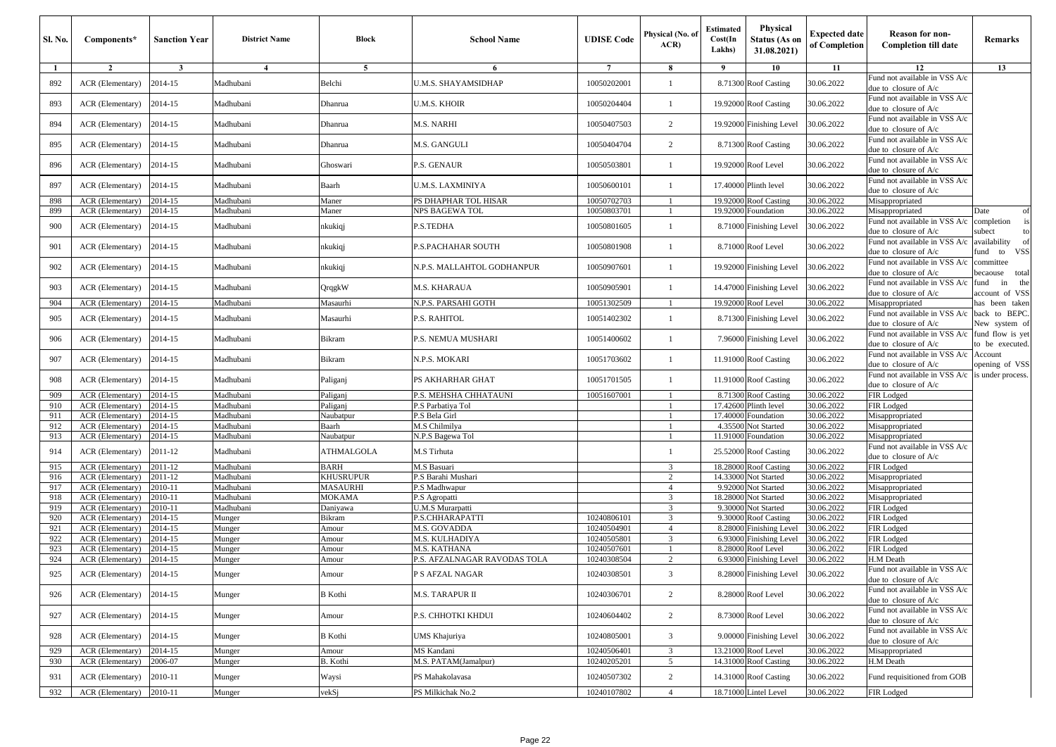| <b>Sl. No.</b> | Components*                          | <b>Sanction Year</b> | <b>District Name</b>   | Block              | <b>School Name</b>           | <b>UDISE</b> Code | Physical (No. of<br>ACR | <b>Estimated</b><br>Cost(In<br>Lakhs) | Physical<br><b>Status (As on</b><br>31.08.2021) | <b>Expected date</b><br>of Completion | <b>Reason for non-</b><br><b>Completion till date</b>    | Remarks                             |
|----------------|--------------------------------------|----------------------|------------------------|--------------------|------------------------------|-------------------|-------------------------|---------------------------------------|-------------------------------------------------|---------------------------------------|----------------------------------------------------------|-------------------------------------|
| 1              | $\overline{2}$                       | $\mathbf{3}$         | 4                      | 5                  | 6                            | $\overline{7}$    | 8                       | 9                                     | 10                                              | 11                                    | 12                                                       | 13                                  |
| 892            | ACR (Elementary)                     | 2014-15              | Madhubani              | Belchi             | U.M.S. SHAYAMSIDHAP          | 10050202001       |                         |                                       | 8.71300 Roof Casting                            | 30.06.2022                            | Fund not available in VSS A/c<br>due to closure of $A/c$ |                                     |
| 893            | ACR (Elementary)                     | 2014-15              | Madhubani              | Dhanrua            | U.M.S. KHOIR                 | 10050204404       | -1                      |                                       | 19.92000 Roof Casting                           | 30.06.2022                            | Fund not available in VSS A/c<br>due to closure of $A/c$ |                                     |
| 894            | ACR (Elementary)                     | 2014-15              | Madhubani              | Dhanrua            | M.S. NARHI                   | 10050407503       | $\overline{2}$          |                                       | 19.92000 Finishing Level                        | 30.06.2022                            | Fund not available in VSS A/c<br>due to closure of $A/c$ |                                     |
| 895            | ACR (Elementary)                     | 2014-15              | Madhubani              | Dhanrua            | M.S. GANGULI                 | 10050404704       | 2                       |                                       | 8.71300 Roof Casting                            | 30.06.2022                            | Fund not available in VSS A/c<br>due to closure of $A/c$ |                                     |
| 896            | ACR (Elementary)                     | 2014-15              | Madhubani              | Ghoswari           | P.S. GENAUR                  | 10050503801       | $\overline{1}$          |                                       | 19.92000 Roof Level                             | 30.06.2022                            | Fund not available in VSS A/c<br>due to closure of A/c   |                                     |
| 897            | ACR (Elementary)                     | 2014-15              | Madhubani              | Baarh              | U.M.S. LAXMINIYA             | 10050600101       | -1                      |                                       | 17.40000 Plinth level                           | 30.06.2022                            | Fund not available in VSS A/c<br>due to closure of $A/c$ |                                     |
| 898            | ACR (Elementary)                     | 2014-15              | Madhubani              | Maner              | PS DHAPHAR TOL HISAR         | 10050702703       |                         | 19.92000                              | <b>Roof Casting</b>                             | 30.06.2022                            | Misappropriated                                          |                                     |
| 899            | ACR (Elementary)                     | 2014-15              | Madhubani              | Maner              | NPS BAGEWA TOL               | 10050803701       |                         |                                       | 19.92000 Foundation                             | 30.06.2022                            | Misappropriated                                          | Date<br>of                          |
| 900            | ACR (Elementary)                     | 2014-15              | Madhubani              | nkukiqj            | P.S.TEDHA                    | 10050801605       |                         |                                       | 8.71000 Finishing Level                         | 30.06.2022                            | Fund not available in VSS A/c<br>due to closure of $A/c$ | completion<br>is<br>subect<br>to    |
| 901            | ACR (Elementary)                     | 2014-15              | Madhubani              | nkukiqj            | P.S.PACHAHAR SOUTH           | 10050801908       | $\overline{1}$          |                                       | 8.71000 Roof Level                              | 30.06.2022                            | Fund not available in VSS A/c<br>due to closure of $A/c$ | availability<br>- of<br>fund to VSS |
| 902            | ACR (Elementary)                     | 2014-15              | Madhubani              | nkukiqj            | N.P.S. MALLAHTOL GODHANPUR   | 10050907601       | $\overline{1}$          |                                       | 19.92000 Finishing Level                        | 30.06.2022                            | Fund not available in VSS A/c<br>due to closure of A/c   | committee<br>total<br>becaouse      |
| 903            | ACR (Elementary)                     | 2014-15              | Madhubani              | QrqgkW             | M.S. KHARAUA                 | 10050905901       | $\overline{1}$          |                                       | 14.47000 Finishing Level                        | 30.06.2022                            | Fund not available in VSS A/c<br>due to closure of $A/c$ | in the<br>fund<br>account of VSS    |
| 904            | ACR (Elementary)                     | 2014-15              | Madhubani              | Masaurhi           | N.P.S. PARSAHI GOTH          | 10051302509       |                         |                                       | 19.92000 Roof Level                             | 30.06.2022                            | Misappropriated                                          | has been taken                      |
| 905            | ACR (Elementary)                     | 2014-15              | Madhubani              | Masaurhi           | P.S. RAHITOL                 | 10051402302       | $\overline{1}$          |                                       | 8.71300 Finishing Level                         | 30.06.2022                            | Fund not available in VSS A/c<br>due to closure of $A/c$ | back to BEPC.<br>New system of      |
| 906            | ACR (Elementary)                     | 2014-15              | Madhubani              | Bikram             | P.S. NEMUA MUSHARI           | 10051400602       | $\overline{1}$          |                                       | 7.96000 Finishing Level                         | 30.06.2022                            | Fund not available in VSS A/c<br>due to closure of $A/c$ | fund flow is yet<br>to be executed. |
| 907            | ACR (Elementary)                     | 2014-15              | Madhubani              | Bikram             | N.P.S. MOKARI                | 10051703602       | -1                      |                                       | 11.91000 Roof Casting                           | 30.06.2022                            | Fund not available in VSS A/c<br>due to closure of $A/c$ | Account<br>opening of VSS           |
| 908            | ACR (Elementary)                     | 2014-15              | Madhubani              | Paliganj           | PS AKHARHAR GHAT             | 10051701505       | $\overline{1}$          |                                       | 11.91000 Roof Casting                           | 30.06.2022                            | Fund not available in VSS A/c<br>due to closure of A/c   | is under process.                   |
| 909            | ACR (Elementary)                     | 2014-15              | Madhubani              | Paliganj           | P.S. MEHSHA CHHATAUNI        | 10051607001       |                         |                                       | 8.71300 Roof Casting                            | 30.06.2022                            | FIR Lodged                                               |                                     |
| 910            | ACR (Elementary)                     | 2014-15              | Madhubani              | Paliganj           | P.S Parbatiya Tol            |                   |                         | 17.42600                              | Plinth level                                    | 30.06.2022                            | FIR Lodged                                               |                                     |
| 911            | ACR (Elementary)                     | 2014-15              | Madhubani              | Naubatpur          | P.S Bela Girl                |                   |                         | 17.40000                              | Foundation                                      | 30.06.2022                            | Misappropriated                                          |                                     |
| 912            | ACR (Elementary)                     | 2014-15              | Madhubani              | Baarh              | M.S Chilmilya                |                   |                         | 4.35500                               | Not Started                                     | 30.06.2022                            | Misappropriated                                          |                                     |
| 913            | ACR (Elementary)                     | 2014-15              | Madhubani              | Naubatpur          | N.P.S Bagewa Tol             |                   |                         |                                       | 11.91000 Foundation                             | 30.06.2022                            | Misappropriated<br>Fund not available in VSS A/c         |                                     |
| 914            | ACR (Elementary)                     | 2011-12<br>2011-12   | Madhubani<br>Madhubani | ATHMALGOLA<br>BARH | M.S Tirhuta<br>M.S Basuari   |                   | 3                       |                                       | 25.52000 Roof Casting<br>18.28000 Roof Casting  | 30.06.2022<br>30.06.2022              | due to closure of A/c                                    |                                     |
| 915<br>916     | ACR (Elementary)<br>ACR (Elementary) | 2011-12              | Madhubani              | KHUSRUPUR          | P.S Barahi Mushari           |                   | $\overline{2}$          | 14.33000                              | Not Started                                     | 30.06.2022                            | FIR Lodged<br>Misappropriated                            |                                     |
| 917            | ACR (Elementary)                     | 2010-11              | Madhubani              | <b>MASAURHI</b>    | P.S Madhwapur                |                   | $\overline{4}$          | 9.92000                               | Not Started                                     | 30.06.2022                            | Misappropriated                                          |                                     |
| 918            | ACR (Elementary)                     | 2010-11              | Madhubani              | MOKAMA             | P.S Agropatti                |                   | 3                       | 18.28000                              | Not Started                                     | 30.06.2022                            | Misappropriated                                          |                                     |
| 919            | ACR (Elementary)                     | 2010-11              | Madhubani              | Daniyawa           | U.M.S Murarpatti             |                   | $\overline{\mathbf{3}}$ | 9.30000                               | Not Started                                     | 30.06.2022                            | FIR Lodged                                               |                                     |
| 920            | ACR (Elementary)                     | 2014-15              | Munger                 | Bikram             | P.S.CHHARAPATTI              | 10240806101       | 3                       | 9.30000                               | <b>Roof Casting</b>                             | 30.06.2022                            | FIR Lodged                                               |                                     |
| 921            | ACR (Elementary)                     | 2014-15              | Munger                 | Amour              | M.S. GOVADDA                 | 10240504901       | $\overline{4}$          | 8.28000                               | <b>Finishing Level</b>                          | 30.06.2022                            | FIR Lodged                                               |                                     |
| 922            | ACR (Elementary)                     | 2014-15              | Munger                 | Amour              | M.S. KULHADIYA               | 10240505801       | 3                       | 6.93000                               | <b>Finishing Level</b>                          | 30.06.2022                            | FIR Lodged                                               |                                     |
| 923            | ACR (Elementary)                     | 2014-15              | Munger                 | Amour              | M.S. KATHANA                 | 10240507601       |                         | 8.2800                                | Roof Level                                      | 30.06.2022                            | FIR Lodged                                               |                                     |
| 924            | ACR (Elementary)                     | 2014-15              | Munger                 | Amour              | P.S. AFZALNAGAR RAVODAS TOLA | 10240308504       | $\overline{2}$          | 6.93000                               | <b>Finishing Level</b>                          | 30.06.2022                            | H.M Death                                                |                                     |
| 925            | ACR (Elementary)                     | 2014-15              | Munger                 | Amour              | P S AFZAL NAGAR              | 10240308501       | 3                       |                                       | 8.28000 Finishing Level                         | 30.06.2022                            | Fund not available in VSS A/c<br>due to closure of $A/c$ |                                     |
| 926            | ACR (Elementary)                     | 2014-15              | Munger                 | B Kothi            | M.S. TARAPUR II              | 10240306701       | 2                       |                                       | 8.28000 Roof Level                              | 30.06.2022                            | Fund not available in VSS A/c<br>due to closure of A/c   |                                     |
| 927            | ACR (Elementary)                     | 2014-15              | Munger                 | Amour              | P.S. CHHOTKI KHDUI           | 10240604402       | 2                       |                                       | 8.73000 Roof Level                              | 30.06.2022                            | Fund not available in VSS A/c<br>due to closure of A/c   |                                     |
| 928            | ACR (Elementary)                     | 2014-15              | Munger                 | <b>B</b> Kothi     | UMS Khajuriya                | 10240805001       | $\overline{3}$          |                                       | 9.00000 Finishing Level                         | 30.06.2022                            | Fund not available in VSS A/c<br>due to closure of A/c   |                                     |
| 929            | ACR (Elementary)                     | 2014-15              | Munger                 | Amour              | MS Kandani                   | 10240506401       | $\overline{\mathbf{3}}$ |                                       | 13.21000 Roof Level                             | 30.06.2022                            | Misappropriated                                          |                                     |
| 930            | ACR (Elementary)                     | 2006-07              | Munger                 | B. Kothi           | M.S. PATAM(Jamalpur)         | 10240205201       | 5                       |                                       | 14.31000 Roof Casting                           | 30.06.2022                            | H.M Death                                                |                                     |
| 931            | ACR (Elementary)                     | 2010-11              | Munger                 | Waysi              | PS Mahakolavasa              | 10240507302       | 2                       |                                       | 14.31000 Roof Casting                           | 30.06.2022                            | Fund requisitioned from GOB                              |                                     |
| 932            | ACR (Elementary)                     | 2010-11              | Munger                 | vekSj              | PS Milkichak No.2            | 10240107802       | $\overline{4}$          |                                       | 18.71000 Lintel Level                           | 30.06.2022                            | FIR Lodged                                               |                                     |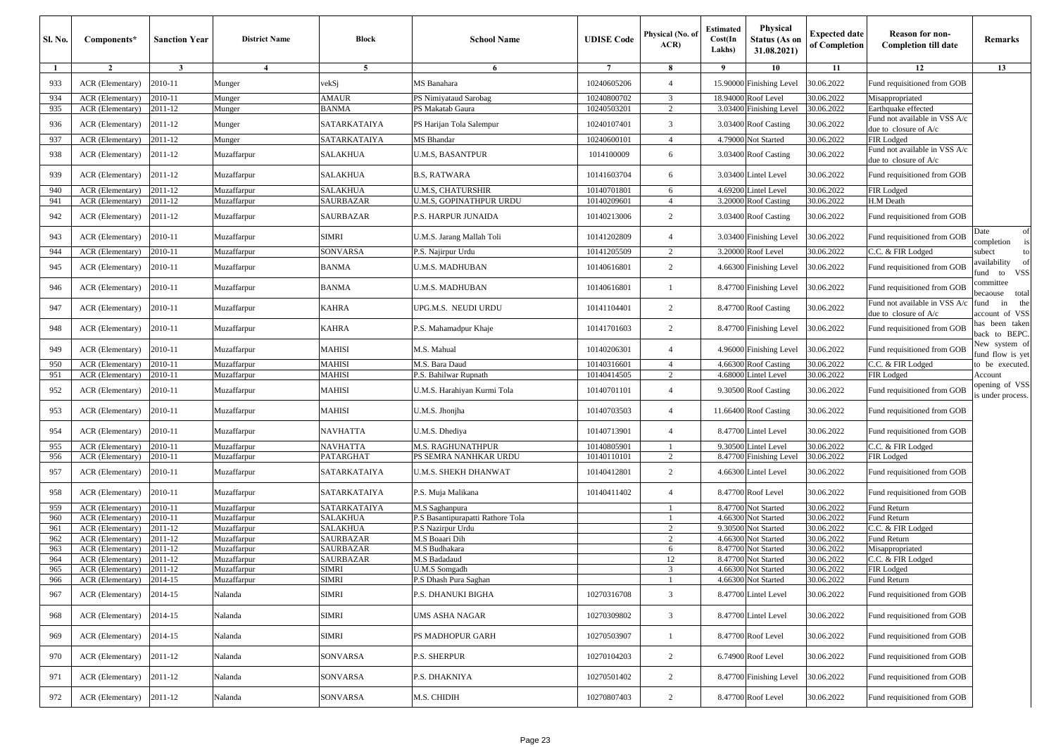| <b>Sl. No.</b> | Components*                          | <b>Sanction Year</b>              | <b>District Name</b>       | <b>Block</b>           | <b>School Name</b>                  | <b>UDISE Code</b> | Physical (No. of<br>ACR | <b>Estimated</b><br>Cost(In<br>Lakhs) | <b>Physical</b><br>Status (As on<br>31.08.2021) | <b>Expected date</b><br>of Completion | <b>Reason for non-</b><br><b>Completion till date</b>  | Remarks                            |
|----------------|--------------------------------------|-----------------------------------|----------------------------|------------------------|-------------------------------------|-------------------|-------------------------|---------------------------------------|-------------------------------------------------|---------------------------------------|--------------------------------------------------------|------------------------------------|
| -1             | $\overline{2}$                       | $\overline{\mathbf{3}}$           | $\overline{4}$             | 5                      | -6                                  | $7\phantom{.0}$   | 8                       | 9                                     | 10                                              | 11                                    | 12                                                     | 13                                 |
| 933            | ACR (Elementary)                     | 2010-11                           | Munger                     | vekSj                  | MS Banahara                         | 10240605206       | $\overline{4}$          | 15.90000                              | Finishing Level                                 | 30.06.2022                            | Fund requisitioned from GOB                            |                                    |
| 934            | ACR (Elementary)                     | 2010-11                           | Munger                     | AMAUR                  | PS Nimiyataud Sarobag               | 10240800702       | 3                       | 18.94000                              | Roof Level                                      | 30.06.2022                            | Misappropriated                                        |                                    |
| 935            | ACR (Elementary)                     | 2011-12                           | Munger                     | <b>BANMA</b>           | PS Makatab Gaura                    | 10240503201       | $\overline{2}$          | 3.03400                               | Finishing Level                                 | 30.06.2022                            | Earthquake effected                                    |                                    |
| 936            | ACR (Elementary)                     | 2011-12                           | Munger                     | SATARKATAIYA           | PS Harijan Tola Salempur            | 10240107401       | 3                       | 3.03400                               | <b>Roof Casting</b>                             | 30.06.2022                            | Fund not available in VSS A/c<br>due to closure of A/c |                                    |
| 937            | ACR (Elementary)                     | 2011-12                           | Munger                     | SATARKATAIYA           | MS Bhandar                          | 10240600101       | $\overline{4}$          | 4.79000                               | Not Started                                     | 30.06.2022                            | FIR Lodged                                             |                                    |
| 938            | ACR (Elementary)                     | 2011-12                           | Muzaffarpur                | <b>SALAKHUA</b>        | <b>U.M.S, BASANTPUR</b>             | 1014100009        | 6                       | 3.03400                               | <b>Roof Casting</b>                             | 30.06.2022                            | Fund not available in VSS A/c<br>due to closure of A/c |                                    |
| 939            | ACR (Elementary)                     | 2011-12                           | Muzaffarpur                | <b>SALAKHUA</b>        | <b>B.S, RATWARA</b>                 | 10141603704       | 6                       | 3.03400                               | <b>Lintel Level</b>                             | 30.06.2022                            | Fund requisitioned from GOB                            |                                    |
| 940            | ACR (Elementary)                     | 2011-12                           | Muzaffarpur                | <b>SALAKHUA</b>        | <b>U.M.S. CHATURSHIR</b>            | 10140701801       | 6                       | 4.69200                               | Lintel Level                                    | 30.06.2022                            | FIR Lodged                                             |                                    |
| 941            | ACR (Elementary)                     | 2011-12                           | Muzaffarpur                | SAURBAZAR              | U.M.S, GOPINATHPUR URDU             | 10140209601       | $\overline{4}$          | 3.20000                               | <b>Roof Casting</b>                             | 30.06.2022                            | H.M Death                                              |                                    |
| 942            | ACR (Elementary)                     | 2011-12                           | Muzaffarpur                | SAURBAZAR              | P.S. HARPUR JUNAIDA                 | 10140213006       | 2                       | 3.03400                               | <b>Roof Casting</b>                             | 30.06.2022                            | Fund requisitioned from GOB                            |                                    |
| 943            | ACR (Elementary)                     | 2010-11                           | Muzaffarpur                | SIMRI                  | U.M.S. Jarang Mallah Toli           | 10141202809       | $\overline{4}$          | 3.03400                               | <b>Finishing Level</b>                          | 30.06.2022                            | Fund requisitioned from GOB                            | Date<br>of<br>completion<br>is     |
| 944            | ACR (Elementary)                     | 2010-11                           | Muzaffarpur                | SONVARSA               | P.S. Najirpur Urdu                  | 10141205509       | 2                       | 3.20000                               | Roof Level                                      | 30.06.2022                            | C.C. & FIR Lodged                                      | subect<br>to                       |
| 945            | ACR (Elementary)                     | 2010-11                           | Muzaffarpur                | <b>BANMA</b>           | U.M.S. MADHUBAN                     | 10140616801       | 2                       | 4.66300                               | <b>Finishing Level</b>                          | 30.06.2022                            | Fund requisitioned from GOB                            | vailability<br>of<br>und to VSS    |
| 946            | ACR (Elementary)                     | 2010-11                           | Muzaffarpur                | <b>BANMA</b>           | U.M.S. MADHUBAN                     | 10140616801       |                         | 8.47700                               | <b>Finishing Level</b>                          | 30.06.2022                            | Fund requisitioned from GOB                            | ommittee<br>ecaouse total          |
| 947            | ACR (Elementary)                     | 2010-11                           | Muzaffarpur                | KAHRA                  | UPG.M.S. NEUDI URDU                 | 10141104401       | 2                       | 8.47700                               | <b>Roof Casting</b>                             | 30.06.2022                            | Fund not available in VSS A/c<br>due to closure of A/c | the<br>ùnd<br>in<br>account of VSS |
| 948            | ACR (Elementary)                     | 2010-11                           | Muzaffarpur                | KAHRA                  | P.S. Mahamadpur Khaje               | 10141701603       | 2                       | 8.47700                               | <b>Finishing Level</b>                          | 30.06.2022                            | Fund requisitioned from GOB                            | as been taken<br>back to BEPC.     |
| 949            | ACR (Elementary)                     | 2010-11                           | Muzaffarpur                | MAHISI                 | M.S. Mahual                         | 10140206301       | $\overline{4}$          | 4.96000                               | <b>Finishing Level</b>                          | 30.06.2022                            | Fund requisitioned from GOB                            | New system of<br>und flow is yet   |
| 950            | ACR (Elementary)                     | 2010-11                           | Muzaffarpur                | <b>MAHISI</b>          | M.S. Bara Daud                      | 10140316601       | $\overline{4}$          | 4.66300                               | <b>Roof Casting</b>                             | 30.06.2022                            | C.C. & FIR Lodged                                      | to be executed.                    |
| 951            | ACR (Elementary)                     | 2010-11                           | Muzaffarpur                | <b>MAHISI</b>          | P.S. Bahilwar Rupnath               | 10140414505       | $\overline{c}$          | 4.68000                               | intel Level                                     | 30.06.2022                            | FIR Lodged                                             | Account                            |
| 952            | ACR (Elementary)                     | 2010-11                           | Muzaffarpur                | MAHISI                 | U.M.S. Harahiyan Kurmi Tola         | 10140701101       | $\overline{4}$          | 9.30500                               | <b>Roof Casting</b>                             | 30.06.2022                            | Fund requisitioned from GOB                            | opening of VSS<br>s under process. |
| 953            | ACR (Elementary)                     | 2010-11                           | Muzaffarpur                | MAHISI                 | U.M.S. Jhonjha                      | 10140703503       | $\overline{4}$          | 11.66400                              | <b>Roof Casting</b>                             | 30.06.2022                            | Fund requisitioned from GOB                            |                                    |
| 954            | ACR (Elementary)                     | 2010-11                           | Muzaffarpur                | <b>NAVHATTA</b>        | U.M.S. Dhediya                      | 10140713901       | $\overline{4}$          | 8.47700                               | <b>Lintel Level</b>                             | 30.06.2022                            | Fund requisitioned from GOB                            |                                    |
| 955            | ACR (Elementary)                     | 2010-11                           | Muzaffarpur                | <b>NAVHATTA</b>        | <b>M.S. RAGHUNATHPUR</b>            | 10140805901       |                         | 9.30500                               | Lintel Level                                    | 30.06.2022                            | C.C. & FIR Lodged                                      |                                    |
| 956            | ACR (Elementary)                     | 2010-11                           | Muzaffarpur                | PATARGHAT              | PS SEMRA NANHKAR URDU               | 10140110101       | 2                       | 8.4770                                | <b>Finishing Level</b>                          | 30.06.2022                            | FIR Lodged                                             |                                    |
| 957            | ACR (Elementary)                     | 2010-11                           | Muzaffarpur                | SATARKATAIYA           | U.M.S. SHEKH DHANWAT                | 10140412801       | 2                       | 4.66300                               | Lintel Level                                    | 30.06.2022                            | Fund requisitioned from GOB                            |                                    |
| 958            | ACR (Elementary)                     | 2010-11                           | Muzaffarpur                | SATARKATAIYA           | P.S. Muja Malikana                  | 10140411402       | $\overline{4}$          | 8.47700                               | Roof Level                                      | 30.06.2022                            | Fund requisitioned from GOB                            |                                    |
| 959            | ACR (Elementary)                     | 2010-11                           | Muzaffarpur                | SATARKATAIYA           | M.S Saghanpura                      |                   |                         | 8.47700                               | Not Started                                     | 30.06.2022                            | Fund Return                                            |                                    |
| 960            | ACR (Elementary)                     | 2010-11                           | Muzaffarpur                | SALAKHUA               | P.S Basantipurapatti Rathore Tola   |                   |                         | 4.66300                               | Not Started                                     | 30.06.2022                            | Fund Return                                            |                                    |
| 961<br>962     | ACR (Elementary)                     | 2011-12<br>$\overline{2011} - 12$ | Muzaffarpur                | SALAKHUA               | P.S Nazirpur Urdu<br>M.S Boaari Dih |                   | $\overline{2}$<br>2     | 9.30500<br>4.66300                    | Not Started<br><b>Not Started</b>               | 30.06.2022<br>30.06.2022              | C.C. & FIR Lodged<br>Fund Return                       |                                    |
| 963            | ACR (Elementary)<br>ACR (Elementary) | 2011-12                           | Muzaffarpur<br>Muzaffarpur | SAURBAZAR<br>SAURBAZAR | M.S Budhakara                       |                   | 6                       | 8.47700                               | Not Started                                     | 30.06.2022                            | Misappropriated                                        |                                    |
| 964            | ACR (Elementary)                     | 2011-12                           | Muzaffarpur                | SAURBAZAR              | M.S Badadaud                        |                   | 12                      | 8.47700                               | <b>Vot Started</b>                              | 30.06.2022                            | C.C. & FIR Lodged                                      |                                    |
| 965            | ACR (Elementary)                     | 2011-12                           | Muzaffarpur                | <b>SIMRI</b>           | <b>U.M.S Somgadh</b>                |                   | 3                       | 4.66300                               | Not Started                                     | 30.06.2022                            | FIR Lodged                                             |                                    |
| 966            | $ACR$ (Elementary) [2014-15]         |                                   | Muzaffarpur                | SIMRI                  | P.S Dhash Pura Saghan               |                   |                         |                                       | 4.66300 Not Started                             | 30.06.2022                            | Fund Return                                            |                                    |
| 967            | ACR (Elementary)                     | 2014-15                           | Nalanda                    | SIMRI                  | P.S. DHANUKI BIGHA                  | 10270316708       | 3                       |                                       | 8.47700 Lintel Level                            | 30.06.2022                            | Fund requisitioned from GOB                            |                                    |
| 968            | ACR (Elementary)                     | 2014-15                           | Nalanda                    | SIMRI                  | UMS ASHA NAGAR                      | 10270309802       | $\overline{3}$          | 8.47700                               | <b>Lintel Level</b>                             | 30.06.2022                            | Fund requisitioned from GOB                            |                                    |
| 969            | ACR (Elementary)                     | 2014-15                           | Nalanda                    | SIMRI                  | PS MADHOPUR GARH                    | 10270503907       | $\mathbf{1}$            |                                       | 8.47700 Roof Level                              | 30.06.2022                            | Fund requisitioned from GOB                            |                                    |
| 970            | ACR (Elementary)                     | 2011-12                           | Nalanda                    | SONVARSA               | P.S. SHERPUR                        | 10270104203       | $\overline{c}$          |                                       | 6.74900 Roof Level                              | 30.06.2022                            | Fund requisitioned from GOB                            |                                    |
| 971            | ACR (Elementary)                     | 2011-12                           | Nalanda                    | SONVARSA               | P.S. DHAKNIYA                       | 10270501402       | $\overline{c}$          |                                       | 8.47700 Finishing Level                         | 30.06.2022                            | Fund requisitioned from GOB                            |                                    |
| 972            | ACR (Elementary)                     | 2011-12                           | Nalanda                    | SONVARSA               | M.S. CHIDIH                         | 10270807403       | $\overline{c}$          |                                       | 8.47700 Roof Level                              | 30.06.2022                            | Fund requisitioned from GOB                            |                                    |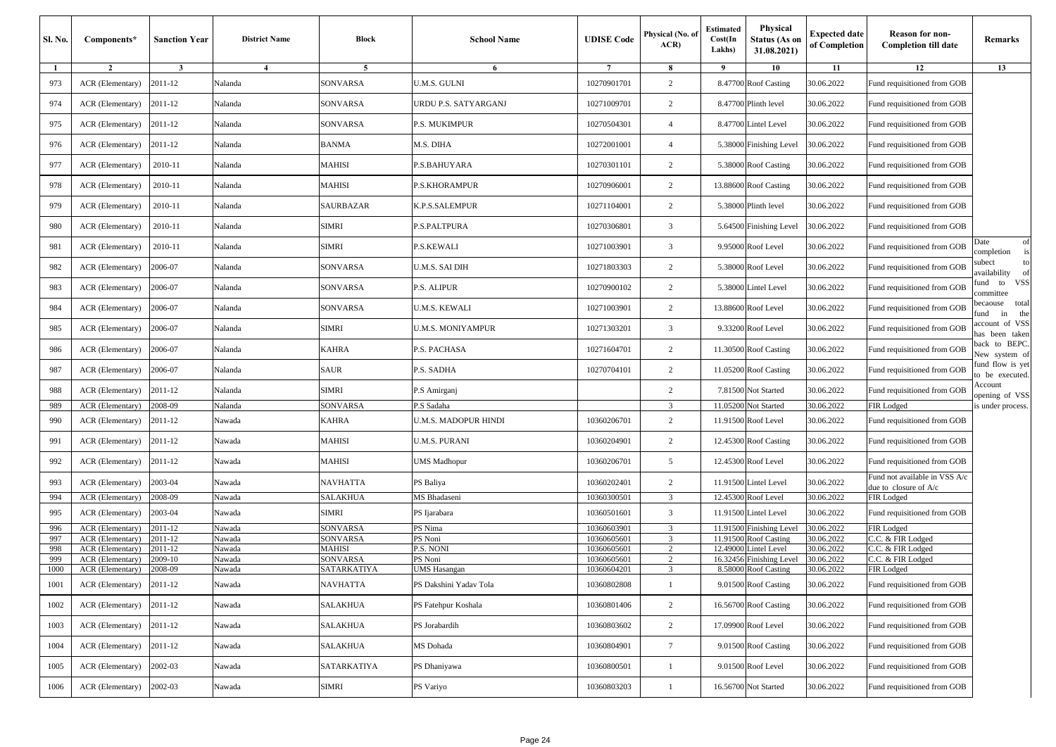| Sl. No. | Components*             | <b>Sanction Year</b> | <b>District Name</b> | Block           | <b>School Name</b>     | <b>UDISE Code</b> | Physical (No. of<br>ACR | <b>Estimated</b><br>Cost(In<br>Lakhs) | <b>Physical</b><br><b>Status (As on</b><br>31.08.2021) | Expected date<br>of Completion | <b>Reason for non-</b><br><b>Completion till date</b>  | Remarks                                |
|---------|-------------------------|----------------------|----------------------|-----------------|------------------------|-------------------|-------------------------|---------------------------------------|--------------------------------------------------------|--------------------------------|--------------------------------------------------------|----------------------------------------|
| -1      | $\overline{2}$          | $\mathbf{3}$         | $\overline{4}$       | 5               | 6                      | $\overline{7}$    | -8                      | $\overline{9}$                        | 10                                                     | 11                             | 12                                                     | 13                                     |
| 973     | ACR (Elementary)        | 2011-12              | Nalanda              | SONVARSA        | U.M.S. GULNI           | 10270901701       | $\overline{c}$          |                                       | 8.47700 Roof Casting                                   | 30.06.2022                     | Fund requisitioned from GOB                            |                                        |
| 974     | ACR (Elementary)        | 2011-12              | Nalanda              | SONVARSA        | URDU P.S. SATYARGANJ   | 10271009701       | $\overline{c}$          |                                       | 8.47700 Plinth level                                   | 30.06.2022                     | Fund requisitioned from GOB                            |                                        |
| 975     | <b>ACR</b> (Elementary) | 2011-12              | Nalanda              | <b>SONVARSA</b> | P.S. MUKIMPUR          | 10270504301       | $\overline{4}$          |                                       | 8.47700 Lintel Level                                   | 30.06.2022                     | Fund requisitioned from GOB                            |                                        |
| 976     | <b>ACR</b> (Elementary) | 2011-12              | Nalanda              | BANMA           | M.S. DIHA              | 10272001001       | $\overline{4}$          |                                       | 5.38000 Finishing Level                                | 30.06.2022                     | Fund requisitioned from GOB                            |                                        |
| 977     | <b>ACR</b> (Elementary) | 2010-11              | Nalanda              | MAHISI          | P.S.BAHUYARA           | 10270301101       | 2                       |                                       | 5.38000 Roof Casting                                   | 30.06.2022                     | Fund requisitioned from GOB                            |                                        |
| 978     | ACR (Elementary)        | 2010-11              | Nalanda              | <b>MAHISI</b>   | P.S.KHORAMPUR          | 10270906001       | $\overline{c}$          |                                       | 13.88600 Roof Casting                                  | 30.06.2022                     | Fund requisitioned from GOB                            |                                        |
| 979     | ACR (Elementary)        | 2010-11              | Nalanda              | SAURBAZAR       | K.P.S.SALEMPUR         | 10271104001       | 2                       |                                       | 5.38000 Plinth level                                   | 30.06.2022                     | Fund requisitioned from GOB                            |                                        |
| 980     | <b>ACR</b> (Elementary) | 2010-11              | Nalanda              | SIMRI           | P.S.PALTPURA           | 10270306801       | 3                       |                                       | 5.64500 Finishing Level                                | 30.06.2022                     | Fund requisitioned from GOB                            |                                        |
| 981     | ACR (Elementary)        | 2010-11              | Nalanda              | <b>SIMRI</b>    | P.S.KEWALI             | 10271003901       | $\overline{3}$          |                                       | 9.95000 Roof Level                                     | 30.06.2022                     | Fund requisitioned from GOB                            | of<br>Date<br>is<br>completion         |
| 982     | ACR (Elementary)        | 2006-07              | Nalanda              | SONVARSA        | U.M.S. SAI DIH         | 10271803303       | $\overline{c}$          |                                       | 5.38000 Roof Level                                     | 30.06.2022                     | Fund requisitioned from GOB                            | to<br>subect<br>availability<br>of     |
| 983     | <b>ACR</b> (Elementary) | 2006-07              | Nalanda              | SONVARSA        | P.S. ALIPUR            | 10270900102       | $\overline{c}$          |                                       | 5.38000 Lintel Level                                   | 30.06.2022                     | Fund requisitioned from GOB                            | fund to VSS<br>committee               |
| 984     | <b>ACR</b> (Elementary) | 2006-07              | Nalanda              | SONVARSA        | <b>U.M.S. KEWALI</b>   | 10271003901       | $\overline{c}$          |                                       | 13.88600 Roof Level                                    | 30.06.2022                     | Fund requisitioned from GOB                            | total<br>becaouse<br>the<br>fund<br>in |
| 985     | ACR (Elementary)        | 2006-07              | Nalanda              | SIMRI           | U.M.S. MONIYAMPUR      | 10271303201       | $\overline{\mathbf{3}}$ |                                       | 9.33200 Roof Level                                     | 30.06.2022                     | Fund requisitioned from GOB                            | account of VSS<br>has been taken       |
| 986     | ACR (Elementary)        | 2006-07              | Nalanda              | KAHRA           | P.S. PACHASA           | 10271604701       | 2                       |                                       | 11.30500 Roof Casting                                  | 30.06.2022                     | Fund requisitioned from GOB                            | back to BEPC.<br>New system of         |
| 987     | <b>ACR</b> (Elementary) | 2006-07              | Nalanda              | SAUR            | P.S. SADHA             | 10270704101       | 2                       |                                       | 11.05200 Roof Casting                                  | 30.06.2022                     | Fund requisitioned from GOB                            | fund flow is yet<br>to be executed.    |
| 988     | ACR (Elementary)        | 2011-12              | Nalanda              | SIMRI           | P.S Amirganj           |                   | $\overline{c}$          |                                       | 7.81500 Not Started                                    | 30.06.2022                     | Fund requisitioned from GOB                            | Account<br>opening of VSS              |
| 989     | ACR (Elementary)        | 2008-09              | Nalanda              | SONVARSA        | P.S Sadaha             |                   | 3                       |                                       | 11.05200 Not Started                                   | 30.06.2022                     | FIR Lodged                                             | is under process.                      |
| 990     | ACR (Elementary)        | 2011-12              | Nawada               | <b>KAHRA</b>    | U.M.S. MADOPUR HINDI   | 10360206701       | 2                       |                                       | 11.91500 Roof Level                                    | 30.06.2022                     | Fund requisitioned from GOB                            |                                        |
| 991     | <b>ACR</b> (Elementary) | 2011-12              | Nawada               | <b>MAHISI</b>   | U.M.S. PURANI          | 10360204901       | $\overline{c}$          |                                       | 12.45300 Roof Casting                                  | 30.06.2022                     | Fund requisitioned from GOB                            |                                        |
| 992     | ACR (Elementary)        | 2011-12              | Nawada               | MAHISI          | UMS Madhopur           | 10360206701       | 5                       |                                       | 12.45300 Roof Level                                    | 30.06.2022                     | Fund requisitioned from GOB                            |                                        |
| 993     | ACR (Elementary)        | 2003-04              | Nawada               | <b>NAVHATTA</b> | PS Baliya              | 10360202401       | $\overline{c}$          |                                       | 11.91500 Lintel Level                                  | 30.06.2022                     | Fund not available in VSS A/c<br>due to closure of A/c |                                        |
| 994     | ACR (Elementary)        | 2008-09              | Nawada               | SALAKHUA        | MS Bhadaseni           | 10360300501       | 3                       |                                       | 12.45300 Roof Level                                    | 30.06.2022                     | FIR Lodged                                             |                                        |
| 995     | ACR (Elementary)        | 2003-04              | Nawada               | <b>SIMRI</b>    | PS Ijarabara           | 10360501601       | 3                       |                                       | 11.91500 Lintel Level                                  | 30.06.2022                     | Fund requisitioned from GOB                            |                                        |
| 996     | ACR (Elementary)        | 2011-12              | Nawada               | SONVARSA        | PS Nima                | 10360603901       | 3                       | 11.91500                              | <b>Finishing Level</b>                                 | 30.06.2022                     | FIR Lodged                                             |                                        |
| 997     | ACR (Elementary)        | 2011-12              | Nawada               | SONVARSA        | PS Noni                | 10360605601       | 3                       | 11.91500                              | <b>Roof Casting</b>                                    | 30.06.2022                     | C.C. & FIR Lodged                                      |                                        |
| 998     | ACR (Elementary)        | 2011-12              | Nawada               | <b>MAHISI</b>   | P.S. NONI              | 10360605601       | $\overline{2}$          | 12.4900                               | intel Level                                            | 30.06.2022                     | C.C. & FIR Lodged                                      |                                        |
| 999     | ACR (Elementary)        | 2009-10              | Nawada               | SONVARSA        | PS Noni                | 10360605601       | 2                       | 16.3245                               | <b>Finishing Level</b>                                 | 30.06.2022                     | C.C. & FIR Lodged                                      |                                        |
| 1000    | ACR (Elementary)        | 2008-09              | Nawada               | SATARKATIYA     | UMS Hasangan           | 10360604201       | 3                       | 8.58000                               | <b>Roof Casting</b>                                    | 30.06.2022                     | FIR Lodged                                             |                                        |
| 1001    | ACR (Elementary)        | 2011-12              | Nawada               | <b>NAVHATTA</b> | PS Dakshini Yadav Tola | 10360802808       | -1                      |                                       | 9.01500 Roof Casting                                   | 30.06.2022                     | Fund requisitioned from GOB                            |                                        |
| 1002    | ACR (Elementary)        | 2011-12              | Nawada               | SALAKHUA        | PS Fatehpur Koshala    | 10360801406       | 2                       |                                       | 16.56700 Roof Casting                                  | 30.06.2022                     | Fund requisitioned from GOB                            |                                        |
| 1003    | ACR (Elementary)        | 2011-12              | Nawada               | SALAKHUA        | PS Jorabardih          | 10360803602       | $\overline{c}$          |                                       | 17.09900 Roof Level                                    | 30.06.2022                     | Fund requisitioned from GOB                            |                                        |
| 1004    | ACR (Elementary)        | 2011-12              | Nawada               | SALAKHUA        | MS Dohada              | 10360804901       | $7\phantom{.0}$         |                                       | 9.01500 Roof Casting                                   | 30.06.2022                     | Fund requisitioned from GOB                            |                                        |
| 1005    | ACR (Elementary)        | 2002-03              | Nawada               | SATARKATIYA     | PS Dhaniyawa           | 10360800501       | 1                       |                                       | 9.01500 Roof Level                                     | 30.06.2022                     | Fund requisitioned from GOB                            |                                        |
| 1006    | ACR (Elementary)        | 2002-03              | Nawada               | <b>SIMRI</b>    | PS Variyo              | 10360803203       | $\mathbf{1}$            |                                       | 16.56700 Not Started                                   | 30.06.2022                     | Fund requisitioned from GOB                            |                                        |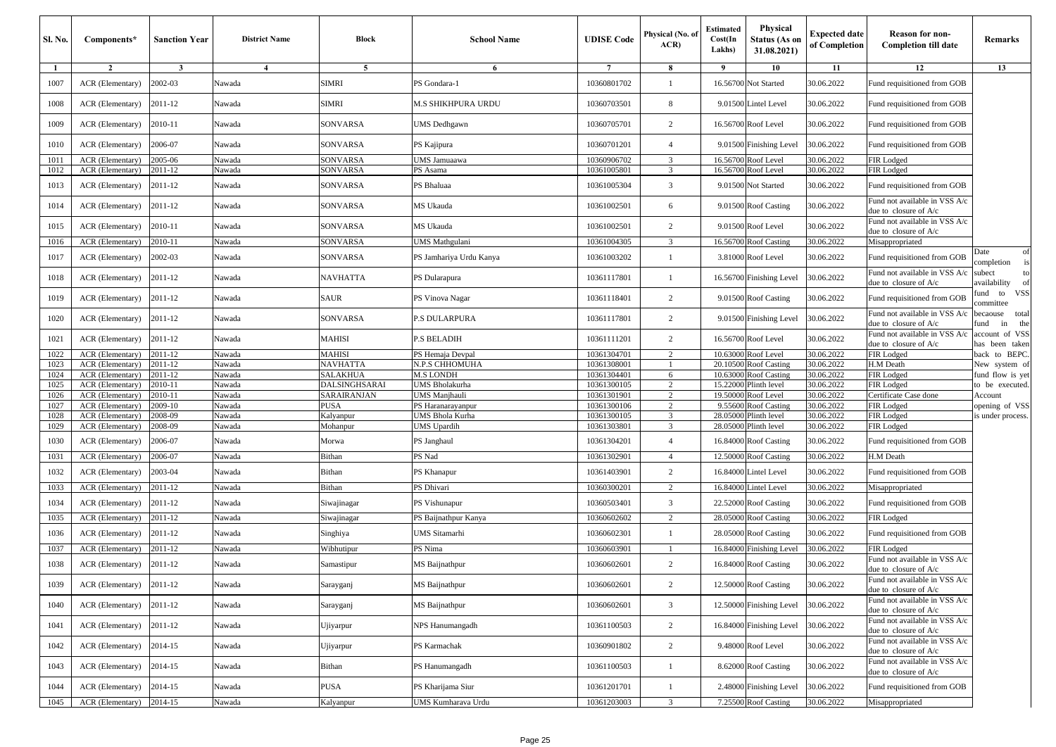| Sl. No.      | Components*                          | <b>Sanction Year</b> | <b>District Name</b> | Block             | <b>School Name</b>                         | <b>UDISE</b> Code          | Physical (No. of<br>ACR          | Estimated<br>Cost(In<br>Lakhs) | <b>Physical</b><br><b>Status (As on</b><br>31.08.2021) | <b>Expected date</b><br>of Completion | <b>Reason for non-</b><br><b>Completion till date</b>         | Remarks                               |
|--------------|--------------------------------------|----------------------|----------------------|-------------------|--------------------------------------------|----------------------------|----------------------------------|--------------------------------|--------------------------------------------------------|---------------------------------------|---------------------------------------------------------------|---------------------------------------|
| -1           | $\overline{2}$                       | $\mathbf{3}$         | $\overline{4}$       | 5                 | 6                                          | $7\phantom{.0}$            | 8                                | -9                             | 10                                                     | 11                                    | 12                                                            | 13                                    |
| 1007         | ACR (Elementary)                     | 2002-03              | Nawada               | <b>SIMRI</b>      | PS Gondara-1                               | 10360801702                | $\mathbf{1}$                     | 16.56700                       | Not Started                                            | 30.06.2022                            | Fund requisitioned from GOB                                   |                                       |
| 1008         | ACR (Elementary)                     | 2011-12              | Nawada               | <b>SIMRI</b>      | M.S SHIKHPURA URDU                         | 10360703501                | 8                                |                                | 9.01500 Lintel Level                                   | 30.06.2022                            | Fund requisitioned from GOB                                   |                                       |
| 1009         | ACR (Elementary)                     | 2010-11              | Nawada               | <b>SONVARSA</b>   | UMS Dedhgawn                               | 10360705701                | $\overline{c}$                   |                                | 16.56700 Roof Level                                    | 30.06.2022                            | Fund requisitioned from GOB                                   |                                       |
| 1010         | ACR (Elementary)                     | 2006-07              | Nawada               | SONVARSA          | PS Kajipura                                | 10360701201                | $\overline{4}$                   |                                | 9.01500 Finishing Level                                | 30.06.2022                            | Fund requisitioned from GOB                                   |                                       |
| 1011         | ACR (Elementary)                     | 2005-06              | Nawada               | SONVARSA          | JMS Jamuaawa                               | 10360906702                | 3                                |                                | 16.56700 Roof Level                                    | 30.06.2022                            | FIR Lodged                                                    |                                       |
| 1012         | ACR (Elementary)                     | 2011-12              | Nawada               | SONVARSA          | PS Asama                                   | 10361005801                | 3                                |                                | 16.56700 Roof Level                                    | 30.06.2022                            | FIR Lodged                                                    |                                       |
| 1013         | ACR (Elementary)                     | 2011-12              | Nawada               | SONVARSA          | PS Bhaluaa                                 | 10361005304                | 3                                |                                | 9.01500 Not Started                                    | 30.06.2022                            | Fund requisitioned from GOB                                   |                                       |
| 1014         | ACR (Elementary)                     | 2011-12              | Nawada               | SONVARSA          | MS Ukauda                                  | 10361002501                | 6                                |                                | 9.01500 Roof Casting                                   | 30.06.2022                            | Fund not available in VSS A/c<br>lue to closure of A/c        |                                       |
| 1015         | ACR (Elementary)                     | 2010-11              | Nawada               | SONVARSA          | MS Ukauda                                  | 10361002501                | $\overline{2}$                   |                                | 9.01500 Roof Level                                     | 30.06.2022                            | Fund not available in VSS A/c<br>due to closure of A/c        |                                       |
| 1016         | ACR (Elementary)                     | 2010-11              | Nawada               | SONVARSA          | JMS Mathgulani                             | 10361004305                | 3                                |                                | 16.56700 Roof Casting                                  | 30.06.2022                            | Misappropriated                                               |                                       |
| 1017         | ACR (Elementary)                     | 2002-03              | Nawada               | SONVARSA          | PS Jamhariya Urdu Kanya                    | 10361003202                | $\mathbf{1}$                     |                                | 3.81000 Roof Level                                     | 30.06.2022                            | Fund requisitioned from GOB                                   | Date<br>of<br>ompletion               |
| 1018         | ACR (Elementary)                     | 2011-12              | Nawada               | NAVHATTA          | PS Dularapura                              | 10361117801                | 1                                |                                | 16.56700 Finishing Level                               | 30.06.2022                            | Fund not available in VSS A/c<br>due to closure of A/c        | subect<br>to<br>availability<br>of    |
| 1019         | ACR (Elementary)                     | 2011-12              | Nawada               | <b>SAUR</b>       | PS Vinova Nagar                            | 10361118401                | 2                                |                                | 9.01500 Roof Casting                                   | 30.06.2022                            | Fund requisitioned from GOB                                   | <b>VSS</b><br>und<br>to<br>committee  |
| 1020         | ACR (Elementary)                     | 2011-12              | Nawada               | SONVARSA          | <b>S DULARPURA</b>                         | 10361117801                | 2                                |                                | 9.01500 Finishing Level                                | 30.06.2022                            | Fund not available in VSS A/c<br>lue to closure of A/c        | total<br>pecaouse<br>the<br>und<br>in |
| 1021         | ACR (Elementary)                     | 2011-12              | Nawada               | MAHISI            | P.S BELADIH                                | 10361111201                | $\overline{2}$                   |                                | 16.56700 Roof Level                                    | 30.06.2022                            | Fund not available in VSS A/c<br>due to closure of A/c        | account of VSS<br>has been taken      |
| 1022         | ACR (Elementary)                     | 2011-12              | Nawada               | MAHISI            | PS Hemaja Devpal                           | 10361304701                | $\overline{2}$                   |                                | 10.63000 Roof Level                                    | 30.06.2022                            | FIR Lodged                                                    | back to BEPC.                         |
| 1023         | ACR (Elementary)                     | 2011-12              | Nawada               | NAVHATTA          | N.P.S CHHOMUHA                             | 10361308001                |                                  |                                | 20.10500 Roof Casting                                  | 30.06.2022                            | H.M Death                                                     | New system of                         |
| 1024         | ACR (Elementary)                     | 2011-12              | Nawada               | <b>SALAKHUA</b>   | <b>M.S LONDH</b>                           | 10361304401                | 6                                |                                | 10.63000 Roof Casting                                  | 30.06.2022                            | FIR Lodged                                                    | und flow is yet                       |
| 1025         | ACR (Elementary)                     | 2010-11              | Nawada               | DALSINGHSARAI     | JMS Bholakurha                             | 10361300105                | $\overline{2}$                   |                                | 15.22000 Plinth level                                  | 30.06.2022                            | FIR Lodged                                                    | o be executed.                        |
| 1026         | ACR (Elementary)                     | 2010-11              | Nawada               | SARAIRANJAN       | JMS Manjhauli                              | 10361301901                | $\overline{2}$<br>$\overline{2}$ |                                | 19.50000 Roof Level                                    | 30.06.2022<br>30.06.2022              | Certificate Case done                                         | Account                               |
| 1027<br>1028 | ACR (Elementary)<br>ACR (Elementary) | 2009-10<br>2008-09   | Nawada<br>Nawada     | PUSA<br>Kalyanpur | <b>S Haranarayanpur</b><br>JMS Bhola Kurha | 10361300106<br>10361300105 | 3                                | 9.55600                        | <b>Roof Casting</b><br>28.05000 Plinth level           | 30.06.2022                            | FIR Lodged<br>FIR Lodged                                      | opening of VSS<br>s under process.    |
| 1029         | ACR (Elementary)                     | 2008-09              | Nawada               | Mohanpur          | <b>JMS</b> Upardih                         | 10361303801                | 3                                |                                | 28.05000 Plinth level                                  | 30.06.2022                            | FIR Lodged                                                    |                                       |
| 1030         | ACR (Elementary)                     | 2006-07              | Nawada               | Morwa             | PS Janghaul                                | 10361304201                | $\overline{4}$                   |                                | 16.84000 Roof Casting                                  | 30.06.2022                            | Fund requisitioned from GOB                                   |                                       |
| 1031         | ACR (Elementary)                     | 2006-07              | Nawada               | Bithan            | PS Nad                                     | 10361302901                | $\overline{4}$                   |                                | 12.50000 Roof Casting                                  | 30.06.2022                            | H.M Death                                                     |                                       |
| 1032         | ACR (Elementary)                     | 2003-04              | Nawada               | Bithan            | PS Khanapur                                | 10361403901                | $\overline{2}$                   | 16.84000                       | <b>Lintel Level</b>                                    | 30.06.2022                            | Fund requisitioned from GOB                                   |                                       |
| 1033         | ACR (Elementary)                     | 2011-12              | Nawada               | Bithan            | PS Dhivari                                 | 10360300201                | $\overline{2}$                   |                                | 16.84000 Lintel Level                                  | 30.06.2022                            | Misappropriated                                               |                                       |
| 1034         | ACR (Elementary)                     | 2011-12              | Nawada               | Siwajinagar       | PS Vishunapur                              | 10360503401                | 3                                |                                | 22.52000 Roof Casting                                  | 30.06.2022                            | Fund requisitioned from GOB                                   |                                       |
| 1035         | ACR (Elementary)                     | 2011-12              | Nawada               | Siwajinagar       | PS Baijnathpur Kanya                       | 10360602602                | 2                                |                                | 28.05000 Roof Casting                                  | 30.06.2022                            | FIR Lodged                                                    |                                       |
| 1036         | ACR (Elementary)                     | 2011-12              | Nawada               | Singhiya          | UMS Sitamarhi                              | 10360602301                | $\mathbf{1}$                     | 28.05000                       | <b>Roof Casting</b>                                    | 30.06.2022                            | Fund requisitioned from GOB                                   |                                       |
| 1037         | ACR (Elementary)                     | 2011-12              | Nawada               | Wibhutipur        | PS Nima                                    | 10360603901                | -1                               |                                | 16.84000 Finishing Level                               | 30.06.2022                            | FIR Lodged                                                    |                                       |
| 1038         | ACR (Elementary)                     | 2011-12              | Nawada               | Samastipur        | MS Baijnathpur                             | 10360602601                | $\overline{c}$                   |                                | 16.84000 Roof Casting                                  | 30.06.2022                            | Fund not available in VSS A/c<br>due to closure of A/c        |                                       |
| 1039         | ACR (Elementary)                     | 2011-12              | Nawada               | Sarayganj         | MS Baijnathpur                             | 10360602601                | $\overline{c}$                   |                                | 12.50000 Roof Casting                                  | 30.06.2022                            | and not available in VSS $A\sqrt{c}$<br>due to closure of A/c |                                       |
| 1040         | ACR (Elementary)                     | 2011-12              | Nawada               | Sarayganj         | MS Baijnathpur                             | 10360602601                | 3                                |                                | 12.50000 Finishing Level                               | 30.06.2022                            | Fund not available in VSS A/c<br>due to closure of A/c        |                                       |
| 1041         | ACR (Elementary)                     | $2011 - 12$          | Nawada               | Ujiyarpur         | NPS Hanumangadh                            | 10361100503                | $\overline{c}$                   |                                | 16.84000 Finishing Level                               | 30.06.2022                            | Fund not available in VSS A/c<br>due to closure of A/c        |                                       |
| 1042         | ACR (Elementary)                     | 2014-15              | Nawada               | Ujiyarpur         | PS Karmachak                               | 10360901802                | $\overline{2}$                   |                                | 9.48000 Roof Level                                     | 30.06.2022                            | Fund not available in VSS A/c<br>due to closure of A/c        |                                       |
| 1043         | ACR (Elementary)                     | 2014-15              | Nawada               | Bithan            | PS Hanumangadh                             | 10361100503                | 1                                |                                | 8.62000 Roof Casting                                   | 30.06.2022                            | Fund not available in VSS A/c<br>due to closure of A/c        |                                       |
| 1044         | ACR (Elementary)                     | 2014-15              | Nawada               | PUSA              | PS Kharijama Siur                          | 10361201701                | 1                                |                                | 2.48000 Finishing Level                                | 30.06.2022                            | Fund requisitioned from GOB                                   |                                       |
| 1045         | ACR (Elementary)                     | 2014-15              | Nawada               | Kalyanpur         | UMS Kumharava Urdu                         | 10361203003                | $\overline{3}$                   |                                | 7.25500 Roof Casting                                   | 30.06.2022                            | Misappropriated                                               |                                       |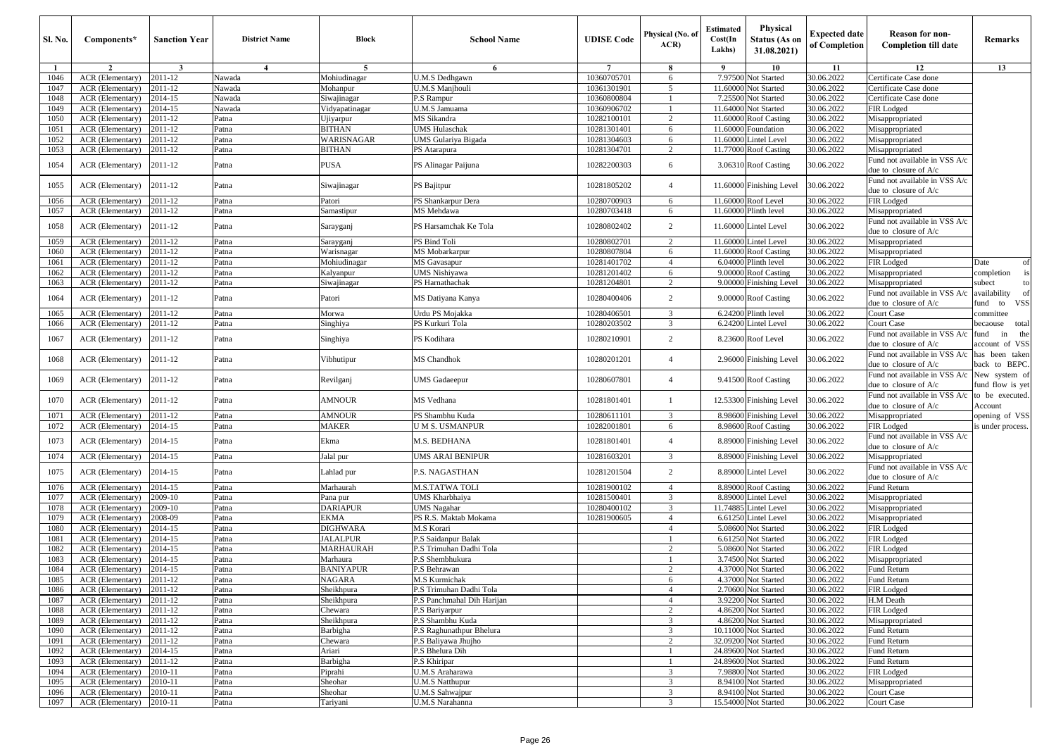| <b>Sl. No.</b> | Components*                          | <b>Sanction Year</b>    | <b>District Name</b> | <b>Block</b>                | <b>School Name</b>                | <b>UDISE</b> Code          | Physical (No. o<br>ACR | Estimated<br>Cost(In<br>Lakhs) | Physical<br><b>Status (As on</b><br>31.08.2021) | <b>Expected date</b><br>of Completion | <b>Reason for non-</b><br><b>Completion till date</b>  | Remarks                                |
|----------------|--------------------------------------|-------------------------|----------------------|-----------------------------|-----------------------------------|----------------------------|------------------------|--------------------------------|-------------------------------------------------|---------------------------------------|--------------------------------------------------------|----------------------------------------|
| -1             | $\overline{2}$                       | $\overline{\mathbf{3}}$ | $\overline{4}$       | 5                           | 6                                 | $\overline{7}$             | 8                      | 9                              | 10                                              | 11                                    | 12                                                     | 13                                     |
| 1046           | ACR (Elementary)                     | 2011-12                 | Nawada               | Mohiudinagar                | U.M.S Dedhgawn                    | 10360705701                | 6                      | 7.97500                        | Not Started                                     | 30.06.2022                            | Certificate Case done                                  |                                        |
| 1047           | ACR (Elementary)                     | 2011-12                 | Nawada               | Mohanpur                    | <b>U.M.S Manjhouli</b>            | 10361301901                | 5                      | 11.60000                       | Not Started                                     | 30.06.2022                            | Certificate Case done                                  |                                        |
| 1048           | ACR (Elementary)                     | 2014-15                 | Nawada               | Siwajinagar                 | P.S Rampur                        | 10360800804                |                        |                                | 7.25500 Not Started                             | 30.06.2022                            | Certificate Case done                                  |                                        |
| 1049           | ACR (Elementary)                     | 2014-15                 | Nawada               | Vidyapatinagar              | U.M.S Jamuama                     | 10360906702                |                        | 11.64000                       | Not Started                                     | 30.06.2022                            | FIR Lodged                                             |                                        |
| 1050           | ACR (Elementary)                     | 2011-12                 | Patna                | Jjiyarpur                   | MS Sikandra                       | 10282100101                | $\overline{2}$         | 11.60000                       | <b>Roof Casting</b>                             | 30.06.2022                            | Misappropriated                                        |                                        |
| 1051           | ACR (Elementary)                     | 2011-12                 | Patna                | BITHAN                      | <b>UMS Hulaschak</b>              | 10281301401                | 6                      | 11.60000                       | Foundation                                      | 30.06.2022                            | Misappropriated                                        |                                        |
| 1052           | ACR (Elementary)                     | 2011-12                 | Patna                | WARISNAGAR                  | UMS Gulariya Bigada               | 10281304603                | 6                      | 11.60000                       | <b>Lintel Level</b>                             | 30.06.2022                            | Misappropriated                                        |                                        |
| 1053           | ACR (Elementary)                     | 2011-12                 | Patna                | BITHAN                      | PS Atarapura                      | 10281304701                | $\overline{2}$         |                                | 11.77000 Roof Casting                           | 30.06.2022                            | Misappropriated<br>Fund not available in VSS A/c       |                                        |
| 1054           | ACR (Elementary)                     | 2011-12                 | Patna                | PUSA                        | PS Alinagar Paijuna               | 10282200303                | 6                      |                                | 3.06310 Roof Casting                            | 30.06.2022                            | due to closure of A/c<br>Fund not available in VSS A/c |                                        |
| 1055           | ACR (Elementary)                     | 2011-12                 | Patna                | Siwajinagar                 | PS Bajitpur                       | 10281805202                | $\overline{4}$         |                                | 11.60000 Finishing Level                        | 30.06.2022                            | due to closure of A/c                                  |                                        |
| 1056           | ACR (Elementary)                     | 2011-12                 | Patna                | Patori                      | PS Shankarpur Dera                | 10280700903                | 6                      |                                | 11.60000 Roof Level                             | 30.06.2022                            | FIR Lodged                                             |                                        |
| 1057           | ACR (Elementary)                     | 2011-12                 | Patna                | Samastipur                  | MS Mehdawa                        | 10280703418                | 6                      |                                | 11.60000 Plinth level                           | 30.06.2022                            | Misappropriated                                        |                                        |
| 1058           | ACR (Elementary)                     | 2011-12                 | Patna                | Sarayganj                   | PS Harsamchak Ke Tola             | 10280802402                | 2                      |                                | 11.60000 Lintel Level                           | 30.06.2022                            | Fund not available in VSS A/c<br>due to closure of A/c |                                        |
| 1059           | ACR (Elementary)                     | 2011-12                 | Patna                | Sarayganj                   | PS Bind Toli                      | 10280802701                | 2                      |                                | 11.60000 Lintel Level                           | 30.06.2022                            | Misappropriated                                        |                                        |
| 1060           | ACR (Elementary)                     | 2011-12                 | Patna                | Warisnagar                  | MS Mobarkarpur                    | 10280807804                | 6                      | 11.60000                       | <b>Roof Casting</b>                             | 30.06.2022                            | Misappropriated                                        |                                        |
| 1061           | ACR (Elementary)                     | 2011-12                 | Patna                | Mohiudinagar                | MS Gavasapur                      | 10281401702                | $\overline{4}$         | 6.04000                        | Plinth level                                    | 30.06.2022                            | FIR Lodged                                             | Date<br>of                             |
| 1062           | ACR (Elementary)<br>ACR (Elementary) | 2011-12<br>2011-12      | Patna<br>Patna       | Kalyanpur                   | UMS Nishiyawa<br>PS Harnathachak  | 10281201402<br>10281204801 | 6<br>2                 |                                | 9.00000 Roof Casting<br>9.00000 Finishing Level | 30.06.2022<br>30.06.2022              | Misappropriated<br>Misappropriated                     | completion<br>subect<br>to             |
| 1063           |                                      |                         |                      | Siwajinagar                 |                                   |                            |                        |                                |                                                 |                                       | Fund not available in VSS A/c                          | availability<br>of                     |
| 1064           | ACR (Elementary)                     | 2011-12                 | Patna                | Patori                      | MS Datiyana Kanya                 | 10280400406                | 2                      |                                | 9.00000 Roof Casting                            | 30.06.2022                            | due to closure of A/c                                  | <b>VSS</b><br>fund to                  |
| 1065           | ACR (Elementary)<br>ACR (Elementary) | 2011-12                 | Patna                | Morwa                       | Urdu PS Mojakka                   | 10280406501<br>10280203502 | 3<br>3                 |                                | 6.24200 Plinth level                            | 30.06.2022                            | Court Case                                             | committee                              |
| 1066           |                                      | 2011-12                 | Patna                | Singhiya                    | PS Kurkuri Tola                   |                            |                        |                                | 6.24200 Lintel Level                            | 30.06.2022                            | Court Case<br>Fund not available in VSS A/c            | total<br>pecaouse<br>the<br>fund<br>in |
| 1067           | ACR (Elementary)                     | 2011-12                 | Patna                | Singhiya                    | PS Kodihara                       | 10280210901                | $\overline{2}$         |                                | 8.23600 Roof Level                              | 30.06.2022                            | due to closure of $A/c$                                | account of VSS                         |
| 1068           | ACR (Elementary)                     | 2011-12                 | Patna                | Vibhutipur                  | MS Chandhok                       | 10280201201                | $\overline{4}$         |                                | 2.96000 Finishing Level                         | 30.06.2022                            | Fund not available in VSS A/c<br>due to closure of A/c | has been taken<br>back to BEPC.        |
| 1069           | ACR (Elementary)                     | 2011-12                 | Patna                | Revilganj                   | <b>UMS</b> Gadaeepur              | 10280607801                | $\overline{4}$         |                                | 9.41500 Roof Casting                            | 30.06.2022                            | Fund not available in VSS A/c<br>due to closure of A/c | New system of<br>fund flow is yet      |
| 1070           | ACR (Elementary)                     | 2011-12                 | Patna                | AMNOUR                      | MS Vedhana                        | 10281801401                | -1                     |                                | 12.53300 Finishing Level                        | 30.06.2022                            | Fund not available in VSS A/c<br>due to closure of A/c | to be executed.<br>Account             |
| 1071           | ACR (Elementary)                     | 2011-12                 | Patna                | AMNOUR                      | PS Shambhu Kuda                   | 10280611101                | 3                      |                                | 8.98600 Finishing Level                         | 30.06.2022                            | Misappropriated                                        | opening of VSS                         |
| 1072           | ACR (Elementary)                     | 2014-15                 | Patna                | <b>MAKER</b>                | <b>UMS. USMANPUR</b>              | 10282001801                | 6                      |                                | 8.98600 Roof Casting                            | 30.06.2022                            | FIR Lodged                                             | is under process.                      |
| 1073           | ACR (Elementary)                     | 2014-15                 | Patna                | Ekma                        | M.S. BEDHANA                      | 10281801401                | $\overline{4}$         |                                | 8.89000 Finishing Level                         | 30.06.2022                            | Fund not available in VSS A/c<br>due to closure of A/c |                                        |
| 1074           | ACR (Elementary)                     | 2014-15                 | Patna                | Jalal pur                   | <b>UMS ARAI BENIPUR</b>           | 10281603201                | 3                      |                                | 8.89000 Finishing Level                         | 30.06.2022                            | Misappropriated                                        |                                        |
| 1075           | ACR (Elementary)                     | 2014-15                 | Patna                | Lahlad pur                  | P.S. NAGASTHAN                    | 10281201504                | $\overline{2}$         |                                | 8.89000 Lintel Level                            | 30.06.2022                            | Fund not available in VSS A/c<br>due to closure of A/c |                                        |
| 1076           | ACR (Elementary)                     | 2014-15                 | Patna                | Marhaurah                   | <b>M.S.TATWA TOLI</b>             | 10281900102                | $\overline{4}$         |                                | 8.89000 Roof Casting                            | 30.06.2022                            | Fund Return                                            |                                        |
| 1077           | ACR (Elementary)                     | 2009-10                 | Patna                | Pana pur                    | UMS Kharbhaiya                    | 10281500401                | 3                      |                                | 8.89000 Lintel Level                            | 30.06.2022                            | Misappropriated                                        |                                        |
| 1078           | ACR (Elementary)                     | 2009-10                 | Patna                | <b>DARIAPUR</b>             | <b>UMS Nagahar</b>                | 10280400102                | 3                      |                                | 11.74885 Lintel Level                           | 30.06.2022                            | Misappropriated                                        |                                        |
| 1079           | ACR (Elementary)                     | 2008-09                 | Patna                | EKMA                        | PS R.S. Maktab Mokama             | 10281900605                | $\overline{4}$         |                                | 6.61250 Lintel Level                            | 30.06.2022                            | Misappropriated                                        |                                        |
| 1080<br>1081   | ACR (Elementary)<br>ACR (Elementary) | 2014-15<br>2014-15      | Patna<br>Patna       | <b>DIGHWARA</b><br>JALALPUR | M.S Korari<br>P.S Saidanpur Balak |                            | $\overline{4}$<br>-1   | 5.08600                        | Not Started<br>6.61250 Not Started              | 30.06.2022<br>30.06.2022              | FIR Lodged<br>FIR Lodged                               |                                        |
| 1082           | ACR (Elementary)                     | 2014-15                 | Patna                | MARHAURAH                   | P.S Trimuhan Dadhi Tola           |                            | $\overline{2}$         | 5.08600                        | Not Started                                     | 30.06.2022                            | FIR Lodged                                             |                                        |
| 1083           | ACR (Elementary)                     | 2014-15                 | Patna                | Marhaura                    | P.S Shembhukura                   |                            |                        | 3.74500                        | Not Started                                     | 30.06.2022                            | Misappropriated                                        |                                        |
| 1084           | ACR (Elementary)                     | 2014-15                 | Patna                | BANIYAPUR                   | P.S Behrawan                      |                            | $\overline{2}$         | 4.37000                        | Not Started                                     | 30.06.2022                            | Fund Return                                            |                                        |
| $1085$         | $ACR$ (Elementary) [2011-12]         |                         | Patna                | NAGARA                      | M.S Kurmichak                     |                            | 6                      |                                | 4.37000 Not Started                             | 30.06.2022                            | Fund Return                                            |                                        |
| 1086           | ACR (Elementary)                     | 2011-12                 | Patna                | Sheikhpura                  | P.S Trimuhan Dadhi Tola           |                            | $\overline{4}$         |                                | 2.70600 Not Started                             | 30.06.2022                            | FIR Lodged                                             |                                        |
| 1087           | ACR (Elementary)                     | 2011-12                 | Patna                | Sheikhpura                  | P.S Panchmahal Dih Harijan        |                            | $\overline{4}$         |                                | 3.92200 Not Started                             | 30.06.2022                            | H.M Death                                              |                                        |
| 1088           | ACR (Elementary)                     | 2011-12                 | Patna                | Chewara                     | P.S Bariyarpur                    |                            | $\overline{2}$         |                                | 4.86200 Not Started                             | 30.06.2022                            | FIR Lodged                                             |                                        |
| 1089           | <b>ACR</b> (Elementary)              | 2011-12                 | Patna                | Sheikhpura                  | P.S Shambhu Kuda                  |                            | 3                      |                                | 4.86200 Not Started                             | 30.06.2022                            | Misappropriated                                        |                                        |
| 1090           | ACR (Elementary)                     | 2011-12                 | Patna                | Barbigha                    | P.S Raghunathpur Bhelura          |                            | 3                      |                                | 10.11000 Not Started                            | 30.06.2022                            | Fund Return                                            |                                        |
| 1091           | ACR (Elementary)                     | 2011-12                 | Patna                | Chewara                     | P.S Baliyawa Jhujho               |                            | $\overline{2}$         |                                | 32.09200 Not Started                            | 30.06.2022                            | Fund Return                                            |                                        |
| 1092           | ACR (Elementary)                     | 2014-15                 | Patna                | Ariari                      | P.S Bhelura Dih                   |                            |                        |                                | 24.89600 Not Started                            | 30.06.2022                            | Fund Return                                            |                                        |
| 1093           | ACR (Elementary)                     | 2011-12                 | Patna                | Barbigha                    | P.S Khiripar                      |                            |                        |                                | 24.89600 Not Started                            | 30.06.2022                            | Fund Return                                            |                                        |
| 1094           | ACR (Elementary)                     | 2010-11                 | Patna                | Piprahi                     | <b>U.M.S Araharawa</b>            |                            | 3                      |                                | 7.98800 Not Started                             | 30.06.2022                            | FIR Lodged                                             |                                        |
| 1095           | ACR (Elementary)                     | 2010-11                 | Patna                | Sheohar                     | <b>U.M.S Natthupur</b>            |                            | $\overline{3}$         |                                | 8.94100 Not Started                             | 30.06.2022                            | Misappropriated                                        |                                        |
| 1096           | ACR (Elementary)                     | 2010-11                 | Patna                | Sheohar                     | <b>U.M.S Sahwajpur</b>            |                            | 3                      |                                | 8.94100 Not Started                             | 30.06.2022                            | Court Case                                             |                                        |
| 1097           | ACR (Elementary)                     | 2010-11                 | Patna                | Tariyani                    | <b>U.M.S Narahanna</b>            |                            | 3                      |                                | 15.54000 Not Started                            | 30.06.2022                            | Court Case                                             |                                        |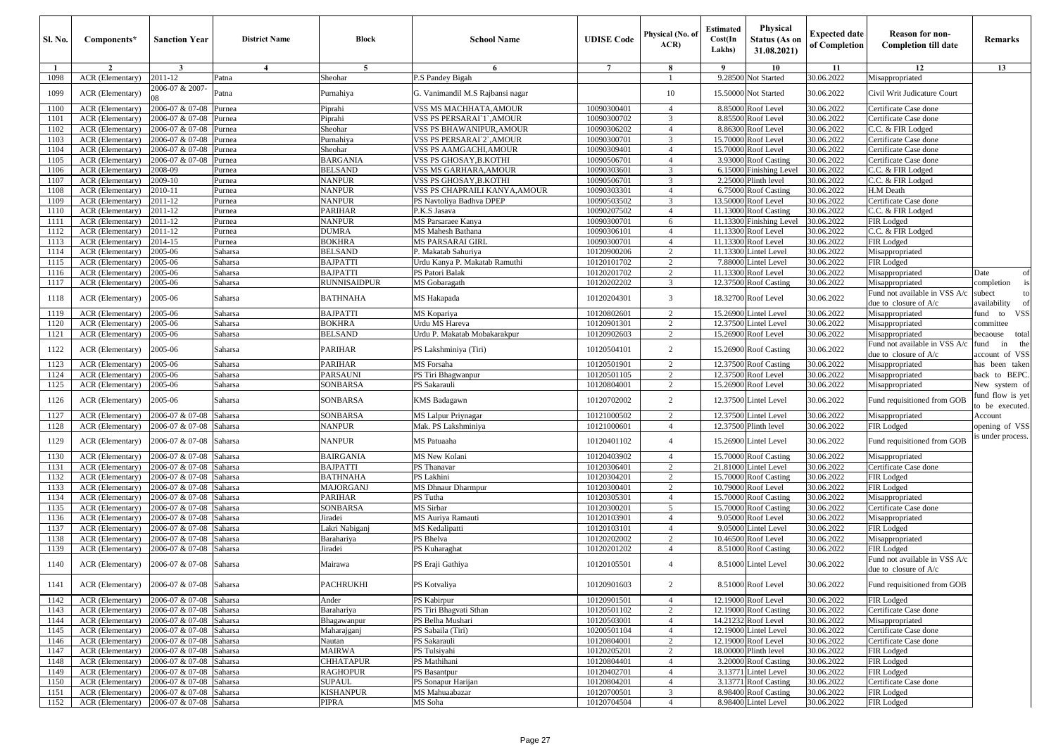| $\overline{2}$<br>3<br>$\overline{4}$<br>5<br>6<br>$\overline{7}$<br>8<br>9<br>10<br>11<br>$\mathbf{1}$<br>ACR (Elementary)<br>2011-12<br>9.28500<br>30.06.2022<br>1098<br>Patna<br>Sheohar<br><sup>2</sup> .S Pandey Bigah<br><b>Not Started</b><br>2006-07 & 2007-<br>30.06.2022<br>1099<br>ACR (Elementary)<br>Patna<br>G. Vanimandil M.S Rajbansi nagar<br>10<br>15.5000<br>Not Started<br>Purnahiya<br>2006-07 & 07-08<br>8.8500<br>30.06.2022<br>ACR (Elementary)<br>Piprahi<br>VSS MS MACHHATA,AMOUR<br>10090300401<br><b>Roof</b> Level<br>1100<br>Purnea<br>$\overline{4}$ | 12<br>Misappropriated<br>Civil Writ Judicature Court<br>Certificate Case done<br>Certificate Case done<br>C.C. & FIR Lodged<br>Certificate Case done | 13                               |
|-------------------------------------------------------------------------------------------------------------------------------------------------------------------------------------------------------------------------------------------------------------------------------------------------------------------------------------------------------------------------------------------------------------------------------------------------------------------------------------------------------------------------------------------------------------------------------------|------------------------------------------------------------------------------------------------------------------------------------------------------|----------------------------------|
|                                                                                                                                                                                                                                                                                                                                                                                                                                                                                                                                                                                     |                                                                                                                                                      |                                  |
|                                                                                                                                                                                                                                                                                                                                                                                                                                                                                                                                                                                     |                                                                                                                                                      |                                  |
|                                                                                                                                                                                                                                                                                                                                                                                                                                                                                                                                                                                     |                                                                                                                                                      |                                  |
|                                                                                                                                                                                                                                                                                                                                                                                                                                                                                                                                                                                     |                                                                                                                                                      |                                  |
| 2006-07 & 07-08<br>10090300702<br>3<br>8.8550<br>30.06.2022<br>1101<br>ACR (Elementary)<br>Purnea<br>Piprahi<br>VSS PS PERSARAI` I`,AMOUR<br><b>Roof</b> Level                                                                                                                                                                                                                                                                                                                                                                                                                      |                                                                                                                                                      |                                  |
| 2006-07 & 07-08<br>30.06.2022<br>ACR (Elementary)<br>Sheohar<br>VSS PS BHAWANIPUR,AMOUR<br>10090306202<br>$\overline{4}$<br>8.86300<br>Roof Level<br>1102<br>Purnea                                                                                                                                                                                                                                                                                                                                                                                                                 |                                                                                                                                                      |                                  |
| 30.06.2022<br>1103<br>ACR (Elementary)<br>2006-07 & 07-08<br>Purnahiya<br>VSS PS PERSARAI`2`,AMOUR<br>10090300701<br>3<br>15.70000<br>Roof Level<br>Purnea                                                                                                                                                                                                                                                                                                                                                                                                                          |                                                                                                                                                      |                                  |
| Sheohar<br>VSS PS AAMGACHI, AMOUR<br>15.7000<br>30.06.2022<br>1104<br>ACR (Elementary)<br>2006-07 & 07-08<br>10090309401<br>oof Level<br>Purnea<br>$\overline{4}$                                                                                                                                                                                                                                                                                                                                                                                                                   | Certificate Case done                                                                                                                                |                                  |
| 2006-07 & 07-08<br>BARGANIA<br>30.06.2022<br>1105<br>ACR (Elementary)<br>VSS PS GHOSAY,B.KOTHI<br>10090506701<br>$\overline{4}$<br>3.93000<br><b>Roof Casting</b><br>Purnea                                                                                                                                                                                                                                                                                                                                                                                                         | Certificate Case done                                                                                                                                |                                  |
| 2008-09<br><b>BELSAND</b><br>10090303601<br>3<br>6.1500<br>30.06.2022<br>ACR (Elementary)<br>VSS MS GARHARA,AMOUR<br>inishing Level<br>1106<br>Purnea<br>2.2500<br>ACR (Elementary)<br>10090506701<br>3                                                                                                                                                                                                                                                                                                                                                                             | C.C. & FIR Lodged                                                                                                                                    |                                  |
| 1107<br>2009-10<br>NANPUR<br>VSS PS GHOSAY,B.KOTHI<br>linth level<br>30.06.2022<br>Purnea<br><b>NANPUR</b><br>30.06.2022<br>1108<br>ACR (Elementary)<br>2010-11<br>VSS PS CHAPRAILI KANYA,AMOUR<br>10090303301<br>$\overline{4}$<br>6.7500<br><b>Roof Casting</b><br>Purnea                                                                                                                                                                                                                                                                                                         | C.C. & FIR Lodged<br>H.M Death                                                                                                                       |                                  |
| 3<br>13.50000<br>30.06.2022<br>ACR (Elementary)<br>2011-12<br><b>NANPUR</b><br>PS Navtoliya Badhva DPEP<br>10090503502<br>Roof Level<br>1109<br>Purnea                                                                                                                                                                                                                                                                                                                                                                                                                              | Certificate Case done                                                                                                                                |                                  |
| 10090207502<br>30.06.2022<br>1110<br>ACR (Elementary)<br>2011-12<br><b>PARIHAR</b><br>P.K.S Jasava<br>$\overline{4}$<br>11.13000<br><b>Roof Casting</b><br>Purnea                                                                                                                                                                                                                                                                                                                                                                                                                   | C.C. & FIR Lodged                                                                                                                                    |                                  |
| 2011-12<br><b>NANPUR</b><br>MS Parsaraee Kanya<br>30.06.2022<br>ACR (Elementary)<br>10090300701<br>6<br>11.13300<br>inishing Level<br>1111<br>Purnea                                                                                                                                                                                                                                                                                                                                                                                                                                | FIR Lodged                                                                                                                                           |                                  |
| 30.06.2022<br>1112<br>ACR (Elementary)<br>2011-12<br><b>DUMRA</b><br>MS Mahesh Bathana<br>10090306101<br>$\overline{4}$<br>11.1330<br><b>Roof</b> Level<br>Purnea                                                                                                                                                                                                                                                                                                                                                                                                                   | C.C. & FIR Lodged                                                                                                                                    |                                  |
| 30.06.2022<br>ACR (Elementary)<br>2014-15<br><b>BOKHRA</b><br>MS PARSARAI GIRL<br>10090300701<br>$\overline{4}$<br>11.13300<br>Roof Level<br>1113<br>Purnea                                                                                                                                                                                                                                                                                                                                                                                                                         | FIR Lodged                                                                                                                                           |                                  |
| 11.13300<br>30.06.2022<br>1114<br>ACR (Elementary)<br>2005-06<br>Saharsa<br><b>BELSAND</b><br>. Makatab Sahuriya<br>10120900206<br>2<br>intel Level                                                                                                                                                                                                                                                                                                                                                                                                                                 | Misappropriated                                                                                                                                      |                                  |
| 2005-06<br>Saharsa<br><b>BAJPATTI</b><br>$\overline{2}$<br>7.8800<br>intel Level<br>30.06.2022<br>1115<br>ACR (Elementary)<br>Jrdu Kanya P. Makatab Ramuthi<br>10120101702                                                                                                                                                                                                                                                                                                                                                                                                          | FIR Lodged                                                                                                                                           |                                  |
| 30.06.2022<br>1116<br>ACR (Elementary)<br>2005-06<br>Saharsa<br><b>BAJPATTI</b><br>PS Patori Balak<br>10120201702<br>11.13300<br>Roof Level<br>2                                                                                                                                                                                                                                                                                                                                                                                                                                    | Misappropriated<br>Date                                                                                                                              | of                               |
| RUNNISAIDPUR<br>10120202202<br>12.37500<br>30.06.2022<br>1117<br>ACR (Elementary)<br>2005-06<br>Saharsa<br>MS Gobaragath<br>3<br><b>Roof Casting</b>                                                                                                                                                                                                                                                                                                                                                                                                                                | Misappropriated<br>completion                                                                                                                        | <sup>1</sup> S                   |
| 30.06.2022<br>2005-06<br><b>BATHNAHA</b><br>10120204301<br>3<br>18.32700<br>Roof Level<br>ACR (Elementary)<br>Saharsa<br>MS Hakapada<br>1118                                                                                                                                                                                                                                                                                                                                                                                                                                        | Fund not available in VSS A/c<br>subect<br>availability<br>due to closure of A/c                                                                     | to                               |
| 2005-06<br>30.06.2022<br>ACR (Elementary)<br>Saharsa<br><b>BAJPATTI</b><br>MS Kopariya<br>10120802601<br>15.26900<br>intel Level<br>1119<br>2                                                                                                                                                                                                                                                                                                                                                                                                                                       | Misappropriated<br>fund<br>to                                                                                                                        | <b>VSS</b>                       |
| ACR (Elementary)<br>2005-06<br><b>BOKHRA</b><br>Jrdu MS Hareva<br>10120901301<br>12.37500<br>intel Level<br>30.06.2022<br>1120<br>Saharsa<br>2                                                                                                                                                                                                                                                                                                                                                                                                                                      | Misappropriated<br>committee                                                                                                                         |                                  |
| 2005-06<br><b>BELSAND</b><br>Jrdu P. Makatab Mobakarakpur<br>$\overline{c}$<br>15.2690<br>30.06.2022<br>1121<br>ACR (Elementary)<br>Saharsa<br>10120902603<br><b>Roof Level</b>                                                                                                                                                                                                                                                                                                                                                                                                     | Misappropriated<br>pecaouse                                                                                                                          | total                            |
| 30.06.2022<br>2005-06<br>Saharsa<br>10120504101<br>$\overline{c}$<br>1122<br>ACR (Elementary)<br>PARIHAR<br>PS Lakshminiya (Tiri)<br>15.2690<br><b>Roof Casting</b>                                                                                                                                                                                                                                                                                                                                                                                                                 | Fund not available in VSS A/c<br>fund<br>due to closure of A/c                                                                                       | the<br>in<br>account of VSS      |
| 30.06.2022<br>2005-06<br>Saharsa<br>PARIHAR<br>MS Forsaha<br>10120501901<br>$\overline{c}$<br>12.37500<br><b>Roof Casting</b><br>1123<br>ACR (Elementary)<br>10120501105                                                                                                                                                                                                                                                                                                                                                                                                            | Misappropriated                                                                                                                                      | has been taken                   |
| 2005-06<br>PARSAUNI<br>$\overline{c}$<br>12.3750<br>30.06.2022<br>1124<br>ACR (Elementary)<br>Saharsa<br>PS Tiri Bhagwanpur<br>Roof Level<br>30.06.2022<br>1125<br>ACR (Elementary)<br>2005-06<br>SONBARSA<br><sup>2</sup> S Sakarauli<br>10120804001<br>15.26900<br>Roof Level<br>Saharsa<br>2                                                                                                                                                                                                                                                                                     | Misappropriated<br>Misappropriated                                                                                                                   | back to BEPC.                    |
| ACR (Elementary)<br>2005-06<br>Saharsa<br>SONBARSA<br>KMS Badagawn<br>10120702002<br>2<br>12.37500<br>Lintel Level<br>30.06.2022<br>1126                                                                                                                                                                                                                                                                                                                                                                                                                                            | Fund requisitioned from GOB                                                                                                                          | New system of<br>und flow is yet |
| Lintel Level<br>30.06.2022<br>1127<br>ACR (Elementary)<br>2006-07 & 07-08<br>Saharsa<br>SONBARSA<br>MS Lalpur Priynagar<br>10121000502<br>2<br>12.37500                                                                                                                                                                                                                                                                                                                                                                                                                             | Misappropriated<br>Account                                                                                                                           | o be executed.                   |
| 2006-07 & 07-08<br>Mak. PS Lakshminiya<br>12.37500<br>30.06.2022<br>ACR (Elementary)<br>Saharsa<br>NANPUR<br>10121000601<br>$\overline{4}$<br>linth level<br>1128                                                                                                                                                                                                                                                                                                                                                                                                                   | FIR Lodged                                                                                                                                           | opening of VSS                   |
| 2006-07 & 07-08<br><b>NANPUR</b><br>MS Patuaaha<br>10120401102<br>30.06.2022<br>ACR (Elementary)<br>$\overline{4}$<br>15.2690<br>Lintel Level<br>1129<br>Saharsa                                                                                                                                                                                                                                                                                                                                                                                                                    | Fund requisitioned from GOB                                                                                                                          | is under process.                |
| 2006-07 & 07-08<br>30.06.2022<br>ACR (Elementary)<br>Saharsa<br><b>BAIRGANIA</b><br>MS New Kolani<br>10120403902<br>15.70000<br><b>Roof Casting</b><br>1130<br>$\overline{4}$                                                                                                                                                                                                                                                                                                                                                                                                       | Misappropriated                                                                                                                                      |                                  |
| 30.06.2022<br>1131<br>ACR (Elementary)<br>2006-07 & 07-08<br>Saharsa<br><b>BAJPATTI</b><br>PS Thanavar<br>10120306401<br>2<br>21.81000<br>intel Level                                                                                                                                                                                                                                                                                                                                                                                                                               | Certificate Case done                                                                                                                                |                                  |
| Saharsa<br><b>BATHNAHA</b><br>PS Lakhini<br>10120304201<br>$\overline{c}$<br>30.06.2022<br>1132<br>ACR (Elementary)<br>2006-07 & 07-08<br>15.70000<br><b>Roof Casting</b>                                                                                                                                                                                                                                                                                                                                                                                                           | FIR Lodged                                                                                                                                           |                                  |
| <b>MS Dhnaur Dharmpur</b><br>$\overline{c}$<br>10.7900<br>30.06.2022<br>1133<br>ACR (Elementary)<br>2006-07 & 07-08<br>Saharsa<br><b>MAJORGANJ</b><br>10120300401<br><b>Roof Level</b>                                                                                                                                                                                                                                                                                                                                                                                              | FIR Lodged                                                                                                                                           |                                  |
| 2006-07 & 07-08<br>30.06.2022<br>ACR (Elementary)<br>PARIHAR<br>PS Tutha<br>10120305301<br>15.70000<br><b>Roof Casting</b><br>1134<br>Saharsa<br>$\overline{4}$                                                                                                                                                                                                                                                                                                                                                                                                                     | Misappropriated                                                                                                                                      |                                  |
| MS Sirbar<br>15.70000<br>30.06.2022<br>1135<br>ACR (Elementary)<br>2006-07 & 07-08<br>Saharsa<br>SONBARSA<br>10120300201<br>5<br>Roof Casting                                                                                                                                                                                                                                                                                                                                                                                                                                       | Certificate Case done                                                                                                                                |                                  |
| MS Auriya Ramauti<br>9.0500<br>30.06.2022<br>1136<br>ACR (Elementary)<br>2006-07 & 07-08<br>Saharsa<br>Jiradei<br>10120103901<br>oof Level<br>$\overline{4}$<br>30.06.2022<br>1137<br>ACR (Elementary)<br>2006-07 & 07-08<br>Saharsa<br>Lakri Nabiganj<br>MS Kedalipatti<br>10120103101<br>$\overline{4}$<br>9.0500<br>intel Level                                                                                                                                                                                                                                                  | Misappropriated<br>FIR Lodged                                                                                                                        |                                  |
| 1138<br>ACR (Elementary)<br>2006-07 & 07-08<br><sup>2</sup> S Bhelva<br>10120202002<br>$\overline{2}$<br>10.4650<br>oof Level<br>30.06.2022<br>Saharsa<br>Barahariya                                                                                                                                                                                                                                                                                                                                                                                                                | Misappropriated                                                                                                                                      |                                  |
| 2006-07 & 07-08<br>Saharsa<br>Jiradei<br><sup>2</sup> S Kuharaghat<br>10120201202<br><b>Roof Casting</b><br>30.06.2022<br>1139<br>ACR (Elementary)<br>$\overline{4}$<br>8.5100                                                                                                                                                                                                                                                                                                                                                                                                      | FIR Lodged                                                                                                                                           |                                  |
| 30.06.2022<br>2006-07 & 07-08<br>PS Eraji Gathiya<br>10120105501<br>$\overline{4}$<br><b>Lintel Level</b><br>1140<br>ACR (Elementary)<br>Saharsa<br>Mairawa<br>8.51000                                                                                                                                                                                                                                                                                                                                                                                                              | Fund not available in VSS A/c<br>due to closure of A/c                                                                                               |                                  |
| 8.51000 Roof Level<br>2006-07 & 07-08 Saharsa<br><b>PACHRUKHI</b><br>10120901603<br>$\overline{2}$<br>30.06.2022<br>ACR (Elementary)<br>PS Kotvaliya<br>1141                                                                                                                                                                                                                                                                                                                                                                                                                        | Fund requisitioned from GOB                                                                                                                          |                                  |
| 2006-07 & 07-08<br>PS Kabirpur<br>10120901501<br>12.19000<br>Roof Level<br>30.06.2022<br>ACR (Elementary)<br>Saharsa<br>Ander<br>1142<br>$\overline{4}$                                                                                                                                                                                                                                                                                                                                                                                                                             | FIR Lodged                                                                                                                                           |                                  |
| PS Tiri Bhagvati Sthan<br>ACR (Elementary)<br>2006-07 & 07-08<br>10120501102<br>12.19000<br><b>Roof Casting</b><br>30.06.2022<br>1143<br>Saharsa<br>Barahariya<br>2                                                                                                                                                                                                                                                                                                                                                                                                                 | Certificate Case done                                                                                                                                |                                  |
| $\overline{30.06.2022}$<br>ACR (Elementary)<br>2006-07 & 07-08<br>Saharsa<br>PS Belha Mushari<br>10120503001<br>14.21232 Roof Level<br>1144<br>Bhagawanpur<br>$\overline{4}$                                                                                                                                                                                                                                                                                                                                                                                                        | Misappropriated                                                                                                                                      |                                  |
| 2006-07 & 07-08<br>PS Sabaila (Tiri)<br>10200501104<br><b>Lintel Level</b><br>30.06.2022<br>1145<br>ACR (Elementary)<br>Saharsa<br>Maharajganj<br>$\overline{4}$<br>12.19000                                                                                                                                                                                                                                                                                                                                                                                                        | Certificate Case done                                                                                                                                |                                  |
| ACR (Elementary)<br>2006-07 & 07-08<br>PS Sakarauli<br>10120804001<br>$\overline{2}$<br>12.19000<br>Roof Level<br>30.06.2022<br>1146<br>Saharsa<br>Nautan                                                                                                                                                                                                                                                                                                                                                                                                                           | Certificate Case done                                                                                                                                |                                  |
| ACR (Elementary)<br>2006-07 & 07-08<br><b>MAIRWA</b><br>PS Tulsiyahi<br>10120205201<br>18.00000<br>Plinth level<br>30.06.2022<br>1147<br>Saharsa<br>2<br>2006-07 & 07-08<br>Saharsa<br>PS Mathihani<br>30.06.2022                                                                                                                                                                                                                                                                                                                                                                   | FIR Lodged                                                                                                                                           |                                  |
| CHHATAPUR<br>10120804401<br><b>Roof Casting</b><br>1148<br>ACR (Elementary)<br>$\overline{4}$<br>3.20000<br>2006-07 & 07-08<br><b>RAGHOPUR</b><br>10120402701<br>3.13771 Lintel Level<br>30.06.2022<br>1149<br>ACR (Elementary)<br>Saharsa<br>PS Basantpur<br>$\overline{4}$                                                                                                                                                                                                                                                                                                        | FIR Lodged<br>FIR Lodged                                                                                                                             |                                  |
| 2006-07 & 07-08<br><b>SUPAUL</b><br>PS Sonapur Harijan<br>10120804201<br>$\overline{4}$<br>3.13771 Roof Casting<br>30.06.2022<br>1150<br><b>ACR</b> (Elementary)<br>Saharsa                                                                                                                                                                                                                                                                                                                                                                                                         | Certificate Case done                                                                                                                                |                                  |
| MS Mahuaabazar<br>ACR (Elementary)<br>2006-07 & 07-08<br><b>KISHANPUR</b><br>10120700501<br>8.98400<br><b>Roof Casting</b><br>30.06.2022<br>1151<br>Saharsa<br>3                                                                                                                                                                                                                                                                                                                                                                                                                    | FIR Lodged                                                                                                                                           |                                  |
| 1152<br>2006-07 & 07-08<br>Saharsa<br>PIPRA<br>MS Soha<br>10120704504<br>8.98400<br><b>Lintel Level</b><br>30.06.2022<br>ACR (Elementary)<br>$\overline{4}$                                                                                                                                                                                                                                                                                                                                                                                                                         | FIR Lodged                                                                                                                                           |                                  |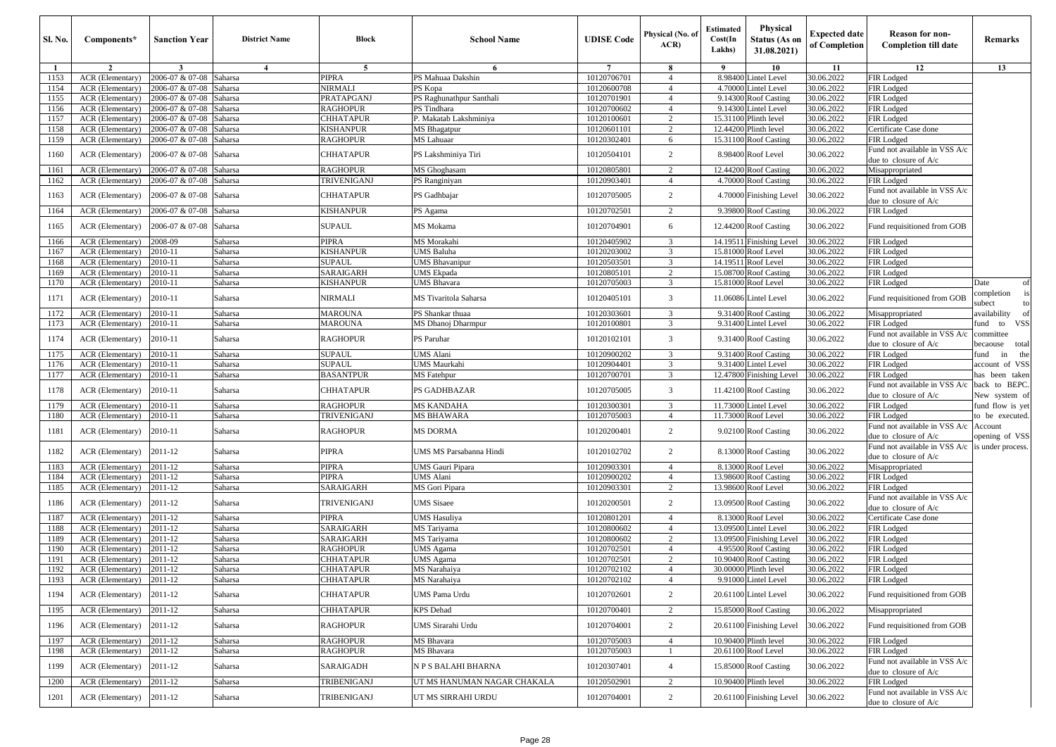| <b>Sl. No.</b> | Components*                                  | <b>Sanction Year</b>               | <b>District Name</b> | Block                          | <b>School Name</b>                    | <b>UDISE Code</b>          | Physical (No. of<br>ACR | <b>Estimated</b><br>Cost(In<br>Lakhs) | Physical<br>Status (As on<br>31.08.2021)          | <b>Expected date</b><br>of Completion | <b>Reason for non-</b><br><b>Completion till date</b>  | Remarks                                          |
|----------------|----------------------------------------------|------------------------------------|----------------------|--------------------------------|---------------------------------------|----------------------------|-------------------------|---------------------------------------|---------------------------------------------------|---------------------------------------|--------------------------------------------------------|--------------------------------------------------|
| $\mathbf{1}$   | $\overline{2}$                               | 3                                  | $\overline{4}$       | 5                              | 6                                     | $7\phantom{.0}$            | 8                       | - 9                                   | 10                                                | 11                                    | 12                                                     | 13                                               |
| 1153           | ACR (Elementary)                             | 2006-07 & 07-08                    | Saharsa              | PIPRA                          | PS Mahuaa Dakshin                     | 10120706701                | $\overline{4}$          |                                       | 8.98400 Lintel Level                              | 30.06.2022                            | FIR Lodged                                             |                                                  |
| 1154           | ACR (Elementary)                             | 2006-07 & 07-08                    | Saharsa              | NIRMALI                        | PS Kopa                               | 10120600708                | $\overline{4}$          | 4.70000                               | <b>Lintel Level</b>                               | 30.06.2022                            | FIR Lodged                                             |                                                  |
| 1155           | ACR (Elementary)                             | 2006-07 & 07-08                    | Saharsa              | PRATAPGANJ                     | PS Raghunathpur Santhali              | 10120701901                | $\overline{4}$          |                                       | 9.14300 Roof Casting                              | 30.06.2022                            | FIR Lodged                                             |                                                  |
| 1156<br>1157   | ACR (Elementary)                             | 2006-07 & 07-08<br>2006-07 & 07-08 | Saharsa<br>Saharsa   | RAGHOPUR<br>CHHATAPUR          | PS Tindhara<br>P. Makatab Lakshminiya | 10120700602<br>10120100601 | $\overline{4}$<br>2     |                                       | 9.14300 Lintel Level<br>15.31100 Plinth level     | 30.06.2022<br>30.06.2022              | FIR Lodged<br>FIR Lodged                               |                                                  |
| 1158           | ACR (Elementary)<br>ACR (Elementary)         | 2006-07 & 07-08                    | Saharsa              | KISHANPUR                      | MS Bhagatpur                          | 10120601101                | 2                       |                                       | 12.44200 Plinth level                             | 30.06.2022                            | Certificate Case done                                  |                                                  |
| 1159           | ACR (Elementary)                             | 2006-07 & 07-08                    | Saharsa              | RAGHOPUR                       | MS Lahuaar                            | 10120302401                | 6                       |                                       | 15.31100 Roof Casting                             | 30.06.2022                            | FIR Lodged                                             |                                                  |
| 1160           | <b>ACR</b> (Elementary)                      | 2006-07 & 07-08                    | Saharsa              | <b>CHHATAPUR</b>               | PS Lakshminiya Tiri                   | 10120504101                | $\overline{2}$          |                                       | 8.98400 Roof Level                                | 30.06.2022                            | Fund not available in VSS A/c<br>due to closure of A/c |                                                  |
| 1161           | ACR (Elementary)                             | 2006-07 & 07-08                    | Saharsa              | RAGHOPUR                       | MS Ghoghasam                          | 10120805801                | $\overline{c}$          |                                       | 12.44200 Roof Casting                             | 30.06.2022                            | Misappropriated                                        |                                                  |
| 1162           | ACR (Elementary)                             | 2006-07 & 07-08                    | Saharsa              | TRIVENIGANJ                    | PS Ranginiyan                         | 10120903401                | $\overline{4}$          |                                       | 4.70000 Roof Casting                              | 30.06.2022                            | FIR Lodged                                             |                                                  |
| 1163           | ACR (Elementary)                             | 2006-07 & 07-08                    | Saharsa              | CHHATAPUR                      | PS Gadhbajar                          | 10120705005                | $\overline{c}$          |                                       | 4.70000 Finishing Level                           | 30.06.2022                            | Fund not available in VSS A/c<br>due to closure of A/c |                                                  |
| 1164           | <b>ACR</b> (Elementary)                      | 2006-07 & 07-08                    | Saharsa              | KISHANPUR                      | PS Agama                              | 10120702501                | $\overline{2}$          |                                       | 9.39800 Roof Casting                              | 30.06.2022                            | FIR Lodged                                             |                                                  |
| 1165           | <b>ACR</b> (Elementary)                      | 2006-07 & 07-08                    | Saharsa              | SUPAUL                         | MS Mokama                             | 10120704901                | 6                       |                                       | 12.44200 Roof Casting                             | 30.06.2022                            | Fund requisitioned from GOB                            |                                                  |
| 1166           | ACR (Elementary)                             | 2008-09                            | Saharsa              | PIPRA                          | MS Morakahi                           | 10120405902                | 3                       |                                       | 14.19511 Finishing Level                          | 30.06.2022                            | FIR Lodged                                             |                                                  |
| 1167           | ACR (Elementary)                             | 2010-11                            | Saharsa              | KISHANPUR                      | <b>UMS Baluha</b>                     | 10120203002                | 3                       |                                       | 15.81000 Roof Level                               | 30.06.2022                            | FIR Lodged                                             |                                                  |
| 1168           | ACR (Elementary)                             | 2010-11                            | Saharsa              | <b>SUPAUL</b>                  | <b>UMS Bhavanipur</b>                 | 10120503501                | 3                       |                                       | 14.19511 Roof Level                               | 30.06.2022                            | FIR Lodged                                             |                                                  |
| 1169           | ACR (Elementary)                             | 2010-11                            | Saharsa              | SARAIGARH                      | <b>UMS</b> Ekpada                     | 10120805101                | 2                       |                                       | 15.08700 Roof Casting                             | 30.06.2022                            | FIR Lodged                                             |                                                  |
| 1170           | ACR (Elementary)                             | 2010-11                            | Saharsa              | KISHANPUR                      | UMS Bhavara                           | 10120705003                | $\overline{3}$          |                                       | 15.81000 Roof Level                               | 30.06.2022                            | FIR Lodged                                             | Date<br>of                                       |
| 1171           | ACR (Elementary)                             | 2010-11                            | Saharsa              | NIRMALI                        | MS Tivaritola Saharsa                 | 10120405101                | 3                       |                                       | 11.06086 Lintel Level                             | 30.06.2022                            | Fund requisitioned from GOB                            | completion<br>subect                             |
| 1172           | ACR (Elementary)                             | 2010-11                            | Saharsa              | <b>MAROUNA</b>                 | PS Shankar thuaa                      | 10120303601                | $\overline{3}$          |                                       | 9.31400 Roof Casting                              | 30.06.2022                            | Misappropriated                                        | availability<br>of                               |
| 1173           | ACR (Elementary)                             | 2010-11                            | Saharsa              | MAROUNA                        | MS Dhanoj Dharmpur                    | 10120100801                | 3                       |                                       | 9.31400 Lintel Level                              | 30.06.2022                            | FIR Lodged                                             | <b>VSS</b><br>fund to                            |
| 1174           | <b>ACR</b> (Elementary)                      | 2010-11                            | Saharsa              | RAGHOPUR                       | PS Paruhar                            | 10120102101                | 3                       |                                       | 9.31400 Roof Casting                              | 30.06.2022                            | Fund not available in VSS A/c<br>due to closure of A/c | committee<br>total<br>becaouse                   |
| 1175           | ACR (Elementary)                             | 2010-11                            | Saharsa              | SUPAUL                         | UMS Alani                             | 10120900202                | 3                       |                                       | 9.31400 Roof Casting                              | 30.06.2022                            | FIR Lodged                                             | the<br>ìund<br>in                                |
| 1176<br>1177   | ACR (Elementary)<br>ACR (Elementary)         | 2010-11<br>2010-11                 | Saharsa<br>Saharsa   | <b>SUPAUL</b><br>BASANTPUR     | <b>UMS</b> Maurkahi                   | 10120904401<br>10120700701 | 3<br>3                  |                                       | 9.31400 Lintel Level                              | 30.06.2022<br>30.06.2022              | FIR Lodged<br>FIR Lodged                               | account of VSS                                   |
| 1178           | <b>ACR</b> (Elementary)                      | 2010-11                            | Saharsa              | <b>CHHATAPUR</b>               | <b>MS</b> Fatehpur<br>PS GADHBAZAR    | 10120705005                | 3                       |                                       | 12.47800 Finishing Level<br>11.42100 Roof Casting | 30.06.2022                            | Fund not available in VSS A/c<br>due to closure of A/c | has been taken<br>back to BEPC.<br>New system of |
| 1179           | ACR (Elementary)                             | 2010-11                            | Saharsa              | RAGHOPUR                       | <b>MS KANDAHA</b>                     | 10120300301                | 3                       |                                       | 11.73000 Lintel Level                             | 30.06.2022                            | FIR Lodged                                             | fund flow is yet                                 |
| 1180           | ACR (Elementary)                             | 2010-11                            | Saharsa              | TRIVENIGANJ                    | <b>MS BHAWARA</b>                     | 10120705003                | $\overline{4}$          | 11.73000                              | Roof Level                                        | 30.06.2022                            | FIR Lodged                                             | to be executed.                                  |
| 1181           | <b>ACR</b> (Elementary)                      | 2010-11                            | Saharsa              | RAGHOPUR                       | MS DORMA                              | 10120200401                | $\overline{2}$          |                                       | 9.02100 Roof Casting                              | 30.06.2022                            | Fund not available in VSS A/c<br>due to closure of A/c | Account<br>opening of VSS                        |
| 1182           | ACR (Elementary)                             | 2011-12                            | Saharsa              | PIPRA                          | UMS MS Parsabanna Hindi               | 10120102702                | $\overline{2}$          |                                       | 8.13000 Roof Casting                              | 30.06.2022                            | Fund not available in VSS A/c<br>due to closure of A/c | is under process.                                |
| 1183           | ACR (Elementary)                             | 2011-12                            | Saharsa              | PIPRA                          | UMS Gauri Pipara                      | 10120903301                | $\overline{4}$          |                                       | 8.13000 Roof Level                                | 30.06.2022                            | Misappropriated                                        |                                                  |
| 1184           | ACR (Elementary)                             | 2011-12                            | Saharsa              | PIPRA                          | <b>UMS</b> Alani                      | 10120900202                | $\overline{4}$          | 13.98600                              | <b>Roof Casting</b>                               | 30.06.2022                            | FIR Lodged                                             |                                                  |
| 1185           | ACR (Elementary)                             | 2011-12                            | Saharsa              | SARAIGARH                      | MS Gori Pipara                        | 10120903301                | 2                       | 13.98600                              | Roof Level                                        | 30.06.2022                            | FIR Lodged                                             |                                                  |
| 1186           | ACR (Elementary)                             | 2011-12                            | Saharsa              | TRIVENIGANJ                    | UMS Sisaee                            | 10120200501                | $\overline{c}$          |                                       | 13.09500 Roof Casting                             | 30.06.2022                            | Fund not available in VSS A/c<br>due to closure of A/c |                                                  |
| 1187           | ACR (Elementary)                             | 2011-12                            | Saharsa              | PIPRA                          | <b>UMS</b> Hasuliya                   | 10120801201                | $\overline{4}$          | 8.13000                               | Roof Level                                        | 30.06.2022                            | Certificate Case done                                  |                                                  |
| 1188           | ACR (Elementary)                             | 2011-12                            | Saharsa              | SARAIGARH                      | <b>MS</b> Tarivama                    | 10120800602                | $\overline{4}$          | 13.09500                              | <b>Lintel Level</b>                               | 30.06.2022                            | FIR Lodged                                             |                                                  |
| 1189           | ACR (Elementary)                             | 2011-12                            | Saharsa              | SARAIGARH                      | MS Tariyama                           | 10120800602                | $\overline{2}$          | 13.09500                              | <b>Finishing Level</b>                            | 30.06.2022                            | FIR Lodged                                             |                                                  |
| 1190           | ACR (Elementary)                             | 2011-12                            | Saharsa              | RAGHOPUR                       | <b>UMS</b> Agama                      | 10120702501<br>10120702501 | $\overline{4}$<br>2     | 4.95500                               | <b>Roof Casting</b>                               | 30.06.2022<br>30.06.2022              | FIR Lodged                                             |                                                  |
| 1191           | ACR (Elementary)                             | 2011-12                            | Saharsa              | CHHATAPUR                      | <b>UMS</b> Agama                      |                            | $\overline{4}$          | 10.90400                              | <b>Roof Casting</b><br>30.00000 Plinth level      | 30.06.2022                            | FIR Lodged                                             |                                                  |
| 1192           | ACR (Elementary)                             | 2011-12                            | Saharsa              | CHHATAPUR                      | MS Narahaiya                          | 10120702102                |                         |                                       |                                                   | 30.06.2022                            | FIR Lodged                                             |                                                  |
| 1193<br>1194   | ACR (Elementary) 2011-12<br>ACR (Elementary) | 2011-12                            | Saharsa<br>Saharsa   | CHHATA <u>PUR</u><br>CHHATAPUR | MS Narahaiya<br>UMS Pama Urdu         | 10120702102<br>10120702601 | $\overline{c}$          |                                       | 9.91000 Lintel Level<br>20.61100 Lintel Level     | 30.06.2022                            | FIK Lodged<br>Fund requisitioned from GOB              |                                                  |
| 1195           | ACR (Elementary)                             | 2011-12                            | Saharsa              | CHHATAPUR                      | <b>KPS</b> Dehad                      | 10120700401                | 2                       |                                       | 15.85000 Roof Casting                             | 30.06.2022                            | Misappropriated                                        |                                                  |
| 1196           | ACR (Elementary)                             | 2011-12                            | Saharsa              | RAGHOPUR                       | UMS Sirarahi Urdu                     | 10120704001                | $\overline{2}$          |                                       | 20.61100 Finishing Level                          | 30.06.2022                            | Fund requisitioned from GOB                            |                                                  |
| 1197           | ACR (Elementary)                             | 2011-12                            | Saharsa              | RAGHOPUR                       | MS Bhavara                            | 10120705003                | $\overline{4}$          |                                       | 10.90400 Plinth level                             | 30.06.2022                            | FIR Lodged                                             |                                                  |
| 1198           | ACR (Elementary)                             | 2011-12                            | Saharsa              | RAGHOPUR                       | MS Bhavara                            | 10120705003                | $\overline{1}$          |                                       | 20.61100 Roof Level                               | 30.06.2022                            | FIR Lodged                                             |                                                  |
| 1199           | ACR (Elementary)                             | 2011-12                            | Saharsa              | SARAIGADH                      | N P S BALAHI BHARNA                   | 10120307401                | $\overline{4}$          |                                       | 15.85000 Roof Casting                             | 30.06.2022                            | Fund not available in VSS A/c<br>due to closure of A/c |                                                  |
| 1200           | ACR (Elementary)                             | 2011-12                            | Saharsa              | TRIBENIGANJ                    | UT MS HANUMAN NAGAR CHAKALA           | 10120502901                | $\overline{2}$          |                                       | 10.90400 Plinth level                             | 30.06.2022                            | FIR Lodged                                             |                                                  |
| 1201           | ACR (Elementary)                             | 2011-12                            | Saharsa              | TRIBENIGANJ                    | UT MS SIRRAHI URDU                    | 10120704001                | $\overline{c}$          |                                       | 20.61100 Finishing Level                          | 30.06.2022                            | Fund not available in VSS A/c<br>due to closure of A/c |                                                  |
|                |                                              |                                    |                      |                                |                                       |                            |                         |                                       |                                                   |                                       |                                                        |                                                  |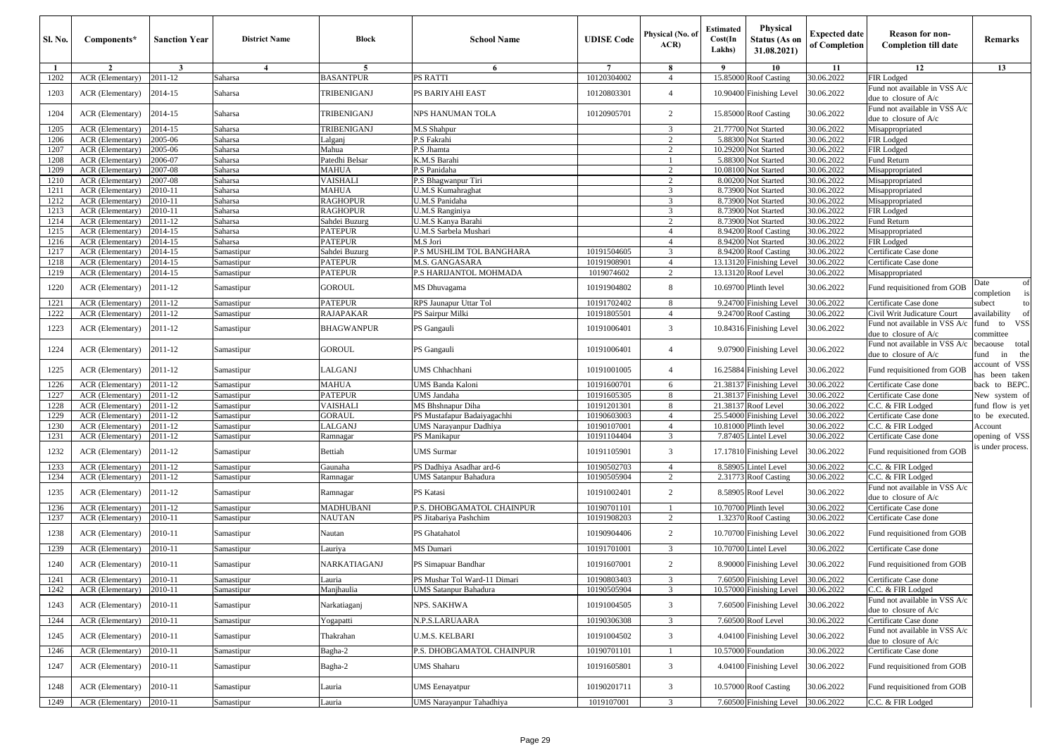| <b>Sl. No.</b> | Components*                          | <b>Sanction Year</b> | <b>District Name</b>     | Block                              | <b>School Name</b>                          | <b>UDISE Code</b>          | Physical (No. of<br>ACR | Estimated<br>Cost(In<br>Lakhs) | Physical<br>Status (As on<br>31.08.2021)       | <b>Expected date</b><br>of Completion | <b>Reason for non-</b><br><b>Completion till date</b>    | Remarks                                |
|----------------|--------------------------------------|----------------------|--------------------------|------------------------------------|---------------------------------------------|----------------------------|-------------------------|--------------------------------|------------------------------------------------|---------------------------------------|----------------------------------------------------------|----------------------------------------|
|                | $\overline{2}$                       | 3                    | $\overline{4}$           | 5                                  | 6                                           | $\overline{7}$             | 8                       | - 9                            | 10                                             | 11                                    | 12                                                       | 13                                     |
| 1202           | ACR (Elementary)                     | 2011-12              | Saharsa                  | <b>BASANTPUR</b>                   | PS RATTI                                    | 10120304002                | $\overline{4}$          |                                | 15.85000 Roof Casting                          | 30.06.2022                            | FIR Lodged                                               |                                        |
| 1203           | ACR (Elementary)                     | 2014-15              | Saharsa                  | TRIBENIGANJ                        | PS BARIYAHI EAST                            | 10120803301                | $\overline{4}$          |                                | 10.90400 Finishing Level                       | 30.06.2022                            | Fund not available in VSS A/c<br>due to closure of A/c   |                                        |
|                |                                      |                      |                          |                                    |                                             |                            |                         |                                |                                                |                                       | Fund not available in VSS A/c                            |                                        |
| 1204           | ACR (Elementary)                     | 2014-15              | Saharsa                  | TRIBENIGANJ                        | NPS HANUMAN TOLA                            | 10120905701                | 2                       |                                | 15.85000 Roof Casting                          | 30.06.2022                            | due to closure of A/c                                    |                                        |
| 1205           | ACR (Elementary)                     | 2014-15              | Saharsa                  | TRIBENIGANJ                        | M.S Shahpur                                 |                            | 3                       |                                | 21.77700 Not Started                           | 30.06.2022                            | Misappropriated                                          |                                        |
| 1206           | ACR (Elementary)                     | 2005-06              | Saharsa                  | Lalganj                            | <sup>2</sup> .S Fakrahi                     |                            | 2                       |                                | 5.88300 Not Started                            | 30.06.2022                            | FIR Lodged                                               |                                        |
| 1207           | ACR (Elementary)                     | 2005-06              | Saharsa                  | Mahua                              | P.S Jhamta                                  |                            | 2                       |                                | 10.29200 Not Started                           | 30.06.2022                            | FIR Lodged                                               |                                        |
| 1208           | ACR (Elementary)                     | 2006-07              | Saharsa                  | Patedhi Belsar                     | K.M.S Barahi                                |                            | $\mathbf{1}$            |                                | 5.88300 Not Started                            | 30.06.2022                            | Fund Return                                              |                                        |
| 1209           | ACR (Elementary)                     | 2007-08              | Saharsa                  | <b>MAHUA</b>                       | P.S Panidaha                                |                            | 2                       |                                | 10.08100 Not Started                           | 30.06.2022                            | Misappropriated                                          |                                        |
| 1210           | ACR (Elementary)                     | 2007-08              | Saharsa                  | VAISHALI                           | .S Bhagwanpur Tiri                          |                            | $\overline{2}$          |                                | 8.00200 Not Started                            | 30.06.2022                            | Misappropriated                                          |                                        |
| 1211           | ACR (Elementary)                     | 2010-11              | Saharsa                  | <b>MAHUA</b>                       | J.M.S Kumahraghat                           |                            | 3                       |                                | 8.73900 Not Started                            | 30.06.2022                            | Misappropriated                                          |                                        |
| 1212           | ACR (Elementary)                     | 2010-11              | Saharsa                  | <b>RAGHOPUR</b><br><b>RAGHOPUR</b> | J.M.S Panidaha                              |                            | 3<br>3                  |                                | 8.73900 Not Started<br>8.73900 Not Started     | 30.06.2022<br>30.06.2022              | Misappropriated                                          |                                        |
| 1213<br>1214   | ACR (Elementary)<br>ACR (Elementary) | 2010-11<br>2011-12   | Saharsa<br>Saharsa       | Sahdei Buzurg                      | J.M.S Ranginiya<br>J.M.S Kanya Barahi       |                            | $\overline{c}$          |                                | 8.73900 Not Started                            | 30.06.2022                            | FIR Lodged<br>Fund Return                                |                                        |
| 1215           | ACR (Elementary)                     | 2014-15              | Saharsa                  | <b>PATEPUR</b>                     | U.M.S Sarbela Mushari                       |                            | $\overline{4}$          | 8.94200                        | <b>Roof Casting</b>                            | 30.06.2022                            | Misappropriated                                          |                                        |
| 1216           | ACR (Elementary)                     | 2014-15              | Saharsa                  | <b>PATEPUR</b>                     | A.S Jori                                    |                            | $\overline{4}$          |                                | 8.94200 Not Started                            | 30.06.2022                            | FIR Lodged                                               |                                        |
| 1217           | ACR (Elementary)                     | 2014-15              | Samastipur               | Sahdei Buzurg                      | <b>P.S MUSHLIM TOL BANGHARA</b>             | 10191504605                | 3                       |                                | 8.94200 Roof Casting                           | 30.06.2022                            | Certificate Case done                                    |                                        |
| 1218           | ACR (Elementary)                     | 2014-15              | Samastipur               | <b>PATEPUR</b>                     | M.S. GANGASARA                              | 10191908901                | $\overline{4}$          |                                | 13.13120 Finishing Level                       | 30.06.2022                            | Certificate Case done                                    |                                        |
| 1219           | ACR (Elementary)                     | 2014-15              | Samastipur               | PATEPUR                            | <b>P.S HARIJANTOL MOHMADA</b>               | 1019074602                 | 2                       |                                | 13.13120 Roof Level                            | 30.06.2022                            | Misappropriated                                          |                                        |
| 1220           | ACR (Elementary)                     | 2011-12              | Samastipur               | GOROUL                             | ⁄IS Dhuvagama                               | 10191904802                | 8                       |                                | 10.69700 Plinth level                          | 30.06.2022                            | Fund requisitioned from GOB                              | Date<br>of<br>completion               |
| 1221           | ACR (Elementary)                     | 2011-12              | Samastipur               | <b>PATEPUR</b>                     | RPS Jaunapur Uttar Tol                      | 10191702402                | 8                       |                                | 9.24700 Finishing Level                        | 30.06.2022                            | Certificate Case done                                    | subect<br>to                           |
| 1222           | ACR (Elementary)                     | 2011-12              | Samastipur               | RAJAPAKAR                          | <sup>2</sup> S Sairpur Milki                | 10191805501                | $\overline{4}$          |                                | 9.24700 Roof Casting                           | 30.06.2022                            | Civil Writ Judicature Court                              | availability<br>of                     |
| 1223           | ACR (Elementary)                     | 2011-12              | Samastipur               | <b>BHAGWANPUR</b>                  | PS Gangauli                                 | 10191006401                | 3                       |                                | 10.84316 Finishing Level                       | 30.06.2022                            | Fund not available in VSS A/c<br>due to closure of $A/c$ | <b>VSS</b><br>fund<br>to<br>committee  |
| 1224           | ACR (Elementary)                     | 2011-12              | Samastipur               | <b>GOROUL</b>                      | PS Gangauli                                 | 10191006401                | $\overline{4}$          |                                | 9.07900 Finishing Level                        | 30.06.2022                            | Fund not available in VSS A/c<br>due to closure of A/c   | total<br>becaouse<br>fund<br>in<br>the |
| 1225           | ACR (Elementary)                     | 2011-12              | Samastipur               | LALGANJ                            | JMS Chhachhani                              | 10191001005                | $\overline{4}$          |                                | 16.25884 Finishing Level                       | 30.06.2022                            | Fund requisitioned from GOB                              | ccount of VSS<br>has been taken        |
| 1226           | ACR (Elementary)                     | 2011-12              | Samastipur               | <b>MAHUA</b>                       | JMS Banda Kaloni                            | 10191600701                | 6                       |                                | 21.38137 Finishing Level                       | 30.06.2022                            | Certificate Case done                                    | back to BEPC.                          |
| 1227           | ACR (Elementary)                     | 2011-12              | Samastipur               | <b>PATEPUR</b>                     | JMS Jandaha                                 | 10191605305                | 8                       |                                | 21.38137 Finishing Level                       | 30.06.2022                            | Certificate Case done                                    | New system of                          |
| 1228           | ACR (Elementary)                     | 2011-12              | Samastipur               | <b>VAISHALI</b>                    | MS Bhshnapur Diha                           | 10191201301                | 8                       | 21.38137                       | Roof Level                                     | 30.06.2022                            | C.C. & FIR Lodged                                        | fund flow is yet                       |
| 1229           | ACR (Elementary)                     | 2011-12              | Samastipur               | GORAUL                             | PS Mustafapur Badaiyagachhi                 | 10190603003                | $\overline{4}$          |                                | 25.54000 Finishing Level                       | 30.06.2022                            | Certificate Case done                                    | to be executed.                        |
| 1230           | ACR (Elementary)                     | 2011-12              | Samastipur               | ALGANJ                             | UMS Narayanpur Dadhiya                      | 10190107001                | $\overline{4}$          |                                | 10.81000 Plinth level                          | 30.06.2022                            | C.C. & FIR Lodged                                        | Account                                |
| 1231           | ACR (Elementary)                     | 2011-12              | Samastipur               | Ramnagar                           | PS Manikapur                                | 10191104404                | 3                       |                                | 7.87405 Lintel Level                           | 30.06.2022                            | Certificate Case done                                    | opening of VSS<br>s under process.     |
| 1232           | ACR (Elementary)                     | 2011-12              | Samastipur               | Bettiah                            | <b>JMS</b> Surmar                           | 10191105901                | 3                       |                                | 17.17810 Finishing Level                       | 30.06.2022                            | Fund requisitioned from GOB                              |                                        |
| 1233<br>1234   | ACR (Elementary)                     | 2011-12<br>2011-12   | Samastipur               | Gaunaha                            | PS Dadhiya Asadhar ard-6                    | 10190502703<br>10190505904 | $\overline{4}$<br>2     |                                | 8.58905 Lintel Level                           | 30.06.2022<br>30.06.2022              | C.C. & FIR Lodged<br>C.C. & FIR Lodged                   |                                        |
|                | ACR (Elementary)                     |                      | Samastipur               | Ramnagar                           | JMS Satanpur Bahadura                       |                            |                         |                                | 2.31773 Roof Casting                           |                                       | Fund not available in VSS A/c                            |                                        |
| 1235           | ACR (Elementary)                     | 2011-12              | Samastipur               | Ramnagar                           | PS Katasi<br>P.S. DHOBGAMATOL CHAINPUR      | 10191002401                | 2                       |                                | 8.58905 Roof Level                             | 30.06.2022                            | due to closure of A/c                                    |                                        |
| 1236<br>1237   | ACR (Elementary)<br>ACR (Elementary) | 2011-12<br>2010-11   | Samastipur<br>Samastipur | MADHUBANI<br><b>NAUTAN</b>         | PS Jitabariya Pashchim                      | 10190701101<br>10191908203 | 2                       |                                | 10.70700 Plinth level<br>1.32370 Roof Casting  | 30.06.2022<br>30.06.2022              | Certificate Case done<br>Certificate Case done           |                                        |
| 1238           | ACR (Elementary)                     | 2010-11              | Samastipur               | Nautan                             | PS Ghatahatol                               | 10190904406                | 2                       |                                | 10.70700 Finishing Level                       | 30.06.2022                            | Fund requisitioned from GOB                              |                                        |
| 1239           | ACR (Elementary)                     | 2010-11              | Samastipur               | Lauriya                            | MS Dumari                                   | 10191701001                | 3                       |                                | 10.70700 Lintel Level                          | 30.06.2022                            | Certificate Case done                                    |                                        |
| 1240           | ACR (Elementary)                     | 2010-11              | Samastipur               | NARKATIAGANJ                       | PS Simapuar Bandhar                         | 10191607001                | 2                       |                                | 8.90000 Finishing Level                        | 30.06.2022                            | Fund requisitioned from GOB                              |                                        |
| 1241           | ACR (Elementary) 2010-11             |                      | Samastipur               | Lauria                             | PS Mushar Tol Ward-11 Dimari                | 10190803403                |                         |                                | 7.60500 Finishing Level 30.06.2022             |                                       | Certificate Case done                                    |                                        |
| 1242           | <b>ACR</b> (Elementary)              | 2010-11              | Samastipur               | Manjhaulia                         | UMS Satanpur Bahadura                       | 10190505904                | 3                       |                                | 10.57000 Finishing Level                       | 30.06.2022                            | C.C. & FIR Lodged                                        |                                        |
|                |                                      |                      |                          |                                    |                                             |                            |                         |                                |                                                |                                       | Fund not available in VSS A/c                            |                                        |
| 1243<br>1244   | ACR (Elementary)<br>ACR (Elementary) | 2010-11<br>2010-11   | Samastipur<br>Samastipur | Narkatiaganj<br>Yogapatti          | NPS. SAKHWA<br>N.P.S.LARUAARA               | 10191004505<br>10190306308 | $\mathfrak{Z}$<br>3     |                                | 7.60500 Finishing Level<br>7.60500 Roof Level  | 30.06.2022<br>30.06.2022              | due to closure of $A/c$<br>Certificate Case done         |                                        |
|                |                                      |                      |                          |                                    |                                             |                            |                         |                                |                                                |                                       | Fund not available in VSS A/c                            |                                        |
| 1245<br>1246   | ACR (Elementary)<br>ACR (Elementary) | 2010-11<br>2010-11   | Samastipur<br>Samastipur | Thakrahan<br>Bagha-2               | U.M.S. KELBARI<br>P.S. DHOBGAMATOL CHAINPUR | 10191004502<br>10190701101 | 3<br>$\overline{1}$     |                                | 4.04100 Finishing Level<br>10.57000 Foundation | 30.06.2022<br>30.06.2022              | due to closure of A/c<br>Certificate Case done           |                                        |
|                |                                      |                      |                          |                                    |                                             |                            |                         |                                |                                                |                                       |                                                          |                                        |
| 1247           | ACR (Elementary)                     | 2010-11              | Samastipur               | Bagha-2                            | UMS Shaharu                                 | 10191605801                | 3                       |                                | 4.04100 Finishing Level                        | 30.06.2022                            | Fund requisitioned from GOB                              |                                        |
| 1248           | ACR (Elementary)                     | 2010-11              | Samastipur               | Lauria                             | JMS Eenayatpur                              | 10190201711                | 3                       |                                | 10.57000 Roof Casting                          | 30.06.2022                            | Fund requisitioned from GOB                              |                                        |
| 1249           | ACR (Elementary)                     | 2010-11              | Samastipur               | Lauria                             | JMS Narayanpur Tahadhiya                    | 1019107001                 | 3                       |                                | 7.60500 Finishing Level                        | 30.06.2022                            | C.C. & FIR Lodged                                        |                                        |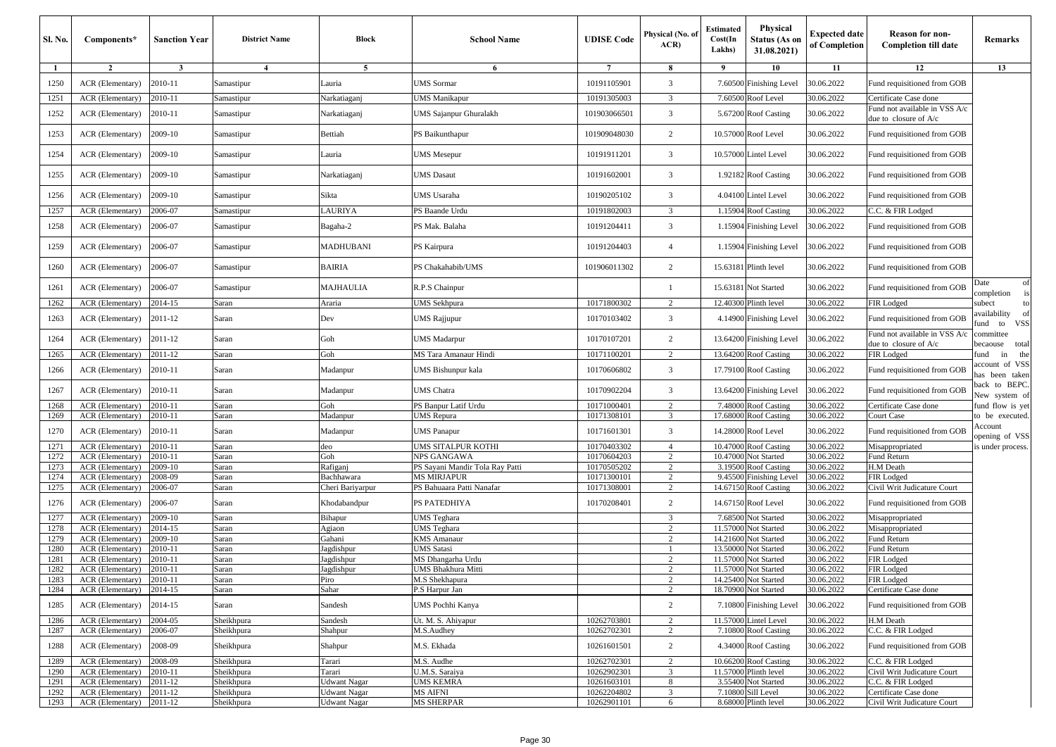| <b>Sl. No.</b> | Components*                                           | <b>Sanction Year</b> | <b>District Name</b> | Block               | <b>School Name</b>                       | <b>UDISE</b> Code          | Physical (No. of<br>ACR          | <b>Estimated</b><br>Cost(In<br>Lakhs) | Physical<br><b>Status (As on</b><br>31.08.2021) | <b>Expected date</b><br>of Completion | <b>Reason for non-</b><br><b>Completion till date</b>    | Remarks                                       |
|----------------|-------------------------------------------------------|----------------------|----------------------|---------------------|------------------------------------------|----------------------------|----------------------------------|---------------------------------------|-------------------------------------------------|---------------------------------------|----------------------------------------------------------|-----------------------------------------------|
| -1             | $\overline{2}$                                        | $\mathbf{3}$         | $\overline{4}$       | 5                   | 6                                        | $\overline{7}$             | 8                                | 9                                     | 10                                              | 11                                    | 12                                                       | 13                                            |
| 1250           | ACR (Elementary)                                      | 2010-11              | Samastipur           | Lauria              | <b>JMS</b> Sormar                        | 10191105901                | 3                                |                                       | 7.60500 Finishing Level                         | 30.06.2022                            | Fund requisitioned from GOB                              |                                               |
| 1251           | ACR (Elementary)                                      | 2010-11              | Samastipur           | Narkatiaganj        | JMS Manikapur                            | 10191305003                | 3                                |                                       | 7.60500 Roof Level                              | 30.06.2022                            | Certificate Case done                                    |                                               |
| 1252           | ACR (Elementary)                                      | 2010-11              | Samastipur           | Narkatiaganj        | UMS Sajanpur Ghuralakh                   | 101903066501               | 3                                |                                       | 5.67200 Roof Casting                            | 30.06.2022                            | Fund not available in VSS A/c<br>due to closure of A/c   |                                               |
| 1253           | ACR (Elementary)                                      | 2009-10              | Samastipur           | Bettiah             | PS Baikunthapur                          | 101909048030               | 2                                |                                       | 10.57000 Roof Level                             | 30.06.2022                            | Fund requisitioned from GOB                              |                                               |
| 1254           | ACR (Elementary)                                      | 2009-10              | Samastipur           | Lauria              | <b>JMS</b> Mesepur                       | 10191911201                | $\overline{\mathbf{3}}$          |                                       | 10.57000 Lintel Level                           | 30.06.2022                            | Fund requisitioned from GOB                              |                                               |
| 1255           | ACR (Elementary)                                      | 2009-10              | Samastipur           | Narkatiaganj        | <b>JMS Dasaut</b>                        | 10191602001                | 3                                |                                       | 1.92182 Roof Casting                            | 30.06.2022                            | Fund requisitioned from GOB                              |                                               |
| 1256           | ACR (Elementary)                                      | 2009-10              | Samastipur           | Sikta               | JMS Usaraha                              | 10190205102                | 3                                |                                       | 4.04100 Lintel Level                            | 30.06.2022                            | Fund requisitioned from GOB                              |                                               |
| 1257           | ACR (Elementary)                                      | 2006-07              | Samastipur           | <b>AURIYA</b>       | PS Baande Urdu                           | 10191802003                | 3                                |                                       | 1.15904 Roof Casting                            | 30.06.2022                            | C.C. & FIR Lodged                                        |                                               |
| 1258           | ACR (Elementary)                                      | 2006-07              | Samastipur           | Bagaha-2            | PS Mak. Balaha                           | 10191204411                | 3                                |                                       | 1.15904 Finishing Level                         | 30.06.2022                            | Fund requisitioned from GOB                              |                                               |
| 1259           | ACR (Elementary)                                      | 2006-07              | Samastipur           | MADHUBANI           | PS Kairpura                              | 10191204403                | $\overline{4}$                   |                                       | 1.15904 Finishing Level                         | 30.06.2022                            | Fund requisitioned from GOB                              |                                               |
| 1260           | ACR (Elementary)                                      | 2006-07              | Samastipur           | BAIRIA              | PS Chakahabib/UMS                        | 101906011302               | $\overline{c}$                   |                                       | 15.63181 Plinth level                           | 30.06.2022                            | Fund requisitioned from GOB                              |                                               |
| 1261           | ACR (Elementary)                                      | 2006-07              | Samastipur           | MAJHAULIA           | R.P.S Chainpur                           |                            |                                  |                                       | 15.63181 Not Started                            | 30.06.2022                            | Fund requisitioned from GOB                              | of<br>Date<br>is<br>completion                |
| 1262           | ACR (Elementary)                                      | 2014-15              | Saran                | Araria              | JMS Sekhpura                             | 10171800302                | $\overline{2}$                   |                                       | 12.40300 Plinth level                           | 30.06.2022                            | FIR Lodged                                               | subect<br>to                                  |
| 1263           | ACR (Elementary)                                      | 2011-12              | Saran                | Dev                 | <b>JMS Rajjupur</b>                      | 10170103402                | 3                                |                                       | 4.14900 Finishing Level                         | 30.06.2022                            | Fund requisitioned from GOB                              | availability<br>- of<br><b>VSS</b><br>fund to |
| 1264           | ACR (Elementary)                                      | 2011-12              | Saran                | Goh                 | <b>JMS</b> Madarpur                      | 10170107201                | $\overline{c}$                   |                                       | 13.64200 Finishing Level                        | 30.06.2022                            | Fund not available in VSS A/c<br>due to closure of $A/c$ | committee<br>total<br>becaouse                |
| 1265           | ACR (Elementary)                                      | 2011-12              | Saran                | Goh                 | MS Tara Amanaur Hindi                    | 10171100201                | $\overline{2}$                   |                                       | 13.64200 Roof Casting                           | 30.06.2022                            | FIR Lodged                                               | the<br>fund<br>in                             |
| 1266           | ACR (Elementary)                                      | 2010-11              | Saran                | Madanpur            | UMS Bishunpur kala                       | 10170606802                | 3                                |                                       | 17.79100 Roof Casting                           | 30.06.2022                            | Fund requisitioned from GOB                              | account of VSS<br>has been taken              |
| 1267           | ACR (Elementary)                                      | 2010-11              | Saran                | Madanpur            | <b>JMS</b> Chatra                        | 10170902204                | 3                                |                                       | 13.64200 Finishing Level                        | 30.06.2022                            | Fund requisitioned from GOB                              | back to BEPC.<br>New system of                |
| 1268           | ACR (Elementary)                                      | 2010-11              | Saran                | Goh                 | PS Banpur Latif Urdu                     | 10171000401                | $\overline{2}$                   | 7.48000                               | <b>Roof Casting</b>                             | 30.06.2022                            | Certificate Case done                                    | fund flow is yet                              |
| 1269           | ACR (Elementary)                                      | 2010-11              | Saran                | Madanpur            | JMS Repura                               | 10171308101                | 3                                | 17.68000                              | <b>Roof Casting</b>                             | 30.06.2022                            | Court Case                                               | to be executed.                               |
| 1270           | ACR (Elementary)                                      | 2010-11              | Saran                | Madanpur            | <b>JMS</b> Panapur                       | 10171601301                | 3                                |                                       | 14.28000 Roof Level                             | 30.06.2022                            | Fund requisitioned from GOB                              | Account<br>opening of VSS                     |
| 1271           | ACR (Elementary)                                      | 2010-11<br>2010-11   | Saran                | deo<br>Goh          | <b>JMS SITALPUR KOTHI</b><br>NPS GANGAWA | 10170403302                | $\overline{4}$<br>$\overline{c}$ | 10.47000<br>10.47000                  | <b>Roof Casting</b><br>Not Started              | 30.06.2022<br>30.06.2022              | Misappropriated                                          | is under process.                             |
| 1272<br>1273   | ACR (Elementary)<br>ACR (Elementary)                  | 2009-10              | Saran<br>Saran       | Rafiganj            | PS Sayani Mandir Tola Ray Patti          | 10170604203<br>10170505202 | $\overline{2}$                   | 3.19500                               | <b>Roof Casting</b>                             | 30.06.2022                            | Fund Return<br>H.M Death                                 |                                               |
| 1274           | ACR (Elementary)                                      | :008-09              | Saran                | Bachhawara          | <b>MS MIRJAPUR</b>                       | 10171300101                | $\overline{c}$                   | 9.45500                               | Finishing Level                                 | 30.06.2022                            | FIR Lodged                                               |                                               |
| 1275           | ACR (Elementary)                                      | 2006-07              | Saran                | Cheri Bariyarpur    | PS Bahuaara Patti Nanafar                | 10171308001                | $\overline{c}$                   | 14.67150                              | <b>Roof Casting</b>                             | 30.06.2022                            | Civil Writ Judicature Court                              |                                               |
| 1276           | ACR (Elementary)                                      | 2006-07              | Saran                | Khodabandpur        | PS PATEDHIYA                             | 10170208401                | $\overline{c}$                   |                                       | 14.67150 Roof Level                             | 30.06.2022                            | Fund requisitioned from GOB                              |                                               |
| 1277           | ACR (Elementary)                                      | 2009-10              | Saran                | Bihapur             | UMS Teghara                              |                            | 3                                |                                       | 7.68500 Not Started                             | 30.06.2022                            | Misappropriated                                          |                                               |
| 1278           | ACR (Elementary)                                      | 2014-15              | Saran                | Agiaon              | JMS Teghara                              |                            | $\overline{c}$                   | 11.57000                              | <b>Not Started</b>                              | 30.06.2022                            | Misappropriated                                          |                                               |
| 1279           | ACR (Elementary)                                      | 2009-10              | Saran                | Gahani              | <b>KMS Amanaur</b>                       |                            | $\overline{c}$                   | 14.21600                              | Not Started                                     | 30.06.2022                            | Fund Return                                              |                                               |
| 1280           | ACR (Elementary)                                      | $2010 - 11$          | Saran                | agdishpur           | JMS Satasi                               |                            |                                  | 13.5000                               | <b>Vot Started</b>                              | 30.06.2022                            | Fund Return                                              |                                               |
| 1281           | ACR (Elementary)                                      | 2010-11              | Saran                | Jagdishpur          | MS Dhangarha Urdu                        |                            | $\overline{2}$                   | 11.5700                               | <b>Not Started</b>                              | 30.06.2022                            | FIR Lodged                                               |                                               |
| 1282           | ACR (Elementary)                                      | 2010-11              | Saran                | Jagdishpur          | UMS Bhakhura Mitti                       |                            | 2                                | 11.57000                              | Not Started                                     | 30.06.2022                            | FIR Lodged                                               |                                               |
| 1284           | 1283   ACR (Elementary)   2010-11<br>ACR (Elementary) | 2014-15              | Saran<br>Saran       | Piro<br>Sahar       | M.S Sneknapura<br>P.S Harpur Jan         |                            | $\overline{c}$                   |                                       | 14.25400 NOT Started<br>18.70900 Not Started    | 30.06. <i>2022</i><br>30.06.2022      | FIR Lodged<br>Certificate Case done                      |                                               |
| 1285           | ACR (Elementary)                                      | 2014-15              | Saran                | Sandesh             | JMS Pochhi Kanya                         |                            | 2                                |                                       | 7.10800 Finishing Level                         | 30.06.2022                            | Fund requisitioned from GOB                              |                                               |
| 1286           | ACR (Elementary)                                      | 2004-05              | Sheikhpura           | Sandesh             | Ut. M. S. Ahiyapur                       | 10262703801                | $\overline{2}$                   |                                       | 11.57000 Lintel Level                           | 30.06.2022                            | H.M Death                                                |                                               |
| 1287           | ACR (Elementary)                                      | 2006-07              | Sheikhpura           | Shahpur             | M.S.Audhey                               | 10262702301                | 2                                |                                       | 7.10800 Roof Casting                            | 30.06.2022                            | C.C. & FIR Lodged                                        |                                               |
| 1288           | ACR (Elementary)                                      | 2008-09              | Sheikhpura           | Shahpur             | M.S. Ekhada                              | 10261601501                | 2                                |                                       | 4.34000 Roof Casting                            | 30.06.2022                            | Fund requisitioned from GOB                              |                                               |
| 1289           | ACR (Elementary)                                      | 2008-09              | Sheikhpura           | Tarari              | M.S. Audhe                               | 10262702301                | $\overline{c}$                   |                                       | 10.66200 Roof Casting                           | 30.06.2022                            | C.C. & FIR Lodged                                        |                                               |
| 1290           | ACR (Elementary)                                      | 2010-11              | Sheikhpura           | Tarari              | U.M.S. Saraiya                           | 10262902301                | $\overline{\mathbf{3}}$          |                                       | 11.57000 Plinth level                           | 30.06.2022                            | Civil Writ Judicature Court                              |                                               |
| 1291           | ACR (Elementary)                                      | 2011-12              | Sheikhpura           | <b>Udwant Nagar</b> | UMS KEMRA                                | 10261603101                | 8                                |                                       | 3.55400 Not Started                             | 30.06.2022                            | C.C. & FIR Lodged                                        |                                               |
| 1292           | ACR (Elementary)                                      | 2011-12              | Sheikhpura           | <b>Udwant Nagar</b> | MS AIFNI                                 | 10262204802                | 3                                |                                       | 7.10800 Sill Level                              | 30.06.2022                            | Certificate Case done                                    |                                               |
| 1293           | ACR (Elementary)                                      | 2011-12              | Sheikhpura           | <b>Udwant Nagar</b> | <b>MS SHERPAR</b>                        | 10262901101                | 6                                |                                       | 8.68000 Plinth level                            | 30.06.2022                            | Civil Writ Judicature Court                              |                                               |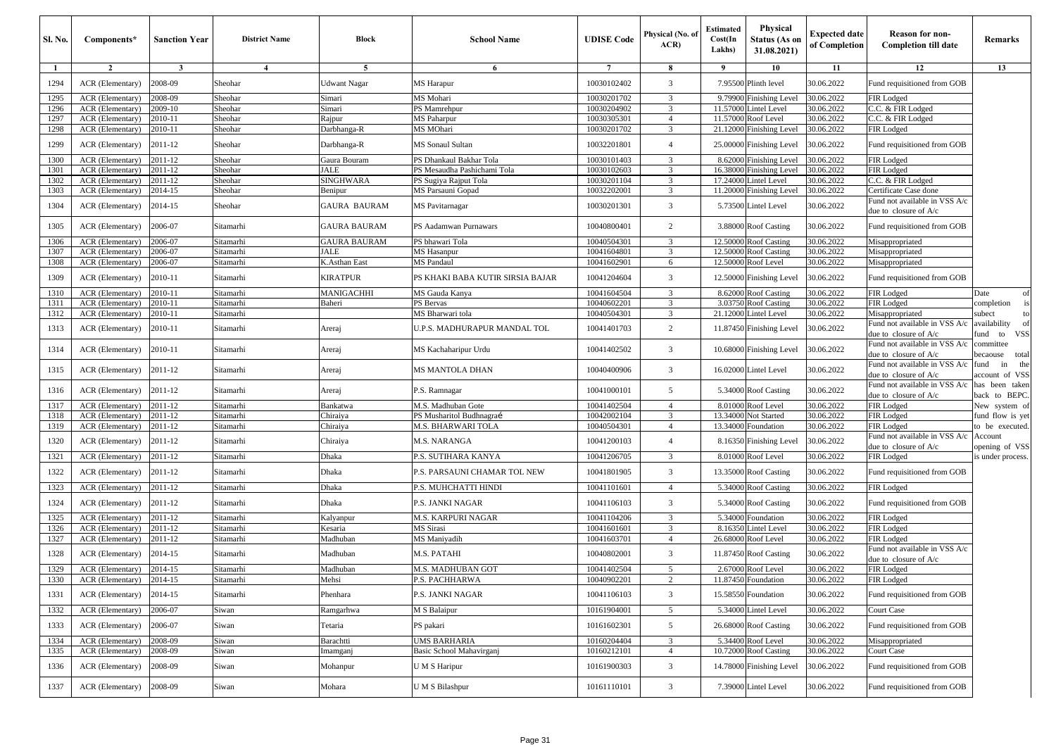| <b>Sl. No.</b> | Components*              | <b>Sanction Year</b> | <b>District Name</b>    | Block               | <b>School Name</b>               | <b>UDISE</b> Code | Physical (No. of<br>ACR | <b>Estimated</b><br>Cost(In<br>Lakhs) | <b>Physical</b><br><b>Status (As on</b><br>31.08.2021) | <b>Expected date</b><br>of Completion | <b>Reason for non-</b><br><b>Completion till date</b>  | Remarks                                     |
|----------------|--------------------------|----------------------|-------------------------|---------------------|----------------------------------|-------------------|-------------------------|---------------------------------------|--------------------------------------------------------|---------------------------------------|--------------------------------------------------------|---------------------------------------------|
| -1             | $\overline{2}$           | $\mathbf{3}$         | $\overline{\mathbf{4}}$ | 5                   | 6                                | $7\phantom{.0}$   | 8                       | -9                                    | 10                                                     | 11                                    | 12                                                     | 13                                          |
| 1294           | ACR (Elementary)         | 2008-09              | Sheohar                 | Udwant Nagar        | MS Harapur                       | 10030102402       | 3                       |                                       | 7.95500 Plinth level                                   | 30.06.2022                            | Fund requisitioned from GOB                            |                                             |
| 1295           | ACR (Elementary)         | 2008-09              | Sheohar                 | Simari              | MS Mohari                        | 10030201702       | 3                       |                                       | 9.79900 Finishing Level                                | 30.06.2022                            | FIR Lodged                                             |                                             |
| 1296           | <b>ACR</b> (Elementary)  | 2009-10              | Sheohar                 | Simari              | PS Mamrehpur                     | 10030204902       | $\overline{3}$          |                                       | 11.57000 Lintel Level                                  | 30.06.2022                            | C.C. & FIR Lodged                                      |                                             |
| 1297           | ACR (Elementary)         | 2010-11              | Sheohar                 | Rajpur              | <b>MS</b> Paharpur               | 10030305301       | $\overline{4}$          |                                       | 11.57000 Roof Level                                    | 30.06.2022                            | C.C. & FIR Lodged                                      |                                             |
| 1298           | ACR (Elementary)         | 2010-11              | Sheohar                 | Darbhanga-R         | MS MOhari                        | 10030201702       | 3                       |                                       | 21.12000 Finishing Level                               | 30.06.2022                            | FIR Lodged                                             |                                             |
| 1299           | ACR (Elementary)         | 2011-12              | Sheohar                 | Darbhanga-R         | MS Sonaul Sultan                 | 10032201801       | $\overline{4}$          |                                       | 25.00000 Finishing Level                               | 30.06.2022                            | Tund requisitioned from GOB                            |                                             |
| 1300           | ACR (Elementary)         | 2011-12              | Sheohar                 | Gaura Bouram        | PS Dhankaul Bakhar Tola          | 10030101403       | 3                       |                                       | 8.62000 Finishing Level                                | 30.06.2022                            | FIR Lodged                                             |                                             |
| 1301           | ACR (Elementary)         | 2011-12              | Sheohar                 | JALE                | PS Mesaudha Pashichami Tola      | 10030102603       | 3                       |                                       | 16.38000 Finishing Level                               | 30.06.2022                            | FIR Lodged                                             |                                             |
| 1302           | ACR (Elementary)         | 2011-12              | Sheohar                 | <b>SINGHWARA</b>    | PS Sugiya Rajput Tola            | 10030201104       | 3                       |                                       | 17.24000 Lintel Level                                  | 30.06.2022                            | C.C. & FIR Lodged                                      |                                             |
| 1303           | ACR (Elementary)         | 2014-15              | Sheohar                 | Benipur             | MS Parsauni Gopad                | 10032202001       | 3                       |                                       | 11.20000 Finishing Level                               | 30.06.2022                            | Certificate Case done                                  |                                             |
| 1304           | ACR (Elementary)         | 2014-15              | Sheohar                 | GAURA BAURAM        | MS Pavitarnagar                  | 10030201301       | 3                       |                                       | 5.73500 Lintel Level                                   | 30.06.2022                            | und not available in VSS A/c<br>due to closure of A/c  |                                             |
| 1305           | ACR (Elementary)         | 2006-07              | Sitamarhi               | <b>GAURA BAURAM</b> | PS Aadamwan Purnawars            | 10040800401       | 2                       |                                       | 3.88000 Roof Casting                                   | 30.06.2022                            | Fund requisitioned from GOB                            |                                             |
| 1306           | ACR (Elementary)         | 2006-07              | Sitamarhi               | <b>GAURA BAURAM</b> | PS bhawari Tola                  | 10040504301       | 3                       |                                       | 12.50000 Roof Casting                                  | 30.06.2022                            | Misappropriated                                        |                                             |
| 1307           | ACR (Elementary)         | 2006-07              | Sitamarhi               | <b>JALE</b>         | <b>MS</b> Hasanpur               | 10041604801       | 3                       |                                       | 12.50000 Roof Casting                                  | 30.06.2022                            | Misappropriated                                        |                                             |
| 1308           | ACR (Elementary)         | 2006-07              | Sitamarhi               | K.Asthan East       | <b>MS</b> Pandaul                | 10041602901       | 6                       |                                       | 12.50000 Roof Level                                    | 30.06.2022                            | Misappropriated                                        |                                             |
| 1309           | ACR (Elementary)         | 2010-11              | Sitamarhi               | KIRATPUR            | PS KHAKI BABA KUTIR SIRSIA BAJAR | 10041204604       | 3                       | 12.50000                              | <b>Finishing Level</b>                                 | 30.06.2022                            | Fund requisitioned from GOB                            |                                             |
| 1310           | ACR (Elementary)         | 2010-11              | Sitamarhi               | MANIGACHHI          | MS Gauda Kanya                   | 10041604504       | $\overline{3}$          |                                       | 8.62000 Roof Casting                                   | 30.06.2022                            | FIR Lodged                                             | Date<br>of                                  |
| 1311           | ACR (Elementary)         | 2010-11              | Sitamarhi               | Baheri              | PS Bervas                        | 10040602201       | 3                       |                                       | 3.03750 Roof Casting                                   | 30.06.2022                            | <b>FIR Lodged</b>                                      | completion<br>is                            |
| 1312           | ACR (Elementary)         | 2010-11              | Sitamarhi               |                     | MS Bharwari tola                 | 10040504301       | 3                       |                                       | 21.12000 Lintel Level                                  | 30.06.2022                            | Misappropriated                                        | subect<br>to                                |
| 1313           | ACR (Elementary)         | 2010-11              | Sitamarhi               | Areraj              | U.P.S. MADHURAPUR MANDAL TOL     | 10041401703       | $\overline{c}$          |                                       | 11.87450 Finishing Level                               | 30.06.2022                            | und not available in VSS A/c<br>due to closure of A/c  | availability<br>of<br><b>VSS</b><br>fund to |
| 1314           | ACR (Elementary)         | 2010-11              | Sitamarhi               | Areraj              | MS Kachaharipur Urdu             | 10041402502       | 3                       |                                       | 10.68000 Finishing Level                               | 30.06.2022                            | Fund not available in VSS A/c<br>lue to closure of A/c | committee<br>becaouse total                 |
| 1315           | ACR (Elementary)         | 2011-12              | Sitamarhi               | Areraj              | <b>MS MANTOLA DHAN</b>           | 10040400906       | 3                       |                                       | 16.02000 Lintel Level                                  | 30.06.2022                            | Fund not available in VSS A/c<br>due to closure of A/c | the<br>fund<br>in<br>account of VSS         |
| 1316           | ACR (Elementary)         | 2011-12              | Sitamarhi               | Areraj              | P.S. Ramnagar                    | 10041000101       | 5                       |                                       | 5.34000 Roof Casting                                   | 30.06.2022                            | und not available in VSS A/c<br>due to closure of A/c  | has been taken<br>back to BEPC.             |
| 1317           | ACR (Elementary)         | 2011-12              | Sitamarhi               | Bankatwa            | M.S. Madhuban Gote               | 10041402504       | $\overline{4}$          |                                       | 8.01000 Roof Level                                     | 30.06.2022                            | FIR Lodged                                             | New system of                               |
| 1318           | ACR (Elementary)         | 2011-12              | Sitamarhi               | Chiraiya            | PS Musharitol Budhnagraí         | 10042002104       | 3                       |                                       | 13.34000 Not Started                                   | 30.06.2022                            | FIR Lodged                                             | fund flow is yet                            |
| 1319           | ACR (Elementary)         | 2011-12              | Sitamarhi               | Chiraiya            | M.S. BHARWARI TOLA               | 10040504301       | $\overline{4}$          |                                       | 13.34000 Foundation                                    | 30.06.2022                            | FIR Lodged                                             | to be executed.                             |
| 1320           | ACR (Elementary)         | 2011-12              | Sitamarhi               | Chiraiya            | M.S. NARANGA                     | 10041200103       | $\overline{4}$          |                                       | 8.16350 Finishing Level                                | 30.06.2022                            | und not available in VSS A/c<br>due to closure of A/c  | Account<br>opening of VSS                   |
| 1321           | ACR (Elementary)         | 2011-12              | Sitamarhi               | Dhaka               | P.S. SUTIHARA KANYA              | 10041206705       | 3                       |                                       | 8.01000 Roof Level                                     | 30.06.2022                            | FIR Lodged                                             | is under process.                           |
| 1322           | ACR (Elementary)         | 2011-12              | Sitamarhi               | Dhaka               | P.S. PARSAUNI CHAMAR TOL NEW     | 10041801905       | 3                       |                                       | 13.35000 Roof Casting                                  | 30.06.2022                            | Fund requisitioned from GOB                            |                                             |
| 1323           | ACR (Elementary)         | 2011-12              | Sitamarhi               | Dhaka               | P.S. MUHCHATTI HINDI             | 10041101601       | $\overline{4}$          |                                       | 5.34000 Roof Casting                                   | 30.06.2022                            | FIR Lodged                                             |                                             |
| 1324           | ACR (Elementary)         | 2011-12              | Sitamarhi               | Dhaka               | P.S. JANKI NAGAR                 | 10041106103       | 3                       |                                       | 5.34000 Roof Casting                                   | 30.06.2022                            | Fund requisitioned from GOB                            |                                             |
| 1325           | ACR (Elementary)         | 2011-12              | Sitamarhi               | Kalyanpur           | <b>M.S. KARPURI NAGAR</b>        | 10041104206       | 3                       |                                       | 5.34000 Foundation                                     | 30.06.2022                            | FIR Lodged                                             |                                             |
| 1326           | ACR (Elementary)         | 2011-12              | Sitamarhi               | Kesaria             | <b>MS</b> Sirasi                 | 10041601601       | 3                       |                                       | 8.16350 Lintel Level                                   | 30.06.2022                            | FIR Lodged                                             |                                             |
| 1327           | ACR (Elementary)         | 2011-12              | Sitamarhi               | Madhuban            | MS Maniyadih                     | 10041603701       | $\overline{4}$          |                                       | 26.68000 Roof Level                                    | 30.06.2022                            | FIR Lodged                                             |                                             |
| 1328           | ACR (Elementary)         | 2014-15              | Sitamarhi               | Madhuban            | M.S. PATAHI                      | 10040802001       | 3                       |                                       | 11.87450 Roof Casting                                  | 30.06.2022                            | und not available in VSS A/c<br>due to closure of A/c  |                                             |
| 1329           | ACR (Elementary)         | 2014-15              | Sitamarhi               | Madhuban            | <b>M.S. MADHUBAN GOT</b>         | 10041402504       | 5                       |                                       | 2.67000 Roof Level                                     | 30.06.2022                            | FIR Lodged                                             |                                             |
| 1330           | ACR (Elementary) 2014-15 |                      | Sitamarhi               | Mensi               | P.S. PACHHARWA                   | 10040902201       |                         |                                       | 11.87450 Foundation                                    | 30.06.2022                            | FIR Lodged                                             |                                             |
| 1331           | <b>ACR</b> (Elementary)  | 2014-15              | Sitamarhi               | Phenhara            | P.S. JANKI NAGAR                 | 10041106103       | 3                       |                                       | 15.58550 Foundation                                    | 30.06.2022                            | Fund requisitioned from GOB                            |                                             |
| 1332           | ACR (Elementary)         | 2006-07              | Siwan                   | Ramgarhwa           | M S Balaipur                     | 10161904001       | 5                       |                                       | 5.34000 Lintel Level                                   | 30.06.2022                            | Court Case                                             |                                             |
| 1333           | ACR (Elementary)         | 2006-07              | Siwan                   | Tetaria             | PS pakari                        | 10161602301       | 5                       |                                       | 26.68000 Roof Casting                                  | 30.06.2022                            | Fund requisitioned from GOB                            |                                             |
| 1334           | ACR (Elementary)         | 2008-09              | Siwan                   | Barachtti           | <b>UMS BARHARIA</b>              | 10160204404       | 3                       |                                       | 5.34400 Roof Level                                     | 30.06.2022                            | Misappropriated                                        |                                             |
| 1335           | ACR (Elementary)         | 2008-09              | Siwan                   | Imamganj            | Basic School Mahavirganj         | 10160212101       | $\overline{4}$          |                                       | 10.72000 Roof Casting                                  | 30.06.2022                            | Court Case                                             |                                             |
| 1336           | ACR (Elementary)         | 2008-09              | Siwan                   | Mohanpur            | U M S Haripur                    | 10161900303       | 3                       |                                       | 14.78000 Finishing Level                               | 30.06.2022                            | Fund requisitioned from GOB                            |                                             |
| 1337           | ACR (Elementary)         | 2008-09              | Siwan                   | Mohara              | <b>UMS</b> Bilashpur             | 10161110101       | 3                       |                                       | 7.39000 Lintel Level                                   | 30.06.2022                            | Fund requisitioned from GOB                            |                                             |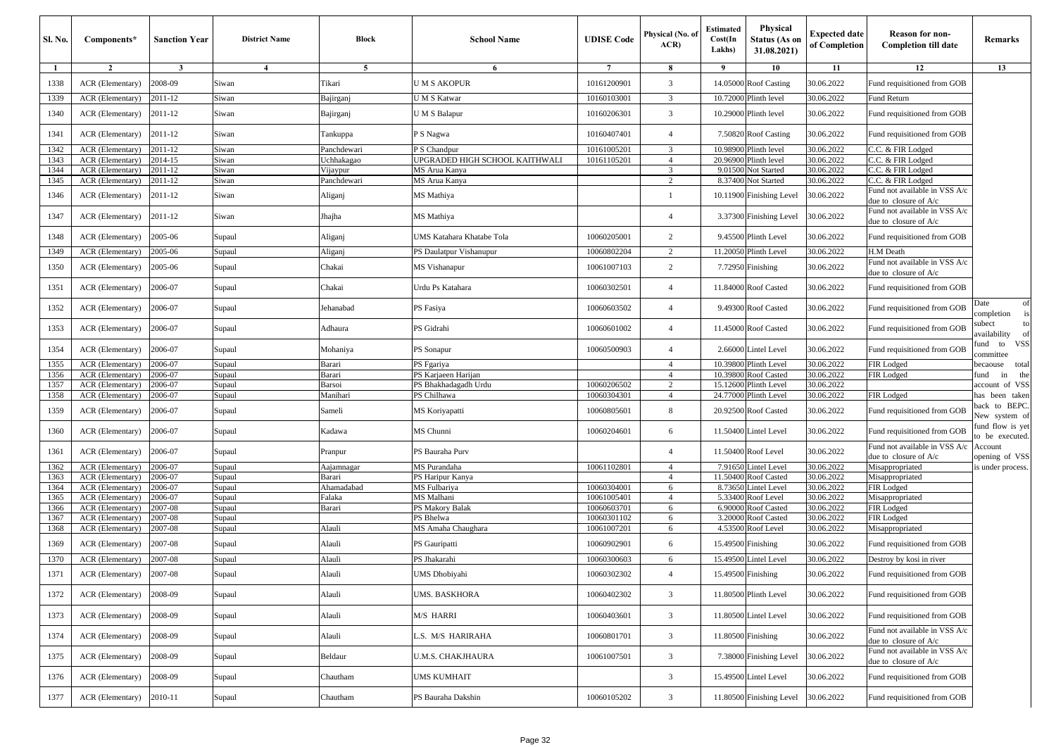| Sl. No. | Components*      | <b>Sanction Year</b> | <b>District Name</b> | Block              | <b>School Name</b>               | <b>UDISE Code</b> | Physical (No. of<br>ACR | <b>Estimated</b><br>Cost(In<br>Lakhs) | <b>Physical</b><br>Status (As or<br>31.08.2021) | <b>Expected date</b><br>of Completion | <b>Reason for non-</b><br><b>Completion till date</b>  | Remarks                           |
|---------|------------------|----------------------|----------------------|--------------------|----------------------------------|-------------------|-------------------------|---------------------------------------|-------------------------------------------------|---------------------------------------|--------------------------------------------------------|-----------------------------------|
| -1      | $\overline{2}$   | $\mathbf{3}$         | $\overline{4}$       | 5                  | 6                                | $\overline{7}$    | 8                       | 9                                     | 10                                              | 11                                    | 12                                                     | 13                                |
| 1338    | ACR (Elementary) | 2008-09              | Siwan                | Fikari             | U M S AKOPUR                     | 10161200901       | 3                       |                                       | 14.05000 Roof Casting                           | 30.06.2022                            | Fund requisitioned from GOB                            |                                   |
| 1339    | ACR (Elementary) | 2011-12              | Siwan                | 3ajirganj          | U M S Katwar                     | 10160103001       | 3                       |                                       | 10.72000 Plinth level                           | 30.06.2022                            | Fund Return                                            |                                   |
| 1340    | ACR (Elementary) | 2011-12              | Siwan                | Bajirganj          | UMS Balapur                      | 10160206301       | 3                       |                                       | 10.29000 Plinth level                           | 30.06.2022                            | Fund requisitioned from GOB                            |                                   |
| 1341    | ACR (Elementary) | 2011-12              | Siwan                | Fankuppa           | <sup>2</sup> S Nagwa             | 10160407401       | $\overline{4}$          |                                       | 7.50820 Roof Casting                            | 30.06.2022                            | Fund requisitioned from GOB                            |                                   |
| 1342    | ACR (Elementary) | 2011-12              | Siwan                | anchdewari         | P S Chandpur                     | 10161005201       | 3                       | 10.98900                              | Plinth level                                    | 30.06.2022                            | C.C. & FIR Lodged                                      |                                   |
| 1343    | ACR (Elementary) | $2014 - 15$          | Siwan                | Jchhakagao         | JPGRADED HIGH SCHOOL KAITHWALI   | 10161105201       | $\overline{4}$          | 20.96900                              | Plinth level                                    | 30.06.2022                            | C.C. & FIR Lodged                                      |                                   |
| 1344    | ACR (Elementary) | 2011-12              | Siwan                | Vijaypur           | MS Arua Kanya                    |                   | 3                       | 9.01500                               | Not Started                                     | 30.06.2022                            | C.C. & FIR Lodged                                      |                                   |
| 1345    | ACR (Elementary) | 2011-12              | Siwan                | anchdewari         | MS Arua Kanya                    |                   | $\overline{c}$          | 8.37400                               | Not Started                                     | 30.06.2022                            | C.C. & FIR Lodged                                      |                                   |
| 1346    | ACR (Elementary) | 2011-12              | Siwan                | Aliganj            | MS Mathiya                       |                   |                         |                                       | 10.11900 Finishing Level                        | 30.06.2022                            | Fund not available in VSS A/c<br>due to closure of A/c |                                   |
| 1347    | ACR (Elementary) | 2011-12              | Siwan                | Jhajha             | MS Mathiya                       |                   | $\overline{4}$          |                                       | 3.37300 Finishing Level                         | 30.06.2022                            | Fund not available in VSS A/c<br>due to closure of A/c |                                   |
| 1348    | ACR (Elementary) | 2005-06              | Supaul               | Aliganj            | JMS Katahara Khatabe Tola        | 10060205001       | $\overline{c}$          |                                       | 9.45500 Plinth Level                            | 30.06.2022                            | Fund requisitioned from GOB                            |                                   |
| 1349    | ACR (Elementary) | 2005-06              | Supaul               | Aliganj            | <b>PS Daulatpur Vishanupur</b>   | 10060802204       | $\overline{c}$          | 11.2005                               | 0 Plinth Level                                  | 30.06.2022                            | H.M Death                                              |                                   |
| 1350    | ACR (Elementary) | 2005-06              | Supaul               | Chakai             | <b>MS Vishanapur</b>             | 10061007103       | $\overline{c}$          |                                       | 7.72950 Finishing                               | 30.06.2022                            | Fund not available in VSS A/c<br>due to closure of A/c |                                   |
| 1351    | ACR (Elementary) | 2006-07              | Supaul               | Chakai             | Urdu Ps Katahara                 | 10060302501       | $\overline{4}$          |                                       | 11.84000 Roof Casted                            | 30.06.2022                            | Fund requisitioned from GOB                            |                                   |
| 1352    | ACR (Elementary) | 2006-07              | Supaul               | Jehanabad          | PS Fasiya                        | 10060603502       | $\overline{4}$          |                                       | 9.49300 Roof Casted                             | 30.06.2022                            | Fund requisitioned from GOB                            | Date<br>of<br>ompletion<br>is     |
| 1353    | ACR (Elementary) | 2006-07              | Supaul               | Adhaura            | PS Gidrahi                       | 10060601002       | $\overline{4}$          |                                       | 11.45000 Roof Casted                            | 30.06.2022                            | Fund requisitioned from GOB                            | abect<br>to<br>vailability        |
| 1354    | ACR (Elementary) | 2006-07              | Supaul               | Mohaniya           | <sup>2</sup> S Sonapur           | 10060500903       | $\overline{4}$          |                                       | 2.66000 Lintel Level                            | 30.06.2022                            | Fund requisitioned from GOB                            | <b>VSS</b><br>und to<br>ommittee  |
| 1355    | ACR (Elementary) | 2006-07              | Supaul               | Barari             | PS Fgariya                       |                   | $\overline{4}$          |                                       | 10.39800 Plinth Level                           | 30.06.2022                            | FIR Lodged                                             | total<br>ecaouse                  |
| 1356    | ACR (Elementary) | 2006-07              | Supaul               | 3arari             | PS Karjaeen Harijan              |                   | $\overline{4}$          | 10.39800                              | Roof Casted                                     | 30.06.2022                            | FIR Lodged                                             | in<br>the<br>ùnd                  |
| 1357    | ACR (Elementary) | :006-07              | Supaul               | 3arsoi             | <sup>2</sup> S Bhakhadagadh Urdu | 10060206502       | 2                       |                                       | 15.12600 Plinth Level                           | 30.06.2022                            |                                                        | account of VSS                    |
| 1358    | ACR (Elementary) | 2006-07              | Supaul               | Manihari           | PS Chilhawa                      | 10060304301       | $\overline{4}$          |                                       | 24.77000 Plinth Level                           | 30.06.2022                            | FIR Lodged                                             | has been taken                    |
| 1359    | ACR (Elementary) | 2006-07              | Supaul               | Sameli             | MS Koriyapatti                   | 10060805601       | 8                       |                                       | 20.92500 Roof Casted                            | 30.06.2022                            | Fund requisitioned from GOB                            | back to BEPC.<br>New system of    |
| 1360    | ACR (Elementary) | 2006-07              | Supaul               | Kadawa             | MS Chunni                        | 10060204601       | 6                       |                                       | 11.50400 Lintel Level                           | 30.06.2022                            | Fund requisitioned from GOB                            | und flow is yet<br>o be executed. |
| 1361    | ACR (Elementary) | 2006-07              | Supaul               | Pranpur            | PS Bauraha Purv                  |                   | $\overline{4}$          |                                       | 11.50400 Roof Level                             | 30.06.2022                            | Fund not available in VSS A/c<br>due to closure of A/c | Account<br>opening of VSS         |
| 1362    | ACR (Elementary) | 2006-07              | Supaul               | Aajamnagar         | MS Purandaha                     | 10061102801       | $\overline{4}$          |                                       | 7.91650 Lintel Level                            | 30.06.2022                            | Misappropriated                                        | is under process.                 |
| 1363    | ACR (Elementary) | 2006-07              | Supaul               | Barari             | PS Haripur Kanya                 |                   | $\overline{4}$          | 11.50400                              | Roof Casted                                     | 30.06.2022                            | Misappropriated                                        |                                   |
| 1364    | ACR (Elementary) | 2006-07              | Supaul               | Ahamadabad         | MS Fulbariya                     | 10060304001       | 6                       | 8.7365                                | Lintel Level                                    | 30.06.2022                            | <b>FIR Lodged</b>                                      |                                   |
| 1365    | ACR (Elementary) | 2006-07              | Supaul               | <sup>3</sup> alaka | MS Malhani                       | 10061005401       | $\overline{4}$          |                                       | 5.33400 Roof Level                              | 30.06.2022                            | Misappropriated                                        |                                   |
| 1366    | ACR (Elementary) | 2007-08              | Supaul               | 3arari             | PS Makory Balak                  | 10060603701       | 6                       | 6.9000                                | Roof Casted                                     | 30.06.2022                            | FIR Lodged                                             |                                   |
| 1367    | ACR (Elementary) | 2007-08              | Supaul               |                    | PS Bhelwa                        | 10060301102       | 6                       | 3.2000                                | Roof Casted                                     | 30.06.2022                            | FIR Lodged                                             |                                   |
| 1368    | ACR (Elementary) | 2007-08              | Supaul               | Alauli             | MS Amaha Chaughara               | 10061007201       | 6                       |                                       | 4.53500 Roof Level                              | 30.06.2022                            | Misappropriated                                        |                                   |
| 1369    | ACR (Elementary) | 2007-08              | Supaul               | Alauli             | <sup>2</sup> S Gauripatti        | 10060902901       | 6                       |                                       | 15.49500 Finishing                              | 30.06.2022                            | Fund requisitioned from GOB                            |                                   |
| 1370    | ACR (Elementary) | 2007-08              | Supaul               | Alauli             | PS Jhakarahi                     | 10060300603       | 6                       |                                       | 15.49500 Lintel Level                           | 30.06.2022                            | Destroy by kosi in river                               |                                   |
| 1371    | ACR (Elementary) | 2007-08              | Supaul               | Alauli             | <b>UMS Dhobivahi</b>             | 10060302302       | $\overline{4}$          |                                       | 15.49500 Finishing                              | 30.06.2022                            | Fund requisitioned from GOB                            |                                   |
| 1372    | ACR (Elementary) | 2008-09              | Supaul               | Alauli             | UMS. BASKHORA                    | 10060402302       | 3                       |                                       | 11.80500 Plinth Level                           | 30.06.2022                            | Fund requisitioned from GOB                            |                                   |
| 1373    | ACR (Elementary) | 2008-09              | Supaul               | Alauli             | M/S HARRI                        | 10060403601       | $\overline{3}$          |                                       | 11.80500 Lintel Level                           | 30.06.2022                            | Fund requisitioned from GOB                            |                                   |
| 1374    | ACR (Elementary) | 2008-09              | Supaul               | Alauli             | L.S. M/S HARIRAHA                | 10060801701       | 3                       |                                       | 11.80500 Finishing                              | 30.06.2022                            | Fund not available in VSS A/c<br>due to closure of A/c |                                   |
| 1375    | ACR (Elementary) | 2008-09              | Supaul               | Beldaur            | U.M.S. CHAKJHAURA                | 10061007501       | $\overline{3}$          |                                       | 7.38000 Finishing Level                         | 30.06.2022                            | Fund not available in VSS A/c<br>due to closure of A/c |                                   |
| 1376    | ACR (Elementary) | 2008-09              | Supaul               | Chautham           | <b>UMS KUMHAIT</b>               |                   | 3                       |                                       | 15.49500 Lintel Level                           | 30.06.2022                            | Fund requisitioned from GOB                            |                                   |
| 1377    | ACR (Elementary) | 2010-11              | Supaul               | Chautham           | PS Bauraha Dakshin               | 10060105202       | $\mathbf{3}$            |                                       | 11.80500 Finishing Level                        | 30.06.2022                            | Fund requisitioned from GOB                            |                                   |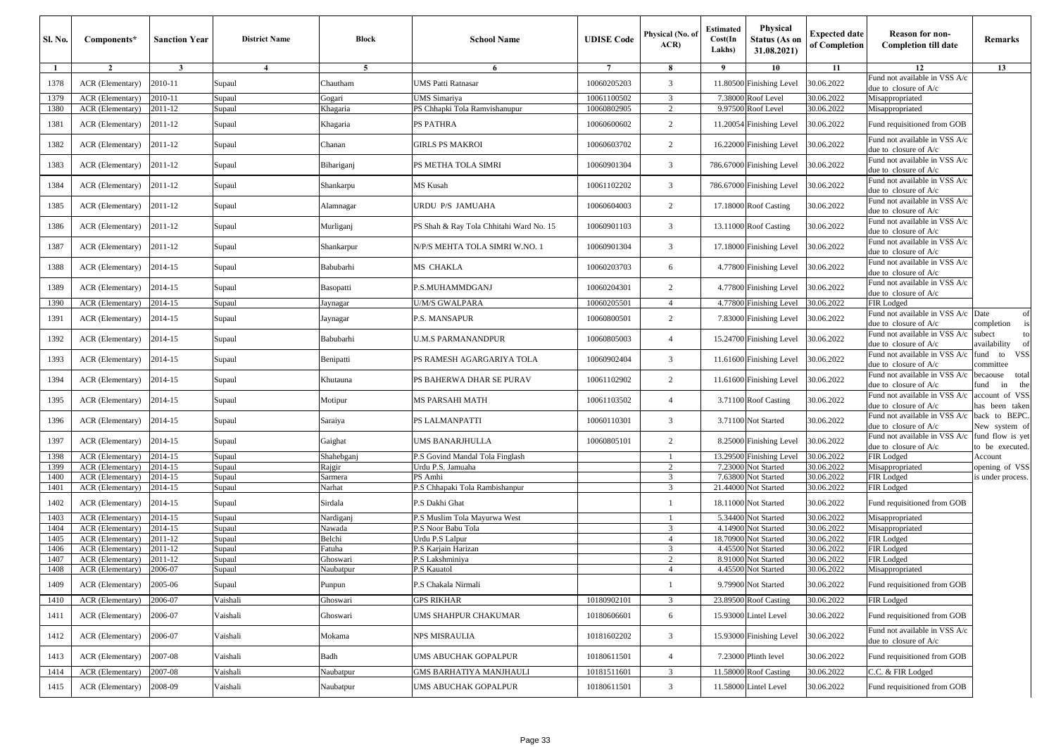| <b>Sl. No.</b> | Components*                          | <b>Sanction Year</b>    | <b>District Name</b> | Block               | <b>School Name</b>                             | <b>UDISE Code</b> | Physical (No. of<br>ACR | <b>Estimated</b><br>Cost(In<br>Lakhs) | Physical<br><b>Status (As on</b><br>31.08.2021) | <b>Expected date</b><br>of Completion | <b>Reason for non-</b><br><b>Completion till date</b>    | Remarks                             |
|----------------|--------------------------------------|-------------------------|----------------------|---------------------|------------------------------------------------|-------------------|-------------------------|---------------------------------------|-------------------------------------------------|---------------------------------------|----------------------------------------------------------|-------------------------------------|
| -1             | $\overline{2}$                       | $\overline{\mathbf{3}}$ | $\overline{4}$       | 5                   | 6                                              | $\tau$            | 8                       | 9                                     | 10                                              | 11                                    | 12                                                       | 13                                  |
| 1378           | ACR (Elementary)                     | 2010-11                 | Supaul               | Chautham            | UMS Patti Ratnasar                             | 10060205203       | $\overline{3}$          |                                       | 11.80500 Finishing Level                        | 30.06.2022                            | Fund not available in VSS A/c<br>due to closure of A/c   |                                     |
| 1379           | ACR (Elementary)                     | 2010-11                 | Supaul               | Gogari              | JMS Simariya                                   | 10061100502       | 3                       | 7.38000                               | Roof Level                                      | 30.06.2022                            | Misappropriated                                          |                                     |
| 1380           | ACR (Elementary)                     | 2011-12                 | Supaul               | Khagaria            | <b>PS Chhapki Tola Ramvishanupur</b>           | 10060802905       | $\overline{c}$          | 9.97500                               | Roof Level                                      | 30.06.2022                            | Misappropriated                                          |                                     |
| 1381           | ACR (Elementary)                     | 2011-12                 | Supaul               | Khagaria            | PS PATHRA                                      | 10060600602       | $\overline{c}$          |                                       | 11.20054 Finishing Level                        | 30.06.2022                            | Fund requisitioned from GOB                              |                                     |
| 1382           | ACR (Elementary)                     | 2011-12                 | Supaul               | Chanan              | <b>GIRLS PS MAKROI</b>                         | 10060603702       | 2                       |                                       | 16.22000 Finishing Level                        | 30.06.2022                            | Fund not available in VSS A/c<br>due to closure of A/c   |                                     |
| 1383           | ACR (Elementary)                     | 2011-12                 | Supaul               | Bihariganj          | PS METHA TOLA SIMRI                            | 10060901304       | 3                       |                                       | 786.67000 Finishing Level                       | 30.06.2022                            | Fund not available in VSS A/c<br>due to closure of A/c   |                                     |
| 1384           | ACR (Elementary)                     | 2011-12                 | Supaul               | Shankarpu           | MS Kusah                                       | 10061102202       | $\overline{3}$          |                                       | 786.67000 Finishing Level                       | 30.06.2022                            | Fund not available in VSS A/c<br>due to closure of A/c   |                                     |
| 1385           | ACR (Elementary)                     | 2011-12                 | Supaul               | Alamnagar           | URDU P/S JAMUAHA                               | 10060604003       | $\overline{c}$          |                                       | 17.18000 Roof Casting                           | 30.06.2022                            | Fund not available in VSS A/c<br>due to closure of A/c   |                                     |
| 1386           | ACR (Elementary)                     | 2011-12                 | Supaul               | Murliganj           | PS Shah & Ray Tola Chhitahi Ward No. 15        | 10060901103       | 3                       |                                       | 13.11000 Roof Casting                           | 30.06.2022                            | Fund not available in VSS A/c<br>due to closure of A/c   |                                     |
| 1387           | ACR (Elementary)                     | 2011-12                 | Supaul               | Shankarpur          | N/P/S MEHTA TOLA SIMRI W.NO. 1                 | 10060901304       | $\overline{3}$          |                                       | 17.18000 Finishing Level                        | 30.06.2022                            | Fund not available in VSS A/c<br>due to closure of A/c   |                                     |
| 1388           | ACR (Elementary)                     | 2014-15                 | Supaul               | Babubarhi           | MS CHAKLA                                      | 10060203703       | 6                       |                                       | 4.77800 Finishing Level                         | 30.06.2022                            | Fund not available in VSS A/c<br>due to closure of $A/c$ |                                     |
| 1389           | ACR (Elementary)                     | 2014-15                 | Supaul               | Basopatti           | P.S.MUHAMMDGANJ                                | 10060204301       | 2                       |                                       | 4.77800 Finishing Level                         | 30.06.2022                            | Fund not available in VSS A/c<br>due to closure of A/c   |                                     |
| 1390           | ACR (Elementary)                     | 2014-15                 | Supaul               | Jaynagar            | U/M/S GWALPARA                                 | 10060205501       | $\overline{4}$          |                                       | 4.77800 Finishing Level                         | 30.06.2022                            | FIR Lodged                                               |                                     |
| 1391           | ACR (Elementary)                     | 2014-15                 | Supaul               | Jaynagar            | P.S. MANSAPUR                                  | 10060800501       | $\overline{c}$          |                                       | 7.83000 Finishing Level                         | 30.06.2022                            | Fund not available in VSS A/c<br>due to closure of A/c   | Date<br>of<br>completion<br>is      |
| 1392           | ACR (Elementary)                     | 2014-15                 | Supaul               | Babubarhi           | <b>U.M.S PARMANANDPUR</b>                      | 10060805003       | $\overline{4}$          |                                       | 15.24700 Finishing Level                        | 30.06.2022                            | Fund not available in VSS A/c<br>due to closure of A/c   | subect<br>to<br>availability of     |
| 1393           | ACR (Elementary)                     | 2014-15                 | Supaul               | Benipatti           | PS RAMESH AGARGARIYA TOLA                      | 10060902404       | $\overline{\mathbf{3}}$ |                                       | 11.61600 Finishing Level                        | 30.06.2022                            | Fund not available in VSS A/c<br>due to closure of $A/c$ | VSS<br>fund<br>to<br>committee      |
| 1394           | ACR (Elementary)                     | 2014-15                 | Supaul               | Khutauna            | PS BAHERWA DHAR SE PURAV                       | 10061102902       | 2                       |                                       | 11.61600 Finishing Level                        | 30.06.2022                            | Fund not available in VSS A/c<br>due to closure of A/c   | becaouse total<br>fund<br>the<br>in |
| 1395           | ACR (Elementary)                     | 2014-15                 | Supaul               | Motipur             | MS PARSAHI MATH                                | 10061103502       | $\overline{4}$          |                                       | 3.71100 Roof Casting                            | 30.06.2022                            | Fund not available in VSS A/c<br>due to closure of A/c   | account of VSS<br>has been taken    |
| 1396           | ACR (Elementary)                     | 2014-15                 | Supaul               | Saraiya             | PS LALMANPATTI                                 | 10060110301       | 3                       |                                       | 3.71100 Not Started                             | 30.06.2022                            | Fund not available in VSS A/c<br>due to closure of A/c   | back to BEPC.<br>New system of      |
| 1397           | ACR (Elementary)                     | 2014-15                 | Supaul               | Gaighat             | UMS BANARJHULLA                                | 10060805101       | $\overline{2}$          |                                       | 8.25000 Finishing Level                         | 30.06.2022                            | Fund not available in VSS A/c<br>due to closure of A/c   | fund flow is yet<br>to be executed. |
| 1398           | ACR (Elementary)                     | 2014-15                 | Supaul               | Shahebganj          | P.S Govind Mandal Tola Finglash                |                   | -1                      |                                       | 13.29500 Finishing Level                        | 30.06.2022                            | FIR Lodged                                               | Account                             |
| 1399           | ACR (Elementary)                     | 2014-15                 | Supaul               | Rajgir              | Urdu P.S. Jamuaha                              |                   | $\overline{2}$          |                                       | 7.23000 Not Started                             | 30.06.2022                            | Misappropriated                                          | opening of VSS                      |
| 1400           | ACR (Elementary)                     | 2014-15                 | Supaul               | Sarmera             | PS Amhi                                        |                   | $\overline{3}$          | 7.63800                               | Not Started                                     | 30.06.2022                            | FIR Lodged                                               | is under process.                   |
| 1401           | ACR (Elementary)                     | 2014-15                 | Supaul               | Narhat              | P.S Chhapaki Tola Rambishanpur                 |                   | $\overline{3}$          | 21.44000                              | Not Started                                     | 30.06.2022                            | FIR Lodged                                               |                                     |
| 1402           | ACR (Elementary)<br>ACR (Elementary) | 2014-15<br>2014-15      | Supaul               | Sirdala             | P.S Dakhi Ghat<br>P.S Muslim Tola Mayurwa West |                   | $\mathbf{1}$            | 5.34400                               | 18.11000 Not Started<br>Not Started             | 30.06.2022<br>30.06.2022              | Fund requisitioned from GOB                              |                                     |
| 1403<br>1404   | ACR (Elementary)                     | 2014-15                 | Supaul<br>Supaul     | Nardigani<br>Nawada | P.S Noor Babu Tola                             |                   | 3                       | 4.14900                               | Not Started                                     | 30.06.2022                            | Misappropriated<br>Misappropriated                       |                                     |
| 1405           | ACR (Elementary)                     | 2011-12                 | Supaul               | Belchi              | Jrdu P.S Lalpur                                |                   | $\overline{4}$          | 18.70900                              | Not Started                                     | 30.06.2022                            | FIR Lodged                                               |                                     |
| 1406           | ACR (Elementary)                     | 2011-12                 | Supaul               | `atuha              | <sup>2</sup> .S Karjain Harizan                |                   | $\overline{\mathbf{3}}$ | 4.4550                                | <b>Not Started</b>                              | 30.06.2022                            | FIR Lodged                                               |                                     |
| 1407           | ACR (Elementary)                     | 2011-12                 | Supaul               | Ghoswari            | P.S Lakshminiya                                |                   | $\overline{2}$          | 8.9100                                | Not Started                                     | 30.06.2022                            | FIR Lodged                                               |                                     |
| 1408           | ACR (Elementary)                     | 2006-07                 | Supaul               | Naubatpur           | P.S Kauatol                                    |                   | $\overline{4}$          | 4.45500                               | Not Started                                     | 30.06.2022                            | Misappropriated                                          |                                     |
| 1409           | ACR (Elementary)                     | 2005-06                 | Supaul               | Punpun              | P.S Chakala Nirmali                            |                   | -1                      |                                       | 9.79900 Not Started                             | 30.06.2022                            | Fund requisitioned from GOB                              |                                     |
| 1410           | ACR (Elementary)                     | 2006-07                 | Vaishali             | Ghoswari            | <b>GPS RIKHAR</b>                              | 10180902101       | 3                       |                                       | 23.89500 Roof Casting                           | 30.06.2022                            | FIR Lodged                                               |                                     |
| 1411           | ACR (Elementary)                     | 2006-07                 | Vaishali             | Ghoswari            | UMS SHAHPUR CHAKUMAR                           | 10180606601       | 6                       |                                       | 15.93000 Lintel Level                           | 30.06.2022                            | Fund requisitioned from GOB                              |                                     |
| 1412           | ACR (Elementary)                     | 2006-07                 | Vaishali             | Mokama              | NPS MISRAULIA                                  | 10181602202       | 3                       |                                       | 15.93000 Finishing Level                        | 30.06.2022                            | Fund not available in VSS A/c<br>due to closure of A/c   |                                     |
| 1413           | ACR (Elementary)                     | 2007-08                 | Vaishali             | Badh                | <b>JMS ABUCHAK GOPALPUR</b>                    | 10180611501       | $\overline{4}$          |                                       | 7.23000 Plinth level                            | 30.06.2022                            | Fund requisitioned from GOB                              |                                     |
| 1414           | ACR (Elementary)                     | 2007-08                 | Vaishali             | Naubatpur           | <b>GMS BARHATIYA MANJHAULI</b>                 | 10181511601       | 3                       |                                       | 11.58000 Roof Casting                           | 30.06.2022                            | C.C. & FIR Lodged                                        |                                     |
| 1415           | ACR (Elementary)                     | 2008-09                 | Vaishali             | Naubatpur           | <b>JMS ABUCHAK GOPALPUR</b>                    | 10180611501       | 3                       |                                       | 11.58000 Lintel Level                           | 30.06.2022                            | Fund requisitioned from GOB                              |                                     |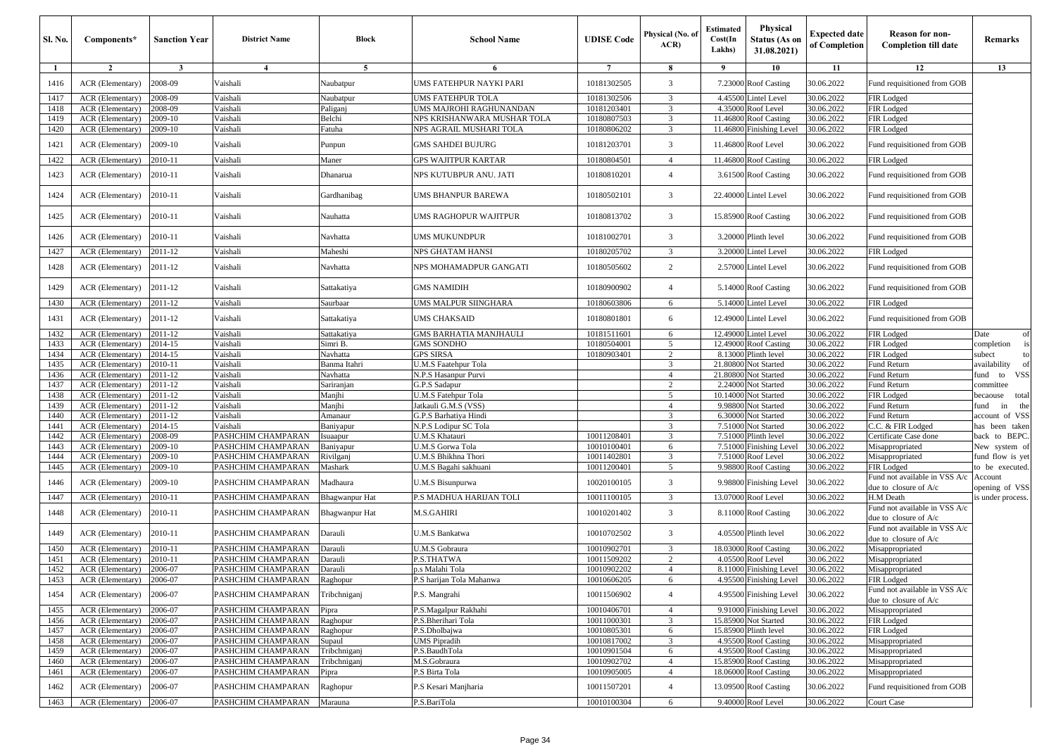| Sl. No.      | Components*                                 | <b>Sanction Year</b> | <b>District Name</b>                     | Block                  | <b>School Name</b>                           | <b>UDISE</b> Code          | Physical (No. of<br>ACR          | <b>Estimated</b><br>Cost(In<br>Lakhs) | <b>Physical</b><br>Status (As on<br>31.08.2021) | <b>Expected date</b><br>of Completion | <b>Reason for non-</b><br><b>Completion till date</b>  | Remarks                    |
|--------------|---------------------------------------------|----------------------|------------------------------------------|------------------------|----------------------------------------------|----------------------------|----------------------------------|---------------------------------------|-------------------------------------------------|---------------------------------------|--------------------------------------------------------|----------------------------|
| -1           | $\overline{2}$                              | $\mathbf{3}$         | $\overline{4}$                           | 5                      | 6                                            | $\overline{7}$             | 8                                | 9                                     | 10                                              | 11                                    | 12                                                     | 13                         |
| 1416         | ACR (Elementary)                            | 2008-09              | Vaishali                                 | Naubatpur              | UMS FATEHPUR NAYKI PARI                      | 10181302505                | 3                                | 7.23000                               | <b>Roof Casting</b>                             | 30.06.2022                            | Fund requisitioned from GOB                            |                            |
| 1417         | <b>ACR</b> (Elementary)                     | 2008-09              | Vaishali                                 | Naubatpur              | UMS FATEHPUR TOLA                            | 10181302506                | 3                                | 4.45500                               | intel Level                                     | 30.06.2022                            | FIR Lodged                                             |                            |
| 1418         | ACR (Elementary)                            | 2008-09              | Vaishali                                 | Paliganj               | JMS MAJROHI RAGHUNANDAN                      | 10181203401                | 3                                | 4.35000                               | <b>Roof</b> Level                               | 30.06.2022                            | FIR Lodged                                             |                            |
| 1419         | ACR (Elementary)                            | 2009-10              | Vaishali                                 | Belchi                 | NPS KRISHANWARA MUSHAR TOLA                  | 10180807503                | 3                                | 11.4680                               | <b>Roof Casting</b>                             | 30.06.2022                            | FIR Lodged                                             |                            |
| 1420         | ACR (Elementary)                            | 2009-10              | Vaishali                                 | Fatuha                 | NPS AGRAIL MUSHARI TOLA                      | 10180806202                | 3                                | 11.4680                               | inishing Level                                  | 30.06.2022                            | FIR Lodged                                             |                            |
| 1421         | ACR (Elementary)                            | 2009-10              | Vaishali                                 | Punpun                 | GMS SAHDEI BUJURG                            | 10181203701                | 3                                | 11.4680                               | Roof Level                                      | 30.06.2022                            | Fund requisitioned from GOB                            |                            |
| 1422         | ACR (Elementary)                            | 2010-11              | Vaishali                                 | Maner                  | GPS WAJITPUR KARTAR                          | 10180804501                | $\overline{4}$                   | 11.4680                               | <b>Roof Casting</b>                             | 30.06.2022                            | FIR Lodged                                             |                            |
| 1423         | ACR (Elementary)                            | 2010-11              | Vaishali                                 | Dhanarua               | NPS KUTUBPUR ANU. JATI                       | 10180810201                | $\overline{4}$                   | 3.61500                               | <b>Roof Casting</b>                             | 30.06.2022                            | Fund requisitioned from GOB                            |                            |
| 1424         | ACR (Elementary)                            | 2010-11              | Vaishali                                 | Gardhanibag            | UMS BHANPUR BAREWA                           | 10180502101                | 3                                | 22.4000                               | intel Level                                     | 30.06.2022                            | Fund requisitioned from GOB                            |                            |
| 1425         | ACR (Elementary)                            | 2010-11              | Vaishali                                 | Nauhatta               | UMS RAGHOPUR WAJITPUR                        | 10180813702                | 3                                | 15.8590                               | <b>Roof Casting</b>                             | 30.06.2022                            | Fund requisitioned from GOB                            |                            |
| 1426         | ACR (Elementary)                            | 2010-11              | Vaishali                                 | Navhatta               | UMS MUKUNDPUR                                | 10181002701                | 3                                | 3.20000                               | Plinth level                                    | 30.06.2022                            | Fund requisitioned from GOB                            |                            |
| 1427         | ACR (Elementary)                            | 2011-12              | Vaishali                                 | Maheshi                | NPS GHATAM HANSI                             | 10180205702                | 3                                | 3.2000                                | intel Level                                     | 30.06.2022                            | FIR Lodged                                             |                            |
| 1428         | ACR (Elementary)                            | 2011-12              | Vaishali                                 | Navhatta               | NPS MOHAMADPUR GANGATI                       | 10180505602                | 2                                | 2.5700                                | intel Level                                     | 30.06.2022                            | Fund requisitioned from GOB                            |                            |
| 1429         | ACR (Elementary)                            | 2011-12              | Vaishali                                 | Sattakatiya            | GMS NAMIDIH                                  | 10180900902                | $\overline{4}$                   | 5.14000                               | <b>Roof Casting</b>                             | 30.06.2022                            | Fund requisitioned from GOB                            |                            |
| 1430         | ACR (Elementary)                            | 2011-12              | Vaishali                                 | Saurbaar               | UMS MALPUR SIINGHARA                         | 10180603806                | 6                                | 5.1400                                | intel Level                                     | 30.06.2022                            | FIR Lodged                                             |                            |
| 1431         | ACR (Elementary)                            | 2011-12              | Vaishali                                 | Sattakatiya            | UMS CHAKSAID                                 | 10180801801                | 6                                | 12.4900                               | intel Level                                     | 30.06.2022                            | Fund requisitioned from GOB                            |                            |
| 1432         | <b>ACR</b> (Elementary)                     | 2011-12              | Vaishali                                 | Sattakatiya            | <b>GMS BARHATIA MANJHAULI</b>                | 10181511601                | 6                                | 12.4900                               | intel Level                                     | 30.06.2022                            | FIR Lodged                                             | Date<br>of                 |
| 1433         | ACR (Elementary)                            | 2014-15              | Vaishali                                 | Simri B.               | <b>GMS SONDHO</b>                            | 10180504001                | 5                                | 12.4900                               | <b>Roof Casting</b>                             | 30.06.2022                            | FIR Lodged                                             | completion<br>is           |
| 1434         | ACR (Elementary)                            | 2014-15              | Vaishali                                 | Navhatta               | GPS SIRSA                                    | 10180903401                | 2                                | 8.1300                                | linth level                                     | 30.06.2022                            | FIR Lodged                                             | subect<br>to               |
| 1435<br>1436 | ACR (Elementary)<br><b>ACR</b> (Elementary) | 2010-11<br>2011-12   | Vaishali<br>Vaishali                     | Banma Itahri           | U.M.S Faatehpur Tola<br>N.P.S Hasanpur Purvi |                            | 3<br>$\overline{4}$              | 21.80800<br>21.8080                   | <b>lot Started</b>                              | 30.06.2022<br>30.06.2022              | Fund Return                                            | availability<br><b>VSS</b> |
| 1437         | ACR (Elementary)                            | 2011-12              | Vaishali                                 | Navhatta<br>Sariranjan | G.P.S Sadapur                                |                            | 2                                | 2.24000                               | <b>lot Started</b><br><b>Vot Started</b>        | 30.06.2022                            | Fund Return<br>Fund Return                             | und to<br>committee        |
| 1438         | ACR (Elementary)                            | 2011-12              | Vaishali                                 | Manjhi                 | U.M.S Fatehpur Tola                          |                            | 5                                | 10.14000                              | <b>lot Started</b>                              | 30.06.2022                            | FIR Lodged                                             | pecaouse<br>total          |
| 1439         | ACR (Elementary)                            | 2011-12              | Vaishali                                 | Manjhi                 | Jatkauli G.M.S (VSS)                         |                            | $\overline{4}$                   | 9.98800                               | <b>Jot Started</b>                              | 30.06.2022                            | Fund Return                                            | the<br>in<br>und           |
| 1440         | ACR (Elementary)                            | 2011-12              | Vaishali                                 | Amanaur                | G.P.S Barhatiya Hindi                        |                            | 3                                | 6.30000                               | <b>lot Started</b>                              | 30.06.2022                            | Fund Return                                            | account of VSS             |
| 1441         | ACR (Elementary)                            | 2014-15              | Vaishali                                 | Baniyapur              | N.P.S Lodipur SC Tola                        |                            | 3                                | 7.51000                               | <b>Jot Started</b>                              | 30.06.2022                            | C.C. & FIR Lodged                                      | has been taken             |
| 1442         | ACR (Elementary)                            | 2008-09              | PASHCHIM CHAMPARAN                       | suaapur                | U.M.S Khatauri                               | 10011208401                | 3                                | 7.5100                                | linth level                                     | 30.06.2022                            | Certificate Case done                                  | back to BEPC.              |
| 1443         | <b>ACR</b> (Elementary)                     | 2009-10              | PASHCHIM CHAMPARAN                       | Baniyapur              | U.M.S Gorwa Tola                             | 10010100401                | 6                                | 7.5100                                | inishing Level                                  | 30.06.2022                            | Misappropriated                                        | New system of              |
| 1444         | ACR (Elementary)                            | 2009-10              | PASHCHIM CHAMPARAN                       | Rivilganj              | U.M.S Bhikhna Thori                          | 10011402801                | 3                                | 7.5100                                | <b>Roof Level</b>                               | 30.06.2022                            | Misappropriated                                        | und flow is yet            |
| 1445         | ACR (Elementary)                            | 2009-10              | PASHCHIM CHAMPARAN                       | Mashark                | U.M.S Bagahi sakhuani                        | 10011200401                | 5                                | 9.9880                                | <b>Roof Casting</b>                             | 30.06.2022                            | FIR Lodged                                             | o be executed.             |
| 1446         | ACR (Elementary)                            | 2009-10              | PASHCHIM CHAMPARAN                       | Madhaura               | U.M.S Bisunpurwa                             | 10020100105                | 3                                | 9.98800                               | <b>Finishing Level</b>                          | 30.06.2022                            | Fund not available in VSS A/c<br>due to closure of A/c | Account<br>opening of VSS  |
| 1447         | ACR (Elementary)                            | 2010-11              | PASHCHIM CHAMPARAN                       | Bhagwanpur Hat         | P.S MADHUA HARIJAN TOLI                      | 10011100105                | 3                                | 13.07000                              | Roof Level                                      | 30.06.2022                            | H.M Death<br>Fund not available in VSS A/c             | is under process.          |
| 1448         | ACR (Elementary)                            | 2010-11              | PASHCHIM CHAMPARAN                       | 3hagwanpur Hat         | M.S.GAHIRI                                   | 10010201402                | 3                                | 8.1100                                | <b>Roof Casting</b>                             | 30.06.2022                            | due to closure of $A/c$                                |                            |
| 1449         | ACR (Elementary)                            | 2010-11              | PASHCHIM CHAMPARAN                       | Darauli                | U.M.S Bankatwa                               | 10010702502                | 3                                | 4.05500                               | Plinth level                                    | 30.06.2022                            | Fund not available in VSS A/c<br>due to closure of A/c |                            |
| 1450         | ACR (Elementary)                            | 2010-11              | PASHCHIM CHAMPARAN                       | Darauli                | U.M.S Gobraura                               | 10010902701                | 3                                | 18.0300                               | <b>Roof Casting</b>                             | 30.06.2022                            | Misappropriated                                        |                            |
| 1451<br>1452 | ACR (Elementary)<br>ACR (Elementary)        | 2010-11<br>2006-07   | PASHCHIM CHAMPARAN<br>PASHCHIM CHAMPARAN | Darauli<br>Darauli     | P.S.THATWA<br>o.s Malahi Tola                | 10011509202<br>10010902202 | $\overline{2}$<br>$\overline{4}$ | 4.0550<br>8.11000                     | <b>Roof Level</b><br>inishing Level             | 30.06.2022<br>30.06.2022              | Misappropriated<br>Misappropriated                     |                            |
| 1453         | $ACR$ (Elementary) $12006-07$               |                      | PASHCHIM CHAMPARAN                       | Raghopur               | P.S harijan Tola Mahanwa                     | 10010606205                | $\sigma$                         |                                       | 4.95500 Finishing Level 30.06.2022              |                                       | FIR Lodged                                             |                            |
| 1454         | ACR (Elementary)                            | 2006-07              | PASHCHIM CHAMPARAN                       | Tribchniganj           | P.S. Mangrahi                                | 10011506902                | $\overline{4}$                   | 4.95500                               | <b>Finishing Level</b>                          | 30.06.2022                            | Fund not available in VSS A/c<br>due to closure of A/c |                            |
| 1455         | ACR (Elementary)                            | 2006-07              | PASHCHIM CHAMPARAN                       | Pipra                  | P.S.Magalpur Rakhahi                         | 10010406701                | $\overline{4}$                   | 9.91000                               | <b>Finishing Level</b>                          | 30.06.2022                            | Misappropriated                                        |                            |
| 1456         | ACR (Elementary)                            | 2006-07              | PASHCHIM CHAMPARAN                       | Raghopur               | P.S.Bherihari Tola                           | 10011000301                | 3                                | 15.85900                              | Not Started                                     | 30.06.2022                            | FIR Lodged                                             |                            |
| 1457         | ACR (Elementary)                            | 2006-07              | PASHCHIM CHAMPARAN                       | Raghopur               | P.S.Dholbajwa                                | 10010805301                | 6                                | 15.8590                               | Plinth level                                    | 30.06.2022                            | FIR Lodged                                             |                            |
| 1458         | ACR (Elementary)                            | 2006-07              | PASHCHIM CHAMPARAN                       | Supaul                 | UMS Pipradih                                 | 10010817002                | 3                                | 4.95500                               | <b>Roof Casting</b>                             | 30.06.2022                            | Misappropriated                                        |                            |
| 1459         | ACR (Elementary)                            | 2006-07              | PASHCHIM CHAMPARAN                       | Tribchniganj           | P.S.BaudhTola                                | 10010901504                | 6                                | 4.95500                               | <b>Roof Casting</b>                             | 30.06.2022                            | Misappropriated                                        |                            |
| 1460         | ACR (Elementary)                            | 2006-07              | PASHCHIM CHAMPARAN                       | <b>Tribchniganj</b>    | M.S.Gobraura                                 | 10010902702                | $\overline{4}$                   | 15.85900                              | <b>Roof Casting</b>                             | 30.06.2022                            | Misappropriated                                        |                            |
| 1461         | ACR (Elementary)                            | 2006-07              | PASHCHIM CHAMPARAN                       | Pipra                  | P.S Birta Tola                               | 10010905005                | $\overline{4}$                   | 18.06000                              | <b>Roof Casting</b>                             | 30.06.2022                            | Misappropriated                                        |                            |
| 1462         | ACR (Elementary)                            | 2006-07              | PASHCHIM CHAMPARAN                       | Raghopur               | P.S Kesari Manjharia                         | 10011507201                | $\overline{4}$                   | 13.09500                              | <b>Roof Casting</b>                             | 30.06.2022                            | Fund requisitioned from GOB                            |                            |
| 1463         | ACR (Elementary)                            | 2006-07              | PASHCHIM CHAMPARAN                       | Marauna                | P.S.BariTola                                 | 10010100304                | 6                                |                                       | 9.40000 Roof Level                              | 30.06.2022                            | Court Case                                             |                            |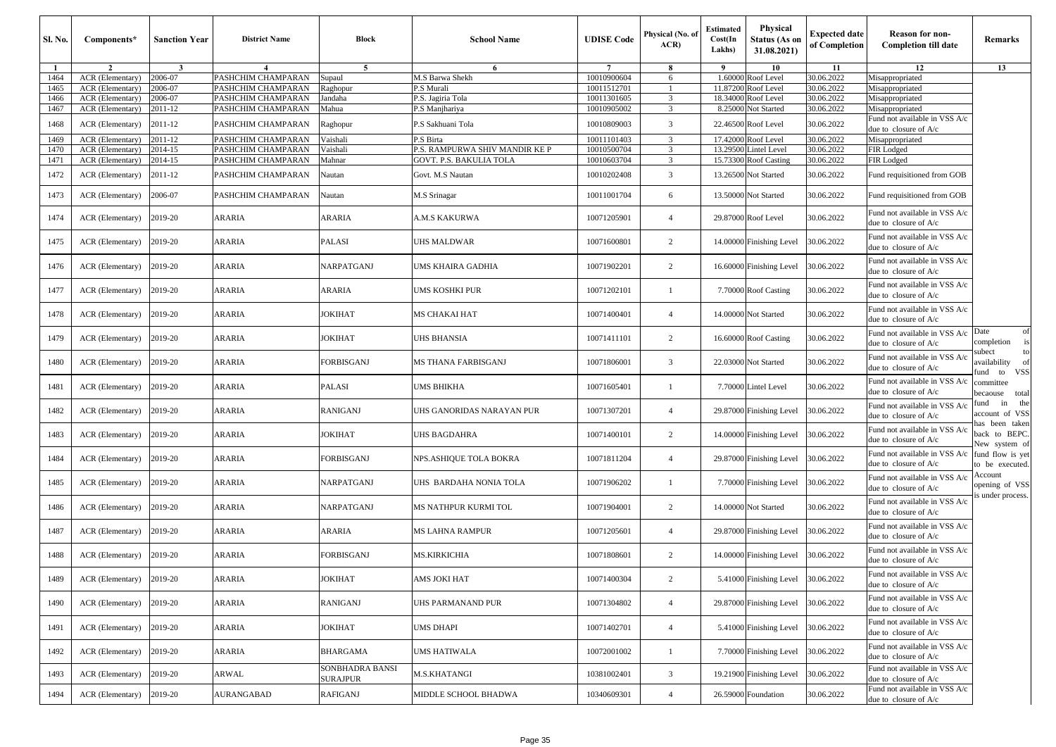| Sl. No.      | Components*                                 | <b>Sanction Year</b> | <b>District Name</b>                     | Block                              | <b>School Name</b>                                        | <b>UDISE Code</b>          | Physical (No. of<br>ACR | <b>Estimated</b><br>Cost(In<br>Lakhs) | <b>Physical</b><br><b>Status (As on</b><br>31.08.2021) | <b>Expected date</b><br>of Completion | <b>Reason for non-</b><br><b>Completion till date</b>    | <b>Remarks</b>                                        |
|--------------|---------------------------------------------|----------------------|------------------------------------------|------------------------------------|-----------------------------------------------------------|----------------------------|-------------------------|---------------------------------------|--------------------------------------------------------|---------------------------------------|----------------------------------------------------------|-------------------------------------------------------|
| -1           | $\overline{2}$                              | $\mathbf{3}$         | $\overline{4}$                           | 5 <sup>5</sup>                     | 6                                                         | $7\overline{ }$            | -8                      | -9                                    | 10                                                     | 11                                    | 12                                                       | 13                                                    |
| 1464         | ACR (Elementary)                            | 2006-07              | PASHCHIM CHAMPARAN                       | Supaul                             | M.S Barwa Shekh                                           | 10010900604                | 6                       | 1.60000                               | Roof Level                                             | 30.06.2022                            | Misappropriated                                          |                                                       |
| 1465<br>1466 | <b>ACR</b> (Elementary)<br>ACR (Elementary) | 2006-07<br>2006-07   | PASHCHIM CHAMPARAN<br>PASHCHIM CHAMPARAN | Raghopur<br>Jandaha                | P.S Murali<br>P.S. Jagiria Tola                           | 10011512701<br>10011301605 | 3                       | 11.8720<br>18.34000                   | Roof Level<br>Roof Level                               | 30.06.2022<br>30.06.2022              | Misappropriated<br>Misappropriated                       |                                                       |
| 1467         | ACR (Elementary)                            | 2011-12              | PASHCHIM CHAMPARAN                       | Mahua                              | P.S Manjhariya                                            | 10010905002                | 3                       | 8.25000                               | Not Started                                            | 30.06.2022                            | Misappropriated                                          |                                                       |
| 1468         | ACR (Elementary)                            | 2011-12              | PASHCHIM CHAMPARAN                       | Raghopur                           | P.S Sakhuani Tola                                         | 10010809003                | $\overline{3}$          |                                       | 22.46500 Roof Level                                    | 30.06.2022                            | Fund not available in VSS A/c<br>due to closure of A/c   |                                                       |
| 1469         | ACR (Elementary)                            | $2011 - 12$          | PASHCHIM CHAMPARAN                       | Vaishali                           | P.S Birta                                                 | 10011101403                | 3                       | 17.42000                              | Roof Level                                             | 30.06.2022                            | Misappropriated                                          |                                                       |
| 1470<br>1471 | ACR (Elementary)<br>ACR (Elementary)        | 2014-15<br>2014-15   | PASHCHIM CHAMPARAN<br>PASHCHIM CHAMPARAN | Vaishali<br>Mahnar                 | P.S. RAMPURWA SHIV MANDIR KE P<br>GOVT. P.S. BAKULIA TOLA | 10010500704<br>10010603704 | 3<br>$\overline{3}$     | 13.29500<br>15.73300                  | Lintel Level                                           | 30.06.2022<br>30.06.2022              | FIR Lodged<br>FIR Lodged                                 |                                                       |
| 1472         | ACR (Elementary)                            | 2011-12              | PASHCHIM CHAMPARAN                       | Vautan                             | Govt. M.S Nautan                                          | 10010202408                | 3                       |                                       | <b>Roof Casting</b><br>13.26500 Not Started            | 30.06.2022                            | Fund requisitioned from GOB                              |                                                       |
| 1473         | ACR (Elementary)                            | 2006-07              | PASHCHIM CHAMPARAN                       | Nautan                             | M.S Srinagar                                              | 10011001704                | 6                       |                                       | 13.50000 Not Started                                   | 30.06.2022                            | Fund requisitioned from GOB                              |                                                       |
| 1474         | ACR (Elementary)                            | 2019-20              | ARARIA                                   | ARARIA                             | <b>A.M.S KAKURWA</b>                                      | 10071205901                | $\overline{4}$          |                                       | 29.87000 Roof Level                                    | 30.06.2022                            | Fund not available in VSS A/c<br>due to closure of A/c   |                                                       |
| 1475         | ACR (Elementary)                            | 2019-20              | ARARIA                                   | PALASI                             | <b>JHS MALDWAR</b>                                        | 10071600801                | 2                       |                                       | 14.00000 Finishing Level                               | 30.06.2022                            | Fund not available in VSS A/c<br>due to closure of A/c   |                                                       |
| 1476         | ACR (Elementary)                            | 2019-20              | ARARIA                                   | NARPATGANJ                         | UMS KHAIRA GADHIA                                         | 10071902201                | 2                       |                                       | 16.60000 Finishing Level                               | 30.06.2022                            | Fund not available in VSS A/c<br>due to closure of A/c   |                                                       |
| 1477         | ACR (Elementary)                            | 2019-20              | ARARIA                                   | ARARIA                             | UMS KOSHKI PUR                                            | 10071202101                | 1                       |                                       | 7.70000 Roof Casting                                   | 30.06.2022                            | Fund not available in VSS A/c<br>due to closure of A/c   |                                                       |
| 1478         | ACR (Elementary)                            | 2019-20              | ARARIA                                   | <b>JOKIHAT</b>                     | MS CHAKAI HAT                                             | 10071400401                | $\overline{4}$          |                                       | 14.00000 Not Started                                   | 30.06.2022                            | Fund not available in VSS A/c<br>due to closure of A/c   |                                                       |
| 1479         | ACR (Elementary)                            | 2019-20              | ARARIA                                   | JOKIHAT                            | UHS BHANSIA                                               | 10071411101                | 2                       |                                       | 16.60000 Roof Casting                                  | 30.06.2022                            | Fund not available in VSS A/c<br>due to closure of A/c   | Date<br>of<br>completion<br>is                        |
| 1480         | ACR (Elementary)                            | 2019-20              | ARARIA                                   | FORBISGANJ                         | MS THANA FARBISGANJ                                       | 10071806001                | 3                       |                                       | 22.03000 Not Started                                   | 30.06.2022                            | Fund not available in VSS A/c<br>due to closure of A/c   | ubect<br>to<br>availability<br>of<br>und<br>VSS<br>to |
| 1481         | ACR (Elementary)                            | 2019-20              | ARARIA                                   | PALASI                             | UMS BHIKHA                                                | 10071605401                | 1                       |                                       | 7.70000 Lintel Level                                   | 30.06.2022                            | Fund not available in VSS A/c<br>due to closure of $A/c$ | committee<br>total<br>becaouse                        |
| 1482         | ACR (Elementary)                            | 2019-20              | ARARIA                                   | <b>RANIGANJ</b>                    | UHS GANORIDAS NARAYAN PUR                                 | 10071307201                | $\overline{4}$          |                                       | 29.87000 Finishing Level                               | 30.06.2022                            | Fund not available in VSS A/c<br>due to closure of A/c   | the<br>fund<br>in<br>account of VSS                   |
| 1483         | ACR (Elementary)                            | 2019-20              | ARARIA                                   | JOKIHAT                            | UHS BAGDAHRA                                              | 10071400101                | 2                       |                                       | 14.00000 Finishing Level                               | 30.06.2022                            | Fund not available in VSS A/c<br>due to closure of A/c   | nas been taken<br>back to BEPC.<br>New system of      |
| 1484         | ACR (Elementary)                            | 2019-20              | ARARIA                                   | FORBISGANJ                         | NPS.ASHIQUE TOLA BOKRA                                    | 10071811204                | $\overline{4}$          |                                       | 29.87000 Finishing Level                               | 30.06.2022                            | Fund not available in VSS A/c<br>due to closure of $A/c$ | fund flow is yet<br>to be executed.                   |
| 1485         | ACR (Elementary)                            | 2019-20              | ARARIA                                   | NARPATGANJ                         | UHS BARDAHA NONIA TOLA                                    | 10071906202                | $\mathbf{1}$            |                                       | 7.70000 Finishing Level                                | 30.06.2022                            | Fund not available in VSS A/c<br>due to closure of A/c   | Account<br>opening of VSS<br>s under process.         |
| 1486         | ACR (Elementary)                            | 2019-20              | ARARIA                                   | NARPATGANJ                         | MS NATHPUR KURMI TOL                                      | 10071904001                | 2                       |                                       | 14.00000 Not Started                                   | 30.06.2022                            | Fund not available in VSS A/c<br>due to closure of A/c   |                                                       |
| 1487         | ACR (Elementary)                            | 2019-20              | ARARIA                                   | ARARIA                             | MS LAHNA RAMPUR                                           | 10071205601                | $\overline{4}$          |                                       | 29.87000 Finishing Level                               | 30.06.2022                            | Fund not available in VSS A/c<br>due to closure of A/c   |                                                       |
| 1488         | ACR (Elementary)                            | 2019-20              | ARARIA                                   | FORBISGANJ                         | MS.KIRKICHIA                                              | 10071808601                | 2                       |                                       | 14.00000 Finishing Level                               | 30.06.2022                            | Fund not available in VSS A/c<br>due to closure of A/c   |                                                       |
| 1489         | ACR (Elementary) 2019-20                    |                      | ARARIA                                   | JOKIHAT                            | AMS JOKI HAT                                              | 10071400304                | 2                       |                                       | 5.41000 Finishing Level 30.06.2022                     |                                       | Fund not available in VSS A/c<br>due to closure of A/c   |                                                       |
| 1490         | ACR (Elementary)                            | 2019-20              | ARARIA                                   | RANIGANJ                           | <b>JHS PARMANAND PUR</b>                                  | 10071304802                | $\overline{4}$          |                                       | 29.87000 Finishing Level                               | 30.06.2022                            | Fund not available in VSS A/c<br>due to closure of A/c   |                                                       |
| 1491         | ACR (Elementary)                            | 2019-20              | ARARIA                                   | JOKIHAT                            | UMS DHAPI                                                 | 10071402701                | $\overline{4}$          |                                       | 5.41000 Finishing Level                                | 30.06.2022                            | Fund not available in VSS A/c<br>due to closure of A/c   |                                                       |
| 1492         | ACR (Elementary)                            | 2019-20              | ARARIA                                   | BHARGAMA                           | UMS HATIWALA                                              | 10072001002                | 1                       |                                       | 7.70000 Finishing Level                                | 30.06.2022                            | Fund not available in VSS A/c<br>due to closure of A/c   |                                                       |
| 1493         | ACR (Elementary)                            | 2019-20              | ARWAL                                    | SONBHADRA BANSI<br><b>SURAJPUR</b> | M.S.KHATANGI                                              | 10381002401                | $\mathbf{3}$            |                                       | 19.21900 Finishing Level                               | 30.06.2022                            | Fund not available in VSS A/c<br>due to closure of A/c   |                                                       |
| 1494         | ACR (Elementary)                            | 2019-20              | AURANGABAD                               | RAFIGANJ                           | MIDDLE SCHOOL BHADWA                                      | 10340609301                | $\overline{4}$          |                                       | 26.59000 Foundation                                    | 30.06.2022                            | Fund not available in VSS A/c<br>due to closure of A/c   |                                                       |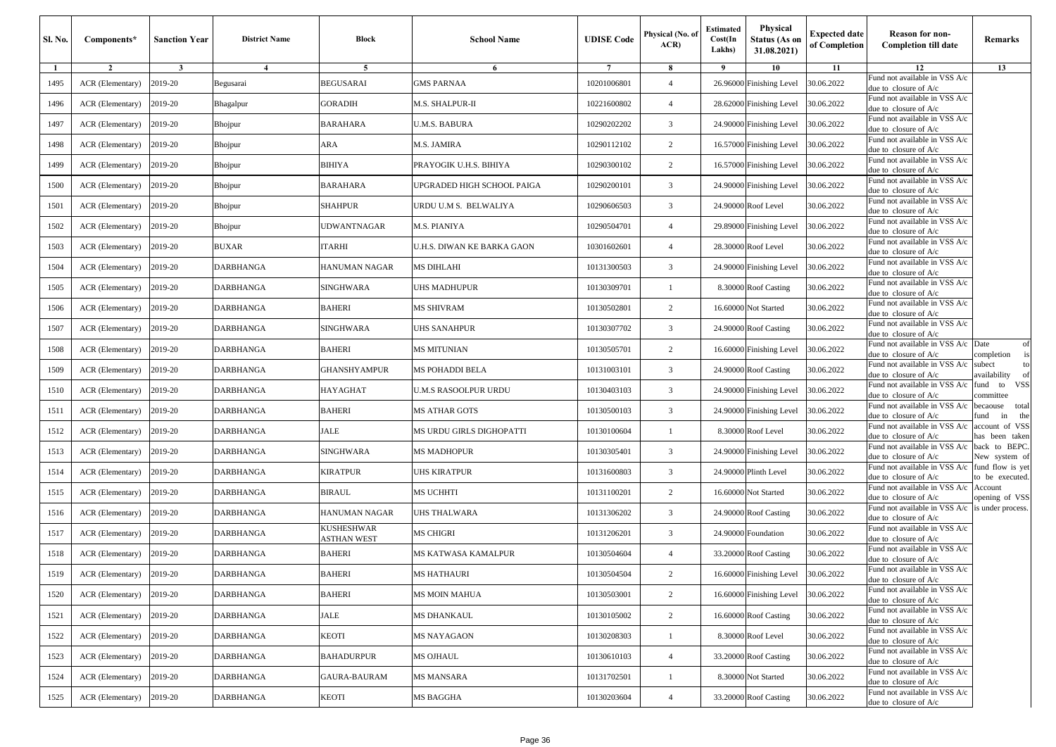| <b>Sl. No.</b> | Components*      | <b>Sanction Year</b> | <b>District Name</b> | <b>Block</b>                     | <b>School Name</b>          | <b>UDISE</b> Code | Physical (No. of<br>ACR | Estimated<br>Cost(In<br>Lakhs) | <b>Physical</b><br><b>Status (As on</b><br>31.08.2021) | <b>Expected date</b><br>of Completion | <b>Reason for non-</b><br><b>Completion till date</b>    | Remarks                             |
|----------------|------------------|----------------------|----------------------|----------------------------------|-----------------------------|-------------------|-------------------------|--------------------------------|--------------------------------------------------------|---------------------------------------|----------------------------------------------------------|-------------------------------------|
| 1              | $\overline{2}$   | $\mathbf{3}$         | $\overline{4}$       | 5                                | 6                           | $7\phantom{.0}$   | 8                       | -9                             | 10                                                     | 11                                    | 12<br>Fund not available in VSS A/c                      | 13                                  |
| 1495           | ACR (Elementary) | 2019-20              | Begusarai            | <b>BEGUSARAI</b>                 | <b>GMS PARNAA</b>           | 10201006801       | $\overline{4}$          |                                | 26.96000 Finishing Level                               | 80.06.2022                            | due to closure of A/c                                    |                                     |
| 1496           | ACR (Elementary) | 2019-20              | Bhagalpur            | <b>GORADIH</b>                   | M.S. SHALPUR-II             | 10221600802       | $\overline{4}$          | 28.62000                       | <b>Finishing Level</b>                                 | 30.06.2022                            | Fund not available in VSS A/c<br>due to closure of A/c   |                                     |
| 1497           | ACR (Elementary) | 2019-20              | Bhojpur              | <b>BARAHARA</b>                  | <b>U.M.S. BABURA</b>        | 10290202202       | 3                       |                                | 24.90000 Finishing Level                               | 30.06.2022                            | Fund not available in VSS A/c<br>due to closure of A/c   |                                     |
| 1498           | ACR (Elementary) | 2019-20              | Bhojpur              | ARA                              | M.S. JAMIRA                 | 10290112102       | 2                       |                                | 16.57000 Finishing Level                               | 30.06.2022                            | Fund not available in VSS A/c<br>due to closure of A/c   |                                     |
| 1499           | ACR (Elementary) | 2019-20              | Bhojpur              | <b>BIHIYA</b>                    | PRAYOGIK U.H.S. BIHIYA      | 10290300102       | 2                       |                                | 16.57000 Finishing Level                               | 30.06.2022                            | Fund not available in VSS A/c<br>due to closure of A/c   |                                     |
| 1500           | ACR (Elementary) | 2019-20              | Bhojpur              | <b>BARAHARA</b>                  | UPGRADED HIGH SCHOOL PAIGA  | 10290200101       | 3                       |                                | 24.90000 Finishing Level                               | 30.06.2022                            | Fund not available in VSS A/c<br>due to closure of A/c   |                                     |
| 1501           | ACR (Elementary) | 2019-20              | Bhojpur              | <b>SHAHPUR</b>                   | URDU U.M S. BELWALIYA       | 10290606503       | 3                       |                                | 24.90000 Roof Level                                    | 30.06.2022                            | Fund not available in VSS A/c<br>due to closure of A/c   |                                     |
| 1502           | ACR (Elementary) | 2019-20              | Bhojpur              | UDWANTNAGAR                      | M.S. PIANIYA                | 10290504701       | $\overline{4}$          |                                | 29.89000 Finishing Level                               | 30.06.2022                            | Fund not available in VSS A/c<br>due to closure of A/c   |                                     |
| 1503           | ACR (Elementary) | 2019-20              | <b>BUXAR</b>         | <b>ITARHI</b>                    | U.H.S. DIWAN KE BARKA GAON  | 10301602601       | $\overline{4}$          | 28.30000                       | Roof Level                                             | 30.06.2022                            | Fund not available in VSS A/c<br>due to closure of A/c   |                                     |
| 1504           | ACR (Elementary) | 2019-20              | DARBHANGA            | <b>HANUMAN NAGAR</b>             | <b>MS DIHLAHI</b>           | 10131300503       | 3                       |                                | 24.90000 Finishing Level                               | 30.06.2022                            | Fund not available in VSS A/c<br>due to closure of A/c   |                                     |
| 1505           | ACR (Elementary) | 2019-20              | DARBHANGA            | <b>SINGHWARA</b>                 | UHS MADHUPUR                | 10130309701       | $\mathbf{1}$            |                                | 8.30000 Roof Casting                                   | 30.06.2022                            | Fund not available in VSS A/c<br>lue to closure of A/c   |                                     |
| 1506           | ACR (Elementary) | 2019-20              | DARBHANGA            | <b>BAHERI</b>                    | <b>MS SHIVRAM</b>           | 10130502801       | 2                       |                                | 16.60000 Not Started                                   | 30.06.2022                            | Fund not available in VSS A/c<br>due to closure of A/c   |                                     |
| 1507           | ACR (Elementary) | 2019-20              | DARBHANGA            | <b>SINGHWARA</b>                 | <b>UHS SANAHPUR</b>         | 10130307702       | 3                       |                                | 24.90000 Roof Casting                                  | 30.06.2022                            | Fund not available in VSS A/c<br>due to closure of A/c   |                                     |
| 1508           | ACR (Elementary) | 2019-20              | <b>DARBHANGA</b>     | <b>BAHERI</b>                    | <b>MS MITUNIAN</b>          | 10130505701       | $\overline{c}$          |                                | 16.60000 Finishing Level                               | 30.06.2022                            | Fund not available in VSS A/c<br>due to closure of A/c   | Date<br>of<br>completion            |
| 1509           | ACR (Elementary) | 2019-20              | <b>DARBHANGA</b>     | GHANSHYAMPUR                     | MS POHADDI BELA             | 10131003101       | 3                       |                                | 24.90000 Roof Casting                                  | 30.06.2022                            | Fund not available in VSS A/c<br>due to closure of A/c   | subect<br>to<br>vailability         |
| 1510           | ACR (Elementary) | 2019-20              | DARBHANGA            | <b>HAYAGHAT</b>                  | <b>U.M.S RASOOLPUR URDU</b> | 10130403103       | 3                       | 24.90000                       | <b>Finishing Level</b>                                 | 30.06.2022                            | Fund not available in VSS A/c<br>due to closure of A/c   | fund to VSS<br>committee            |
| 1511           | ACR (Elementary) | 2019-20              | DARBHANGA            | <b>BAHERI</b>                    | <b>MS ATHAR GOTS</b>        | 10130500103       | $\overline{3}$          |                                | 24.90000 Finishing Level                               | 30.06.2022                            | Fund not available in VSS A/c<br>due to closure of A/c   | becaouse total<br>und<br>in<br>the  |
| 1512           | ACR (Elementary) | 2019-20              | DARBHANGA            | <b>JALE</b>                      | MS URDU GIRLS DIGHOPATTI    | 10130100604       |                         |                                | 8.30000 Roof Level                                     | 30.06.2022                            | Fund not available in VSS A/c<br>due to closure of A/c   | account of VSS<br>as been taken     |
| 1513           | ACR (Elementary) | 2019-20              | DARBHANGA            | <b>SINGHWARA</b>                 | <b>MS MADHOPUR</b>          | 10130305401       | 3                       |                                | 24.90000 Finishing Level                               | 30.06.2022                            | Fund not available in VSS A/c<br>due to closure of A/c   | back to BEPC.<br>New system of      |
| 1514           | ACR (Elementary) | 2019-20              | DARBHANGA            | <b>KIRATPUR</b>                  | <b>UHS KIRATPUR</b>         | 10131600803       | 3                       | 24.90000                       | Plinth Level                                           | 30.06.2022                            | Fund not available in VSS A/c<br>due to closure of A/c   | fund flow is yet<br>to be executed. |
| 1515           | ACR (Elementary) | 2019-20              | DARBHANGA            | <b>BIRAUL</b>                    | <b>MS UCHHTI</b>            | 10131100201       | $\overline{c}$          |                                | 16.60000 Not Started                                   | 30.06.2022                            | Fund not available in VSS A/c<br>due to closure of A/c   | Account<br>opening of VSS           |
| 1516           | ACR (Elementary) | 2019-20              | DARBHANGA            | HANUMAN NAGAR                    | UHS THALWARA                | 10131306202       | 3                       |                                | 24.90000 Roof Casting                                  | 30.06.2022                            | Fund not available in VSS A/c<br>due to closure of A/c   | is under process.                   |
| 1517           | ACR (Elementary) | 2019-20              | DARBHANGA            | <b>KUSHESHWAR</b><br>ASTHAN WEST | <b>MS CHIGRI</b>            | 10131206201       | 3                       | 24.90000                       | Foundation                                             | 30.06.2022                            | Fund not available in VSS A/c<br>due to closure of A/c   |                                     |
| 1518           | ACR (Elementary) | 2019-20              | <b>DARBHANGA</b>     | <b>BAHERI</b>                    | MS KATWASA KAMALPUR         | 10130504604       | $\overline{4}$          |                                | 33.20000 Roof Casting                                  | 30.06.2022                            | und not available in VSS A/c<br>due to closure of $A/c$  |                                     |
| 1519           | ACR (Elementary) | 2019-20              | DARBHANGA            | <b>BAHERI</b>                    | <b>MS HATHAURI</b>          | 10130504504       | $\overline{c}$          |                                | 16.60000 Finishing Level                               | 30.06.2022                            | Fund not available in VSS A/c<br>due to closure of $A/c$ |                                     |
| 1520           | ACR (Elementary) | 2019-20              | DARBHANGA            | <b>BAHERI</b>                    | <b>MS MOIN MAHUA</b>        | 10130503001       | $\overline{2}$          |                                | 16.60000 Finishing Level                               | 30.06.2022                            | Fund not available in VSS A/c<br>due to closure of A/c   |                                     |
| 1521           | ACR (Elementary) | 2019-20              | <b>DARBHANGA</b>     | <b>JALE</b>                      | <b>MS DHANKAUL</b>          | 10130105002       | $\overline{c}$          |                                | 16.60000 Roof Casting                                  | 30.06.2022                            | Fund not available in VSS A/c<br>due to closure of A/c   |                                     |
| 1522           | ACR (Elementary) | 2019-20              | DARBHANGA            | <b>KEOTI</b>                     | <b>MS NAYAGAON</b>          | 10130208303       | -1                      |                                | 8.30000 Roof Level                                     | 30.06.2022                            | Fund not available in VSS A/c<br>due to closure of $A/c$ |                                     |
| 1523           | ACR (Elementary) | 2019-20              | DARBHANGA            | <b>BAHADURPUR</b>                | MS OJHAUL                   | 10130610103       | $\overline{4}$          |                                | 33.20000 Roof Casting                                  | 30.06.2022                            | Fund not available in VSS A/c<br>due to closure of A/c   |                                     |
| 1524           | ACR (Elementary) | 2019-20              | <b>DARBHANGA</b>     | GAURA-BAURAM                     | <b>MS MANSARA</b>           | 10131702501       | $\mathbf{1}$            |                                | 8.30000 Not Started                                    | 30.06.2022                            | Fund not available in VSS A/c<br>due to closure of A/c   |                                     |
| 1525           | ACR (Elementary) | 2019-20              | DARBHANGA            | <b>KEOTI</b>                     | <b>MS BAGGHA</b>            | 10130203604       | $\overline{4}$          |                                | 33.20000 Roof Casting                                  | 30.06.2022                            | Fund not available in VSS A/c<br>due to closure of A/c   |                                     |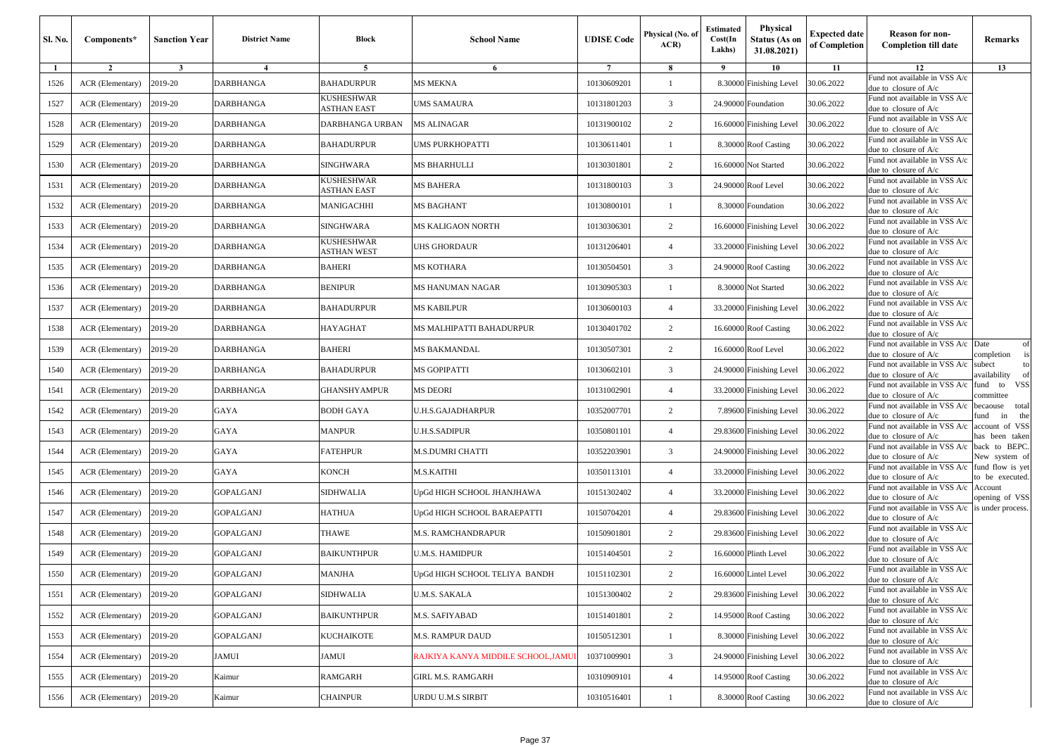| Sl. No. | Components*      | <b>Sanction Year</b> | <b>District Name</b> | Block                     | <b>School Name</b>                | <b>UDISE Code</b> | Physical (No. of<br>ACR | <b>Estimated</b><br>Cost(In<br>Lakhs) | Physical<br><b>Status (As on</b><br>31.08.2021) | <b>Expected date</b><br>of Completion | <b>Reason for non-</b><br><b>Completion till date</b>                      | Remarks                                |
|---------|------------------|----------------------|----------------------|---------------------------|-----------------------------------|-------------------|-------------------------|---------------------------------------|-------------------------------------------------|---------------------------------------|----------------------------------------------------------------------------|----------------------------------------|
| 1       | $\overline{2}$   | $\mathbf{3}$         | $\overline{4}$       | 5                         | 6                                 | $7\phantom{.0}$   | 8                       | - 9                                   | 10                                              | 11                                    | 12                                                                         | 13                                     |
| 1526    | ACR (Elementary) | 2019-20              | DARBHANGA            | BAHADURPUR                | MS MEKNA                          | 10130609201       |                         | 8.30000                               | Finishing Level                                 | 30.06.2022                            | Fund not available in VSS A/c<br>due to closure of A/c                     |                                        |
| 1527    | ACR (Elementary) | 2019-20              | DARBHANGA            | KUSHESHWAR<br>ASTHAN EAST | UMS SAMAURA                       | 10131801203       | 3                       | 24.9000                               | Foundation                                      | 30.06.2022                            | Fund not available in VSS A/c<br>due to closure of $A/c$                   |                                        |
| 1528    | ACR (Elementary) | 2019-20              | DARBHANGA            | DARBHANGA URBAN           | <b>MS ALINAGAR</b>                | 10131900102       | $\overline{c}$          | 16.60000                              | Finishing Level                                 | 30.06.2022                            | Fund not available in VSS A/c<br>due to closure of A/c                     |                                        |
| 1529    | ACR (Elementary) | 2019-20              | DARBHANGA            | BAHADURPUR                | UMS PURKHOPATTI                   | 10130611401       | $\mathbf{1}$            | 8.30000                               | <b>Roof Casting</b>                             | 30.06.2022                            | Fund not available in VSS A/c<br>due to closure of $A/c$                   |                                        |
| 1530    | ACR (Elementary) | 2019-20              | <b>DARBHANGA</b>     | SINGHWARA                 | MS BHARHULLI                      | 10130301801       | $\overline{2}$          | 16.60000                              | Not Started                                     | 30.06.2022                            | Fund not available in VSS A/c<br>due to closure of $A/c$                   |                                        |
| 1531    | ACR (Elementary) | 2019-20              | DARBHANGA            | KUSHESHWAR<br>ASTHAN EAST | <b>MS BAHERA</b>                  | 10131800103       | 3                       | 24.90000                              | Roof Level                                      | 30.06.2022                            | Fund not available in VSS A/c<br>due to closure of A/c                     |                                        |
| 1532    | ACR (Elementary) | 2019-20              | DARBHANGA            | <b>MANIGACHHI</b>         | <b>MS BAGHANT</b>                 | 10130800101       |                         | 8.30000                               | Foundation                                      | 30.06.2022                            | Fund not available in VSS A/c<br>due to closure of A/c                     |                                        |
| 1533    | ACR (Elementary) | 2019-20              | DARBHANGA            | SINGHWARA                 | MS KALIGAON NORTH                 | 10130306301       | 2                       | 16.60000                              | <b>Finishing Level</b>                          | 30.06.2022                            | Fund not available in VSS A/c<br>due to closure of A/c                     |                                        |
| 1534    | ACR (Elementary) | 2019-20              | DARBHANGA            | KUSHESHWAR<br>ASTHAN WEST | UHS GHORDAUR                      | 10131206401       | $\overline{4}$          | 33.2000                               | Finishing Level                                 | 30.06.2022                            | Fund not available in VSS A/c<br>due to closure of A/c                     |                                        |
| 1535    | ACR (Elementary) | 2019-20              | DARBHANGA            | BAHERI                    | MS KOTHARA                        | 10130504501       | 3                       | 24.90000                              | <b>Roof Casting</b>                             | 30.06.2022                            | Fund not available in VSS A/c<br>due to closure of A/c                     |                                        |
| 1536    | ACR (Elementary) | 2019-20              | DARBHANGA            | BENIPUR                   | MS HANUMAN NAGAR                  | 10130905303       |                         | 8.30000                               | Not Started                                     | 30.06.2022                            | Fund not available in VSS A/c<br>due to closure of A/c                     |                                        |
| 1537    | ACR (Elementary) | 2019-20              | DARBHANGA            | BAHADURPUR                | <b>MS KABILPUR</b>                | 10130600103       | $\overline{4}$          | 33.20000                              | Finishing Level                                 | 30.06.2022                            | Fund not available in VSS A/c<br>due to closure of A/c                     |                                        |
| 1538    | ACR (Elementary) | 2019-20              | DARBHANGA            | <b>HAYAGHAT</b>           | MS MALHIPATTI BAHADURPUR          | 10130401702       | 2                       | 16.60000                              | <b>Roof Casting</b>                             | 30.06.2022                            | Fund not available in VSS A/c<br>due to closure of $A/c$                   |                                        |
| 1539    | ACR (Elementary) | 2019-20              | DARBHANGA            | BAHERI                    | MS BAKMANDAL                      | 10130507301       | 2                       | 16.60000                              | Roof Level                                      | 30.06.2022                            | Fund not available in VSS A/c Date<br>due to closure of A/c                | of<br>completion<br>is                 |
| 1540    | ACR (Elementary) | 2019-20              | DARBHANGA            | BAHADURPUR                | MS GOPIPATTI                      | 10130602101       | 3                       | 24.90000                              | Finishing Level                                 | 30.06.2022                            | Fund not available in VSS A/c<br>due to closure of A/c                     | subect<br>to<br>availability<br>of     |
| 1541    | ACR (Elementary) | 2019-20              | DARBHANGA            | <b>GHANSHYAMPUR</b>       | <b>MS DEORI</b>                   | 10131002901       | $\overline{4}$          | 33.20000                              | Finishing Level                                 | 30.06.2022                            | Fund not available in VSS A/c<br>due to closure of A/c                     | VSS<br>fund<br>to<br>committee         |
| 1542    | ACR (Elementary) | 2019-20              | GAYA                 | BODH GAYA                 | U.H.S.GAJADHARPUR                 | 10352007701       | 2                       | 7.89600                               | Finishing Level                                 | 30.06.2022                            | Fund not available in VSS A/c<br>due to closure of $A/c$                   | becaouse<br>total<br>fund<br>the<br>in |
| 1543    | ACR (Elementary) | 2019-20              | GAYA                 | MANPUR                    | U.H.S.SADIPUR                     | 10350801101       | $\overline{4}$          | 29.83600                              | Finishing Level                                 | 30.06.2022                            | Fund not available in VSS A/c<br>due to closure of A/c                     | account of VSS<br>nas been taken       |
| 1544    | ACR (Elementary) | 2019-20              | GAYA                 | FATEHPUR                  | M.S.DUMRI CHATTI                  | 10352203901       | 3                       | 24.90000                              | Finishing Level                                 | 30.06.2022                            | Fund not available in VSS A/c<br>due to closure of A/c                     | back to BEPC.<br>New system of         |
| 1545    | ACR (Elementary) | 2019-20              | GAYA                 | KONCH                     | <b>M.S.KAITHI</b>                 | 10350113101       | $\overline{4}$          | 33.2000                               | Finishing Level                                 | 30.06.2022                            | Fund not available in VSS A/c<br>due to closure of $A/c$                   | fund flow is yet<br>to be executed.    |
| 1546    | ACR (Elementary) | 2019-20              | <b>GOPALGANJ</b>     | SIDHWALIA                 | UpGd HIGH SCHOOL JHANJHAWA        | 10151302402       | $\overline{4}$          | 33.20000                              | Finishing Level                                 | 30.06.2022                            | Fund not available in VSS A/c<br>due to closure of A/c                     | Account<br>opening of VSS              |
| 1547    | ACR (Elementary) | 2019-20              | GOPALGANJ            | HATHUA                    | UpGd HIGH SCHOOL BARAEPATTI       | 10150704201       | $\overline{4}$          | 29.83600                              | Finishing Level                                 | 30.06.2022                            | Fund not available in VSS A/c is under process.<br>due to closure of $A/c$ |                                        |
| 1548    | ACR (Elementary) | 2019-20              | <b>GOPALGANJ</b>     | THAWE                     | <b>M.S. RAMCHANDRAPUR</b>         | 10150901801       | $\overline{c}$          | 29.83600                              | Finishing Level                                 | 30.06.2022                            | Fund not available in VSS A/c<br>due to closure of A/c                     |                                        |
| 1549    | ACR (Elementary) | 2019-20              | <b>GOPALGANJ</b>     | <b>BAIKUNTHPUR</b>        | U.M.S. HAMIDPUR                   | 10151404501       | $\overline{c}$          | 16.60000                              | Plinth Level                                    | 30.06.2022                            | Fund not available in VSS A/c<br>due to closure of A/c                     |                                        |
| 1550    | ACR (Elementary) | 2019-20              | <b>GOPALGANJ</b>     | <b>MANJHA</b>             | UpGd HIGH SCHOOL TELIYA BANDH     | 10151102301       | $\overline{2}$          |                                       | 16.60000 Lintel Level                           | 30.06.2022                            | Fund not available in VSS A/c<br>due to closure of A/c                     |                                        |
| 1551    | ACR (Elementary) | 2019-20              | <b>GOPALGANJ</b>     | SIDHWALIA                 | U.M.S. SAKALA                     | 10151300402       | 2                       |                                       | 29.83600 Finishing Level                        | 30.06.2022                            | Fund not available in VSS A/c<br>due to closure of A/c                     |                                        |
| 1552    | ACR (Elementary) | 2019-20              | <b>GOPALGANJ</b>     | <b>BAIKUNTHPUR</b>        | M.S. SAFIYABAD                    | 10151401801       | $\overline{2}$          | 14.95000                              | <b>Roof Casting</b>                             | 30.06.2022                            | Fund not available in VSS A/c<br>due to closure of $A/c$                   |                                        |
| 1553    | ACR (Elementary) | 2019-20              | <b>GOPALGANJ</b>     | KUCHAIKOTE                | <b>M.S. RAMPUR DAUD</b>           | 10150512301       | $\mathbf{1}$            |                                       | 8.30000 Finishing Level                         | 30.06.2022                            | Fund not available in VSS A/c<br>due to closure of A/c                     |                                        |
| 1554    | ACR (Elementary) | 2019-20              | JAMUI                | JAMUI                     | RAJKIYA KANYA MIDDILE SCHOOL,JAMU | 10371009901       | 3                       | 24.90000                              | <b>Finishing Level</b>                          | 30.06.2022                            | Fund not available in VSS A/c<br>due to closure of A/c                     |                                        |
| 1555    | ACR (Elementary) | 2019-20              | Kaimur               | RAMGARH                   | GIRL M.S. RAMGARH                 | 10310909101       | $\overline{4}$          | 14.95000                              | <b>Roof Casting</b>                             | 30.06.2022                            | Fund not available in VSS A/c<br>due to closure of A/c                     |                                        |
| 1556    | ACR (Elementary) | 2019-20              | Kaimur               | <b>CHAINPUR</b>           | URDU U.M.S SIRBIT                 | 10310516401       | $\mathbf{1}$            |                                       | 8.30000 Roof Casting                            | 30.06.2022                            | Fund not available in VSS A/c<br>due to closure of A/c                     |                                        |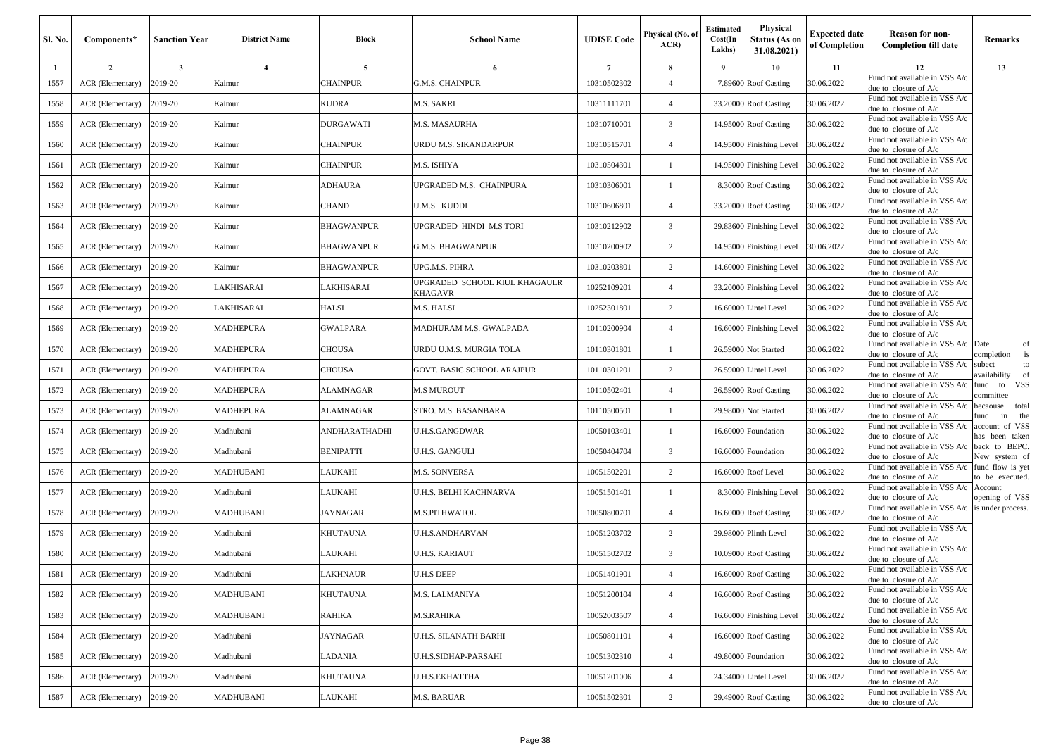| Sl. No. | Components*      | <b>Sanction Year</b> | <b>District Name</b> | Block           | <b>School Name</b>                       | <b>UDISE Code</b> | Physical (No. of<br>ACR | <b>Estimated</b><br>Cost(In<br>Lakhs) | Physical<br><b>Status (As on</b><br>31.08.2021) | <b>Expected date</b><br>of Completion | <b>Reason for non-</b><br><b>Completion till date</b>    | Remarks                             |
|---------|------------------|----------------------|----------------------|-----------------|------------------------------------------|-------------------|-------------------------|---------------------------------------|-------------------------------------------------|---------------------------------------|----------------------------------------------------------|-------------------------------------|
| 1       | $\overline{2}$   | $\mathbf{3}$         | $\overline{4}$       | 5               | 6                                        | $7\phantom{.0}$   | 8                       | 9                                     | 10                                              | 11                                    | 12                                                       | 13                                  |
| 1557    | ACR (Elementary) | 2019-20              | Kaimur               | <b>CHAINPUR</b> | G.M.S. CHAINPUR                          | 10310502302       | $\overline{4}$          |                                       | 7.89600 Roof Casting                            | 30.06.2022                            | Fund not available in VSS A/c<br>due to closure of A/c   |                                     |
| 1558    | ACR (Elementary) | 2019-20              | Kaimur               | KUDRA           | M.S. SAKRI                               | 10311111701       | $\overline{4}$          |                                       | 33.20000 Roof Casting                           | 30.06.2022                            | Fund not available in VSS A/c<br>due to closure of A/c   |                                     |
| 1559    | ACR (Elementary) | 2019-20              | Kaimur               | DURGAWATI       | M.S. MASAURHA                            | 10310710001       | 3                       |                                       | 14.95000 Roof Casting                           | 30.06.2022                            | Fund not available in VSS A/c<br>lue to closure of A/c   |                                     |
| 1560    | ACR (Elementary) | 2019-20              | Kaimur               | CHAINPUR        | JRDU M.S. SIKANDARPUR                    | 10310515701       | $\overline{4}$          |                                       | 14.95000 Finishing Level                        | 30.06.2022                            | Fund not available in VSS A/c<br>due to closure of A/c   |                                     |
| 1561    | ACR (Elementary) | 2019-20              | Kaimur               | <b>CHAINPUR</b> | M.S. ISHIYA                              | 10310504301       | $\mathbf{1}$            |                                       | 14.95000 Finishing Level                        | 30.06.2022                            | Fund not available in VSS A/c<br>due to closure of A/c   |                                     |
| 1562    | ACR (Elementary) | 2019-20              | Kaimur               | <b>ADHAURA</b>  | UPGRADED M.S. CHAINPURA                  | 10310306001       | -1                      |                                       | 8.30000 Roof Casting                            | 30.06.2022                            | Fund not available in VSS A/c<br>due to closure of A/c   |                                     |
| 1563    | ACR (Elementary) | 2019-20              | Kaimur               | <b>CHAND</b>    | U.M.S. KUDDI                             | 10310606801       | $\overline{4}$          |                                       | 33.20000 Roof Casting                           | 30.06.2022                            | Fund not available in VSS A/c<br>lue to closure of A/c   |                                     |
| 1564    | ACR (Elementary) | 2019-20              | Kaimur               | BHAGWANPUR      | JPGRADED HINDI M.S TORI                  | 10310212902       | 3                       |                                       | 29.83600 Finishing Level                        | 30.06.2022                            | Fund not available in VSS A/c<br>due to closure of A/c   |                                     |
| 1565    | ACR (Elementary) | 2019-20              | Kaimur               | BHAGWANPUR      | <b>G.M.S. BHAGWANPUR</b>                 | 10310200902       | $\overline{c}$          |                                       | 14.95000 Finishing Level                        | 30.06.2022                            | Fund not available in VSS A/c<br>due to closure of A/c   |                                     |
| 1566    | ACR (Elementary) | 2019-20              | Kaimur               | BHAGWANPUR      | UPG.M.S. PIHRA                           | 10310203801       | 2                       |                                       | 14.60000 Finishing Level                        | 30.06.2022                            | Fund not available in VSS A/c<br>due to closure of A/c   |                                     |
| 1567    | ACR (Elementary) | 2019-20              | LAKHISARAI           | AKHISARAI       | UPGRADED SCHOOL KIUL KHAGAULR<br>KHAGAVR | 10252109201       | $\overline{4}$          |                                       | 33.20000 Finishing Level                        | 30.06.2022                            | Fund not available in VSS A/c<br>lue to closure of A/c   |                                     |
| 1568    | ACR (Elementary) | 2019-20              | LAKHISARAI           | HALSI           | M.S. HALSI                               | 10252301801       | $\overline{c}$          |                                       | 16.60000 Lintel Level                           | 30.06.2022                            | Fund not available in VSS A/c<br>due to closure of A/c   |                                     |
| 1569    | ACR (Elementary) | 2019-20              | <b>MADHEPURA</b>     | <b>GWALPARA</b> | MADHURAM M.S. GWALPADA                   | 10110200904       | $\overline{4}$          |                                       | 16.60000 Finishing Level                        | 30.06.2022                            | und not available in VSS A/c<br>due to closure of $A/c$  |                                     |
| 1570    | ACR (Elementary) | 2019-20              | <b>MADHEPURA</b>     | <b>CHOUSA</b>   | URDU U.M.S. MURGIA TOLA                  | 10110301801       | $\mathbf{1}$            |                                       | 26.59000 Not Started                            | 30.06.2022                            | Fund not available in VSS A/c<br>lue to closure of A/c   | Date<br>of<br>completion            |
| 1571    | ACR (Elementary) | 2019-20              | <b>MADHEPURA</b>     | CHOUSA          | GOVT. BASIC SCHOOL ARAJPUR               | 10110301201       | 2                       |                                       | 26.59000 Lintel Level                           | 30.06.2022                            | und not available in VSS A/c<br>due to closure of A/c    | subect<br>to<br>vailability         |
| 1572    | ACR (Elementary) | 2019-20              | <b>MADHEPURA</b>     | ALAMNAGAR       | <b>M.S MUROUT</b>                        | 10110502401       | $\overline{4}$          |                                       | 26.59000 Roof Casting                           | 30.06.2022                            | Fund not available in VSS A/c<br>due to closure of A/c   | und to VSS<br>committee             |
| 1573    | ACR (Elementary) | 2019-20              | <b>MADHEPURA</b>     | ALAMNAGAR       | STRO. M.S. BASANBARA                     | 10110500501       | 1                       |                                       | 29.98000 Not Started                            | 30.06.2022                            | Fund not available in VSS A/c<br>due to closure of A/c   | becaouse total<br>und<br>in<br>the  |
| 1574    | ACR (Elementary) | 2019-20              | Madhubani            | ANDHARATHADHI   | U.H.S.GANGDWAR                           | 10050103401       | $\mathbf{1}$            |                                       | 16.60000 Foundation                             | 30.06.2022                            | Fund not available in VSS A/c<br>lue to closure of A/c   | account of VSS<br>as been taken     |
| 1575    | ACR (Elementary) | 2019-20              | Madhubani            | BENIPATTI       | U.H.S. GANGULI                           | 10050404704       | 3                       |                                       | 16.60000 Foundation                             | 30.06.2022                            | Fund not available in VSS A/c<br>due to closure of A/c   | back to BEPC.<br>New system of      |
| 1576    | ACR (Elementary) | 2019-20              | MADHUBANI            | AUKAHI          | M.S. SONVERSA                            | 10051502201       | 2                       |                                       | 16.60000 Roof Level                             | 30.06.2022                            | Fund not available in VSS A/c<br>due to closure of A/c   | fund flow is yet<br>to be executed. |
| 1577    | ACR (Elementary) | 2019-20              | Madhubani            | LAUKAHI         | U.H.S. BELHI KACHNARVA                   | 10051501401       | $\mathbf{1}$            |                                       | 8.30000 Finishing Level                         | 30.06.2022                            | Fund not available in VSS A/c<br>lue to closure of A/c   | Account<br>opening of VSS           |
| 1578    | ACR (Elementary) | 2019-20              | MADHUBANI            | <b>JAYNAGAR</b> | <b>M.S.PITHWATOL</b>                     | 10050800701       | $\overline{4}$          |                                       | 16.60000 Roof Casting                           | 30.06.2022                            | und not available in VSS A/c<br>due to closure of A/c    | is under process.                   |
| 1579    | ACR (Elementary) | 2019-20              | Madhubani            | KHUTAUNA        | U.H.S.ANDHARVAN                          | 10051203702       | $\overline{c}$          |                                       | 29.98000 Plinth Level                           | 30.06.2022                            | Fund not available in VSS A/c<br>due to closure of A/c   |                                     |
| 1580    | ACR (Elementary) | 2019-20              | Madhubani            | AUKAHI          | J.H.S. KARIAUT                           | 10051502702       | 3                       |                                       | 10.09000 Roof Casting                           | 30.06.2022                            | Fund not available in VSS A/c<br>due to closure of A/c   |                                     |
| 1581    | ACR (Elementary) | 2019-20              | Madhubani            | LAKHNAUR        | <b>U.H.S DEEP</b>                        | 10051401901       | $\overline{4}$          |                                       | 16.60000 Roof Casting                           | 30.06.2022                            | Fund not available in VSS A/c<br>due to closure of $A/c$ |                                     |
| 1582    | ACR (Elementary) | 2019-20              | MADHUBANI            | KHUTAUNA        | M.S. LALMANIYA                           | 10051200104       | $\overline{4}$          |                                       | 16.60000 Roof Casting                           | 30.06.2022                            | Fund not available in VSS A/c<br>due to closure of A/c   |                                     |
| 1583    | ACR (Elementary) | 2019-20              | MADHUBANI            | RAHIKA          | <b>M.S.RAHIKA</b>                        | 10052003507       | $\overline{4}$          |                                       | 16.60000 Finishing Level                        | 30.06.2022                            | Fund not available in VSS A/c<br>due to closure of A/c   |                                     |
| 1584    | ACR (Elementary) | 2019-20              | Madhubani            | JAYNAGAR        | U.H.S. SILANATH BARHI                    | 10050801101       | $\overline{4}$          |                                       | 16.60000 Roof Casting                           | 30.06.2022                            | Fund not available in VSS A/c<br>due to closure of A/c   |                                     |
| 1585    | ACR (Elementary) | 2019-20              | Madhubani            | LADANIA         | U.H.S.SIDHAP-PARSAHI                     | 10051302310       | $\overline{4}$          |                                       | 49.80000 Foundation                             | 30.06.2022                            | Fund not available in VSS A/c<br>due to closure of $A/c$ |                                     |
| 1586    | ACR (Elementary) | 2019-20              | Madhubani            | KHUTAUNA        | U.H.S.EKHATTHA                           | 10051201006       | $\overline{4}$          |                                       | 24.34000 Lintel Level                           | 30.06.2022                            | Fund not available in VSS A/c<br>due to closure of A/c   |                                     |
| 1587    | ACR (Elementary) | 2019-20              | MADHUBANI            | LAUKAHI         | M.S. BARUAR                              | 10051502301       | $\overline{c}$          |                                       | 29.49000 Roof Casting                           | 30.06.2022                            | Fund not available in VSS A/c<br>due to closure of A/c   |                                     |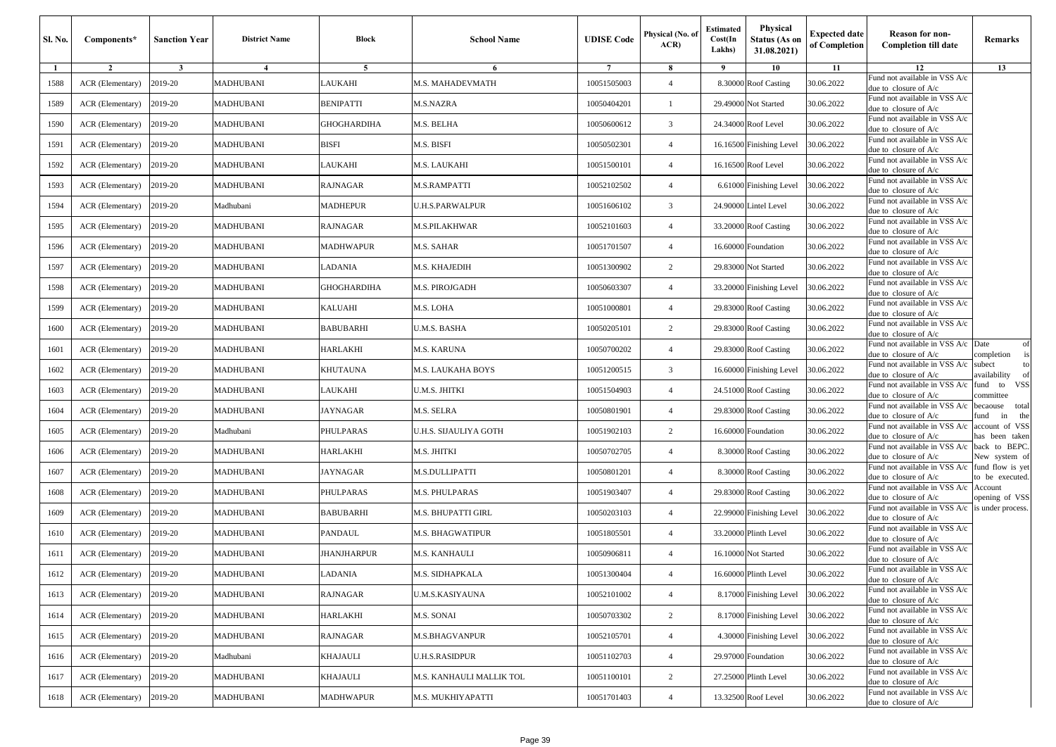| Sl. No. | Components*      | <b>Sanction Year</b> | <b>District Name</b> | <b>Block</b>       | <b>School Name</b>       | <b>UDISE Code</b> | Physical (No. of<br>ACR | Estimated<br>Cost(In<br>Lakhs) | Physical<br><b>Status (As on</b><br>31.08.2021) | <b>Expected date</b><br>of Completion | <b>Reason for non-</b><br><b>Completion till date</b>                    | Remarks                             |
|---------|------------------|----------------------|----------------------|--------------------|--------------------------|-------------------|-------------------------|--------------------------------|-------------------------------------------------|---------------------------------------|--------------------------------------------------------------------------|-------------------------------------|
| -1      | $\overline{2}$   | $\mathbf{3}$         | $\overline{4}$       | 5                  | 6                        | $7\phantom{.0}$   | 8                       | 9                              | 10                                              | 11                                    | 12<br>Fund not available in VSS A/c                                      | 13                                  |
| 1588    | ACR (Elementary) | 2019-20              | MADHUBANI            | AUKAHI             | <b>M.S. MAHADEVMATH</b>  | 10051505003       | $\overline{4}$          |                                | 8.30000 Roof Casting                            | 30.06.2022                            | due to closure of A/c                                                    |                                     |
| 1589    | ACR (Elementary) | 2019-20              | MADHUBANI            | BENIPATTI          | M.S.NAZRA                | 10050404201       | 1                       |                                | 29.49000 Not Started                            | 30.06.2022                            | Fund not available in VSS A/c<br>due to closure of A/c                   |                                     |
| 1590    | ACR (Elementary) | 2019-20              | MADHUBANI            | GHOGHARDIHA        | M.S. BELHA               | 10050600612       | 3                       |                                | 24.34000 Roof Level                             | 30.06.2022                            | Fund not available in VSS A/c<br>due to closure of A/c                   |                                     |
| 1591    | ACR (Elementary) | 2019-20              | MADHUBANI            | BISFI              | M.S. BISFI               | 10050502301       | $\overline{4}$          |                                | 16.16500 Finishing Level                        | 30.06.2022                            | Fund not available in VSS A/c<br>lue to closure of A/c                   |                                     |
| 1592    | ACR (Elementary) | 2019-20              | MADHUBANI            | LAUKAHI            | M.S. LAUKAHI             | 10051500101       | $\overline{4}$          |                                | 16.16500 Roof Level                             | 30.06.2022                            | Fund not available in VSS A/c<br>due to closure of A/c                   |                                     |
| 1593    | ACR (Elementary) | 2019-20              | <b>MADHUBANI</b>     | RAJNAGAR           | <b>M.S.RAMPATTI</b>      | 10052102502       | $\overline{4}$          |                                | 6.61000 Finishing Level                         | 30.06.2022                            | Fund not available in VSS A/c<br>due to closure of A/c                   |                                     |
| 1594    | ACR (Elementary) | 2019-20              | Madhubani            | <b>MADHEPUR</b>    | U.H.S.PARWALPUR          | 10051606102       | 3                       |                                | 24.90000 Lintel Level                           | 30.06.2022                            | Fund not available in VSS A/c<br>due to closure of A/c                   |                                     |
| 1595    | ACR (Elementary) | 2019-20              | MADHUBANI            | RAJNAGAR           | M.S.PILAKHWAR            | 10052101603       | $\overline{4}$          |                                | 33.20000 Roof Casting                           | 30.06.2022                            | Fund not available in VSS A/c<br>due to closure of A/c                   |                                     |
| 1596    | ACR (Elementary) | 2019-20              | MADHUBANI            | MADHWAPUR          | M.S. SAHAR               | 10051701507       | $\overline{4}$          |                                | 16.60000 Foundation                             | 30.06.2022                            | Fund not available in VSS A/c<br>due to closure of A/c                   |                                     |
| 1597    | ACR (Elementary) | 2019-20              | <b>MADHUBANI</b>     | ADANIA             | M.S. KHAJEDIH            | 10051300902       | $\overline{c}$          |                                | 29.83000 Not Started                            | 30.06.2022                            | Fund not available in VSS A/c<br>due to closure of A/c                   |                                     |
| 1598    | ACR (Elementary) | 2019-20              | MADHUBANI            | <b>GHOGHARDIHA</b> | M.S. PIROJGADH           | 10050603307       | $\overline{4}$          |                                | 33.20000 Finishing Level                        | 30.06.2022                            | Fund not available in VSS A/c<br>lue to closure of A/c                   |                                     |
| 1599    | ACR (Elementary) | 2019-20              | MADHUBANI            | KALUAHI            | M.S. LOHA                | 10051000801       | $\overline{4}$          |                                | 29.83000 Roof Casting                           | 30.06.2022                            | Fund not available in VSS A/c<br>due to closure of A/c                   |                                     |
| 1600    | ACR (Elementary) | 2019-20              | MADHUBANI            | BABUBARHI          | U.M.S. BASHA             | 10050205101       | 2                       |                                | 29.83000 Roof Casting                           | 30.06.2022                            | Fund not available in VSS A/c<br>due to closure of A/c                   |                                     |
| 1601    | ACR (Elementary) | 2019-20              | MADHUBANI            | HARLAKHI           | M.S. KARUNA              | 10050700202       | $\overline{4}$          |                                | 29.83000 Roof Casting                           | 30.06.2022                            | Fund not available in VSS A/c<br>due to closure of A/c                   | Date<br>of<br>completion            |
| 1602    | ACR (Elementary) | 2019-20              | <b>MADHUBANI</b>     | KHUTAUNA           | <b>M.S. LAUKAHA BOYS</b> | 10051200515       | 3                       |                                | 16.60000 Finishing Level                        | 30.06.2022                            | Fund not available in VSS A/c<br>due to closure of A/c                   | subect<br>to<br>vailability         |
| 1603    | ACR (Elementary) | 2019-20              | MADHUBANI            | LAUKAHI            | U.M.S. JHITKI            | 10051504903       | $\overline{4}$          |                                | 24.51000 Roof Casting                           | 30.06.2022                            | Fund not available in VSS A/c<br>due to closure of A/c                   | fund to VSS<br>committee            |
| 1604    | ACR (Elementary) | 2019-20              | <b>MADHUBANI</b>     | JAYNAGAR           | M.S. SELRA               | 10050801901       | $\overline{4}$          |                                | 29.83000 Roof Casting                           | 30.06.2022                            | Fund not available in VSS A/c<br>due to closure of A/c                   | becaouse total<br>und<br>in<br>the  |
| 1605    | ACR (Elementary) | 2019-20              | Madhubani            | PHULPARAS          | U.H.S. SIJAULIYA GOTH    | 10051902103       | 2                       |                                | 16.60000 Foundation                             | 30.06.2022                            | Fund not available in VSS A/c<br>lue to closure of A/c                   | account of VSS<br>as been taken     |
| 1606    | ACR (Elementary) | 2019-20              | MADHUBANI            | HARLAKHI           | M.S. JHITKI              | 10050702705       | $\overline{4}$          |                                | 8.30000 Roof Casting                            | 30.06.2022                            | Fund not available in VSS A/c<br>due to closure of A/c                   | back to BEPC.<br>New system of      |
| 1607    | ACR (Elementary) | 2019-20              | MADHUBANI            | JAYNAGAR           | M.S.DULLIPATTI           | 10050801201       | $\overline{4}$          |                                | 8.30000 Roof Casting                            | 30.06.2022                            | Fund not available in VSS A/c<br>due to closure of A/c                   | fund flow is yet<br>to be executed. |
| 1608    | ACR (Elementary) | 2019-20              | MADHUBANI            | PHULPARAS          | M.S. PHULPARAS           | 10051903407       | $\overline{4}$          |                                | 29.83000 Roof Casting                           | 30.06.2022                            | Fund not available in VSS A/c<br>due to closure of A/c                   | Account<br>opening of VSS           |
| 1609    | ACR (Elementary) | 2019-20              | MADHUBANI            | BABUBARHI          | M.S. BHUPATTI GIRL       | 10050203103       | $\overline{4}$          |                                | 22.99000 Finishing Level                        | 30.06.2022                            | Fund not available in VSS A/c is under process.<br>due to closure of A/c |                                     |
| 1610    | ACR (Elementary) | 2019-20              | MADHUBANI            | PANDAUL            | M.S. BHAGWATIPUR         | 10051805501       | $\overline{4}$          |                                | 33.20000 Plinth Level                           | 30.06.2022                            | Fund not available in VSS A/c<br>due to closure of A/c                   |                                     |
| 1611    | ACR (Elementary) | 2019-20              | <b>MADHUBANI</b>     | <b>JHANJHARPUR</b> | M.S. KANHAULI            | 10050906811       | $\overline{4}$          |                                | 16.10000 Not Started                            | 30.06.2022                            | und not available in VSS A/c<br>due to closure of $A/c$                  |                                     |
| 1612    | ACR (Elementary) | 2019-20              | MADHUBANI            | LADANIA            | M.S. SIDHAPKALA          | 10051300404       | $\overline{4}$          |                                | 16.60000 Plinth Level                           | 30.06.2022                            | Fund not available in VSS A/c<br>due to closure of $A/c$                 |                                     |
| 1613    | ACR (Elementary) | 2019-20              | MADHUBANI            | RAJNAGAR           | <b>J.M.S.KASIYAUNA</b>   | 10052101002       | $\overline{4}$          |                                | 8.17000 Finishing Level                         | 30.06.2022                            | Fund not available in VSS A/c<br>due to closure of A/c                   |                                     |
| 1614    | ACR (Elementary) | 2019-20              | MADHUBANI            | HARLAKHI           | M.S. SONAI               | 10050703302       | $\overline{2}$          |                                | 8.17000 Finishing Level                         | 30.06.2022                            | Fund not available in VSS A/c<br>due to closure of A/c                   |                                     |
| 1615    | ACR (Elementary) | 2019-20              | MADHUBANI            | RAJNAGAR           | <b>M.S.BHAGVANPUR</b>    | 10052105701       | $\overline{4}$          |                                | 4.30000 Finishing Level                         | 30.06.2022                            | Fund not available in VSS A/c<br>due to closure of $A/c$                 |                                     |
| 1616    | ACR (Elementary) | 2019-20              | Madhubani            | KHAJAULI           | U.H.S.RASIDPUR           | 10051102703       | $\overline{4}$          |                                | 29.97000 Foundation                             | 30.06.2022                            | Fund not available in VSS A/c<br>due to closure of A/c                   |                                     |
| 1617    | ACR (Elementary) | 2019-20              | MADHUBANI            | KHAJAULI           | M.S. KANHAULI MALLIK TOL | 10051100101       | $\overline{c}$          |                                | 27.25000 Plinth Level                           | 30.06.2022                            | Fund not available in VSS A/c<br>due to closure of A/c                   |                                     |
| 1618    | ACR (Elementary) | 2019-20              | MADHUBANI            | <b>MADHWAPUR</b>   | M.S. MUKHIYAPATTI        | 10051701403       | $\overline{4}$          |                                | 13.32500 Roof Level                             | 30.06.2022                            | Fund not available in VSS A/c<br>due to closure of A/c                   |                                     |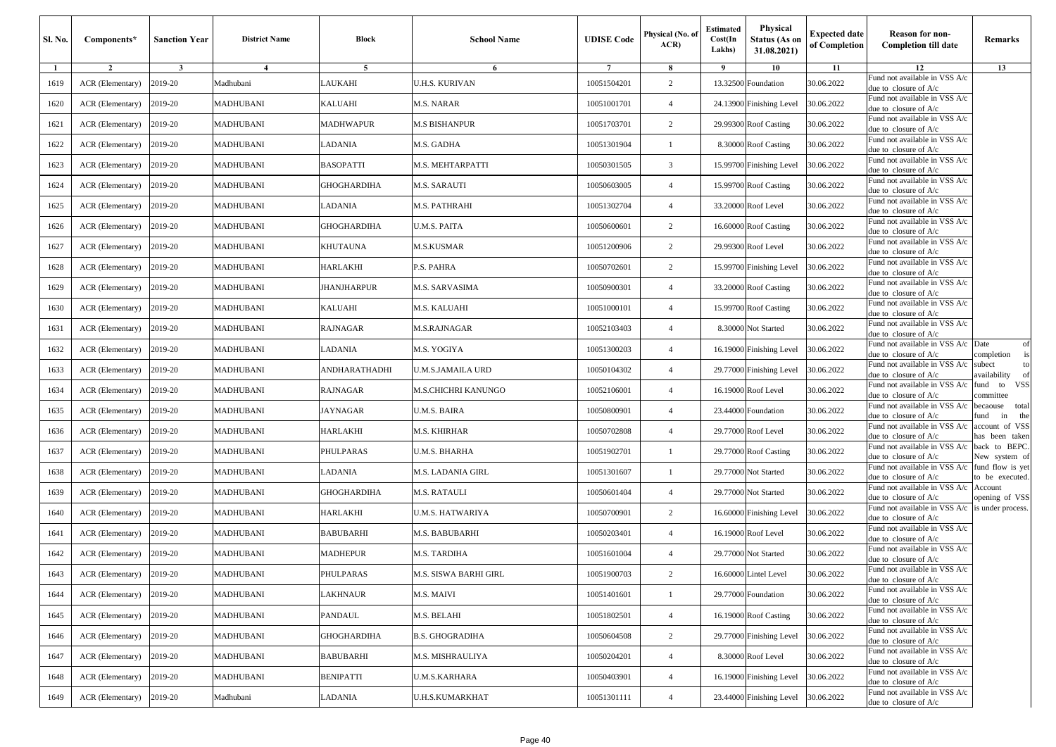| Sl. No. | Components*      | <b>Sanction Year</b> | <b>District Name</b> | Block              | <b>School Name</b>         | <b>UDISE</b> Code | Physical (No. of<br>ACR | <b>Estimated</b><br>Cost(In<br>Lakhs) | Physical<br><b>Status (As on</b><br>31.08.2021) | <b>Expected date</b><br>of Completion | <b>Reason for non-</b><br><b>Completion till date</b>                      | Remarks                                |
|---------|------------------|----------------------|----------------------|--------------------|----------------------------|-------------------|-------------------------|---------------------------------------|-------------------------------------------------|---------------------------------------|----------------------------------------------------------------------------|----------------------------------------|
| 1       | $\overline{2}$   | $\mathbf{3}$         | $\overline{4}$       | 5                  | 6                          | $7\phantom{.0}$   | 8                       | - 9                                   | 10                                              | 11                                    | 12<br>Fund not available in VSS A/c                                        | 13                                     |
| 1619    | ACR (Elementary) | 2019-20              | Madhubani            | AUKAHI             | <b>J.H.S. KURIVAN</b>      | 10051504201       | 2                       | 13.32500                              | Foundation                                      | 30.06.2022                            | due to closure of A/c                                                      |                                        |
| 1620    | ACR (Elementary) | 2019-20              | MADHUBANI            | KALUAHI            | M.S. NARAR                 | 10051001701       | $\overline{4}$          | 24.13900                              | Finishing Level                                 | 30.06.2022                            | Fund not available in VSS A/c<br>due to closure of $A/c$                   |                                        |
| 1621    | ACR (Elementary) | 2019-20              | MADHUBANI            | MADHWAPUR          | <b>M.S BISHANPUR</b>       | 10051703701       | $\overline{c}$          | 29.99300                              | <b>Roof Casting</b>                             | 30.06.2022                            | Fund not available in VSS A/c<br>due to closure of A/c                     |                                        |
| 1622    | ACR (Elementary) | 2019-20              | MADHUBANI            | LADANIA            | M.S. GADHA                 | 10051301904       | $\mathbf{1}$            | 8.30000                               | <b>Roof Casting</b>                             | 30.06.2022                            | Fund not available in VSS A/c<br>due to closure of A/c                     |                                        |
| 1623    | ACR (Elementary) | 2019-20              | MADHUBANI            | BASOPATTI          | M.S. MEHTARPATTI           | 10050301505       | 3                       | 15.99700                              | <b>Finishing Level</b>                          | 30.06.2022                            | Fund not available in VSS A/c<br>due to closure of $A/c$                   |                                        |
| 1624    | ACR (Elementary) | 2019-20              | <b>MADHUBANI</b>     | GHOGHARDIHA        | <b>M.S. SARAUTI</b>        | 10050603005       | $\overline{4}$          | 15.99700                              | <b>Roof Casting</b>                             | 30.06.2022                            | Fund not available in VSS A/c<br>due to closure of A/c                     |                                        |
| 1625    | ACR (Elementary) | 2019-20              | <b>MADHUBANI</b>     | LADANIA            | M.S. PATHRAHI              | 10051302704       | $\overline{4}$          | 33.20000                              | Roof Level                                      | 30.06.2022                            | Fund not available in VSS A/c<br>due to closure of A/c                     |                                        |
| 1626    | ACR (Elementary) | 2019-20              | <b>MADHUBANI</b>     | GHOGHARDIHA        | U.M.S. PAITA               | 10050600601       | 2                       | 16.60000                              | <b>Roof Casting</b>                             | 30.06.2022                            | Fund not available in VSS A/c<br>due to closure of A/c                     |                                        |
| 1627    | ACR (Elementary) | 2019-20              | <b>MADHUBANI</b>     | KHUTAUNA           | <b>M.S.KUSMAR</b>          | 10051200906       | 2                       | 29.99300                              | Roof Level                                      | 30.06.2022                            | Fund not available in VSS A/c<br>due to closure of A/c                     |                                        |
| 1628    | ACR (Elementary) | 2019-20              | MADHUBANI            | HARLAKHI           | P.S. PAHRA                 | 10050702601       | $\overline{c}$          | 15.99700                              | <b>Finishing Level</b>                          | 30.06.2022                            | Fund not available in VSS A/c<br>due to closure of A/c                     |                                        |
| 1629    | ACR (Elementary) | 2019-20              | MADHUBANI            | <b>JHANJHARPUR</b> | M.S. SARVASIMA             | 10050900301       | $\overline{4}$          | 33.20000                              | <b>Roof Casting</b>                             | 30.06.2022                            | Fund not available in VSS A/c<br>due to closure of A/c                     |                                        |
| 1630    | ACR (Elementary) | 2019-20              | MADHUBANI            | KALUAHI            | M.S. KALUAHI               | 10051000101       | $\overline{4}$          | 15.99700                              | <b>Roof Casting</b>                             | 30.06.2022                            | Fund not available in VSS A/c<br>due to closure of A/c                     |                                        |
| 1631    | ACR (Elementary) | 2019-20              | <b>MADHUBANI</b>     | RAJNAGAR           | M.S.RAJNAGAR               | 10052103403       | $\overline{4}$          | 8.30000                               | Not Started                                     | 30.06.2022                            | Fund not available in VSS A/c<br>due to closure of $A/c$                   |                                        |
| 1632    | ACR (Elementary) | 2019-20              | <b>MADHUBANI</b>     | <b>ADANIA</b>      | M.S. YOGIYA                | 10051300203       | $\overline{4}$          | 16.19000                              | Finishing Level                                 | 30.06.2022                            | Fund not available in VSS A/c Date<br>due to closure of A/c                | of<br>completion<br>is                 |
| 1633    | ACR (Elementary) | 2019-20              | MADHUBANI            | ANDHARATHADHI      | U.M.S.JAMAILA URD          | 10050104302       | $\overline{4}$          | 29.77000                              | <b>Finishing Level</b>                          | 30.06.2022                            | Fund not available in VSS A/c<br>due to closure of A/c                     | subect<br>to<br>availability<br>of     |
| 1634    | ACR (Elementary) | 2019-20              | <b>MADHUBANI</b>     | <b>RAJNAGAR</b>    | <b>M.S.CHICHRI KANUNGO</b> | 10052106001       | $\overline{4}$          | 16.19000                              | Roof Level                                      | 30.06.2022                            | Fund not available in VSS A/c<br>due to closure of A/c                     | VSS<br>fund<br>to<br>committee         |
| 1635    | ACR (Elementary) | 2019-20              | <b>MADHUBANI</b>     | JAYNAGAR           | U.M.S. BAIRA               | 10050800901       | $\overline{4}$          | 23.44000                              | Foundation                                      | 30.06.2022                            | Fund not available in VSS A/c<br>due to closure of $A/c$                   | becaouse<br>total<br>fund<br>in<br>the |
| 1636    | ACR (Elementary) | 2019-20              | MADHUBANI            | HARLAKHI           | M.S. KHIRHAR               | 10050702808       | $\overline{4}$          | 29.77000                              | Roof Level                                      | 30.06.2022                            | Fund not available in VSS A/c<br>due to closure of A/c                     | account of VSS<br>nas been taken       |
| 1637    | ACR (Elementary) | 2019-20              | MADHUBANI            | <b>PHULPARAS</b>   | U.M.S. BHARHA              | 10051902701       |                         | 29.77000                              | <b>Roof Casting</b>                             | 30.06.2022                            | Fund not available in VSS A/c<br>due to closure of A/c                     | back to BEPC.<br>New system of         |
| 1638    | ACR (Elementary) | 2019-20              | MADHUBANI            | <b>ADANIA</b>      | M.S. LADANIA GIRL          | 10051301607       | $\mathbf{1}$            | 29.77000                              | Not Started                                     | 30.06.2022                            | Fund not available in VSS A/c<br>due to closure of $A/c$                   | fund flow is yet<br>to be executed.    |
| 1639    | ACR (Elementary) | 2019-20              | <b>MADHUBANI</b>     | GHOGHARDIHA        | <b>M.S. RATAULI</b>        | 10050601404       | $\overline{4}$          |                                       | 29.77000 Not Started                            | 30.06.2022                            | Fund not available in VSS A/c<br>due to closure of A/c                     | Account<br>opening of VSS              |
| 1640    | ACR (Elementary) | 2019-20              | <b>MADHUBANI</b>     | HARLAKHI           | <b>J.M.S. HATWARIYA</b>    | 10050700901       | 2                       | 16.60000                              | <b>Finishing Level</b>                          | 30.06.2022                            | Fund not available in VSS A/c is under process.<br>due to closure of $A/c$ |                                        |
| 1641    | ACR (Elementary) | 2019-20              | MADHUBANI            | BABUBARHI          | M.S. BABUBARHI             | 10050203401       | $\overline{4}$          | 16.19000                              | Roof Level                                      | 30.06.2022                            | Fund not available in VSS A/c<br>due to closure of A/c                     |                                        |
| 1642    | ACR (Elementary) | 2019-20              | <b>MADHUBANI</b>     | <b>MADHEPUR</b>    | M.S. TARDIHA               | 10051601004       | $\overline{4}$          |                                       | 29.77000 Not Started                            | 30.06.2022                            | Fund not available in VSS A/c<br>due to closure of A/c                     |                                        |
| 1643    | ACR (Elementary) | 2019-20              | <b>MADHUBANI</b>     | PHULPARAS          | M.S. SISWA BARHI GIRL      | 10051900703       | 2                       |                                       | 16.60000 Lintel Level                           | 30.06.2022                            | Fund not available in VSS A/c<br>due to closure of A/c                     |                                        |
| 1644    | ACR (Elementary) | 2019-20              | MADHUBANI            | AKHNAUR            | M.S. MAIVI                 | 10051401601       | $\mathbf{1}$            |                                       | 29.77000 Foundation                             | 30.06.2022                            | Fund not available in VSS A/c<br>due to closure of A/c                     |                                        |
| 1645    | ACR (Elementary) | 2019-20              | MADHUBANI            | PANDAUL            | M.S. BELAHI                | 10051802501       | $\overline{4}$          | 16.19000                              | <b>Roof Casting</b>                             | 30.06.2022                            | Fund not available in VSS A/c<br>due to closure of $A/c$                   |                                        |
| 1646    | ACR (Elementary) | 2019-20              | MADHUBANI            | GHOGHARDIHA        | <b>B.S. GHOGRADIHA</b>     | 10050604508       | $\overline{c}$          |                                       | 29.77000 Finishing Level                        | 30.06.2022                            | Fund not available in VSS A/c<br>due to closure of A/c                     |                                        |
| 1647    | ACR (Elementary) | 2019-20              | MADHUBANI            | <b>BABUBARHI</b>   | M.S. MISHRAULIYA           | 10050204201       | $\overline{4}$          |                                       | 8.30000 Roof Level                              | 30.06.2022                            | Fund not available in VSS A/c<br>due to closure of A/c                     |                                        |
| 1648    | ACR (Elementary) | 2019-20              | MADHUBANI            | BENIPATTI          | <b>U.M.S.KARHARA</b>       | 10050403901       | $\overline{4}$          | 16.19000                              | Finishing Level                                 | 30.06.2022                            | Fund not available in VSS A/c<br>due to closure of A/c                     |                                        |
| 1649    | ACR (Elementary) | 2019-20              | Madhubani            | LADANIA            | U.H.S.KUMARKHAT            | 10051301111       | $\overline{4}$          |                                       | 23.44000 Finishing Level                        | 30.06.2022                            | Fund not available in VSS A/c<br>due to closure of A/c                     |                                        |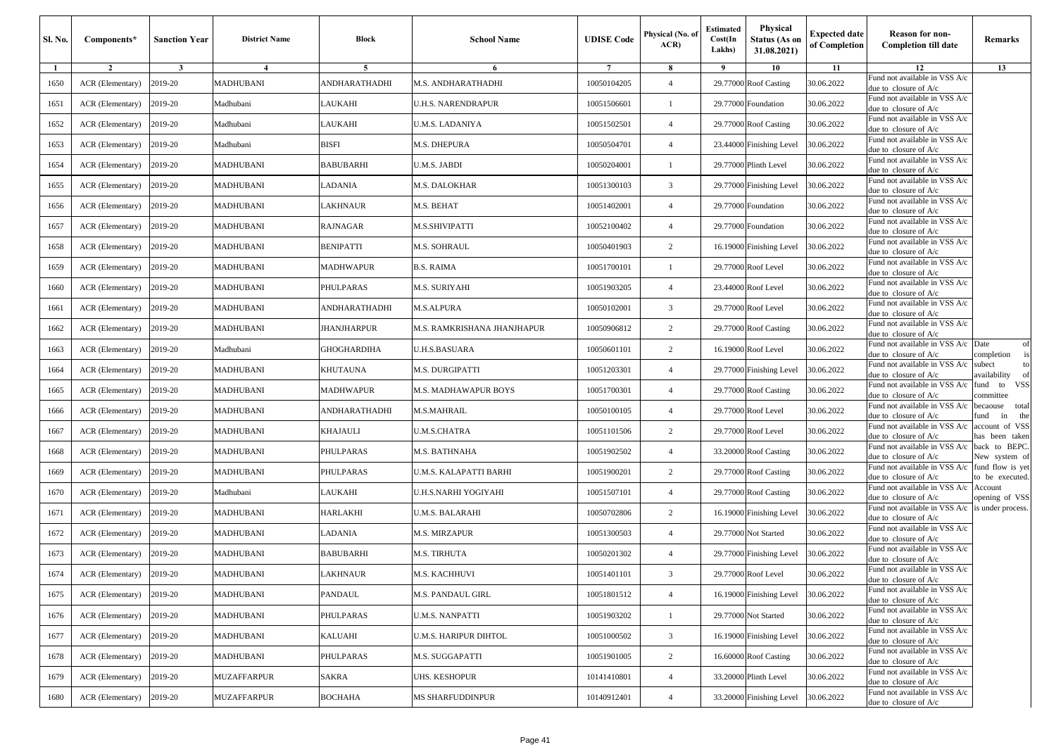| Sl. No. | Components*      | <b>Sanction Year</b> | <b>District Name</b> | Block              | <b>School Name</b>          | <b>UDISE</b> Code | Physical (No. of<br>ACR | <b>Estimated</b><br>Cost(In<br>Lakhs) | Physical<br><b>Status (As on</b><br>31.08.2021) | <b>Expected date</b><br>of Completion | Reason for non-<br><b>Completion till date</b>           | Remarks                             |
|---------|------------------|----------------------|----------------------|--------------------|-----------------------------|-------------------|-------------------------|---------------------------------------|-------------------------------------------------|---------------------------------------|----------------------------------------------------------|-------------------------------------|
| 1       | $\overline{2}$   | $\mathbf{3}$         | $\overline{4}$       | 5                  | 6                           | $7\phantom{.0}$   | 8                       | 9                                     | 10                                              | 11                                    | 12<br>Fund not available in VSS A/c                      | 13                                  |
| 1650    | ACR (Elementary) | 2019-20              | MADHUBANI            | ANDHARATHADHI      | M.S. ANDHARATHADHI          | 10050104205       | $\overline{4}$          |                                       | 29.77000 Roof Casting                           | 30.06.2022                            | due to closure of A/c                                    |                                     |
| 1651    | ACR (Elementary) | 2019-20              | Madhubani            | LAUKAHI            | U.H.S. NARENDRAPUR          | 10051506601       | -1                      |                                       | 29.77000 Foundation                             | 30.06.2022                            | Fund not available in VSS A/c<br>due to closure of A/c   |                                     |
| 1652    | ACR (Elementary) | 2019-20              | Madhubani            | LAUKAHI            | U.M.S. LADANIYA             | 10051502501       | $\overline{4}$          |                                       | 29.77000 Roof Casting                           | 30.06.2022                            | Fund not available in VSS A/c<br>lue to closure of A/c   |                                     |
| 1653    | ACR (Elementary) | 2019-20              | Madhubani            | BISFI              | M.S. DHEPURA                | 10050504701       | $\overline{4}$          |                                       | 23.44000 Finishing Level                        | 30.06.2022                            | Fund not available in VSS A/c<br>due to closure of A/c   |                                     |
| 1654    | ACR (Elementary) | 2019-20              | MADHUBANI            | BABUBARHI          | U.M.S. JABDI                | 10050204001       | $\mathbf{1}$            |                                       | 29.77000 Plinth Level                           | 30.06.2022                            | Fund not available in VSS A/c<br>due to closure of A/c   |                                     |
| 1655    | ACR (Elementary) | 2019-20              | <b>MADHUBANI</b>     | LADANIA            | M.S. DALOKHAR               | 10051300103       | $\overline{3}$          |                                       | 29.77000 Finishing Level                        | 30.06.2022                            | und not available in VSS A/c<br>due to closure of A/c    |                                     |
| 1656    | ACR (Elementary) | 2019-20              | <b>MADHUBANI</b>     | AKHNAUR            | M.S. BEHAT                  | 10051402001       | $\overline{4}$          |                                       | 29.77000 Foundation                             | 30.06.2022                            | Fund not available in VSS A/c<br>lue to closure of A/c   |                                     |
| 1657    | ACR (Elementary) | 2019-20              | <b>MADHUBANI</b>     | RAJNAGAR           | M.S.SHIVIPATTI              | 10052100402       | $\overline{4}$          |                                       | 29.77000 Foundation                             | 30.06.2022                            | Fund not available in VSS A/c<br>due to closure of A/c   |                                     |
| 1658    | ACR (Elementary) | 2019-20              | MADHUBANI            | <b>BENIPATTI</b>   | M.S. SOHRAUL                | 10050401903       | $\overline{2}$          |                                       | 16.19000 Finishing Level                        | 30.06.2022                            | Fund not available in VSS A/c<br>due to closure of A/c   |                                     |
| 1659    | ACR (Elementary) | 2019-20              | MADHUBANI            | <b>MADHWAPUR</b>   | B.S. RAIMA                  | 10051700101       | -1                      |                                       | 29.77000 Roof Level                             | 30.06.2022                            | Fund not available in VSS A/c<br>due to closure of A/c   |                                     |
| 1660    | ACR (Elementary) | 2019-20              | MADHUBANI            | PHULPARAS          | M.S. SURIYAHI               | 10051903205       | $\overline{4}$          |                                       | 23.44000 Roof Level                             | 30.06.2022                            | Fund not available in VSS A/c<br>lue to closure of A/c   |                                     |
| 1661    | ACR (Elementary) | 2019-20              | MADHUBANI            | ANDHARATHADHI      | <b>M.S.ALPURA</b>           | 10050102001       | 3                       |                                       | 29.77000 Roof Level                             | 30.06.2022                            | Fund not available in VSS A/c<br>due to closure of A/c   |                                     |
| 1662    | ACR (Elementary) | 2019-20              | <b>MADHUBANI</b>     | <b>JHANJHARPUR</b> | M.S. RAMKRISHANA JHANJHAPUR | 10050906812       | $\overline{2}$          |                                       | 29.77000 Roof Casting                           | 30.06.2022                            | und not available in VSS A/c<br>due to closure of $A/c$  |                                     |
| 1663    | ACR (Elementary) | 2019-20              | Madhubani            | <b>GHOGHARDIHA</b> | U.H.S.BASUARA               | 10050601101       | 2                       |                                       | 16.19000 Roof Level                             | 30.06.2022                            | Fund not available in VSS A/c<br>lue to closure of A/c   | Date<br>of<br>completion            |
| 1664    | ACR (Elementary) | 2019-20              | MADHUBANI            | KHUTAUNA           | M.S. DURGIPATTI             | 10051203301       | $\overline{4}$          |                                       | 29.77000 Finishing Level                        | 30.06.2022                            | und not available in VSS A/c<br>due to closure of A/c    | subect<br>to<br>vailability         |
| 1665    | ACR (Elementary) | 2019-20              | MADHUBANI            | MADHWAPUR          | M.S. MADHAWAPUR BOYS        | 10051700301       | $\overline{4}$          |                                       | 29.77000 Roof Casting                           | 30.06.2022                            | Fund not available in VSS A/c<br>due to closure of A/c   | und to VSS<br>committee             |
| 1666    | ACR (Elementary) | 2019-20              | MADHUBANI            | ANDHARATHADHI      | M.S.MAHRAIL                 | 10050100105       | $\overline{4}$          |                                       | 29.77000 Roof Level                             | 30.06.2022                            | Fund not available in VSS A/c<br>due to closure of A/c   | becaouse total<br>und<br>in<br>the  |
| 1667    | ACR (Elementary) | 2019-20              | MADHUBANI            | KHAJAULI           | U.M.S.CHATRA                | 10051101506       | 2                       |                                       | 29.77000 Roof Level                             | 30.06.2022                            | Fund not available in VSS A/c<br>lue to closure of A/c   | account of VSS<br>as been taken     |
| 1668    | ACR (Elementary) | 2019-20              | MADHUBANI            | <b>PHULPARAS</b>   | M.S. BATHNAHA               | 10051902502       | $\overline{4}$          |                                       | 33.20000 Roof Casting                           | 30.06.2022                            | Fund not available in VSS A/c<br>due to closure of A/c   | back to BEPC.<br>New system of      |
| 1669    | ACR (Elementary) | 2019-20              | MADHUBANI            | <b>PHULPARAS</b>   | U.M.S. KALAPATTI BARHI      | 10051900201       | 2                       |                                       | 29.77000 Roof Casting                           | 30.06.2022                            | Fund not available in VSS A/c<br>due to closure of A/c   | fund flow is yet<br>to be executed. |
| 1670    | ACR (Elementary) | 2019-20              | Madhubani            | LAUKAHI            | U.H.S.NARHI YOGIYAHI        | 10051507101       | $\overline{4}$          |                                       | 29.77000 Roof Casting                           | 30.06.2022                            | Fund not available in VSS A/c<br>due to closure of A/c   | Account<br>opening of VSS           |
| 1671    | ACR (Elementary) | 2019-20              | <b>MADHUBANI</b>     | HARLAKHI           | J.M.S. BALARAHI             | 10050702806       | 2                       |                                       | 16.19000 Finishing Level                        | 30.06.2022                            | und not available in VSS A/c<br>due to closure of A/c    | is under process.                   |
| 1672    | ACR (Elementary) | 2019-20              | MADHUBANI            | ADANIA             | <b>M.S. MIRZAPUR</b>        | 10051300503       | $\overline{4}$          |                                       | 29.77000 Not Started                            | 30.06.2022                            | Fund not available in VSS A/c<br>due to closure of A/c   |                                     |
| 1673    | ACR (Elementary) | 2019-20              | MADHUBANI            | BABUBARHI          | M.S. TIRHUTA                | 10050201302       | $\overline{4}$          |                                       | 29.77000 Finishing Level                        | 30.06.2022                            | Fund not available in VSS A/c<br>due to closure of A/c   |                                     |
| 1674    | ACR (Elementary) | 2019-20              | MADHUBANI            | LAKHNAUR           | M.S. KACHHUVI               | 10051401101       | 3                       |                                       | 29.77000 Roof Level                             | 30.06.2022                            | Fund not available in VSS A/c<br>due to closure of $A/c$ |                                     |
| 1675    | ACR (Elementary) | 2019-20              | MADHUBANI            | PANDAUL            | M.S. PANDAUL GIRL           | 10051801512       | $\overline{4}$          |                                       | 16.19000 Finishing Level                        | 30.06.2022                            | Fund not available in VSS A/c<br>due to closure of A/c   |                                     |
| 1676    | ACR (Elementary) | 2019-20              | MADHUBANI            | PHULPARAS          | U.M.S. NANPATTI             | 10051903202       | 1                       |                                       | 29.77000 Not Started                            | 30.06.2022                            | Fund not available in VSS A/c<br>due to closure of $A/c$ |                                     |
| 1677    | ACR (Elementary) | 2019-20              | MADHUBANI            | KALUAHI            | U.M.S. HARIPUR DIHTOL       | 10051000502       | 3                       |                                       | 16.19000 Finishing Level                        | 30.06.2022                            | Fund not available in VSS A/c<br>due to closure of A/c   |                                     |
| 1678    | ACR (Elementary) | 2019-20              | MADHUBANI            | PHULPARAS          | M.S. SUGGAPATTI             | 10051901005       | 2                       |                                       | 16.60000 Roof Casting                           | 30.06.2022                            | Fund not available in VSS A/c<br>due to closure of A/c   |                                     |
| 1679    | ACR (Elementary) | 2019-20              | <b>MUZAFFARPUR</b>   | SAKRA              | UHS. KESHOPUR               | 10141410801       | $\overline{4}$          |                                       | 33.20000 Plinth Level                           | 30.06.2022                            | Fund not available in VSS A/c<br>due to closure of $A/c$ |                                     |
| 1680    | ACR (Elementary) | 2019-20              | <b>MUZAFFARPUR</b>   | BOCHAHA            | MS SHARFUDDINPUR            | 10140912401       | $\overline{4}$          |                                       | 33.20000 Finishing Level                        | 30.06.2022                            | Fund not available in VSS A/c<br>due to closure of A/c   |                                     |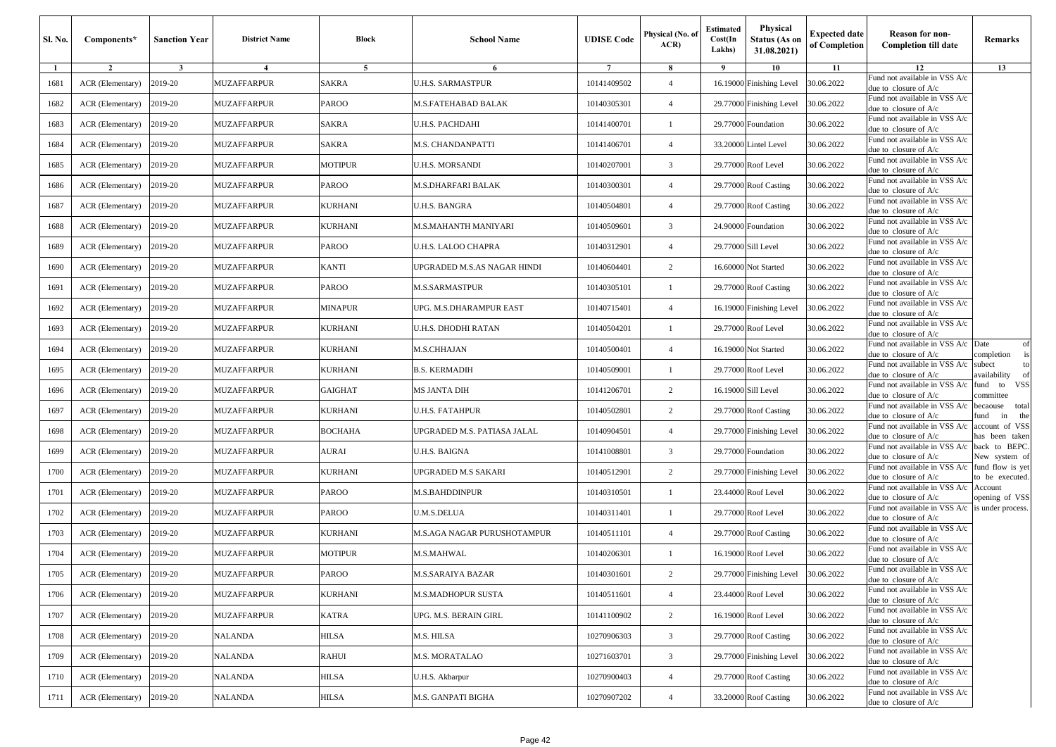| Sl. No. | Components*      | <b>Sanction Year</b> | <b>District Name</b> | Block          | <b>School Name</b>          | <b>UDISE Code</b> | Physical (No. of<br>ACR | <b>Estimated</b><br>Cost(In<br>Lakhs) | Physical<br><b>Status (As on</b><br>31.08.2021) | <b>Expected date</b><br>of Completion | Reason for non-<br><b>Completion till date</b>           | Remarks                             |
|---------|------------------|----------------------|----------------------|----------------|-----------------------------|-------------------|-------------------------|---------------------------------------|-------------------------------------------------|---------------------------------------|----------------------------------------------------------|-------------------------------------|
| 1       | $\overline{2}$   | $\mathbf{3}$         | $\overline{4}$       | 5              | 6                           | $7\phantom{.0}$   | 8                       | 9                                     | 10                                              | 11                                    | 12                                                       | 13                                  |
| 1681    | ACR (Elementary) | 2019-20              | MUZAFFARPUR          | SAKRA          | <b>J.H.S. SARMASTPUR</b>    | 10141409502       | $\overline{4}$          |                                       | 16.19000 Finishing Level                        | 30.06.2022                            | Fund not available in VSS A/c<br>due to closure of A/c   |                                     |
| 1682    | ACR (Elementary) | 2019-20              | <b>MUZAFFARPUR</b>   | PAROO          | M.S.FATEHABAD BALAK         | 10140305301       | $\overline{4}$          |                                       | 29.77000 Finishing Level                        | 30.06.2022                            | Fund not available in VSS A/c<br>due to closure of A/c   |                                     |
| 1683    | ACR (Elementary) | 2019-20              | MUZAFFARPUR          | SAKRA          | U.H.S. PACHDAHI             | 10141400701       | -1                      |                                       | 29.77000 Foundation                             | 30.06.2022                            | Fund not available in VSS A/c<br>lue to closure of A/c   |                                     |
| 1684    | ACR (Elementary) | 2019-20              | MUZAFFARPUR          | SAKRA          | <b>M.S. CHANDANPATTI</b>    | 10141406701       | $\overline{4}$          |                                       | 33.20000 Lintel Level                           | 30.06.2022                            | Fund not available in VSS A/c<br>due to closure of A/c   |                                     |
| 1685    | ACR (Elementary) | 2019-20              | MUZAFFARPUR          | <b>MOTIPUR</b> | U.H.S. MORSANDI             | 10140207001       | 3                       |                                       | 29.77000 Roof Level                             | 30.06.2022                            | Fund not available in VSS A/c<br>due to closure of A/c   |                                     |
| 1686    | ACR (Elementary) | 2019-20              | <b>MUZAFFARPUR</b>   | PAROO          | M.S.DHARFARI BALAK          | 10140300301       | $\overline{4}$          |                                       | 29.77000 Roof Casting                           | 30.06.2022                            | und not available in VSS A/c<br>due to closure of A/c    |                                     |
| 1687    | ACR (Elementary) | 2019-20              | <b>MUZAFFARPUR</b>   | KURHANI        | U.H.S. BANGRA               | 10140504801       | $\overline{4}$          |                                       | 29.77000 Roof Casting                           | 30.06.2022                            | Fund not available in VSS A/c<br>lue to closure of A/c   |                                     |
| 1688    | ACR (Elementary) | 2019-20              | MUZAFFARPUR          | KURHANI        | M.S.MAHANTH MANIYARI        | 10140509601       | 3                       |                                       | 24.90000 Foundation                             | 30.06.2022                            | Fund not available in VSS A/c<br>due to closure of A/c   |                                     |
| 1689    | ACR (Elementary) | 2019-20              | <b>MUZAFFARPUR</b>   | PAROO          | U.H.S. LALOO CHAPRA         | 10140312901       | $\overline{4}$          |                                       | 29.77000 Sill Level                             | 30.06.2022                            | Fund not available in VSS A/c<br>due to closure of A/c   |                                     |
| 1690    | ACR (Elementary) | 2019-20              | <b>MUZAFFARPUR</b>   | KANTI          | JPGRADED M.S.AS NAGAR HINDI | 10140604401       | 2                       |                                       | 16.60000 Not Started                            | 30.06.2022                            | Fund not available in VSS A/c<br>due to closure of A/c   |                                     |
| 1691    | ACR (Elementary) | 2019-20              | MUZAFFARPUR          | PAROO          | M.S.SARMASTPUR              | 10140305101       | $\mathbf{1}$            |                                       | 29.77000 Roof Casting                           | 30.06.2022                            | Fund not available in VSS A/c<br>lue to closure of A/c   |                                     |
| 1692    | ACR (Elementary) | 2019-20              | MUZAFFARPUR          | MINAPUR        | UPG. M.S.DHARAMPUR EAST     | 10140715401       | $\overline{4}$          |                                       | 16.19000 Finishing Level                        | 30.06.2022                            | Fund not available in VSS A/c<br>due to closure of A/c   |                                     |
| 1693    | ACR (Elementary) | 2019-20              | <b>MUZAFFARPUR</b>   | KURHANI        | U.H.S. DHODHI RATAN         | 10140504201       | -1                      |                                       | 29.77000 Roof Level                             | 30.06.2022                            | und not available in VSS A/c<br>due to closure of $A/c$  |                                     |
| 1694    | ACR (Elementary) | 2019-20              | MUZAFFARPUR          | KURHANI        | M.S.CHHAJAN                 | 10140500401       | $\overline{4}$          |                                       | 16.19000 Not Started                            | 30.06.2022                            | Fund not available in VSS A/c<br>lue to closure of A/c   | Date<br>of<br>completion            |
| 1695    | ACR (Elementary) | 2019-20              | MUZAFFARPUR          | KURHANI        | B.S. KERMADIH               | 10140509001       | -1                      |                                       | 29.77000 Roof Level                             | 30.06.2022                            | und not available in VSS A/c<br>due to closure of A/c    | subect<br>to<br>vailability         |
| 1696    | ACR (Elementary) | 2019-20              | <b>MUZAFFARPUR</b>   | <b>GAIGHAT</b> | MS JANTA DIH                | 10141206701       | $\overline{c}$          |                                       | 16.19000 Sill Level                             | 30.06.2022                            | Fund not available in VSS A/c<br>due to closure of A/c   | und to VSS<br>committee             |
| 1697    | ACR (Elementary) | 2019-20              | <b>MUZAFFARPUR</b>   | KURHANI        | U.H.S. FATAHPUR             | 10140502801       | 2                       |                                       | 29.77000 Roof Casting                           | 30.06.2022                            | Fund not available in VSS A/c<br>due to closure of A/c   | becaouse total<br>und<br>the<br>in  |
| 1698    | ACR (Elementary) | 2019-20              | <b>MUZAFFARPUR</b>   | ВОСНАНА        | JPGRADED M.S. PATIASA JALAL | 10140904501       | $\overline{4}$          |                                       | 29.77000 Finishing Level                        | 30.06.2022                            | Fund not available in VSS A/c<br>lue to closure of A/c   | account of VSS<br>as been taken     |
| 1699    | ACR (Elementary) | 2019-20              | MUZAFFARPUR          | AURAI          | U.H.S. BAIGNA               | 10141008801       | 3                       |                                       | 29.77000 Foundation                             | 30.06.2022                            | Fund not available in VSS A/c<br>due to closure of A/c   | back to BEPC.<br>New system of      |
| 1700    | ACR (Elementary) | 2019-20              | <b>MUZAFFARPUR</b>   | KURHANI        | UPGRADED M.S SAKARI         | 10140512901       | 2                       |                                       | 29.77000 Finishing Level                        | 30.06.2022                            | Fund not available in VSS A/c<br>due to closure of A/c   | fund flow is yet<br>to be executed. |
| 1701    | ACR (Elementary) | 2019-20              | MUZAFFARPUR          | PAROO          | M.S.BAHDDINPUR              | 10140310501       | -1                      |                                       | 23.44000 Roof Level                             | 30.06.2022                            | Fund not available in VSS A/c<br>lue to closure of A/c   | Account<br>opening of VSS           |
| 1702    | ACR (Elementary) | 2019-20              | MUZAFFARPUR          | PAROO          | J.M.S.DELUA                 | 10140311401       | $\mathbf{1}$            |                                       | 29.77000 Roof Level                             | 30.06.2022                            | und not available in VSS A/c<br>due to closure of A/c    | is under process.                   |
| 1703    | ACR (Elementary) | 2019-20              | MUZAFFARPUR          | KURHANI        | M.S.AGA NAGAR PURUSHOTAMPUR | 10140511101       | $\overline{4}$          |                                       | 29.77000 Roof Casting                           | 30.06.2022                            | Fund not available in VSS A/c<br>due to closure of A/c   |                                     |
| 1704    | ACR (Elementary) | 2019-20              | <b>MUZAFFARPUR</b>   | <b>MOTIPUR</b> | M.S.MAHWAL                  | 10140206301       | $\mathbf{1}$            |                                       | 16.19000 Roof Level                             | 30.06.2022                            | Fund not available in VSS A/c<br>due to closure of A/c   |                                     |
| 1705    | ACR (Elementary) | 2019-20              | <b>MUZAFFARPUR</b>   | PAROO          | <b>M.S.SARAIYA BAZAR</b>    | 10140301601       | $\overline{2}$          |                                       | 29.77000 Finishing Level                        | 30.06.2022                            | Fund not available in VSS A/c<br>due to closure of $A/c$ |                                     |
| 1706    | ACR (Elementary) | 2019-20              | MUZAFFARPUR          | KURHANI        | M.S.MADHOPUR SUSTA          | 10140511601       | $\overline{4}$          |                                       | 23.44000 Roof Level                             | 30.06.2022                            | Fund not available in VSS A/c<br>due to closure of A/c   |                                     |
| 1707    | ACR (Elementary) | 2019-20              | <b>MUZAFFARPUR</b>   | KATRA          | UPG. M.S. BERAIN GIRL       | 10141100902       | $\overline{2}$          |                                       | 16.19000 Roof Level                             | 30.06.2022                            | Fund not available in VSS A/c<br>due to closure of A/c   |                                     |
| 1708    | ACR (Elementary) | 2019-20              | NALANDA              | HILSA          | M.S. HILSA                  | 10270906303       | 3                       |                                       | 29.77000 Roof Casting                           | 30.06.2022                            | Fund not available in VSS A/c<br>due to closure of A/c   |                                     |
| 1709    | ACR (Elementary) | 2019-20              | NALANDA              | RAHUI          | M.S. MORATALAO              | 10271603701       | 3                       |                                       | 29.77000 Finishing Level                        | 30.06.2022                            | Fund not available in VSS A/c<br>due to closure of $A/c$ |                                     |
| 1710    | ACR (Elementary) | 2019-20              | <b>NALANDA</b>       | HILSA          | U.H.S. Akbarpur             | 10270900403       | $\overline{4}$          |                                       | 29.77000 Roof Casting                           | 30.06.2022                            | Fund not available in VSS A/c<br>due to closure of $A/c$ |                                     |
| 1711    | ACR (Elementary) | 2019-20              | NALANDA              | HILSA          | M.S. GANPATI BIGHA          | 10270907202       | $\overline{4}$          |                                       | 33.20000 Roof Casting                           | 30.06.2022                            | Fund not available in VSS A/c<br>due to closure of A/c   |                                     |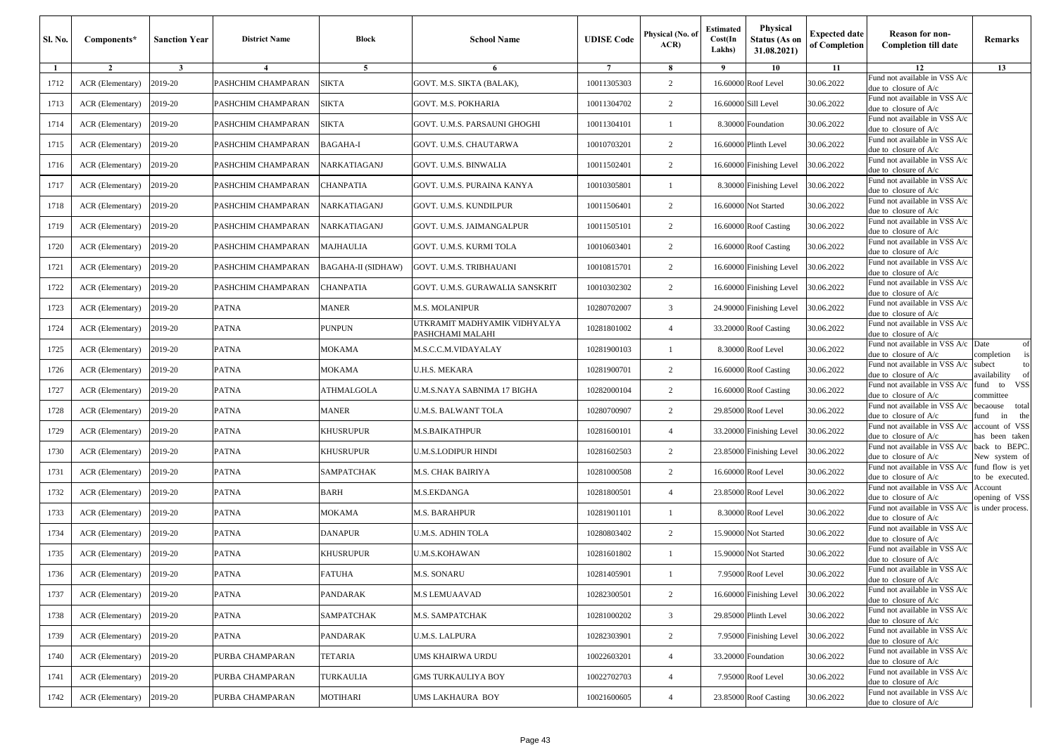| Sl. No. | Components*      | <b>Sanction Year</b> | <b>District Name</b> | Block              | <b>School Name</b>                               | <b>UDISE Code</b> | Physical (No. of<br>ACR | <b>Estimated</b><br>Cost(In<br>Lakhs) | Physical<br><b>Status (As on</b><br>31.08.2021) | <b>Expected date</b><br>of Completion | Reason for non-<br><b>Completion till date</b>           | Remarks                             |
|---------|------------------|----------------------|----------------------|--------------------|--------------------------------------------------|-------------------|-------------------------|---------------------------------------|-------------------------------------------------|---------------------------------------|----------------------------------------------------------|-------------------------------------|
| 1       | $\overline{2}$   | $\mathbf{3}$         | $\overline{4}$       | 5                  | 6                                                | $7\phantom{.0}$   | 8                       | 9                                     | 10                                              | 11                                    | 12                                                       | 13                                  |
| 1712    | ACR (Elementary) | 2019-20              | PASHCHIM CHAMPARAN   | <b>SIKTA</b>       | GOVT. M.S. SIKTA (BALAK),                        | 10011305303       | $\overline{c}$          |                                       | 16.60000 Roof Level                             | 30.06.2022                            | Fund not available in VSS A/c<br>due to closure of A/c   |                                     |
| 1713    | ACR (Elementary) | 2019-20              | PASHCHIM CHAMPARAN   | <b>SIKTA</b>       | GOVT. M.S. POKHARIA                              | 10011304702       | 2                       |                                       | 16.60000 Sill Level                             | 30.06.2022                            | Fund not available in VSS A/c<br>due to closure of A/c   |                                     |
| 1714    | ACR (Elementary) | 2019-20              | PASHCHIM CHAMPARAN   | <b>SIKTA</b>       | GOVT. U.M.S. PARSAUNI GHOGHI                     | 10011304101       | -1                      |                                       | 8.30000 Foundation                              | 30.06.2022                            | Fund not available in VSS A/c<br>due to closure of A/c   |                                     |
| 1715    | ACR (Elementary) | 2019-20              | PASHCHIM CHAMPARAN   | BAGAHA-I           | GOVT. U.M.S. CHAUTARWA                           | 10010703201       | $\overline{2}$          |                                       | 16.60000 Plinth Level                           | 30.06.2022                            | Fund not available in VSS A/c<br>due to closure of A/c   |                                     |
| 1716    | ACR (Elementary) | 2019-20              | PASHCHIM CHAMPARAN   | NARKATIAGANJ       | GOVT. U.M.S. BINWALIA                            | 10011502401       | $\overline{c}$          |                                       | 16.60000 Finishing Level                        | 30.06.2022                            | Fund not available in VSS A/c<br>due to closure of A/c   |                                     |
| 1717    | ACR (Elementary) | 2019-20              | PASHCHIM CHAMPARAN   | CHANPATIA          | GOVT. U.M.S. PURAINA KANYA                       | 10010305801       | -1                      |                                       | 8.30000 Finishing Level                         | 30.06.2022                            | und not available in VSS A/c<br>due to closure of A/c    |                                     |
| 1718    | ACR (Elementary) | 2019-20              | PASHCHIM CHAMPARAN   | NARKATIAGANJ       | GOVT. U.M.S. KUNDILPUR                           | 10011506401       | $\overline{2}$          |                                       | 16.60000 Not Started                            | 30.06.2022                            | Fund not available in VSS A/c<br>lue to closure of A/c   |                                     |
| 1719    | ACR (Elementary) | 2019-20              | PASHCHIM CHAMPARAN   | NARKATIAGANJ       | GOVT. U.M.S. JAIMANGALPUR                        | 10011505101       | $\overline{2}$          |                                       | 16.60000 Roof Casting                           | 30.06.2022                            | Fund not available in VSS A/c<br>due to closure of A/c   |                                     |
| 1720    | ACR (Elementary) | 2019-20              | PASHCHIM CHAMPARAN   | MAJHAULIA          | GOVT. U.M.S. KURMI TOLA                          | 10010603401       | $\overline{2}$          |                                       | 16.60000 Roof Casting                           | 30.06.2022                            | Fund not available in VSS A/c<br>due to closure of A/c   |                                     |
| 1721    | ACR (Elementary) | 2019-20              | PASHCHIM CHAMPARAN   | BAGAHA-II (SIDHAW) | GOVT. U.M.S. TRIBHAUANI                          | 10010815701       | $\overline{2}$          |                                       | 16.60000 Finishing Level                        | 30.06.2022                            | Fund not available in VSS A/c<br>due to closure of A/c   |                                     |
| 1722    | ACR (Elementary) | 2019-20              | PASHCHIM CHAMPARAN   | CHANPATIA          | GOVT. U.M.S. GURAWALIA SANSKRIT                  | 10010302302       | 2                       |                                       | 16.60000 Finishing Level                        | 30.06.2022                            | Fund not available in VSS A/c<br>lue to closure of A/c   |                                     |
| 1723    | ACR (Elementary) | 2019-20              | <b>PATNA</b>         | <b>MANER</b>       | M.S. MOLANIPUR                                   | 10280702007       | 3                       |                                       | 24.90000 Finishing Level                        | 30.06.2022                            | Fund not available in VSS A/c<br>due to closure of A/c   |                                     |
| 1724    | ACR (Elementary) | 2019-20              | <b>PATNA</b>         | PUNPUN             | UTKRAMIT MADHYAMIK VIDHYALYA<br>PASHCHAMI MALAHI | 10281801002       | $\overline{4}$          |                                       | 33.20000 Roof Casting                           | 30.06.2022                            | und not available in VSS A/c<br>due to closure of $A/c$  |                                     |
| 1725    | ACR (Elementary) | 2019-20              | <b>PATNA</b>         | MOKAMA             | M.S.C.C.M.VIDAYALAY                              | 10281900103       | $\mathbf{1}$            |                                       | 8.30000 Roof Level                              | 30.06.2022                            | Fund not available in VSS A/c<br>lue to closure of A/c   | Date<br>of<br>completion            |
| 1726    | ACR (Elementary) | 2019-20              | <b>PATNA</b>         | MOKAMA             | J.H.S. MEKARA                                    | 10281900701       | 2                       |                                       | 16.60000 Roof Casting                           | 30.06.2022                            | Fund not available in VSS A/c<br>due to closure of A/c   | subect<br>to<br>vailability         |
| 1727    | ACR (Elementary) | 2019-20              | <b>PATNA</b>         | ATHMALGOLA         | U.M.S.NAYA SABNIMA 17 BIGHA                      | 10282000104       | $\overline{c}$          |                                       | 16.60000 Roof Casting                           | 30.06.2022                            | Fund not available in VSS A/c<br>due to closure of A/c   | und to VSS<br>committee             |
| 1728    | ACR (Elementary) | 2019-20              | <b>PATNA</b>         | <b>MANER</b>       | U.M.S. BALWANT TOLA                              | 10280700907       | $\overline{2}$          |                                       | 29.85000 Roof Level                             | 30.06.2022                            | Fund not available in VSS A/c<br>due to closure of A/c   | becaouse total<br>und<br>in<br>the  |
| 1729    | ACR (Elementary) | 2019-20              | <b>PATNA</b>         | KHUSRUPUR          | M.S.BAIKATHPUR                                   | 10281600101       | $\overline{4}$          |                                       | 33.20000 Finishing Level                        | 30.06.2022                            | Fund not available in VSS A/c<br>lue to closure of A/c   | account of VSS<br>as been taken     |
| 1730    | ACR (Elementary) | 2019-20              | <b>PATNA</b>         | KHUSRUPUR          | U.M.S.LODIPUR HINDI                              | 10281602503       | $\overline{2}$          |                                       | 23.85000 Finishing Level                        | 30.06.2022                            | Fund not available in VSS A/c<br>due to closure of A/c   | back to BEPC.<br>New system of      |
| 1731    | ACR (Elementary) | 2019-20              | <b>PATNA</b>         | SAMPATCHAK         | M.S. CHAK BAIRIYA                                | 10281000508       | 2                       |                                       | 16.60000 Roof Level                             | 30.06.2022                            | Fund not available in VSS A/c<br>due to closure of A/c   | fund flow is yet<br>to be executed. |
| 1732    | ACR (Elementary) | 2019-20              | <b>PATNA</b>         | BARH               | M.S.EKDANGA                                      | 10281800501       | $\overline{4}$          |                                       | 23.85000 Roof Level                             | 30.06.2022                            | Fund not available in VSS A/c<br>due to closure of A/c   | Account<br>opening of VSS           |
| 1733    | ACR (Elementary) | 2019-20              | <b>PATNA</b>         | MOKAMA             | <b>M.S. BARAHPUR</b>                             | 10281901101       | $\mathbf{1}$            |                                       | 8.30000 Roof Level                              | 30.06.2022                            | Fund not available in VSS A/c<br>due to closure of A/c   | is under process.                   |
| 1734    | ACR (Elementary) | 2019-20              | <b>PATNA</b>         | <b>DANAPUR</b>     | U.M.S. ADHIN TOLA                                | 10280803402       | $\overline{c}$          |                                       | 15.90000 Not Started                            | 30.06.2022                            | Fund not available in VSS A/c<br>due to closure of A/c   |                                     |
| 1735    | ACR (Elementary) | 2019-20              | <b>PATNA</b>         | KHUSRUPUR          | J.M.S.KOHAWAN                                    | 10281601802       | -1                      |                                       | 15.90000 Not Started                            | 30.06.2022                            | Fund not available in VSS A/c<br>due to closure of A/c   |                                     |
| 1736    | ACR (Elementary) | 2019-20              | <b>PATNA</b>         | <b>FATUHA</b>      | <b>M.S. SONARU</b>                               | 10281405901       |                         |                                       | 7.95000 Roof Level                              | 30.06.2022                            | Fund not available in VSS A/c<br>due to closure of $A/c$ |                                     |
| 1737    | ACR (Elementary) | 2019-20              | <b>PATNA</b>         | PANDARAK           | M.S LEMUAAVAD                                    | 10282300501       | 2                       |                                       | 16.60000 Finishing Level                        | 30.06.2022                            | Fund not available in VSS A/c<br>due to closure of A/c   |                                     |
| 1738    | ACR (Elementary) | 2019-20              | <b>PATNA</b>         | SAMPATCHAK         | M.S. SAMPATCHAK                                  | 10281000202       | $\overline{3}$          |                                       | 29.85000 Plinth Level                           | 30.06.2022                            | Fund not available in VSS A/c<br>due to closure of A/c   |                                     |
| 1739    | ACR (Elementary) | 2019-20              | PATNA                | PANDARAK           | U.M.S. LALPURA                                   | 10282303901       | $\overline{c}$          |                                       | 7.95000 Finishing Level                         | 30.06.2022                            | Fund not available in VSS A/c<br>due to closure of A/c   |                                     |
| 1740    | ACR (Elementary) | 2019-20              | PURBA CHAMPARAN      | TETARIA            | UMS KHAIRWA URDU                                 | 10022603201       | $\overline{4}$          |                                       | 33.20000 Foundation                             | 30.06.2022                            | Fund not available in VSS A/c<br>due to closure of A/c   |                                     |
| 1741    | ACR (Elementary) | 2019-20              | PURBA CHAMPARAN      | TURKAULIA          | GMS TURKAULIYA BOY                               | 10022702703       | $\overline{4}$          |                                       | 7.95000 Roof Level                              | 30.06.2022                            | Fund not available in VSS A/c<br>due to closure of A/c   |                                     |
| 1742    | ACR (Elementary) | 2019-20              | PURBA CHAMPARAN      | MOTIHARI           | UMS LAKHAURA BOY                                 | 10021600605       | $\overline{4}$          |                                       | 23.85000 Roof Casting                           | 30.06.2022                            | Fund not available in VSS A/c<br>due to closure of A/c   |                                     |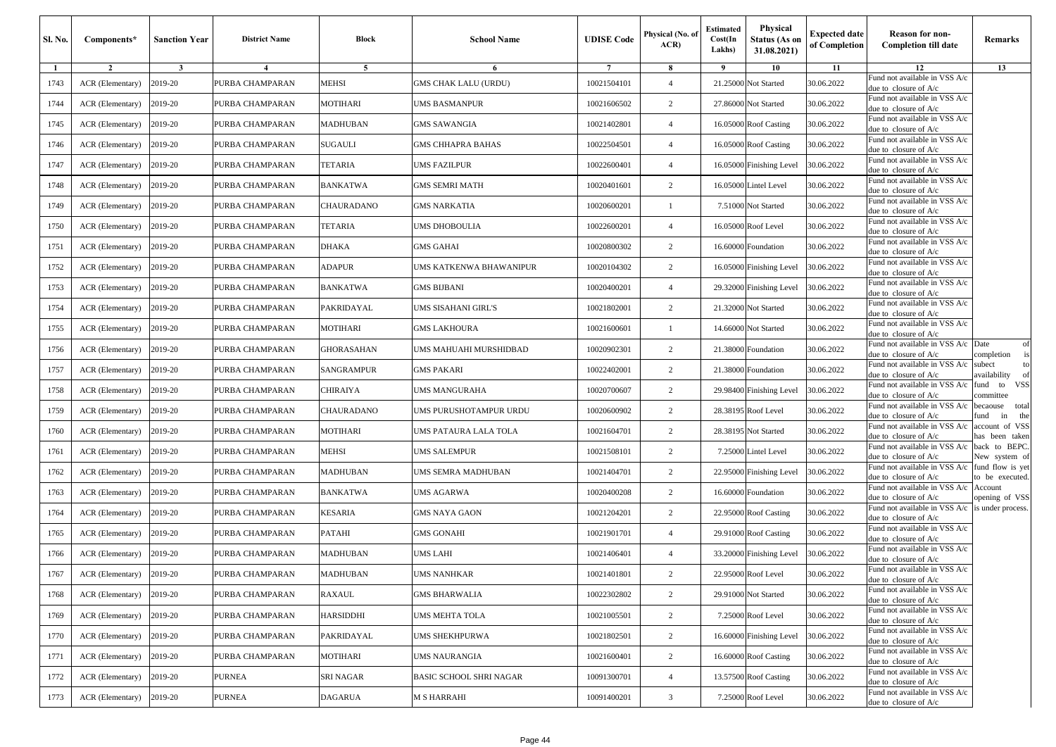| Sl. No. | Components*      | <b>Sanction Year</b> | <b>District Name</b> | Block            | <b>School Name</b>      | <b>UDISE Code</b> | Physical (No. of<br>ACR | <b>Estimated</b><br>Cost(In<br>Lakhs) | Physical<br><b>Status (As on</b><br>31.08.2021) | <b>Expected date</b><br>of Completion | Reason for non-<br><b>Completion till date</b>           | Remarks                             |
|---------|------------------|----------------------|----------------------|------------------|-------------------------|-------------------|-------------------------|---------------------------------------|-------------------------------------------------|---------------------------------------|----------------------------------------------------------|-------------------------------------|
| 1       | $\overline{2}$   | $\mathbf{3}$         | $\overline{4}$       | 5                | 6                       | $7\phantom{.0}$   | 8                       | 9                                     | 10                                              | 11                                    | 12                                                       | 13                                  |
| 1743    | ACR (Elementary) | 2019-20              | PURBA CHAMPARAN      | MEHSI            | GMS CHAK LALU (URDU)    | 10021504101       | $\overline{4}$          |                                       | 21.25000 Not Started                            | 30.06.2022                            | Fund not available in VSS A/c<br>due to closure of A/c   |                                     |
| 1744    | ACR (Elementary) | 2019-20              | PURBA CHAMPARAN      | <b>MOTIHARI</b>  | UMS BASMANPUR           | 10021606502       | 2                       |                                       | 27.86000 Not Started                            | 30.06.2022                            | Fund not available in VSS A/c<br>due to closure of A/c   |                                     |
| 1745    | ACR (Elementary) | 2019-20              | PURBA CHAMPARAN      | MADHUBAN         | GMS SAWANGIA            | 10021402801       | $\overline{4}$          |                                       | 16.05000 Roof Casting                           | 30.06.2022                            | Fund not available in VSS A/c<br>due to closure of A/c   |                                     |
| 1746    | ACR (Elementary) | 2019-20              | PURBA CHAMPARAN      | SUGAULI          | GMS CHHAPRA BAHAS       | 10022504501       | $\overline{4}$          |                                       | 16.05000 Roof Casting                           | 30.06.2022                            | Fund not available in VSS A/c<br>due to closure of A/c   |                                     |
| 1747    | ACR (Elementary) | 2019-20              | PURBA CHAMPARAN      | TETARIA          | UMS FAZILPUR            | 10022600401       | $\overline{4}$          |                                       | 16.05000 Finishing Level                        | 30.06.2022                            | Fund not available in VSS A/c<br>due to closure of A/c   |                                     |
| 1748    | ACR (Elementary) | 2019-20              | PURBA CHAMPARAN      | BANKATWA         | GMS SEMRI MATH          | 10020401601       | $\overline{2}$          |                                       | 16.05000 Lintel Level                           | 30.06.2022                            | und not available in VSS A/c<br>due to closure of A/c    |                                     |
| 1749    | ACR (Elementary) | 2019-20              | PURBA CHAMPARAN      | CHAURADANO       | GMS NARKATIA            | 10020600201       | $\mathbf{1}$            |                                       | 7.51000 Not Started                             | 30.06.2022                            | Fund not available in VSS A/c<br>lue to closure of A/c   |                                     |
| 1750    | ACR (Elementary) | 2019-20              | PURBA CHAMPARAN      | TETARIA          | JMS DHOBOULIA           | 10022600201       | $\overline{4}$          |                                       | 16.05000 Roof Level                             | 30.06.2022                            | Fund not available in VSS A/c<br>due to closure of A/c   |                                     |
| 1751    | ACR (Elementary) | 2019-20              | PURBA CHAMPARAN      | <b>DHAKA</b>     | <b>GMS GAHAI</b>        | 10020800302       | 2                       | 16.60000                              | Foundation                                      | 30.06.2022                            | Fund not available in VSS A/c<br>due to closure of A/c   |                                     |
| 1752    | ACR (Elementary) | 2019-20              | PURBA CHAMPARAN      | <b>ADAPUR</b>    | UMS KATKENWA BHAWANIPUR | 10020104302       | 2                       |                                       | 16.05000 Finishing Level                        | 30.06.2022                            | Fund not available in VSS A/c<br>due to closure of A/c   |                                     |
| 1753    | ACR (Elementary) | 2019-20              | PURBA CHAMPARAN      | BANKATWA         | GMS BIJBANI             | 10020400201       | $\overline{4}$          |                                       | 29.32000 Finishing Level                        | 30.06.2022                            | Fund not available in VSS A/c<br>lue to closure of A/c   |                                     |
| 1754    | ACR (Elementary) | 2019-20              | PURBA CHAMPARAN      | PAKRIDAYAL       | UMS SISAHANI GIRL'S     | 10021802001       | $\overline{c}$          |                                       | 21.32000 Not Started                            | 30.06.2022                            | Fund not available in VSS A/c<br>due to closure of A/c   |                                     |
| 1755    | ACR (Elementary) | 2019-20              | PURBA CHAMPARAN      | <b>MOTIHARI</b>  | GMS LAKHOURA            | 10021600601       | -1                      |                                       | 14.66000 Not Started                            | 30.06.2022                            | und not available in VSS A/c<br>due to closure of $A/c$  |                                     |
| 1756    | ACR (Elementary) | 2019-20              | PURBA CHAMPARAN      | GHORASAHAN       | JMS MAHUAHI MURSHIDBAD  | 10020902301       | 2                       |                                       | 21.38000 Foundation                             | 30.06.2022                            | Fund not available in VSS A/c<br>lue to closure of A/c   | Date<br>of<br>completion            |
| 1757    | ACR (Elementary) | 2019-20              | PURBA CHAMPARAN      | SANGRAMPUR       | GMS PAKARI              | 10022402001       | 2                       |                                       | 21.38000 Foundation                             | 30.06.2022                            | und not available in VSS A/c<br>due to closure of A/c    | subect<br>to<br>vailability         |
| 1758    | ACR (Elementary) | 2019-20              | PURBA CHAMPARAN      | CHIRAIYA         | JMS MANGURAHA           | 10020700607       | $\overline{c}$          |                                       | 29.98400 Finishing Level                        | 30.06.2022                            | Fund not available in VSS A/c<br>due to closure of A/c   | fund to VSS<br>committee            |
| 1759    | ACR (Elementary) | 2019-20              | PURBA CHAMPARAN      | CHAURADANO       | UMS PURUSHOTAMPUR URDU  | 10020600902       | $\overline{c}$          |                                       | 28.38195 Roof Level                             | 30.06.2022                            | Fund not available in VSS A/c<br>due to closure of A/c   | becaouse total<br>und<br>in<br>the  |
| 1760    | ACR (Elementary) | 2019-20              | PURBA CHAMPARAN      | MOTIHARI         | JMS PATAURA LALA TOLA   | 10021604701       | 2                       |                                       | 28.38195 Not Started                            | 30.06.2022                            | Fund not available in VSS A/c<br>lue to closure of A/c   | account of VSS<br>as been taken     |
| 1761    | ACR (Elementary) | 2019-20              | PURBA CHAMPARAN      | MEHSI            | UMS SALEMPUR            | 10021508101       | $\overline{c}$          |                                       | 7.25000 Lintel Level                            | 30.06.2022                            | Fund not available in VSS A/c<br>due to closure of A/c   | back to BEPC.<br>New system of      |
| 1762    | ACR (Elementary) | 2019-20              | PURBA CHAMPARAN      | MADHUBAN         | UMS SEMRA MADHUBAN      | 10021404701       | 2                       |                                       | 22.95000 Finishing Level                        | 30.06.2022                            | Fund not available in VSS A/c<br>due to closure of A/c   | fund flow is yet<br>to be executed. |
| 1763    | ACR (Elementary) | 2019-20              | PURBA CHAMPARAN      | BANKATWA         | UMS AGARWA              | 10020400208       | $\overline{c}$          |                                       | 16.60000 Foundation                             | 30.06.2022                            | Fund not available in VSS A/c<br>due to closure of A/c   | Account<br>opening of VSS           |
| 1764    | ACR (Elementary) | 2019-20              | PURBA CHAMPARAN      | KESARIA          | GMS NAYA GAON           | 10021204201       | 2                       |                                       | 22.95000 Roof Casting                           | 30.06.2022                            | Fund not available in VSS A/c<br>due to closure of A/c   | is under process.                   |
| 1765    | ACR (Elementary) | 2019-20              | PURBA CHAMPARAN      | PATAHI           | <b>GMS GONAHI</b>       | 10021901701       | $\overline{4}$          |                                       | 29.91000 Roof Casting                           | 30.06.2022                            | Fund not available in VSS A/c<br>due to closure of A/c   |                                     |
| 1766    | ACR (Elementary) | 2019-20              | PURBA CHAMPARAN      | MADHUBAN         | UMS LAHI                | 10021406401       | $\overline{4}$          |                                       | 33.20000 Finishing Level                        | 30.06.2022                            | und not available in VSS A/c<br>due to closure of A/c    |                                     |
| 1767    | ACR (Elementary) | 2019-20              | PURBA CHAMPARAN      | <b>MADHUBAN</b>  | UMS NANHKAR             | 10021401801       | $\overline{c}$          |                                       | 22.95000 Roof Level                             | 30.06.2022                            | Fund not available in VSS A/c<br>due to closure of $A/c$ |                                     |
| 1768    | ACR (Elementary) | 2019-20              | PURBA CHAMPARAN      | RAXAUL           | <b>GMS BHARWALIA</b>    | 10022302802       | 2                       |                                       | 29.91000 Not Started                            | 30.06.2022                            | Fund not available in VSS A/c<br>due to closure of A/c   |                                     |
| 1769    | ACR (Elementary) | 2019-20              | PURBA CHAMPARAN      | HARSIDDHI        | UMS MEHTA TOLA          | 10021005501       | 2                       |                                       | 7.25000 Roof Level                              | 30.06.2022                            | Fund not available in VSS A/c<br>due to closure of A/c   |                                     |
| 1770    | ACR (Elementary) | 2019-20              | PURBA CHAMPARAN      | PAKRIDAYAL       | UMS SHEKHPURWA          | 10021802501       | $\overline{c}$          |                                       | 16.60000 Finishing Level                        | 30.06.2022                            | Fund not available in VSS A/c<br>due to closure of A/c   |                                     |
| 1771    | ACR (Elementary) | 2019-20              | PURBA CHAMPARAN      | MOTIHARI         | UMS NAURANGIA           | 10021600401       | 2                       |                                       | 16.60000 Roof Casting                           | 30.06.2022                            | Fund not available in VSS A/c<br>due to closure of $A/c$ |                                     |
| 1772    | ACR (Elementary) | 2019-20              | <b>PURNEA</b>        | <b>SRI NAGAR</b> | BASIC SCHOOL SHRI NAGAR | 10091300701       | $\overline{4}$          |                                       | 13.57500 Roof Casting                           | 30.06.2022                            | Fund not available in VSS A/c<br>due to closure of A/c   |                                     |
| 1773    | ACR (Elementary) | 2019-20              | <b>PURNEA</b>        | DAGARUA          | <b>M S HARRAHI</b>      | 10091400201       | 3                       |                                       | 7.25000 Roof Level                              | 30.06.2022                            | Fund not available in VSS A/c<br>due to closure of A/c   |                                     |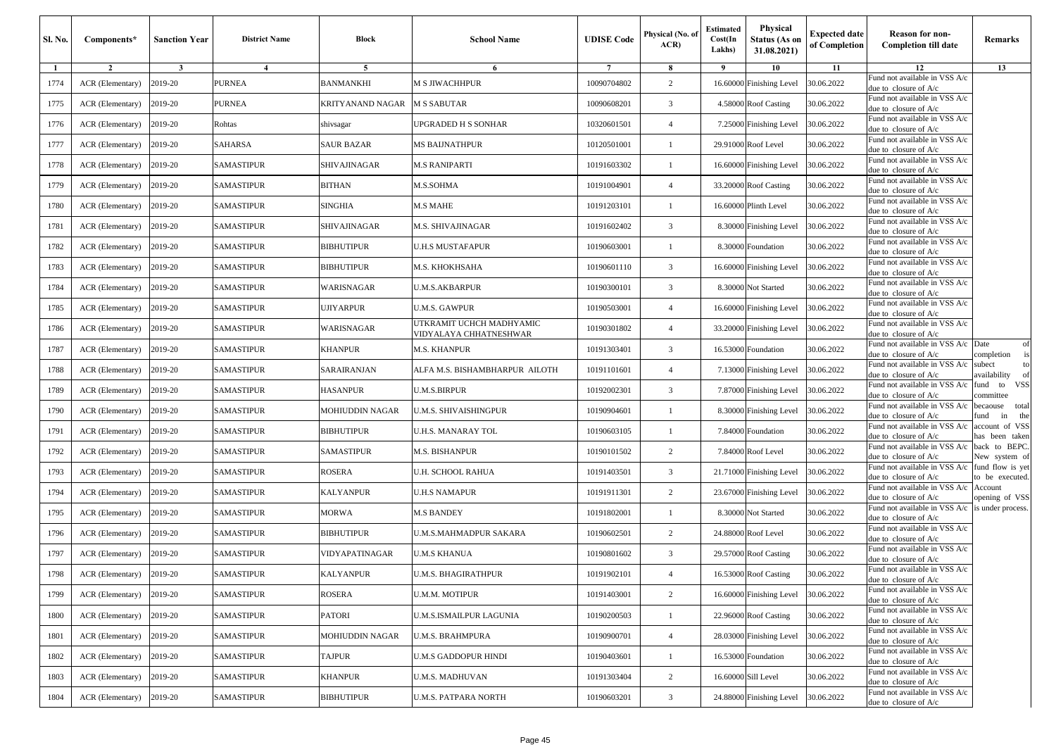| Sl. No. | Components*      | <b>Sanction Year</b> | <b>District Name</b> | Block                  | <b>School Name</b>                                 | <b>UDISE</b> Code | Physical (No. of<br>ACR | <b>Estimated</b><br>Cost(In<br>Lakhs) | Physical<br><b>Status (As on</b><br>31.08.2021) | <b>Expected date</b><br>of Completion | <b>Reason for non-</b><br><b>Completion till date</b>                      | Remarks                                |
|---------|------------------|----------------------|----------------------|------------------------|----------------------------------------------------|-------------------|-------------------------|---------------------------------------|-------------------------------------------------|---------------------------------------|----------------------------------------------------------------------------|----------------------------------------|
| 1       | $\overline{2}$   | $\mathbf{3}$         | $\overline{4}$       | 5                      | 6                                                  | $7\phantom{.0}$   | 8                       | - 9                                   | 10                                              | 11                                    | 12<br>Fund not available in VSS A/c                                        | 13                                     |
| 1774    | ACR (Elementary) | 2019-20              | <b>PURNEA</b>        | BANMANKHI              | M S JIWACHHPUR                                     | 10090704802       | 2                       | 16.60000                              | Finishing Level                                 | 30.06.2022                            | due to closure of A/c                                                      |                                        |
| 1775    | ACR (Elementary) | 2019-20              | <b>PURNEA</b>        | KRITYANAND NAGAR       | <b>M S SABUTAR</b>                                 | 10090608201       | 3                       | 4.58000                               | <b>Roof Casting</b>                             | 30.06.2022                            | Fund not available in VSS A/c<br>due to closure of $A/c$                   |                                        |
| 1776    | ACR (Elementary) | 2019-20              | Rohtas               | shivsagar              | UPGRADED H S SONHAR                                | 10320601501       | $\overline{4}$          | 7.25000                               | Finishing Level                                 | 30.06.2022                            | Fund not available in VSS A/c<br>due to closure of A/c                     |                                        |
| 1777    | ACR (Elementary) | 2019-20              | SAHARSA              | SAUR BAZAR             | MS BAIJNATHPUR                                     | 10120501001       | $\mathbf{1}$            | 29.91000                              | Roof Level                                      | 30.06.2022                            | Fund not available in VSS A/c<br>due to closure of $A/c$                   |                                        |
| 1778    | ACR (Elementary) | 2019-20              | <b>SAMASTIPUR</b>    | SHIVAJINAGAR           | <b>M.S RANIPARTI</b>                               | 10191603302       |                         | 16.60000                              | Finishing Level                                 | 30.06.2022                            | Fund not available in VSS A/c<br>due to closure of $A/c$                   |                                        |
| 1779    | ACR (Elementary) | 2019-20              | <b>SAMASTIPUR</b>    | BITHAN                 | M.S.SOHMA                                          | 10191004901       | $\overline{4}$          | 33.20000                              | <b>Roof Casting</b>                             | 30.06.2022                            | Fund not available in VSS A/c<br>due to closure of A/c                     |                                        |
| 1780    | ACR (Elementary) | 2019-20              | <b>SAMASTIPUR</b>    | <b>SINGHIA</b>         | <b>M.S MAHE</b>                                    | 10191203101       |                         | 16.60000                              | Plinth Level                                    | 30.06.2022                            | Fund not available in VSS A/c<br>due to closure of A/c                     |                                        |
| 1781    | ACR (Elementary) | 2019-20              | <b>SAMASTIPUR</b>    | SHIVAJINAGAR           | M.S. SHIVAJINAGAR                                  | 10191602402       | 3                       | 8.30000                               | Finishing Level                                 | 30.06.2022                            | Fund not available in VSS A/c<br>due to closure of A/c                     |                                        |
| 1782    | ACR (Elementary) | 2019-20              | <b>SAMASTIPUR</b>    | BIBHUTIPUR             | <b>U.H.S MUSTAFAPUR</b>                            | 10190603001       | $\mathbf{1}$            | 8.30000                               | Foundation                                      | 30.06.2022                            | Fund not available in VSS A/c<br>due to closure of A/c                     |                                        |
| 1783    | ACR (Elementary) | 2019-20              | <b>SAMASTIPUR</b>    | BIBHUTIPUR             | M.S. KHOKHSAHA                                     | 10190601110       | 3                       | 16.60000                              | <b>Finishing Level</b>                          | 30.06.2022                            | Fund not available in VSS A/c<br>due to closure of A/c                     |                                        |
| 1784    | ACR (Elementary) | 2019-20              | <b>SAMASTIPUR</b>    | WARISNAGAR             | U.M.S.AKBARPUR                                     | 10190300101       | 3                       | 8.30000                               | Not Started                                     | 30.06.2022                            | Fund not available in VSS A/c<br>due to closure of A/c                     |                                        |
| 1785    | ACR (Elementary) | 2019-20              | <b>SAMASTIPUR</b>    | UJIYARPUR              | U.M.S. GAWPUR                                      | 10190503001       | $\overline{4}$          | 16.60000                              | Finishing Level                                 | 30.06.2022                            | Fund not available in VSS A/c<br>due to closure of A/c                     |                                        |
| 1786    | ACR (Elementary) | 2019-20              | <b>SAMASTIPUR</b>    | WARISNAGAR             | UTKRAMIT UCHCH MADHYAMIC<br>VIDYALAYA CHHATNESHWAR | 10190301802       | $\overline{4}$          | 33.20000                              | Finishing Level                                 | 30.06.2022                            | Fund not available in VSS A/c<br>due to closure of $A/c$                   |                                        |
| 1787    | ACR (Elementary) | 2019-20              | <b>SAMASTIPUR</b>    | KHANPUR                | <b>M.S. KHANPUR</b>                                | 10191303401       | 3                       | 16.53000                              | Foundation                                      | 30.06.2022                            | Fund not available in VSS A/c Date<br>due to closure of A/c                | of<br>completion<br>is                 |
| 1788    | ACR (Elementary) | 2019-20              | SAMASTIPUR           | SARAIRANJAN            | ALFA M.S. BISHAMBHARPUR  AILOTH                    | 10191101601       | $\overline{4}$          | 7.13000                               | Finishing Level                                 | 30.06.2022                            | Fund not available in VSS A/c<br>due to closure of A/c                     | subect<br>to<br>availability<br>of     |
| 1789    | ACR (Elementary) | 2019-20              | <b>SAMASTIPUR</b>    | <b>HASANPUR</b>        | U.M.S.BIRPUR                                       | 10192002301       | 3                       | 7.87000                               | Finishing Level                                 | 30.06.2022                            | Fund not available in VSS A/c<br>due to closure of A/c                     | VSS<br>fund<br>to<br>committee         |
| 1790    | ACR (Elementary) | 2019-20              | <b>SAMASTIPUR</b>    | MOHIUDDIN NAGAR        | U.M.S. SHIVAISHINGPUR                              | 10190904601       | $\mathbf{1}$            | 8.30000                               | Finishing Level                                 | 30.06.2022                            | Fund not available in VSS A/c<br>due to closure of $A/c$                   | becaouse<br>total<br>fund<br>the<br>in |
| 1791    | ACR (Elementary) | 2019-20              | <b>SAMASTIPUR</b>    | BIBHUTIPUR             | U.H.S. MANARAY TOL                                 | 10190603105       |                         | 7.84000                               | Foundation                                      | 30.06.2022                            | Fund not available in VSS A/c<br>due to closure of A/c                     | account of VSS<br>nas been taken       |
| 1792    | ACR (Elementary) | 2019-20              | <b>SAMASTIPUR</b>    | SAMASTIPUR             | <b>M.S. BISHANPUR</b>                              | 10190101502       | 2                       | 7.84000                               | Roof Level                                      | 30.06.2022                            | Fund not available in VSS A/c<br>due to closure of A/c                     | back to BEPC.<br>New system of         |
| 1793    | ACR (Elementary) | 2019-20              | <b>SAMASTIPUR</b>    | ROSERA                 | U.H. SCHOOL RAHUA                                  | 10191403501       | 3                       | 21.7100                               | Finishing Level                                 | 30.06.2022                            | Fund not available in VSS A/c<br>due to closure of $A/c$                   | fund flow is yet<br>to be executed.    |
| 1794    | ACR (Elementary) | 2019-20              | <b>SAMASTIPUR</b>    | KALYANPUR              | U.H.S NAMAPUR                                      | 10191911301       | $\overline{c}$          | 23.67000                              | Finishing Level                                 | 30.06.2022                            | Fund not available in VSS A/c<br>due to closure of A/c                     | Account<br>opening of VSS              |
| 1795    | ACR (Elementary) | 2019-20              | SAMASTIPUR           | MORWA                  | <b>M.S BANDEY</b>                                  | 10191802001       | $\mathbf{1}$            | 8.30000                               | Not Started                                     | 30.06.2022                            | Fund not available in VSS A/c is under process.<br>due to closure of $A/c$ |                                        |
| 1796    | ACR (Elementary) | 2019-20              | <b>SAMASTIPUR</b>    | BIBHUTIPUR             | <b>U.M.S.MAHMADPUR SAKARA</b>                      | 10190602501       | 2                       | 24.88000                              | Roof Level                                      | 30.06.2022                            | Fund not available in VSS A/c<br>due to closure of A/c                     |                                        |
| 1797    | ACR (Elementary) | 2019-20              | <b>SAMASTIPUR</b>    | VIDYAPATINAGAR         | U.M.S KHANUA                                       | 10190801602       | 3                       | 29.57000                              | <b>Roof Casting</b>                             | 30.06.2022                            | Fund not available in VSS A/c<br>due to closure of A/c                     |                                        |
| 1798    | ACR (Elementary) | 2019-20              | <b>SAMASTIPUR</b>    | <b>KALYANPUR</b>       | <b>U.M.S. BHAGIRATHPUR</b>                         | 10191902101       | $\overline{4}$          |                                       | 16.53000 Roof Casting                           | 30.06.2022                            | Fund not available in VSS A/c<br>due to closure of A/c                     |                                        |
| 1799    | ACR (Elementary) | 2019-20              | SAMASTIPUR           | ROSERA                 | U.M.M. MOTIPUR                                     | 10191403001       | 2                       |                                       | 16.60000 Finishing Level                        | 30.06.2022                            | Fund not available in VSS A/c<br>due to closure of A/c                     |                                        |
| 1800    | ACR (Elementary) | 2019-20              | SAMASTIPUR           | PATORI                 | U.M.S.ISMAILPUR LAGUNIA                            | 10190200503       | $\mathbf{1}$            | 22.96000                              | <b>Roof Casting</b>                             | 30.06.2022                            | Fund not available in VSS A/c<br>due to closure of $A/c$                   |                                        |
| 1801    | ACR (Elementary) | 2019-20              | SAMASTIPUR           | <b>MOHIUDDIN NAGAR</b> | U.M.S. BRAHMPURA                                   | 10190900701       | $\overline{4}$          |                                       | 28.03000 Finishing Level                        | 30.06.2022                            | Fund not available in VSS A/c<br>due to closure of A/c                     |                                        |
| 1802    | ACR (Elementary) | 2019-20              | SAMASTIPUR           | TAJPUR                 | U.M.S GADDOPUR HINDI                               | 10190403601       | $\mathbf{1}$            | 16.53000                              | Foundation                                      | 30.06.2022                            | Fund not available in VSS A/c<br>due to closure of A/c                     |                                        |
| 1803    | ACR (Elementary) | 2019-20              | SAMASTIPUR           | KHANPUR                | U.M.S. MADHUVAN                                    | 10191303404       | $\overline{c}$          | 16.60000                              | Sill Level                                      | 30.06.2022                            | Fund not available in VSS A/c<br>due to closure of A/c                     |                                        |
| 1804    | ACR (Elementary) | 2019-20              | SAMASTIPUR           | <b>BIBHUTIPUR</b>      | U.M.S. PATPARA NORTH                               | 10190603201       | 3                       | 24.88000                              | <b>Finishing Level</b>                          | 30.06.2022                            | Fund not available in VSS A/c<br>due to closure of A/c                     |                                        |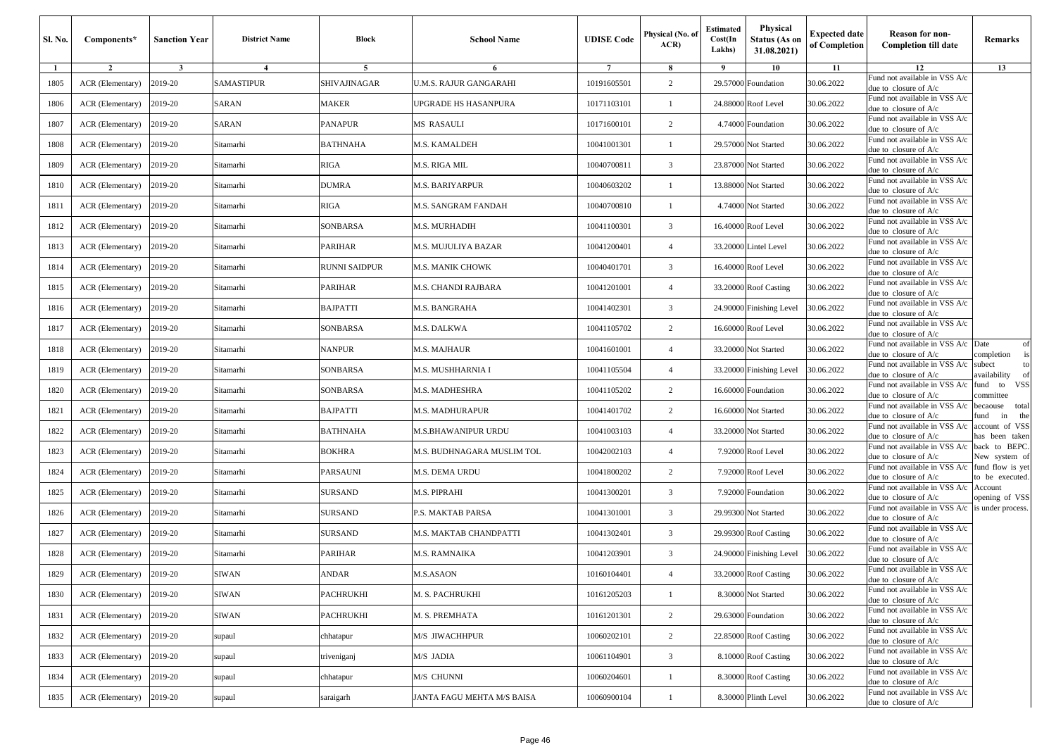| Sl. No. | Components*      | <b>Sanction Year</b> | <b>District Name</b> | Block          | <b>School Name</b>         | <b>UDISE Code</b> | Physical (No. of<br>ACR | <b>Estimated</b><br>Cost(In<br>Lakhs) | Physical<br><b>Status (As on</b><br>31.08.2021) | <b>Expected date</b><br>of Completion | Reason for non-<br><b>Completion till date</b>           | Remarks                             |
|---------|------------------|----------------------|----------------------|----------------|----------------------------|-------------------|-------------------------|---------------------------------------|-------------------------------------------------|---------------------------------------|----------------------------------------------------------|-------------------------------------|
| 1       | $\overline{2}$   | $\mathbf{3}$         | $\overline{4}$       | 5              | 6                          | $7\phantom{.0}$   | 8                       | 9                                     | 10                                              | 11                                    | 12                                                       | 13                                  |
| 1805    | ACR (Elementary) | 2019-20              | SAMASTIPUR           | SHIVAJINAGAR   | J.M.S. RAJUR GANGARAHI     | 10191605501       | $\overline{c}$          |                                       | 29.57000 Foundation                             | 30.06.2022                            | Fund not available in VSS A/c<br>due to closure of A/c   |                                     |
| 1806    | ACR (Elementary) | 2019-20              | SARAN                | <b>MAKER</b>   | UPGRADE HS HASANPURA       | 10171103101       | -1                      |                                       | 24.88000 Roof Level                             | 30.06.2022                            | Fund not available in VSS A/c<br>due to closure of A/c   |                                     |
| 1807    | ACR (Elementary) | 2019-20              | SARAN                | PANAPUR        | MS RASAULI                 | 10171600101       | $\overline{c}$          |                                       | 4.74000 Foundation                              | 30.06.2022                            | Fund not available in VSS A/c<br>due to closure of A/c   |                                     |
| 1808    | ACR (Elementary) | 2019-20              | Sitamarhi            | BATHNAHA       | M.S. KAMALDEH              | 10041001301       | $\mathbf{1}$            |                                       | 29.57000 Not Started                            | 30.06.2022                            | Fund not available in VSS A/c<br>due to closure of A/c   |                                     |
| 1809    | ACR (Elementary) | 2019-20              | Sitamarhi            | <b>RIGA</b>    | M.S. RIGA MIL              | 10040700811       | 3                       |                                       | 23.87000 Not Started                            | 30.06.2022                            | Fund not available in VSS A/c<br>due to closure of A/c   |                                     |
| 1810    | ACR (Elementary) | 2019-20              | Sitamarhi            | <b>DUMRA</b>   | M.S. BARIYARPUR            | 10040603202       | -1                      |                                       | 13.88000 Not Started                            | 30.06.2022                            | Fund not available in VSS A/c<br>due to closure of A/c   |                                     |
| 1811    | ACR (Elementary) | 2019-20              | Sitamarhi            | RIGA           | M.S. SANGRAM FANDAH        | 10040700810       | $\mathbf{1}$            |                                       | 4.74000 Not Started                             | 30.06.2022                            | Fund not available in VSS A/c<br>lue to closure of A/c   |                                     |
| 1812    | ACR (Elementary) | 2019-20              | Sitamarhi            | SONBARSA       | M.S. MURHADIH              | 10041100301       | 3                       |                                       | 16.40000 Roof Level                             | 30.06.2022                            | Fund not available in VSS A/c<br>due to closure of A/c   |                                     |
| 1813    | ACR (Elementary) | 2019-20              | Sitamarhi            | PARIHAR        | M.S. MUJULIYA BAZAR        | 10041200401       | $\overline{4}$          | 33.20000                              | <b>Lintel Level</b>                             | 30.06.2022                            | Fund not available in VSS A/c<br>due to closure of A/c   |                                     |
| 1814    | ACR (Elementary) | 2019-20              | Sitamarhi            | RUNNI SAIDPUR  | M.S. MANIK CHOWK           | 10040401701       | 3                       |                                       | 16.40000 Roof Level                             | 30.06.2022                            | Fund not available in VSS A/c<br>due to closure of A/c   |                                     |
| 1815    | ACR (Elementary) | 2019-20              | Sitamarhi            | PARIHAR        | M.S. CHANDI RAJBARA        | 10041201001       | $\overline{4}$          |                                       | 33.20000 Roof Casting                           | 30.06.2022                            | Fund not available in VSS A/c<br>lue to closure of A/c   |                                     |
| 1816    | ACR (Elementary) | 2019-20              | Sitamarhi            | BAJPATTI       | M.S. BANGRAHA              | 10041402301       | 3                       |                                       | 24.90000 Finishing Level                        | 30.06.2022                            | Fund not available in VSS A/c<br>due to closure of A/c   |                                     |
| 1817    | ACR (Elementary) | 2019-20              | Sitamarhi            | SONBARSA       | M.S. DALKWA                | 10041105702       | $\overline{c}$          |                                       | 16,60000 Roof Level                             | 30.06.2022                            | und not available in VSS A/c<br>due to closure of $A/c$  |                                     |
| 1818    | ACR (Elementary) | 2019-20              | Sitamarhi            | NANPUR         | M.S. MAJHAUR               | 10041601001       | $\overline{4}$          |                                       | 33.20000 Not Started                            | 30.06.2022                            | Fund not available in VSS A/c<br>lue to closure of A/c   | Date<br>of<br>completion            |
| 1819    | ACR (Elementary) | 2019-20              | Sitamarhi            | SONBARSA       | M.S. MUSHHARNIA I          | 10041105504       | $\overline{4}$          |                                       | 33.20000 Finishing Level                        | 30.06.2022                            | und not available in VSS A/c<br>due to closure of A/c    | subect<br>to<br>vailability         |
| 1820    | ACR (Elementary) | 2019-20              | Sitamarhi            | SONBARSA       | M.S. MADHESHRA             | 10041105202       | $\overline{c}$          |                                       | 16.60000 Foundation                             | 30.06.2022                            | Fund not available in VSS A/c<br>due to closure of A/c   | und to VSS<br>committee             |
| 1821    | ACR (Elementary) | 2019-20              | Sitamarhi            | BAJPATTI       | M.S. MADHURAPUR            | 10041401702       | $\overline{c}$          |                                       | 16.60000 Not Started                            | 30.06.2022                            | Fund not available in VSS A/c<br>due to closure of A/c   | becaouse total<br>und<br>in<br>the  |
| 1822    | ACR (Elementary) | 2019-20              | Sitamarhi            | BATHNAHA       | M.S.BHAWANIPUR URDU        | 10041003103       | $\overline{4}$          |                                       | 33.20000 Not Started                            | 30.06.2022                            | Fund not available in VSS A/c<br>lue to closure of A/c   | account of VSS<br>as been taken     |
| 1823    | ACR (Elementary) | 2019-20              | Sitamarhi            | BOKHRA         | M.S. BUDHNAGARA MUSLIM TOL | 10042002103       | $\overline{4}$          |                                       | 7.92000 Roof Level                              | 30.06.2022                            | Fund not available in VSS A/c<br>due to closure of A/c   | back to BEPC.<br>New system of      |
| 1824    | ACR (Elementary) | 2019-20              | Sitamarhi            | PARSAUNI       | M.S. DEMA URDU             | 10041800202       | 2                       |                                       | 7.92000 Roof Level                              | 30.06.2022                            | Fund not available in VSS A/c<br>due to closure of A/c   | fund flow is yet<br>to be executed. |
| 1825    | ACR (Elementary) | 2019-20              | Sitamarhi            | <b>SURSAND</b> | M.S. PIPRAHI               | 10041300201       | 3                       |                                       | 7.92000 Foundation                              | 30.06.2022                            | Fund not available in VSS A/c<br>lue to closure of A/c   | Account<br>opening of VSS           |
| 1826    | ACR (Elementary) | 2019-20              | Sitamarhi            | SURSAND        | <b>.S. MAKTAB PARSA</b>    | 10041301001       | 3                       |                                       | 29.99300 Not Started                            | 30.06.2022                            | Fund not available in VSS A/c<br>due to closure of A/c   | is under process.                   |
| 1827    | ACR (Elementary) | 2019-20              | Sitamarhi            | <b>SURSAND</b> | M.S. MAKTAB CHANDPATTI     | 10041302401       | 3                       |                                       | 29.99300 Roof Casting                           | 30.06.2022                            | Fund not available in VSS A/c<br>due to closure of A/c   |                                     |
| 1828    | ACR (Elementary) | 2019-20              | Sitamarhi            | PARIHAR        | M.S. RAMNAIKA              | 10041203901       | 3                       |                                       | 24.90000 Finishing Level                        | 30.06.2022                            | Fund not available in VSS A/c<br>due to closure of A/c   |                                     |
| 1829    | ACR (Elementary) | 2019-20              | <b>SIWAN</b>         | ANDAR          | <b>M.S.ASAON</b>           | 10160104401       | $\overline{4}$          |                                       | 33.20000 Roof Casting                           | 30.06.2022                            | Fund not available in VSS A/c<br>due to closure of $A/c$ |                                     |
| 1830    | ACR (Elementary) | 2019-20              | <b>SIWAN</b>         | PACHRUKHI      | M. S. PACHRUKHI            | 10161205203       | $\mathbf{1}$            |                                       | 8.30000 Not Started                             | 30.06.2022                            | Fund not available in VSS A/c<br>due to closure of A/c   |                                     |
| 1831    | ACR (Elementary) | 2019-20              | <b>SIWAN</b>         | PACHRUKHI      | M. S. PREMHATA             | 10161201301       | 2                       |                                       | 29.63000 Foundation                             | 30.06.2022                            | Fund not available in VSS A/c<br>due to closure of A/c   |                                     |
| 1832    | ACR (Elementary) | 2019-20              | supaul               | chhatapur      | M/S JIWACHHPUR             | 10060202101       | $\overline{c}$          |                                       | 22.85000 Roof Casting                           | 30.06.2022                            | Fund not available in VSS A/c<br>due to closure of A/c   |                                     |
| 1833    | ACR (Elementary) | 2019-20              | supaul               | triveniganj    | M/S JADIA                  | 10061104901       | 3                       |                                       | 8.10000 Roof Casting                            | 30.06.2022                            | Fund not available in VSS A/c<br>due to closure of A/c   |                                     |
| 1834    | ACR (Elementary) | 2019-20              | supaul               | chhatapur      | M/S CHUNNI                 | 10060204601       | 1                       |                                       | 8.30000 Roof Casting                            | 30.06.2022                            | Fund not available in VSS A/c<br>due to closure of $A/c$ |                                     |
| 1835    | ACR (Elementary) | 2019-20              | supaul               | saraigarh      | JANTA FAGU MEHTA M/S BAISA | 10060900104       | $\mathbf{1}$            |                                       | 8.30000 Plinth Level                            | 30.06.2022                            | Fund not available in VSS A/c<br>due to closure of A/c   |                                     |